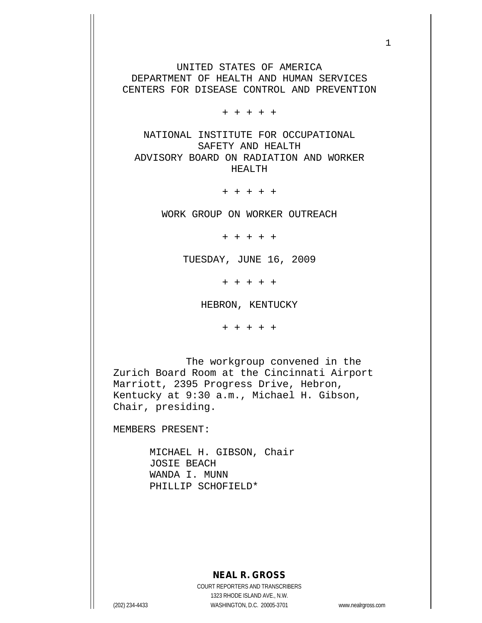UNITED STATES OF AMERICA DEPARTMENT OF HEALTH AND HUMAN SERVICES CENTERS FOR DISEASE CONTROL AND PREVENTION

+ + + + +

NATIONAL INSTITUTE FOR OCCUPATIONAL SAFETY AND HEALTH ADVISORY BOARD ON RADIATION AND WORKER HEALTH

+ + + + +

WORK GROUP ON WORKER OUTREACH

+ + + + +

TUESDAY, JUNE 16, 2009

+ + + + +

HEBRON, KENTUCKY

+ + + + +

 The workgroup convened in the Zurich Board Room at the Cincinnati Airport Marriott, 2395 Progress Drive, Hebron, Kentucky at 9:30 a.m., Michael H. Gibson, Chair, presiding.

MEMBERS PRESENT:

 MICHAEL H. GIBSON, Chair JOSIE BEACH WANDA I. MUNN PHILLIP SCHOFIELD\*

## **NEAL R. GROSS**

COURT REPORTERS AND TRANSCRIBERS 1323 RHODE ISLAND AVE., N.W. (202) 234-4433 WASHINGTON, D.C. 20005-3701 www.nealrgross.com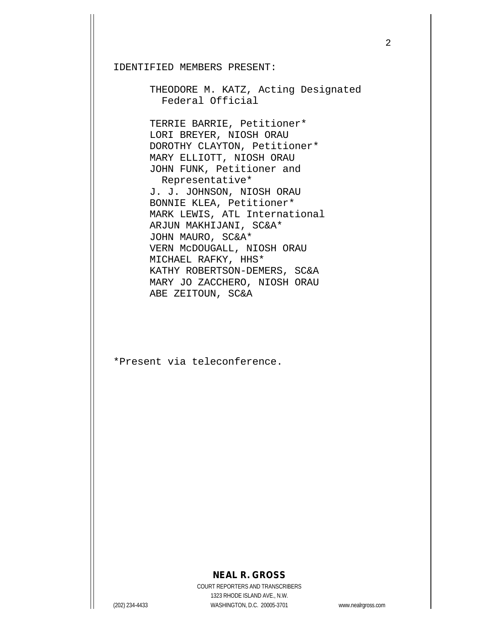IDENTIFIED MEMBERS PRESENT:

 THEODORE M. KATZ, Acting Designated Federal Official

 TERRIE BARRIE, Petitioner\* LORI BREYER, NIOSH ORAU DOROTHY CLAYTON, Petitioner\* MARY ELLIOTT, NIOSH ORAU JOHN FUNK, Petitioner and Representative\* J. J. JOHNSON, NIOSH ORAU BONNIE KLEA, Petitioner\* MARK LEWIS, ATL International ARJUN MAKHIJANI, SC&A\* JOHN MAURO, SC&A\* VERN McDOUGALL, NIOSH ORAU MICHAEL RAFKY, HHS\* KATHY ROBERTSON-DEMERS, SC&A MARY JO ZACCHERO, NIOSH ORAU ABE ZEITOUN, SC&A

\*Present via teleconference.

## **NEAL R. GROSS**

COURT REPORTERS AND TRANSCRIBERS 1323 RHODE ISLAND AVE., N.W. (202) 234-4433 WASHINGTON, D.C. 20005-3701 www.nealrgross.com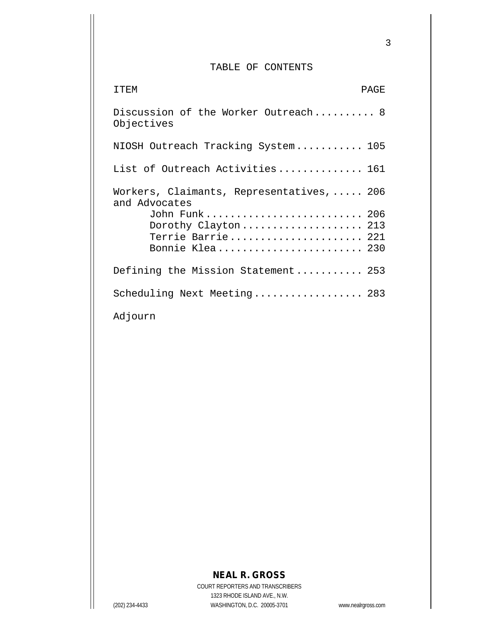## TABLE OF CONTENTS

| TTF.M<br>PAGE                                                                                      |
|----------------------------------------------------------------------------------------------------|
| Discussion of the Worker Outreach 8<br>Objectives                                                  |
| NIOSH Outreach Tracking System 105                                                                 |
| List of Outreach Activities 161                                                                    |
| Workers, Claimants, Representatives,  206<br>and Advocates<br>John Funk 206<br>Dorothy Clayton 213 |
| Terrie Barrie 221<br>Bonnie Klea 230                                                               |
| Defining the Mission Statement 253                                                                 |
| Scheduling Next Meeting 283                                                                        |
| Adjourn                                                                                            |

## **NEAL R. GROSS**

COURT REPORTERS AND TRANSCRIBERS 1323 RHODE ISLAND AVE., N.W. (202) 234-4433 WASHINGTON, D.C. 20005-3701 www.nealrgross.com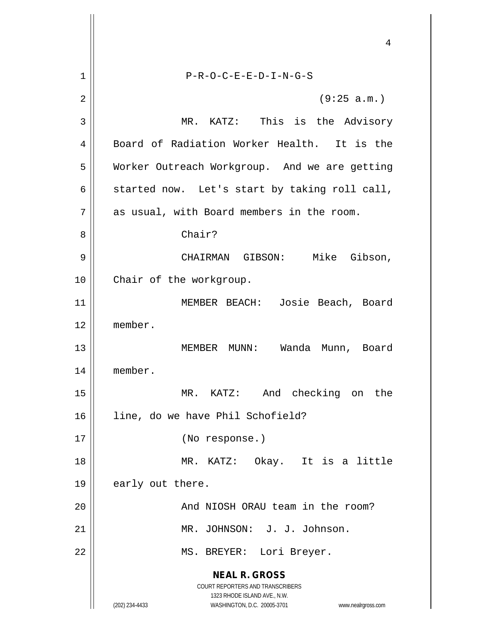**NEAL R. GROSS** COURT REPORTERS AND TRANSCRIBERS 1323 RHODE ISLAND AVE., N.W. (202) 234-4433 WASHINGTON, D.C. 20005-3701 www.nealrgross.com 4 1 P-R-O-C-E-E-D-I-N-G-S  $2 \parallel$  (9:25 a.m.) 3 MR. KATZ: This is the Advisory 4 || Board of Radiation Worker Health. It is the 5 Worker Outreach Workgroup. And we are getting 6  $\parallel$  started now. Let's start by taking roll call,  $7 \parallel$  as usual, with Board members in the room. 8 || Chair? 9 CHAIRMAN GIBSON: Mike Gibson, 10 || Chair of the workgroup. 11 || MEMBER BEACH: Josie Beach, Board 12 member. 13 MEMBER MUNN: Wanda Munn, Board 14 member. 15 MR. KATZ: And checking on the 16 || line, do we have Phil Schofield? 17 (No response.) 18 MR. KATZ: Okay. It is a little 19  $\parallel$  early out there. 20 | Rooms And NIOSH ORAU team in the room? 21 MR. JOHNSON: J. J. Johnson. 22 || MS. BREYER: Lori Breyer.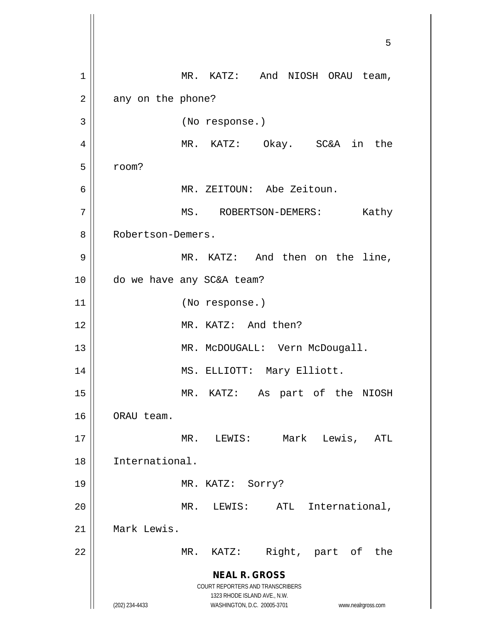**NEAL R. GROSS** COURT REPORTERS AND TRANSCRIBERS 1323 RHODE ISLAND AVE., N.W. (202) 234-4433 WASHINGTON, D.C. 20005-3701 www.nealrgross.com 5 1 || MR. KATZ: And NIOSH ORAU team,  $2 \parallel$  any on the phone? 3 (No response.) 4 || MR. KATZ: Okay. SC&A in the  $5 \parallel$  room? 6 MR. ZEITOUN: Abe Zeitoun. 7 | MS. ROBERTSON-DEMERS: Kathy 8 || Robertson-Demers. 9 || MR. KATZ: And then on the line, 10 do we have any SC&A team? 11 || (No response.) 12 MR. KATZ: And then? 13 || MR. McDOUGALL: Vern McDougall. 14 || MS. ELLIOTT: Mary Elliott. 15 MR. KATZ: As part of the NIOSH 16 | ORAU team. 17 MR. LEWIS: Mark Lewis, ATL 18 International. 19 MR. KATZ: Sorry? 20 || MR. LEWIS: ATL International, 21 Mark Lewis. 22 || MR. KATZ: Right, part of the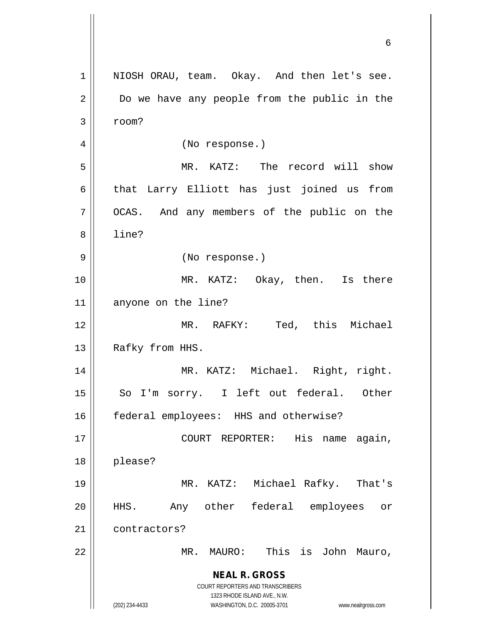**NEAL R. GROSS** COURT REPORTERS AND TRANSCRIBERS 1323 RHODE ISLAND AVE., N.W. (202) 234-4433 WASHINGTON, D.C. 20005-3701 www.nealrgross.com 1 || NIOSH ORAU, team. Okay. And then let's see. 2 | Do we have any people from the public in the  $3 \parallel$  room? 4 || (No response.) 5 MR. KATZ: The record will show  $6$  that Larry Elliott has just joined us from 7 | OCAS. And any members of the public on the 8 l line? 9 || (No response.) 10 MR. KATZ: Okay, then. Is there 11 || anyone on the line? 12 MR. RAFKY: Ted, this Michael 13 || Rafky from HHS. 14 MR. KATZ: Michael. Right, right. 15 || So I'm sorry. I left out federal. Other 16 | federal employees: HHS and otherwise? 17 || COURT REPORTER: His name again, 18 please? 19 MR. KATZ: Michael Rafky. That's 20 HHS. Any other federal employees or 21 | contractors? 22 MR. MAURO: This is John Mauro,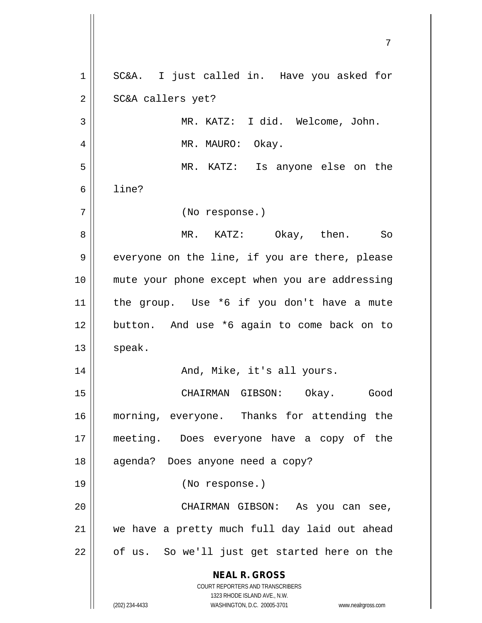**NEAL R. GROSS** COURT REPORTERS AND TRANSCRIBERS 1323 RHODE ISLAND AVE., N.W. (202) 234-4433 WASHINGTON, D.C. 20005-3701 www.nealrgross.com 1 || SC&A. I just called in. Have you asked for 2 | SC&A callers yet? 3 || MR. KATZ: I did. Welcome, John. 4 || MR. MAURO: Okay. 5 MR. KATZ: Is anyone else on the  $6 \parallel$  line? 7 (No response.) 8 MR. KATZ: Okay, then. So 9 || everyone on the line, if you are there, please 10 mute your phone except when you are addressing 11 || the group. Use  $*6$  if you don't have a mute 12 || button. And use \*6 again to come back on to  $13$  speak. 14 And, Mike, it's all yours. 15 CHAIRMAN GIBSON: Okay. Good 16 morning, everyone. Thanks for attending the 17 meeting. Does everyone have a copy of the 18 || agenda? Does anyone need a copy? 19 (No response.) 20 CHAIRMAN GIBSON: As you can see, 21 || we have a pretty much full day laid out ahead  $22$  | of us. So we'll just get started here on the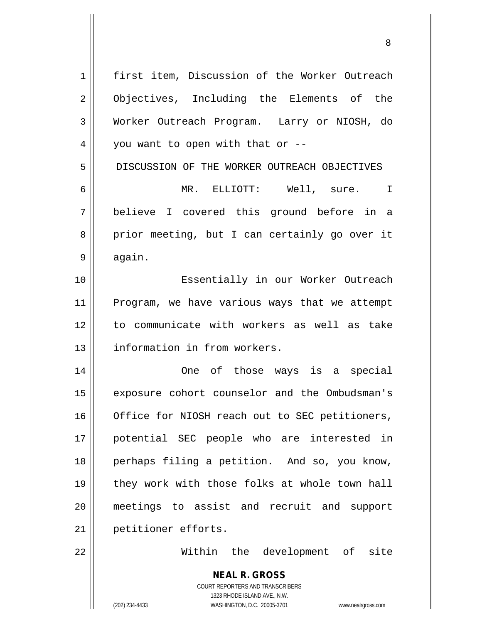| $\mathbf 1$    | first item, Discussion of the Worker Outreach                       |
|----------------|---------------------------------------------------------------------|
| $\overline{2}$ | Objectives, Including the Elements of the                           |
| 3              | Worker Outreach Program. Larry or NIOSH, do                         |
| 4              | you want to open with that or --                                    |
| 5              | DISCUSSION OF THE WORKER OUTREACH OBJECTIVES                        |
| 6              | MR. ELLIOTT: Well, sure.<br>$\mathbf I$                             |
| 7              | believe I covered this ground before in a                           |
| 8              | prior meeting, but I can certainly go over it                       |
| 9              | again.                                                              |
| 10             | Essentially in our Worker Outreach                                  |
| 11             | Program, we have various ways that we attempt                       |
| 12             | to communicate with workers as well as take                         |
| 13             | information in from workers.                                        |
| 14             | One of those ways is a special                                      |
| 15             | exposure cohort counselor and the Ombudsman's                       |
| 16             | Office for NIOSH reach out to SEC petitioners,                      |
| 17             | potential SEC people who are interested in                          |
| 18             | perhaps filing a petition. And so, you know,                        |
| 19             | they work with those folks at whole town hall                       |
| 20             | meetings to assist and recruit and support                          |
| 21             | petitioner efforts.                                                 |
| 22             | Within the development of site                                      |
|                | <b>NEAL R. GROSS</b>                                                |
|                | COURT REPORTERS AND TRANSCRIBERS                                    |
|                | 1323 RHODE ISLAND AVE., N.W.                                        |
|                | (202) 234-4433<br>WASHINGTON, D.C. 20005-3701<br>www.nealrgross.com |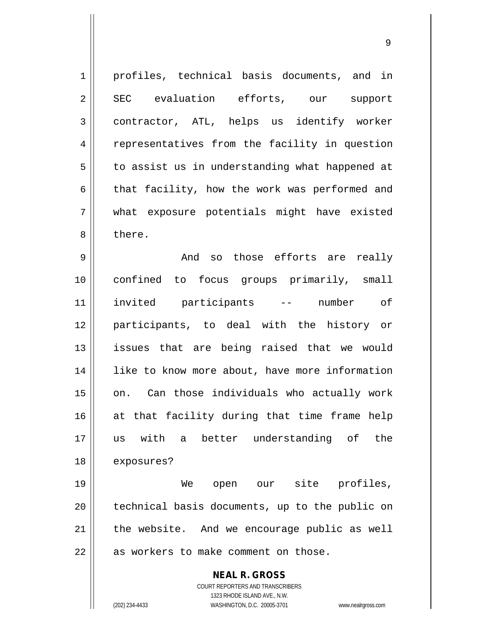| 1              | profiles, technical basis documents, and in                                                         |
|----------------|-----------------------------------------------------------------------------------------------------|
| $\overline{2}$ | SEC evaluation efforts, our<br>support                                                              |
|                |                                                                                                     |
| 3              | contractor, ATL, helps us identify worker                                                           |
| $\overline{4}$ | representatives from the facility in question                                                       |
| 5              | to assist us in understanding what happened at                                                      |
| 6              | that facility, how the work was performed and                                                       |
| 7              | what exposure potentials might have existed                                                         |
| 8              | there.                                                                                              |
| 9              | so those efforts are really<br>And                                                                  |
| 10             | confined to focus groups primarily, small                                                           |
| 11             | invited participants --<br>number<br>of                                                             |
| 12             | participants, to deal with the history or                                                           |
| 13             | issues that are being raised that we would                                                          |
| 14             | like to know more about, have more information                                                      |
| 15             | on. Can those individuals who actually work                                                         |
| 16             | at that facility during that time frame help                                                        |
| 17             | with<br>better understanding of<br>the<br>us<br>a                                                   |
| 18             | exposures?                                                                                          |
| 19             | open our site profiles,<br>We                                                                       |
| 20             | technical basis documents, up to the public on                                                      |
| 21             | the website. And we encourage public as well                                                        |
| 22             | as workers to make comment on those.                                                                |
|                | <b>NEAL R. GROSS</b>                                                                                |
|                | COURT REPORTERS AND TRANSCRIBERS                                                                    |
|                | 1323 RHODE ISLAND AVE., N.W.<br>(202) 234-4433<br>WASHINGTON, D.C. 20005-3701<br>www.nealrgross.com |
|                |                                                                                                     |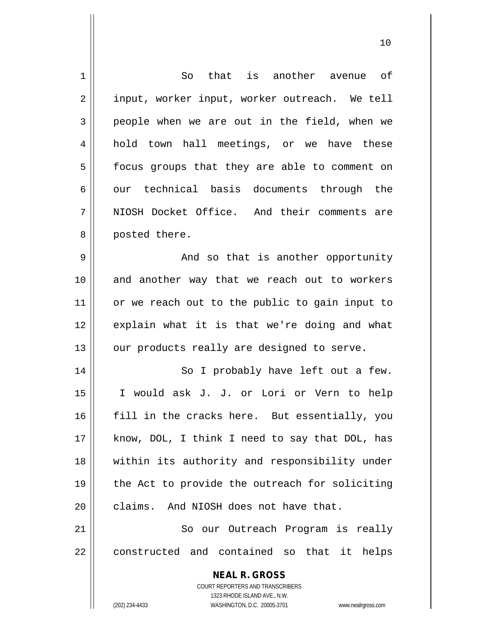| 1           | that is another avenue of<br>So                                               |
|-------------|-------------------------------------------------------------------------------|
| 2           | input, worker input, worker outreach. We tell                                 |
| 3           | people when we are out in the field, when we                                  |
| 4           | hold town hall meetings, or we have these                                     |
| 5           | focus groups that they are able to comment on                                 |
| 6           | our technical basis documents through the                                     |
| 7           | NIOSH Docket Office. And their comments are                                   |
| 8           | posted there.                                                                 |
| $\mathsf 9$ | And so that is another opportunity                                            |
| 10          | and another way that we reach out to workers                                  |
| 11          | or we reach out to the public to gain input to                                |
| 12          | explain what it is that we're doing and what                                  |
| 13          | our products really are designed to serve.                                    |
| 14          | So I probably have left out a few.                                            |
| 15          | I would ask J. J. or Lori or Vern to help                                     |
| 16          | fill in the cracks here. But essentially, you                                 |
| 17          | know, DOL, I think I need to say that DOL, has                                |
| 18          | within its authority and responsibility under                                 |
| 19          | the Act to provide the outreach for soliciting                                |
| 20          | claims. And NIOSH does not have that.                                         |
| 21          | So our Outreach Program is really                                             |
| 22          | constructed and contained so that it helps                                    |
|             | <b>NEAL R. GROSS</b>                                                          |
|             | <b>COURT REPORTERS AND TRANSCRIBERS</b>                                       |
|             | 1323 RHODE ISLAND AVE., N.W.<br>(202) 234-4433<br>WASHINGTON, D.C. 20005-3701 |
|             | www.nealrgross.com                                                            |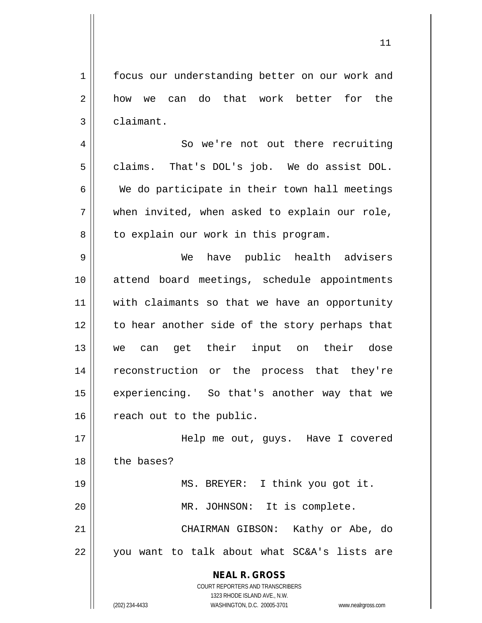1 | focus our understanding better on our work and 2 how we can do that work better for the  $3 \parallel$  claimant.

4 | So we're not out there recruiting  $5 \parallel$  claims. That's DOL's job. We do assist DOL.  $6 \parallel$  We do participate in their town hall meetings  $7 \parallel$  when invited, when asked to explain our role,  $8 \parallel$  to explain our work in this program.

9 We have public health advisers 10 attend board meetings, schedule appointments 11 || with claimants so that we have an opportunity 12 || to hear another side of the story perhaps that 13 we can get their input on their dose 14 reconstruction or the process that they're 15 || experiencing. So that's another way that we 16 | reach out to the public.

17 || Help me out, guys. Have I covered 18 || the bases? 19 MS. BREYER: I think you got it. 20 || MR. JOHNSON: It is complete. 21 CHAIRMAN GIBSON: Kathy or Abe, do  $22$  || you want to talk about what SC&A's lists are

> **NEAL R. GROSS** COURT REPORTERS AND TRANSCRIBERS 1323 RHODE ISLAND AVE., N.W. (202) 234-4433 WASHINGTON, D.C. 20005-3701 www.nealrgross.com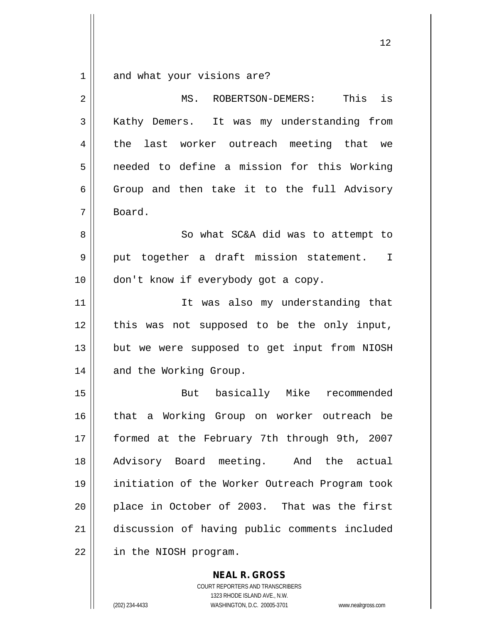and what your visions are?

| $\overline{2}$ | is<br>This<br>MS.<br>ROBERTSON-DEMERS:         |
|----------------|------------------------------------------------|
| 3              | Kathy Demers. It was my understanding from     |
| $\overline{4}$ | last worker outreach meeting that we<br>the    |
| 5              | needed to define a mission for this Working    |
| 6              | Group and then take it to the full Advisory    |
| 7              | Board.                                         |
| 8              | So what SC&A did was to attempt to             |
| $\mathsf 9$    | put together a draft mission statement. I      |
| 10             | don't know if everybody got a copy.            |
| 11             | It was also my understanding that              |
| 12             | was not supposed to be the only input,<br>this |
| 13             | but we were supposed to get input from NIOSH   |
| 14             | and the Working Group.                         |
| 15             | But basically Mike<br>recommended              |
| 16             | that a Working Group on worker outreach be     |
| 17             | formed at the February 7th through 9th, 2007   |
| 18             | Advisory Board meeting. And the actual         |
| 19             | initiation of the Worker Outreach Program took |
| 20             | place in October of 2003. That was the first   |
| 21             | discussion of having public comments included  |
| 22             | in the NIOSH program.                          |

**NEAL R. GROSS** COURT REPORTERS AND TRANSCRIBERS 1323 RHODE ISLAND AVE., N.W.

(202) 234-4433 WASHINGTON, D.C. 20005-3701 www.nealrgross.com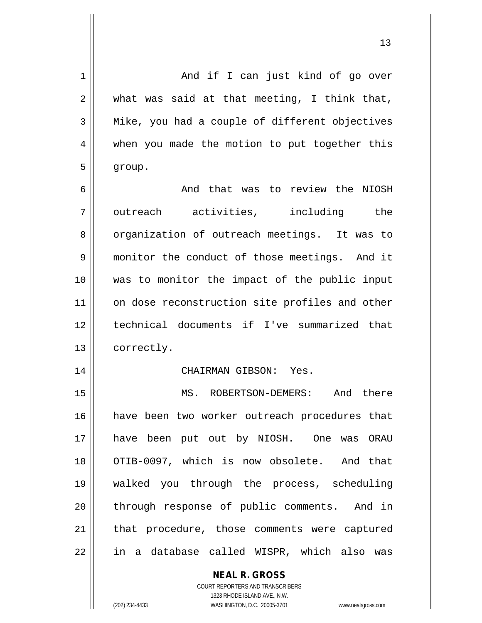| 1  | And if I can just kind of go over              |
|----|------------------------------------------------|
| 2  | what was said at that meeting, I think that,   |
| 3  | Mike, you had a couple of different objectives |
| 4  | when you made the motion to put together this  |
| 5  | group.                                         |
| 6  | And that was to review the NIOSH               |
| 7  | outreach activities, including the             |
| 8  | organization of outreach meetings. It was to   |
| 9  | monitor the conduct of those meetings. And it  |
| 10 | was to monitor the impact of the public input  |
| 11 | on dose reconstruction site profiles and other |
| 12 | technical documents if I've summarized that    |
| 13 | correctly.                                     |
| 14 | CHAIRMAN GIBSON: Yes.                          |
| 15 | And there<br>MS.<br>ROBERTSON-DEMERS:          |
| 16 | have been two worker outreach procedures that  |
| 17 | have been put out by NIOSH. One was ORAU       |
| 18 | OTIB-0097, which is now obsolete. And that     |
| 19 | walked you through the process, scheduling     |
| 20 | through response of public comments. And in    |
| 21 | that procedure, those comments were captured   |
| 22 | in a database called WISPR, which also was     |
|    | <b>NEAL R. GROSS</b>                           |

 $\mathop{\text{||}}$ 

1323 RHODE ISLAND AVE., N.W. (202) 234-4433 WASHINGTON, D.C. 20005-3701 www.nealrgross.com

COURT REPORTERS AND TRANSCRIBERS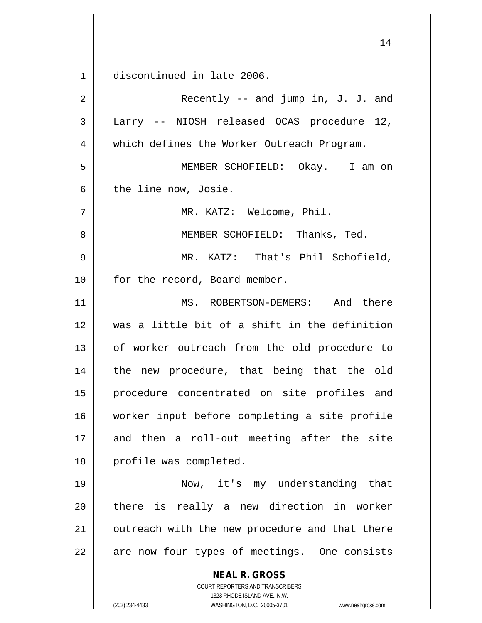1 discontinued in late 2006.

**NEAL R. GROSS** COURT REPORTERS AND TRANSCRIBERS 1323 RHODE ISLAND AVE., N.W.  $2 \parallel$  Recently -- and jump in, J. J. and 3 || Larry -- NIOSH released OCAS procedure 12, 4 Which defines the Worker Outreach Program. 5 MEMBER SCHOFIELD: Okay. I am on  $6$  | the line now, Josie. 7 MR. KATZ: Welcome, Phil. 8 || MEMBER SCHOFIELD: Thanks, Ted. 9 MR. KATZ: That's Phil Schofield, 10 | for the record, Board member. 11 MS. ROBERTSON-DEMERS: And there 12 was a little bit of a shift in the definition 13 || of worker outreach from the old procedure to 14 || the new procedure, that being that the old 15 procedure concentrated on site profiles and 16 worker input before completing a site profile 17 and then a roll-out meeting after the site 18 || profile was completed. 19 Now, it's my understanding that 20 || there is really a new direction in worker  $21$  | outreach with the new procedure and that there  $22$  | are now four types of meetings. One consists

(202) 234-4433 WASHINGTON, D.C. 20005-3701 www.nealrgross.com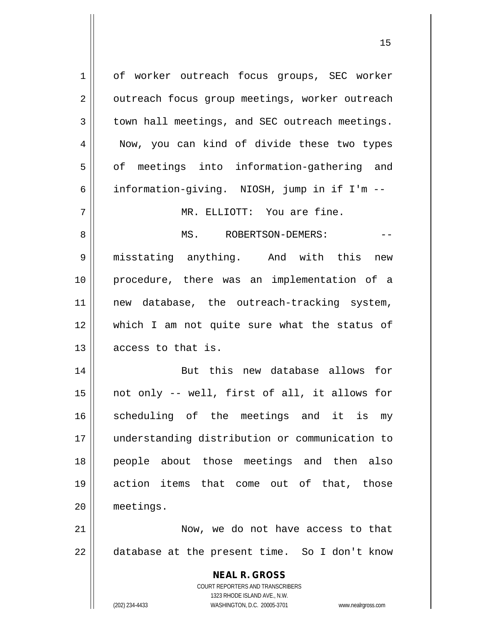**NEAL R. GROSS** COURT REPORTERS AND TRANSCRIBERS 1323 RHODE ISLAND AVE., N.W. 1 of worker outreach focus groups, SEC worker 2 | outreach focus group meetings, worker outreach  $3 \parallel$  town hall meetings, and SEC outreach meetings. 4 || Now, you can kind of divide these two types 5 || of meetings into information-gathering and 6 | information-giving. NIOSH, jump in if I'm  $-$ 7 MR. ELLIOTT: You are fine. 8 MS. ROBERTSON-DEMERS: -- 9 || misstating anything. And with this new 10 procedure, there was an implementation of a 11 || new database, the outreach-tracking system, 12 which I am not quite sure what the status of 13 || access to that is. 14 || But this new database allows for  $15$  || not only -- well, first of all, it allows for 16 Scheduling of the meetings and it is my 17 understanding distribution or communication to 18 people about those meetings and then also 19 action items that come out of that, those 20 meetings. 21 Now, we do not have access to that  $22 \parallel$  database at the present time. So I don't know

(202) 234-4433 WASHINGTON, D.C. 20005-3701 www.nealrgross.com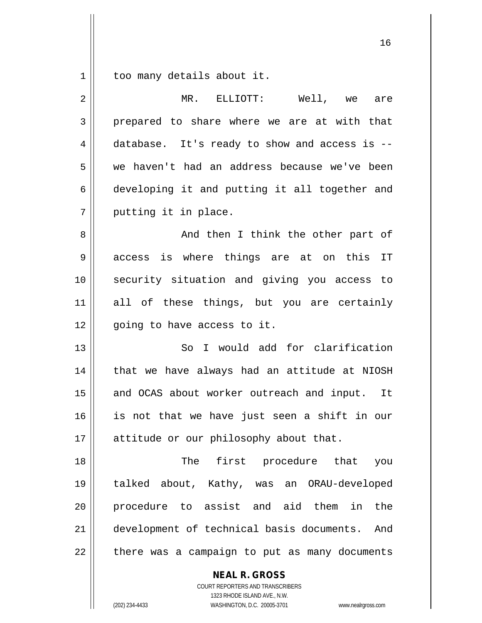$1 \parallel$  too many details about it.

| $\overline{2}$ | MR. ELLIOTT:<br>Well, we<br>are                  |
|----------------|--------------------------------------------------|
| 3              | prepared to share where we are at with that      |
| 4              | database. It's ready to show and access is --    |
| 5              | we haven't had an address because we've been     |
| 6              | developing it and putting it all together and    |
| 7              | putting it in place.                             |
| 8              | And then I think the other part of               |
| 9              | access is where things are at on this<br>IT      |
| 10             | security situation and giving you access to      |
| 11             | all of these things, but you are certainly       |
| 12             | going to have access to it.                      |
| 13             | I would add for clarification<br>So              |
| 14             | that we have always had an attitude at NIOSH     |
| 15             | and OCAS about worker outreach and input. It     |
| 16             | is not that we have just seen a shift in our     |
| 17             | attitude or our philosophy about that.           |
| 18             | The first procedure that<br>you                  |
| 19             | talked about, Kathy, was an ORAU-developed       |
| 20             | procedure to assist and aid them in<br>the       |
| 21             | development of technical basis documents.<br>And |
| 22             | there was a campaign to put as many documents    |

**NEAL R. GROSS** COURT REPORTERS AND TRANSCRIBERS 1323 RHODE ISLAND AVE., N.W.

(202) 234-4433 WASHINGTON, D.C. 20005-3701 www.nealrgross.com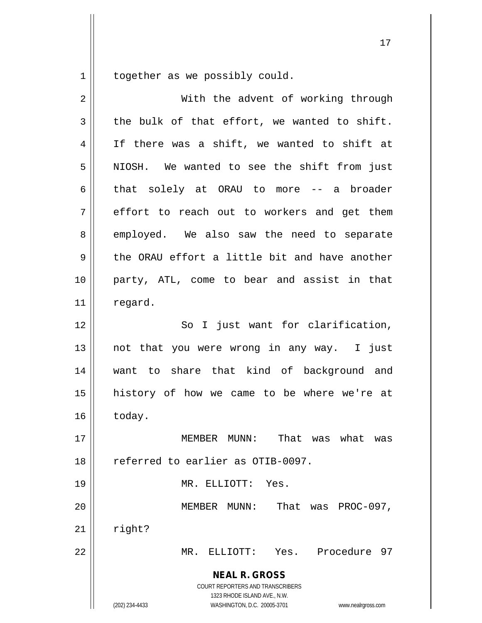$1 \parallel$  together as we possibly could.

| $\overline{2}$ | With the advent of working through                                                                                                                              |
|----------------|-----------------------------------------------------------------------------------------------------------------------------------------------------------------|
| $\mathfrak{Z}$ | the bulk of that effort, we wanted to shift.                                                                                                                    |
| 4              | If there was a shift, we wanted to shift at                                                                                                                     |
| 5              | NIOSH. We wanted to see the shift from just                                                                                                                     |
| 6              | solely at ORAU to more -- a broader<br>that                                                                                                                     |
| 7              | effort to reach out to workers and get them                                                                                                                     |
| 8              | employed. We also saw the need to separate                                                                                                                      |
| 9              | the ORAU effort a little bit and have another                                                                                                                   |
| 10             | party, ATL, come to bear and assist in that                                                                                                                     |
| 11             | regard.                                                                                                                                                         |
| 12             | So I just want for clarification,                                                                                                                               |
| 13             | not that you were wrong in any way. I just                                                                                                                      |
| 14             | want to share that kind of background and                                                                                                                       |
| 15             | history of how we came to be where we're at                                                                                                                     |
| 16             | today.                                                                                                                                                          |
| 17             | MEMBER MUNN:<br>That was what was                                                                                                                               |
| 18             | referred to earlier as OTIB-0097.                                                                                                                               |
| 19             | MR. ELLIOTT:<br>Yes.                                                                                                                                            |
| 20             | That<br>was $PROC-097$ ,<br>MEMBER MUNN:                                                                                                                        |
| 21             | right?                                                                                                                                                          |
| 22             | Procedure 97<br>MR.<br>ELLIOTT:<br>Yes.                                                                                                                         |
|                | <b>NEAL R. GROSS</b><br>COURT REPORTERS AND TRANSCRIBERS<br>1323 RHODE ISLAND AVE., N.W.<br>(202) 234-4433<br>WASHINGTON, D.C. 20005-3701<br>www.nealrgross.com |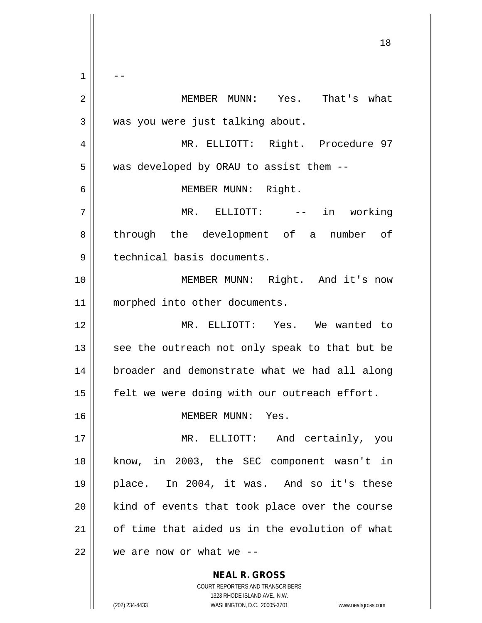**NEAL R. GROSS** 18  $1 \parallel - -$ 2 MEMBER MUNN: Yes. That's what  $3$  | was you were just talking about. 4 || MR. ELLIOTT: Right. Procedure 97 5 | was developed by ORAU to assist them --6 MEMBER MUNN: Right. 7 MR. ELLIOTT: -- in working 8 || through the development of a number of 9 | technical basis documents. 10 || **MEMBER MUNN:** Right. And it's now 11 || morphed into other documents. 12 MR. ELLIOTT: Yes. We wanted to  $13$  see the outreach not only speak to that but be 14 broader and demonstrate what we had all along 15  $\parallel$  felt we were doing with our outreach effort. 16 | MEMBER MUNN: Yes. 17 || MR. ELLIOTT: And certainly, you 18 know, in 2003, the SEC component wasn't in 19 place. In 2004, it was. And so it's these 20 || kind of events that took place over the course 21 | of time that aided us in the evolution of what  $22$  | we are now or what we --

> COURT REPORTERS AND TRANSCRIBERS 1323 RHODE ISLAND AVE., N.W.

(202) 234-4433 WASHINGTON, D.C. 20005-3701 www.nealrgross.com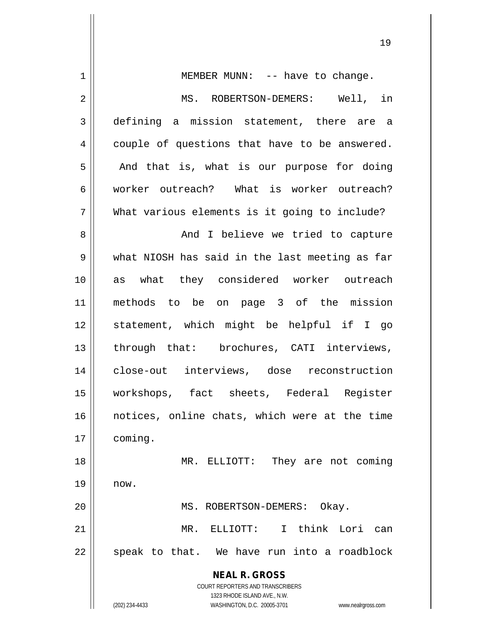| $\mathbf 1$    | MEMBER MUNN: -- have to change.                                     |
|----------------|---------------------------------------------------------------------|
| $\mathbf 2$    | MS. ROBERTSON-DEMERS: Well, in                                      |
| 3              | defining a mission statement, there are a                           |
| $\overline{4}$ | couple of questions that have to be answered.                       |
| 5              | And that is, what is our purpose for doing                          |
| 6              | worker outreach? What is worker outreach?                           |
| 7              | What various elements is it going to include?                       |
| 8              | And I believe we tried to capture                                   |
| $\mathsf 9$    | what NIOSH has said in the last meeting as far                      |
| 10             | as what they considered worker outreach                             |
| 11             | methods to be on page 3 of the mission                              |
| 12             | statement, which might be helpful if I go                           |
| 13             | through that: brochures, CATI interviews,                           |
| 14             | close-out interviews, dose reconstruction                           |
| 15             | workshops, fact sheets, Federal Register                            |
| 16             | notices, online chats, which were at the time                       |
| 17             | coming.                                                             |
| 18             | MR. ELLIOTT:<br>They are not coming                                 |
| 19             | now.                                                                |
| 20             | MS. ROBERTSON-DEMERS:<br>Okay.                                      |
| 21             | ELLIOTT: I think Lori<br>MR.<br>can                                 |
| 22             | speak to that. We have run into a roadblock                         |
|                | <b>NEAL R. GROSS</b>                                                |
|                | COURT REPORTERS AND TRANSCRIBERS                                    |
|                | 1323 RHODE ISLAND AVE., N.W.                                        |
|                | (202) 234-4433<br>WASHINGTON, D.C. 20005-3701<br>www.nealrgross.com |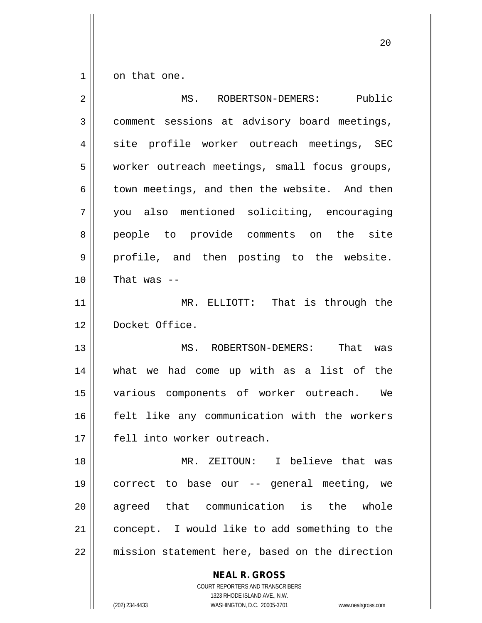$1 \parallel$  on that one.

| $\overline{2}$ | MS. ROBERTSON-DEMERS: Public                             |
|----------------|----------------------------------------------------------|
| 3              | comment sessions at advisory board meetings,             |
| 4              | site profile worker outreach meetings, SEC               |
| 5              | worker outreach meetings, small focus groups,            |
| 6              | town meetings, and then the website. And then            |
| 7              | you also mentioned soliciting, encouraging               |
| 8              | people to provide comments on the site                   |
| 9              | profile, and then posting to the website.                |
| 10             | That was $-$                                             |
| 11             | MR. ELLIOTT: That is through the                         |
| 12             | Docket Office.                                           |
| 13             | MS. ROBERTSON-DEMERS: That was                           |
| 14             | what we had come up with as a list of the                |
| 15             | various components of worker outreach. We                |
| 16             | felt like any communication with the workers             |
| 17             | fell into worker outreach.                               |
| 18             | MR. ZEITOUN: I believe that was                          |
| 19             | correct to base our -- general meeting, we               |
| 20             | agreed that communication is the whole                   |
| 21             | concept. I would like to add something to the            |
| 22             | mission statement here, based on the direction           |
|                | <b>NEAL R. GROSS</b><br>COURT REPORTERS AND TRANSCRIBERS |

1323 RHODE ISLAND AVE., N.W.

 $\mathop{\text{||}}$ 

(202) 234-4433 WASHINGTON, D.C. 20005-3701 www.nealrgross.com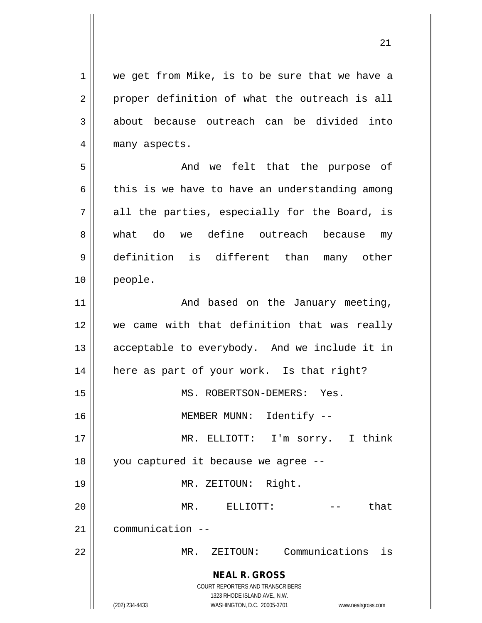**NEAL R. GROSS** COURT REPORTERS AND TRANSCRIBERS 1323 RHODE ISLAND AVE., N.W. (202) 234-4433 WASHINGTON, D.C. 20005-3701 www.nealrgross.com 1 || we get from Mike, is to be sure that we have a  $2 \parallel$  proper definition of what the outreach is all 3 about because outreach can be divided into 4 || many aspects. 5 And we felt that the purpose of  $6 \parallel$  this is we have to have an understanding among  $7 \parallel$  all the parties, especially for the Board, is 8 what do we define outreach because my 9 definition is different than many other 10 people. 11 || The January meeting, 12 || we came with that definition that was really 13 || acceptable to everybody. And we include it in 14 | here as part of your work. Is that right? 15 || MS. ROBERTSON-DEMERS: Yes. 16 || MEMBER MUNN: Identify --17 MR. ELLIOTT: I'm sorry. I think 18 || you captured it because we agree --19 || MR. ZEITOUN: Right. 20 MR. ELLIOTT: -- that 21 communication -- 22 MR. ZEITOUN: Communications is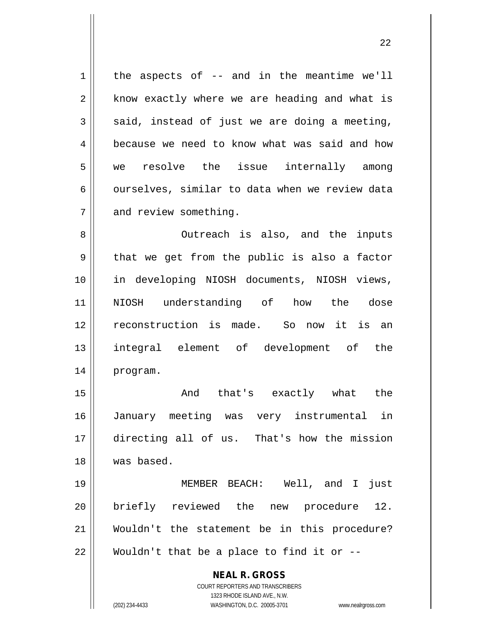$1 \parallel$  the aspects of -- and in the meantime we'll  $2 \parallel$  know exactly where we are heading and what is  $3 \parallel$  said, instead of just we are doing a meeting, 4 **because we need to know what was said and how** 5 we resolve the issue internally among  $6 \parallel$  ourselves, similar to data when we review data 7 and review something.

8 || Outreach is also, and the inputs  $9 \parallel$  that we get from the public is also a factor 10 in developing NIOSH documents, NIOSH views, 11 NIOSH understanding of how the dose 12 reconstruction is made. So now it is an 13 integral element of development of the 14 program.

15 || The Chat's exactly what the January meeting was very instrumental in directing all of us. That's how the mission was based.

 MEMBER BEACH: Well, and I just briefly reviewed the new procedure 12. Wouldn't the statement be in this procedure? || Wouldn't that be a place to find it or  $-$ 

> COURT REPORTERS AND TRANSCRIBERS 1323 RHODE ISLAND AVE., N.W. (202) 234-4433 WASHINGTON, D.C. 20005-3701 www.nealrgross.com

**NEAL R. GROSS**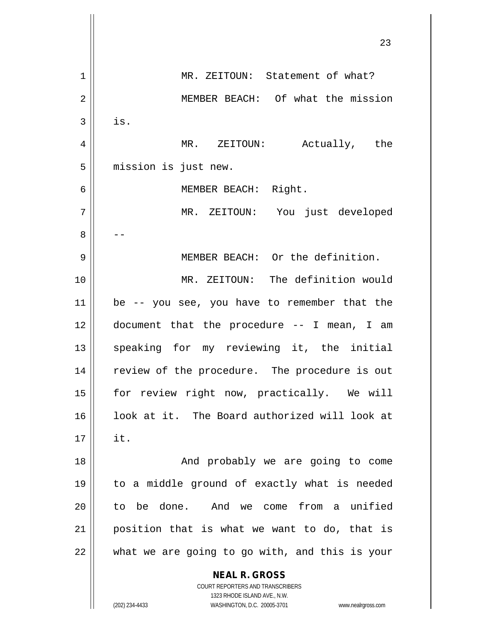|    | 23                                                                  |
|----|---------------------------------------------------------------------|
| 1  | MR. ZEITOUN: Statement of what?                                     |
| 2  | MEMBER BEACH: Of what the mission                                   |
| 3  | is.                                                                 |
| 4  | MR. ZEITOUN: Actually, the                                          |
| 5  | mission is just new.                                                |
| 6  | MEMBER BEACH: Right.                                                |
| 7  | MR. ZEITOUN: You just developed                                     |
| 8  |                                                                     |
| 9  | MEMBER BEACH: Or the definition.                                    |
| 10 | MR. ZEITOUN: The definition would                                   |
| 11 | be -- you see, you have to remember that the                        |
| 12 | document that the procedure -- I mean, I am                         |
| 13 | speaking for my reviewing it, the initial                           |
| 14 | review of the procedure. The procedure is out                       |
| 15 | for review right now, practically. We will                          |
| 16 | look at it. The Board authorized will look at                       |
| 17 | it.                                                                 |
| 18 | And probably we are going to come                                   |
| 19 | to a middle ground of exactly what is needed                        |
| 20 | to be done. And we come from a unified                              |
| 21 | position that is what we want to do, that is                        |
| 22 | what we are going to go with, and this is your                      |
|    | <b>NEAL R. GROSS</b>                                                |
|    | COURT REPORTERS AND TRANSCRIBERS<br>1323 RHODE ISLAND AVE., N.W.    |
|    | (202) 234-4433<br>WASHINGTON, D.C. 20005-3701<br>www.nealrgross.com |

 $\overline{\phantom{a}}$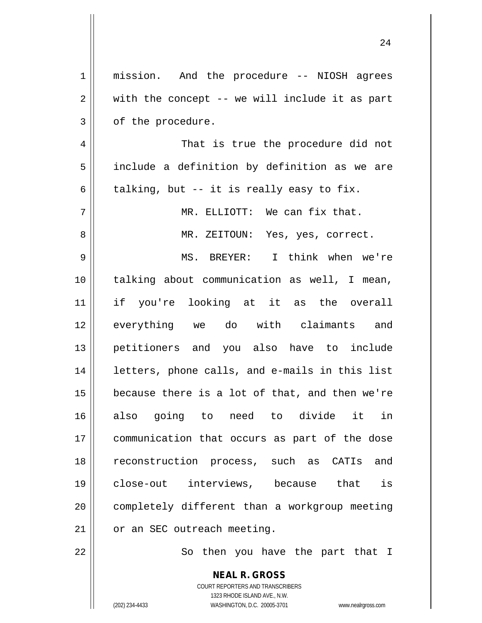| $\mathbf 1$ | mission. And the procedure -- NIOSH agrees     |
|-------------|------------------------------------------------|
| 2           | with the concept -- we will include it as part |
| 3           | of the procedure.                              |
| 4           | That is true the procedure did not             |
| 5           | include a definition by definition as we are   |
| 6           | talking, but -- it is really easy to fix.      |
| 7           | MR. ELLIOTT: We can fix that.                  |
| 8           | MR. ZEITOUN: Yes, yes, correct.                |
| 9           | MS. BREYER: I think when we're                 |
| 10          | talking about communication as well, I mean,   |
| 11          | if you're looking at it as the overall         |
| 12          | everything we do with claimants and            |
| 13          | petitioners and you also have to include       |
| 14          | letters, phone calls, and e-mails in this list |
| 15          | because there is a lot of that, and then we're |
| 16          | also going to need to divide it in             |
| 17          | communication that occurs as part of the dose  |
| 18          | reconstruction process, such as CATIs and      |
| 19          | close-out interviews, because that is          |
| 20          | completely different than a workgroup meeting  |
| 21          | or an SEC outreach meeting.                    |
| 22          | So then you have the part that I               |
|             | <b>NEAL R. GROSS</b>                           |

COURT REPORTERS AND TRANSCRIBERS 1323 RHODE ISLAND AVE., N.W.

 $\mathsf{II}$ 

(202) 234-4433 WASHINGTON, D.C. 20005-3701 www.nealrgross.com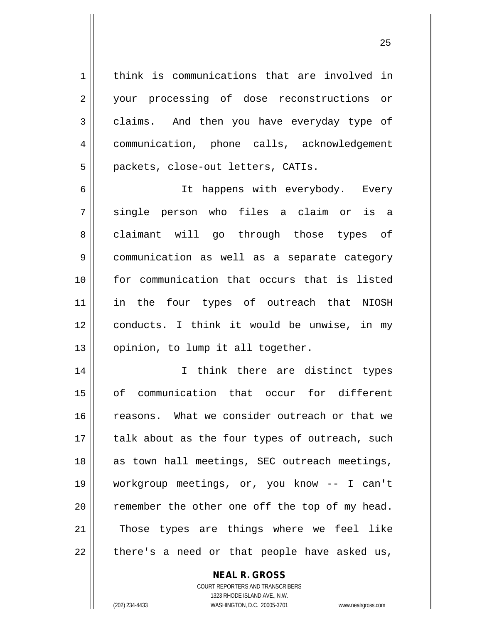1 | think is communications that are involved in 2 || your processing of dose reconstructions or 3 claims. And then you have everyday type of 4 communication, phone calls, acknowledgement 5 | packets, close-out letters, CATIs.

 It happens with everybody. Every single person who files a claim or is a 8 || claimant will go through those types of communication as well as a separate category for communication that occurs that is listed 11 || in the four types of outreach that NIOSH conducts. I think it would be unwise, in my 13 || opinion, to lump it all together.

14 || I think there are distinct types 15 of communication that occur for different 16 || reasons. What we consider outreach or that we  $17$  || talk about as the four types of outreach, such 18 || as town hall meetings, SEC outreach meetings, 19 workgroup meetings, or, you know -- I can't  $20$  remember the other one off the top of my head. 21 || Those types are things where we feel like  $22$  || there's a need or that people have asked us,

> COURT REPORTERS AND TRANSCRIBERS 1323 RHODE ISLAND AVE., N.W. (202) 234-4433 WASHINGTON, D.C. 20005-3701 www.nealrgross.com

**NEAL R. GROSS**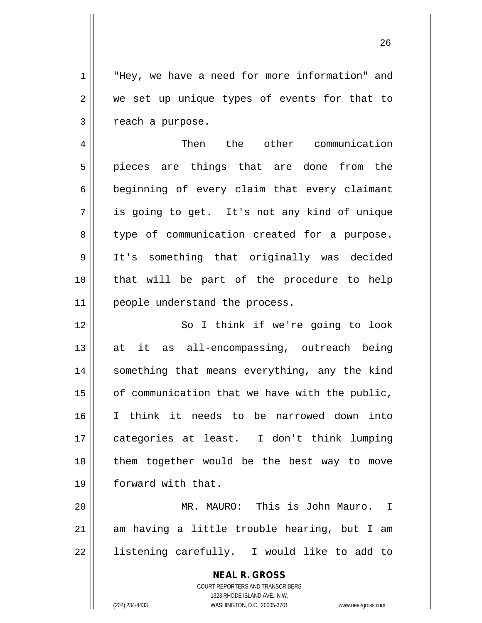1 || "Hey, we have a need for more information" and  $2 \parallel$  we set up unique types of events for that to  $3 \parallel$  reach a purpose.

4 Then the other communication 5 pieces are things that are done from the 6 beginning of every claim that every claimant 7 is going to get. It's not any kind of unique 8 || type of communication created for a purpose. 9 It's something that originally was decided 10 that will be part of the procedure to help 11 | people understand the process.

12 || So I think if we're going to look 13 || at it as all-encompassing, outreach being 14 || something that means everything, any the kind | of communication that we have with the public, I think it needs to be narrowed down into categories at least. I don't think lumping them together would be the best way to move forward with that.

20 MR. MAURO: This is John Mauro. I  $21$  am having a little trouble hearing, but I am  $22$  || listening carefully. I would like to add to

> **NEAL R. GROSS** COURT REPORTERS AND TRANSCRIBERS 1323 RHODE ISLAND AVE., N.W.

(202) 234-4433 WASHINGTON, D.C. 20005-3701 www.nealrgross.com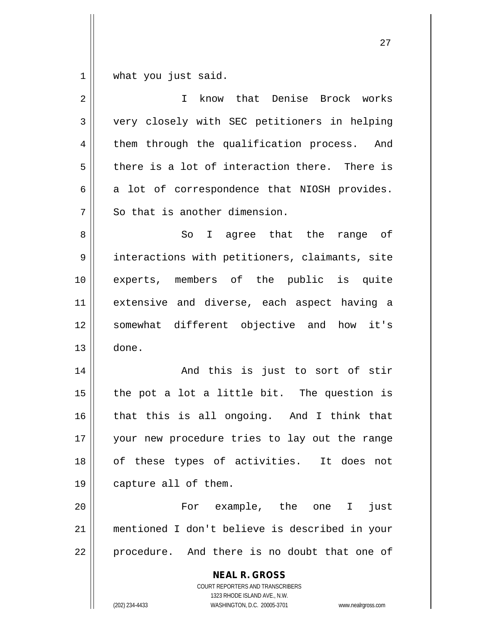$1 \parallel$  what you just said.

| $\overline{2}$ | know that Denise Brock works<br>$\mathbf{I}$                                                                                                                    |
|----------------|-----------------------------------------------------------------------------------------------------------------------------------------------------------------|
| $\mathfrak{Z}$ | very closely with SEC petitioners in helping                                                                                                                    |
| 4              | them through the qualification process. And                                                                                                                     |
| 5              | there is a lot of interaction there. There is                                                                                                                   |
| 6              | a lot of correspondence that NIOSH provides.                                                                                                                    |
| 7              | So that is another dimension.                                                                                                                                   |
| 8              | So I agree that the range of                                                                                                                                    |
| $\mathsf 9$    | interactions with petitioners, claimants, site                                                                                                                  |
| 10             | experts, members of the public is quite                                                                                                                         |
| 11             | extensive and diverse, each aspect having a                                                                                                                     |
| 12             | somewhat different objective and how it's                                                                                                                       |
| 13             | done.                                                                                                                                                           |
| 14             | And this is just to sort of stir                                                                                                                                |
| 15             | the pot a lot a little bit. The question is                                                                                                                     |
| 16             | that this is all ongoing. And I think that                                                                                                                      |
| 17             | your new procedure tries to lay out the range                                                                                                                   |
| 18             | of these types of activities. It does<br>not                                                                                                                    |
| 19             | capture all of them.                                                                                                                                            |
| 20             | For example, the one I<br>just                                                                                                                                  |
| 21             | mentioned I don't believe is described in your                                                                                                                  |
| 22             | procedure. And there is no doubt that one of                                                                                                                    |
|                | <b>NEAL R. GROSS</b><br>COURT REPORTERS AND TRANSCRIBERS<br>1323 RHODE ISLAND AVE., N.W.<br>(202) 234-4433<br>WASHINGTON, D.C. 20005-3701<br>www.nealrgross.com |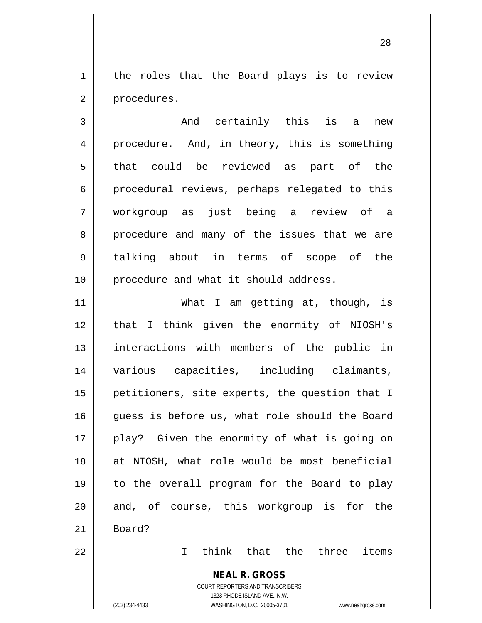1 | the roles that the Board plays is to review 2 | procedures.

3 || The Construction of this is a new 4 procedure. And, in theory, this is something 5 that could be reviewed as part of the 6 procedural reviews, perhaps relegated to this 7 workgroup as just being a review of a 8 procedure and many of the issues that we are 9 talking about in terms of scope of the 10 || procedure and what it should address.

11 What I am getting at, though, is 12 || that I think given the enormity of NIOSH's 13 || interactions with members of the public in 14 various capacities, including claimants, 15 || petitioners, site experts, the question that I 16 quess is before us, what role should the Board 17 || play? Given the enormity of what is going on 18 at NIOSH, what role would be most beneficial 19 to the overall program for the Board to play 20 || and, of course, this workgroup is for the 21 Board?

22 I think that the three items

**NEAL R. GROSS** COURT REPORTERS AND TRANSCRIBERS

1323 RHODE ISLAND AVE., N.W.

(202) 234-4433 WASHINGTON, D.C. 20005-3701 www.nealrgross.com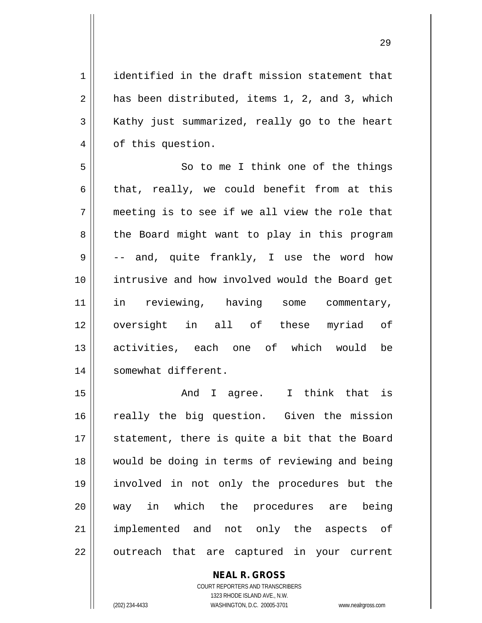1 || identified in the draft mission statement that  $2 \parallel$  has been distributed, items 1, 2, and 3, which  $3 \parallel$  Kathy just summarized, really go to the heart 4 | of this question.

5 So to me I think one of the things 6 that, really, we could benefit from at this  $7 \parallel$  meeting is to see if we all view the role that 8 || the Board might want to play in this program  $9 \parallel$  -- and, quite frankly, I use the word how 10 || intrusive and how involved would the Board get 11 || in reviewing, having some commentary, 12 || oversight in all of these myriad of 13 activities, each one of which would be 14 | somewhat different.

15 || Think that is contained to a same a statute in the statute is a statute of the statute is a statute of the statute of the statute of the statute of the statute of the statute of the statute of the statute of the stat 16 || really the big question. Given the mission 17 || statement, there is quite a bit that the Board 18 would be doing in terms of reviewing and being 19 involved in not only the procedures but the 20 way in which the procedures are being 21 || implemented and not only the aspects of 22 || outreach that are captured in your current

**NEAL R. GROSS**

COURT REPORTERS AND TRANSCRIBERS 1323 RHODE ISLAND AVE., N.W. (202) 234-4433 WASHINGTON, D.C. 20005-3701 www.nealrgross.com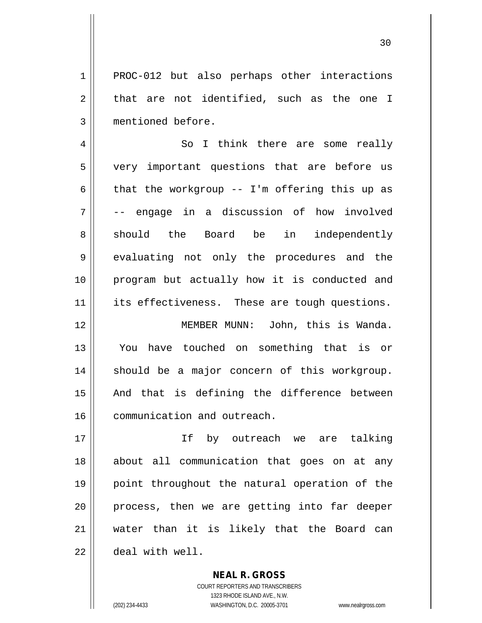1 || PROC-012 but also perhaps other interactions  $2 \parallel$  that are not identified, such as the one I 3 mentioned before.

4 || So I think there are some really 5 || very important questions that are before us 6 | that the workgroup  $-$  I'm offering this up as 7 -- engage in a discussion of how involved 8 || should the Board be in independently 9 evaluating not only the procedures and the 10 program but actually how it is conducted and 11 || its effectiveness. These are tough questions.

 MEMBER MUNN: John, this is Wanda. You have touched on something that is or should be a major concern of this workgroup. || And that is defining the difference between 16 | communication and outreach.

 If by outreach we are talking about all communication that goes on at any point throughout the natural operation of the || process, then we are getting into far deeper water than it is likely that the Board can deal with well.

> COURT REPORTERS AND TRANSCRIBERS 1323 RHODE ISLAND AVE., N.W. (202) 234-4433 WASHINGTON, D.C. 20005-3701 www.nealrgross.com

**NEAL R. GROSS**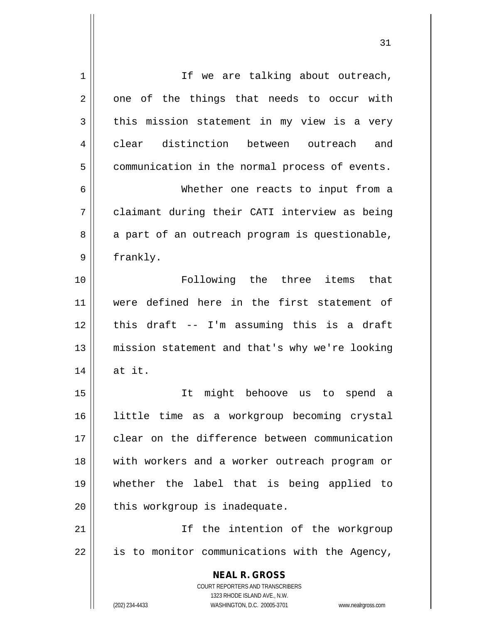| $\mathbf 1$    | If we are talking about outreach,                                                                   |
|----------------|-----------------------------------------------------------------------------------------------------|
| $\overline{2}$ | one of the things that needs to occur with                                                          |
| 3              | this mission statement in my view is a very                                                         |
| 4              | clear distinction between outreach and                                                              |
| 5              | communication in the normal process of events.                                                      |
| 6              | Whether one reacts to input from a                                                                  |
| 7              | claimant during their CATI interview as being                                                       |
| 8              | a part of an outreach program is questionable,                                                      |
| 9              | frankly.                                                                                            |
| 10             | Following the three items that                                                                      |
| 11             | were defined here in the first statement of                                                         |
| 12             | this draft -- I'm assuming this is a draft                                                          |
| 13             | mission statement and that's why we're looking                                                      |
| 14             | at it.                                                                                              |
| 15             | might behoove<br>It<br>us<br>to<br>spend<br>a                                                       |
| 16             | little time as a workgroup becoming crystal                                                         |
| 17             | clear on the difference between communication                                                       |
|                |                                                                                                     |
| 18             | with workers and a worker outreach program or                                                       |
| 19             | whether the label that is being applied to                                                          |
| 20             | this workgroup is inadequate.                                                                       |
| 21             | If the intention of the workgroup                                                                   |
| 22             | is to monitor communications with the Agency,                                                       |
|                | <b>NEAL R. GROSS</b>                                                                                |
|                | COURT REPORTERS AND TRANSCRIBERS                                                                    |
|                | 1323 RHODE ISLAND AVE., N.W.<br>(202) 234-4433<br>WASHINGTON, D.C. 20005-3701<br>www.nealrgross.com |
|                |                                                                                                     |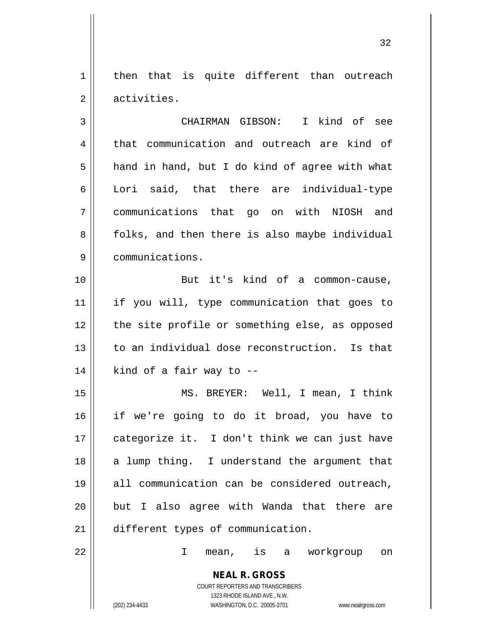$1$  then that is quite different than outreach 2 || activities.

3 CHAIRMAN GIBSON: I kind of see 4 | that communication and outreach are kind of  $5 \parallel$  hand in hand, but I do kind of agree with what 6 Lori said, that there are individual-type 7 communications that go on with NIOSH and 8 | folks, and then there is also maybe individual 9 communications.

10 || But it's kind of a common-cause, 11 if you will, type communication that goes to 12 || the site profile or something else, as opposed 13 to an individual dose reconstruction. Is that  $14$  | kind of a fair way to  $-$ 

 MS. BREYER: Well, I mean, I think if we're going to do it broad, you have to | categorize it. I don't think we can just have 18 || a lump thing. I understand the argument that all communication can be considered outreach, || but I also agree with Wanda that there are 21 | different types of communication.

22 I mean, is a workgroup on

**NEAL R. GROSS** COURT REPORTERS AND TRANSCRIBERS 1323 RHODE ISLAND AVE., N.W.

(202) 234-4433 WASHINGTON, D.C. 20005-3701 www.nealrgross.com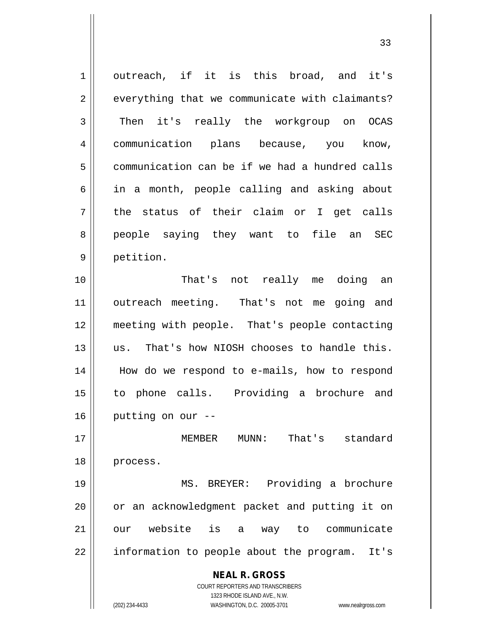| $\mathbf 1$ | outreach, if it is this broad, and it's                                 |
|-------------|-------------------------------------------------------------------------|
| 2           | everything that we communicate with claimants?                          |
| 3           | Then it's really the workgroup on OCAS                                  |
| 4           | communication plans because, you<br>know,                               |
| 5           | communication can be if we had a hundred calls                          |
| 6           | in a month, people calling and asking about                             |
| 7           | the status of their claim or I get calls                                |
| 8           | people saying they want to file an SEC                                  |
| 9           | petition.                                                               |
| 10          | That's not really me doing an                                           |
| 11          | outreach meeting. That's not me going and                               |
| 12          | meeting with people. That's people contacting                           |
| 13          | us. That's how NIOSH chooses to handle this.                            |
| 14          | How do we respond to e-mails, how to respond                            |
| 15          | to phone calls. Providing a brochure and                                |
| 16          | putting on our --                                                       |
| 17          | MUNN: That's standard<br>MEMBER                                         |
| 18          | process.                                                                |
| 19          | MS. BREYER: Providing a brochure                                        |
| 20          | or an acknowledgment packet and putting it on                           |
| 21          | our website is a way to communicate                                     |
| 22          | information to people about the program.<br>It's                        |
|             |                                                                         |
|             | <b>NEAL R. GROSS</b>                                                    |
|             | <b>COURT REPORTERS AND TRANSCRIBERS</b><br>1323 RHODE ISLAND AVE., N.W. |
|             | (202) 234-4433<br>WASHINGTON, D.C. 20005-3701<br>www.nealrgross.com     |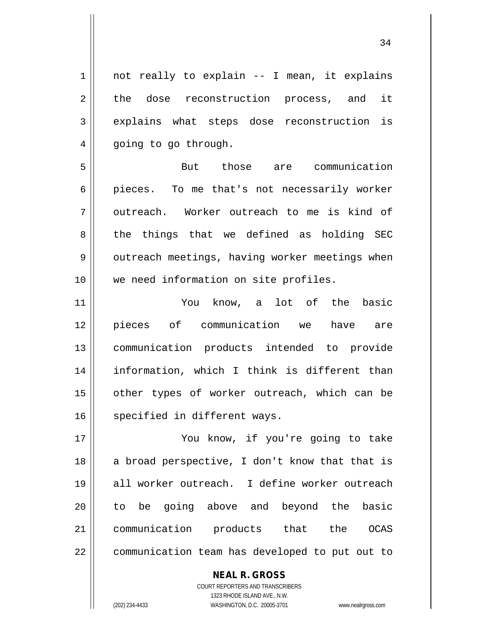$1 \parallel$  not really to explain -- I mean, it explains 2 the dose reconstruction process, and it 3 explains what steps dose reconstruction is 4 | going to go through.

5 But those are communication 6 || pieces. To me that's not necessarily worker  $7$   $\parallel$  outreach. Worker outreach to me is kind of 8 || the things that we defined as holding SEC 9 | outreach meetings, having worker meetings when 10 we need information on site profiles.

 You know, a lot of the basic pieces of communication we have are communication products intended to provide information, which I think is different than 15 || other types of worker outreach, which can be 16 | specified in different ways.

17 || You know, if you're going to take  $18$  a broad perspective, I don't know that that is 19 all worker outreach. I define worker outreach 20 || to be going above and beyond the basic 21 communication products that the OCAS 22 | communication team has developed to put out to

> COURT REPORTERS AND TRANSCRIBERS 1323 RHODE ISLAND AVE., N.W. (202) 234-4433 WASHINGTON, D.C. 20005-3701 www.nealrgross.com

**NEAL R. GROSS**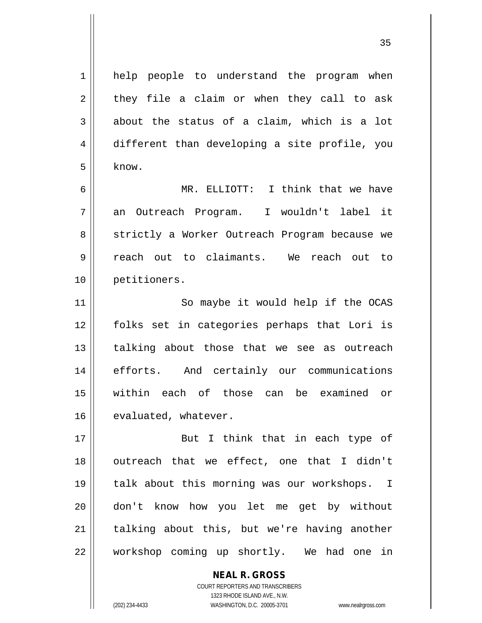1 || help people to understand the program when  $2 \parallel$  they file a claim or when they call to ask  $3 \parallel$  about the status of a claim, which is a lot 4 different than developing a site profile, you  $5 \mid$  know.

 MR. ELLIOTT: I think that we have an Outreach Program. I wouldn't label it 8 || strictly a Worker Outreach Program because we reach out to claimants. We reach out to petitioners.

11 || So maybe it would help if the OCAS folks set in categories perhaps that Lori is || talking about those that we see as outreach efforts. And certainly our communications within each of those can be examined or 16 | evaluated, whatever.

17 || But I think that in each type of 18 || outreach that we effect, one that I didn't 19 talk about this morning was our workshops. I 20 don't know how you let me get by without  $21$  talking about this, but we're having another 22 || workshop coming up shortly. We had one in

> COURT REPORTERS AND TRANSCRIBERS 1323 RHODE ISLAND AVE., N.W. (202) 234-4433 WASHINGTON, D.C. 20005-3701 www.nealrgross.com

**NEAL R. GROSS**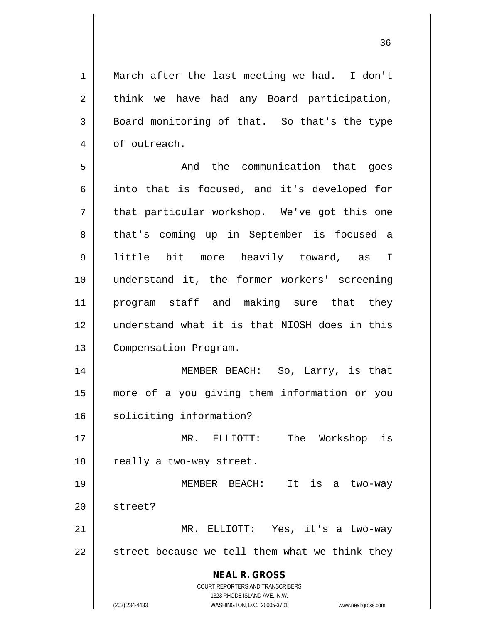1 March after the last meeting we had. I don't  $2 \parallel$  think we have had any Board participation,  $3 \parallel$  Board monitoring of that. So that's the type 4 | of outreach.

5 And the communication that goes  $6 \parallel$  into that is focused, and it's developed for  $7 \parallel$  that particular workshop. We've got this one 8 || that's coming up in September is focused a 9 little bit more heavily toward, as I 10 || understand it, the former workers' screening 11 program staff and making sure that they 12 understand what it is that NIOSH does in this 13 | Compensation Program.

14 MEMBER BEACH: So, Larry, is that 15 more of a you giving them information or you 16 || soliciting information?

17 MR. ELLIOTT: The Workshop is  $18$  || really a two-way street.

19 MEMBER BEACH: It is a two-way 20 | street? 21 MR. ELLIOTT: Yes, it's a two-way

 $22$   $\parallel$  street because we tell them what we think they

**NEAL R. GROSS** COURT REPORTERS AND TRANSCRIBERS

1323 RHODE ISLAND AVE., N.W.

(202) 234-4433 WASHINGTON, D.C. 20005-3701 www.nealrgross.com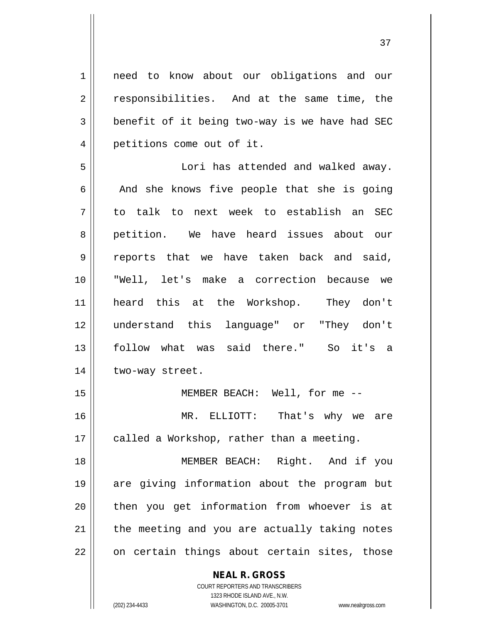1 || need to know about our obligations and our 2 || responsibilities. And at the same time, the  $3 \parallel$  benefit of it being two-way is we have had SEC 4 | petitions come out of it. 5 Lori has attended and walked away.  $6 \parallel$  And she knows five people that she is going 7 to talk to next week to establish an SEC 8 petition. We have heard issues about our 9 || reports that we have taken back and said, 10 "Well, let's make a correction because we 11 heard this at the Workshop. They don't 12 understand this language" or "They don't 13 follow what was said there." So it's a 14 | two-way street. 15 MEMBER BEACH: Well, for me -- 16 MR. ELLIOTT: That's why we are  $17$  | called a Workshop, rather than a meeting. 18 MEMBER BEACH: Right. And if you 19 are giving information about the program but 20 || then you get information from whoever is at  $21$  | the meeting and you are actually taking notes

 $22$  || on certain things about certain sites, those

**NEAL R. GROSS** COURT REPORTERS AND TRANSCRIBERS

1323 RHODE ISLAND AVE., N.W.

(202) 234-4433 WASHINGTON, D.C. 20005-3701 www.nealrgross.com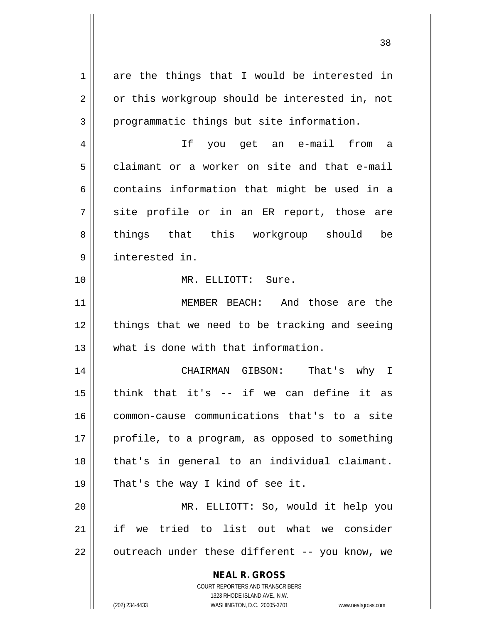**NEAL R. GROSS** COURT REPORTERS AND TRANSCRIBERS 1323 RHODE ISLAND AVE., N.W. (202) 234-4433 WASHINGTON, D.C. 20005-3701 www.nealrgross.com  $1 \parallel$  are the things that I would be interested in 2 | or this workgroup should be interested in, not 3 || programmatic things but site information. 4 If you get an e-mail from a 5 claimant or a worker on site and that e-mail  $6 \parallel$  contains information that might be used in a  $7 \parallel$  site profile or in an ER report, those are 8 things that this workgroup should be 9 interested in. 10 MR. ELLIOTT: Sure. 11 MEMBER BEACH: And those are the  $12$  | things that we need to be tracking and seeing 13 what is done with that information. 14 CHAIRMAN GIBSON: That's why I 15 think that it's -- if we can define it as 16 common-cause communications that's to a site  $17$  || profile, to a program, as opposed to something 18 || that's in general to an individual claimant. 19 || That's the way I kind of see it. 20 MR. ELLIOTT: So, would it help you 21 if we tried to list out what we consider  $22$  | outreach under these different -- you know, we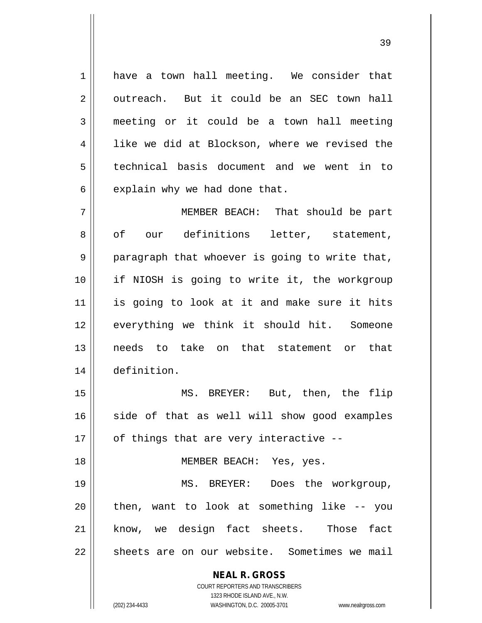1 have a town hall meeting. We consider that  $2 \parallel$  outreach. But it could be an SEC town hall 3 meeting or it could be a town hall meeting  $4 \parallel$  like we did at Blockson, where we revised the 5 technical basis document and we went in to  $6 \parallel$  explain why we had done that.

 MEMBER BEACH: That should be part 8 || of our definitions letter, statement,  $9 \parallel$  paragraph that whoever is going to write that, if NIOSH is going to write it, the workgroup is going to look at it and make sure it hits everything we think it should hit. Someone needs to take on that statement or that definition.

15 MS. BREYER: But, then, the flip 16 side of that as well will show good examples  $17$  | of things that are very interactive --

18 || MEMBER BEACH: Yes, yes.

19 || MS. BREYER: Does the workgroup,  $20$  || then, want to look at something like  $-$ - you 21 || know, we design fact sheets. Those fact 22 || sheets are on our website. Sometimes we mail

> **NEAL R. GROSS** COURT REPORTERS AND TRANSCRIBERS

> > 1323 RHODE ISLAND AVE., N.W.

(202) 234-4433 WASHINGTON, D.C. 20005-3701 www.nealrgross.com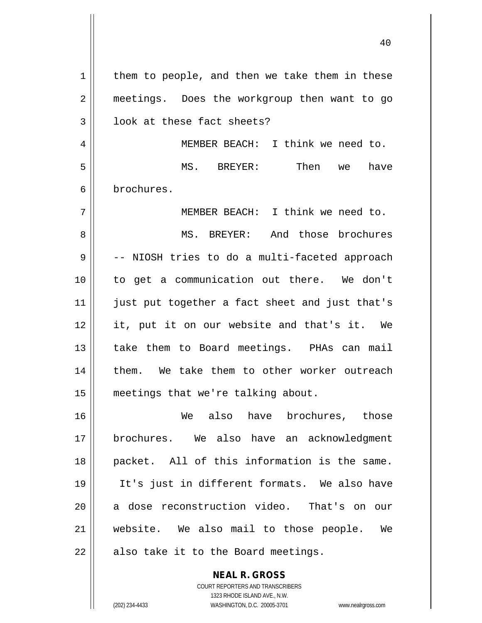$1 \parallel$  them to people, and then we take them in these 2 || meetings. Does the workgroup then want to go 3 || look at these fact sheets? 4 || MEMBER BEACH: I think we need to. 5 MS. BREYER: Then we have 6 brochures. 7 MEMBER BEACH: I think we need to. 8 MS. BREYER: And those brochures  $9 \parallel$  -- NIOSH tries to do a multi-faceted approach 10 to get a communication out there. We don't 11 || just put together a fact sheet and just that's 12 it, put it on our website and that's it. We 13 || take them to Board meetings. PHAs can mail 14 || them. We take them to other worker outreach 15 || meetings that we're talking about. 16 We also have brochures, those 17 brochures. We also have an acknowledgment 18 packet. All of this information is the same. 19 It's just in different formats. We also have 20 || a dose reconstruction video. That's on our 21 website. We also mail to those people. We  $22$  | also take it to the Board meetings.

> COURT REPORTERS AND TRANSCRIBERS 1323 RHODE ISLAND AVE., N.W. (202) 234-4433 WASHINGTON, D.C. 20005-3701 www.nealrgross.com

**NEAL R. GROSS**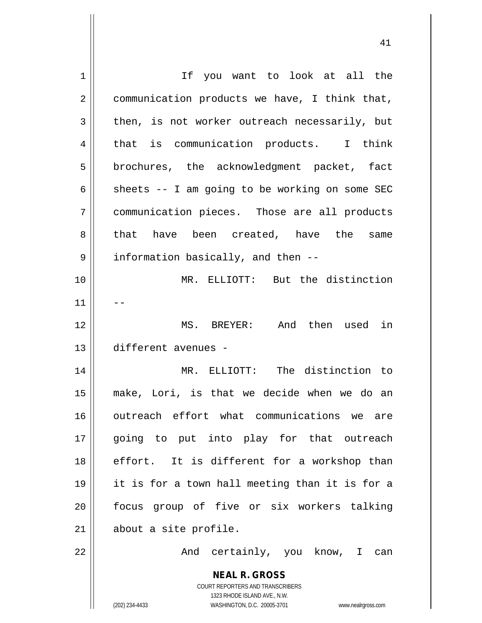| $\mathbf 1$    | If you want to look at all the                                      |
|----------------|---------------------------------------------------------------------|
| $\overline{2}$ | communication products we have, I think that,                       |
| $\mathbf{3}$   | then, is not worker outreach necessarily, but                       |
| $\overline{4}$ | that is communication products. I think                             |
| 5              | brochures, the acknowledgment packet, fact                          |
| 6              | sheets -- I am going to be working on some SEC                      |
| 7              | communication pieces. Those are all products                        |
| 8              | that have been created, have the<br>same                            |
| $\mathsf 9$    | information basically, and then --                                  |
| 10             | MR. ELLIOTT: But the distinction                                    |
| 11             |                                                                     |
| 12             | MS. BREYER: And then used in                                        |
| 13             | different avenues -                                                 |
| 14             | MR. ELLIOTT: The distinction to                                     |
| 15             | make, Lori, is that we decide when we do an                         |
| 16             | outreach effort what communications we are                          |
| 17             | going to put into play for that outreach                            |
| 18             | effort. It is different for a workshop than                         |
| 19             | it is for a town hall meeting than it is for a                      |
| 20             | focus group of five or six workers talking                          |
| 21             | about a site profile.                                               |
| 22             | And certainly, you know, I can                                      |
|                | <b>NEAL R. GROSS</b>                                                |
|                | COURT REPORTERS AND TRANSCRIBERS<br>1323 RHODE ISLAND AVE., N.W.    |
|                | (202) 234-4433<br>WASHINGTON, D.C. 20005-3701<br>www.nealrgross.com |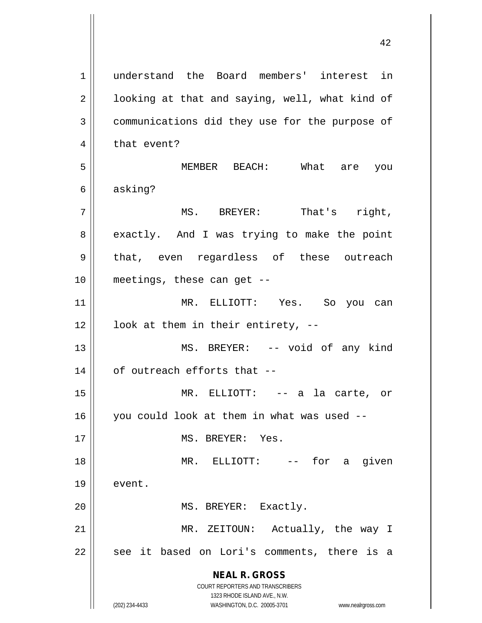**NEAL R. GROSS** COURT REPORTERS AND TRANSCRIBERS 1323 RHODE ISLAND AVE., N.W. (202) 234-4433 WASHINGTON, D.C. 20005-3701 www.nealrgross.com 1 understand the Board members' interest in  $2 \parallel$  looking at that and saying, well, what kind of 3 communications did they use for the purpose of 4 | that event? 5 MEMBER BEACH: What are you 6 asking? 7 MS. BREYER: That's right, 8 exactly. And I was trying to make the point 9 || that, even regardless of these outreach 10 meetings, these can get -- 11 MR. ELLIOTT: Yes. So you can  $12 \parallel$  look at them in their entirety, --13 || MS. BREYER: -- void of any kind  $14$  | of outreach efforts that  $-$ 15 MR. ELLIOTT: -- a la carte, or 16 you could look at them in what was used -- 17 MS. BREYER: Yes. 18 MR. ELLIOTT: -- for a given 19 event. 20 || MS. BREYER: Exactly. 21 || MR. ZEITOUN: Actually, the way I  $22$  || see it based on Lori's comments, there is a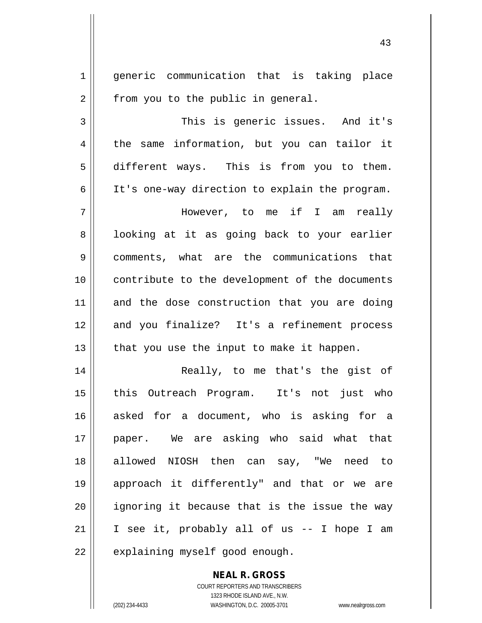1 generic communication that is taking place  $2 \parallel$  from you to the public in general.

3 || This is generic issues. And it's 4 the same information, but you can tailor it 5 different ways. This is from you to them. 6 || It's one-way direction to explain the program.

7 However, to me if I am really 8 || looking at it as going back to your earlier 9 || comments, what are the communications that 10 || contribute to the development of the documents 11 and the dose construction that you are doing 12 || and you finalize? It's a refinement process  $13$  || that you use the input to make it happen.

14 || Really, to me that's the gist of 15 || this Outreach Program. It's not just who 16 asked for a document, who is asking for a 17 paper. We are asking who said what that 18 allowed NIOSH then can say, "We need to 19 approach it differently" and that or we are 20 || ignoring it because that is the issue the way 21 || I see it, probably all of us  $-$  I hope I am  $22$  | explaining myself good enough.

> **NEAL R. GROSS** COURT REPORTERS AND TRANSCRIBERS 1323 RHODE ISLAND AVE., N.W. (202) 234-4433 WASHINGTON, D.C. 20005-3701 www.nealrgross.com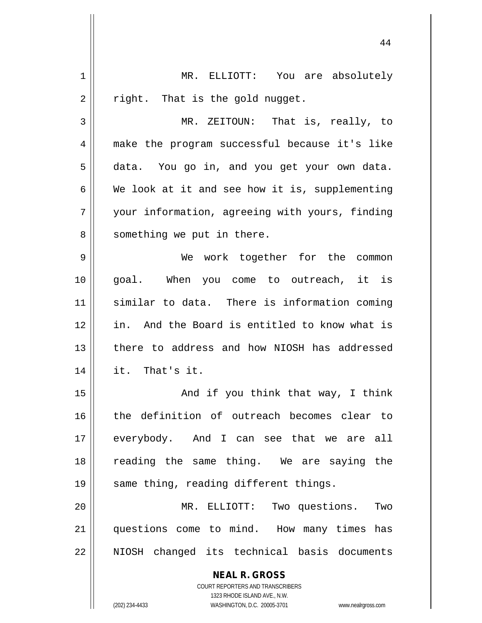| 1  | MR. ELLIOTT: You are absolutely                                                                     |
|----|-----------------------------------------------------------------------------------------------------|
| 2  | right. That is the gold nugget.                                                                     |
| 3  | MR. ZEITOUN: That is, really, to                                                                    |
| 4  | make the program successful because it's like                                                       |
| 5  | data. You go in, and you get your own data.                                                         |
| 6  | We look at it and see how it is, supplementing                                                      |
| 7  | your information, agreeing with yours, finding                                                      |
| 8  | something we put in there.                                                                          |
| 9  | We work together for the common                                                                     |
| 10 | goal. When you come to outreach, it is                                                              |
| 11 | similar to data. There is information coming                                                        |
| 12 | in. And the Board is entitled to know what is                                                       |
| 13 | there to address and how NIOSH has addressed                                                        |
| 14 | it. That's it.                                                                                      |
| 15 | And if you think that way, I think                                                                  |
| 16 | the definition of outreach becomes clear to                                                         |
| 17 | everybody. And I can see that we are all                                                            |
| 18 | reading the same thing. We are saying the                                                           |
| 19 | same thing, reading different things.                                                               |
| 20 | MR. ELLIOTT:<br>Two questions.<br>Two                                                               |
| 21 | questions come to mind. How many times has                                                          |
| 22 | NIOSH changed its technical basis documents                                                         |
|    | <b>NEAL R. GROSS</b>                                                                                |
|    | <b>COURT REPORTERS AND TRANSCRIBERS</b>                                                             |
|    | 1323 RHODE ISLAND AVE., N.W.<br>(202) 234-4433<br>WASHINGTON, D.C. 20005-3701<br>www.nealrgross.com |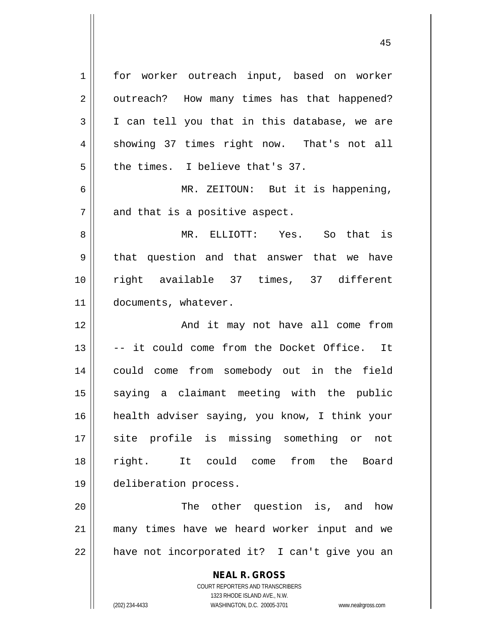**NEAL R. GROSS** COURT REPORTERS AND TRANSCRIBERS 1 for worker outreach input, based on worker 2 || outreach? How many times has that happened?  $3 \parallel$  I can tell you that in this database, we are 4 || showing 37 times right now. That's not all  $5$  || the times. I believe that's 37. 6 || MR. ZEITOUN: But it is happening,  $7$  | and that is a positive aspect. 8 MR. ELLIOTT: Yes. So that is 9 || that question and that answer that we have 10 right available 37 times, 37 different 11 documents, whatever. 12 || The South Mand it may not have all come from 13 || -- it could come from the Docket Office. It 14 could come from somebody out in the field 15 || saying a claimant meeting with the public 16 health adviser saying, you know, I think your 17 || site profile is missing something or not 18 || right. It could come from the Board 19 deliberation process. 20 || The other question is, and how 21 many times have we heard worker input and we  $22$  | have not incorporated it? I can't give you an

1323 RHODE ISLAND AVE., N.W.

(202) 234-4433 WASHINGTON, D.C. 20005-3701 www.nealrgross.com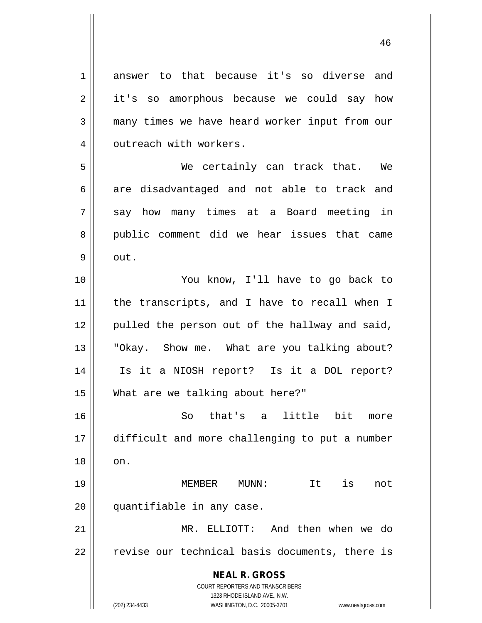**NEAL R. GROSS** COURT REPORTERS AND TRANSCRIBERS 1323 RHODE ISLAND AVE., N.W. 1 answer to that because it's so diverse and 2 || it's so amorphous because we could say how 3 many times we have heard worker input from our 4 | outreach with workers. 5 We certainly can track that. We  $6 \parallel$  are disadvantaged and not able to track and 7 || say how many times at a Board meeting in 8 || public comment did we hear issues that came  $9 \parallel$  out. 10 || You know, I'll have to go back to 11 || the transcripts, and I have to recall when I 12 || pulled the person out of the hallway and said, 13 || "Okay. Show me. What are you talking about? 14 Is it a NIOSH report? Is it a DOL report? 15 What are we talking about here?" 16 So that's a little bit more 17 difficult and more challenging to put a number  $18 \parallel \quad$  on. 19 MEMBER MUNN: It is not 20 || quantifiable in any case. 21 MR. ELLIOTT: And then when we do  $22$   $\parallel$  revise our technical basis documents, there is

(202) 234-4433 WASHINGTON, D.C. 20005-3701 www.nealrgross.com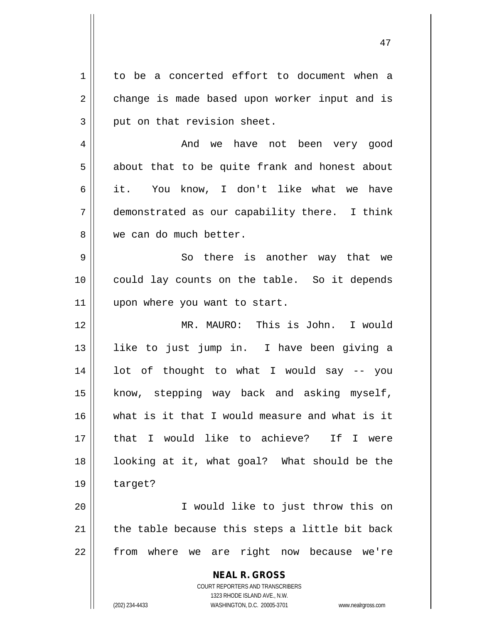**NEAL R. GROSS** COURT REPORTERS AND TRANSCRIBERS 1323 RHODE ISLAND AVE., N.W. 1 to be a concerted effort to document when a 2 change is made based upon worker input and is  $3 \parallel$  put on that revision sheet. 4 And we have not been very good  $5 \parallel$  about that to be quite frank and honest about 6 it. You know, I don't like what we have 7 demonstrated as our capability there. I think 8 We can do much better. 9 || So there is another way that we 10 || could lay counts on the table. So it depends 11 || upon where you want to start. 12 MR. MAURO: This is John. I would 13 like to just jump in. I have been giving a 14 lot of thought to what I would say -- you 15 || know, stepping way back and asking myself, 16 what is it that I would measure and what is it 17 that I would like to achieve? If I were 18 || looking at it, what goal? What should be the 19 target? 20 I would like to just throw this on  $21$  | the table because this steps a little bit back 22 || from where we are right now because we're

(202) 234-4433 WASHINGTON, D.C. 20005-3701 www.nealrgross.com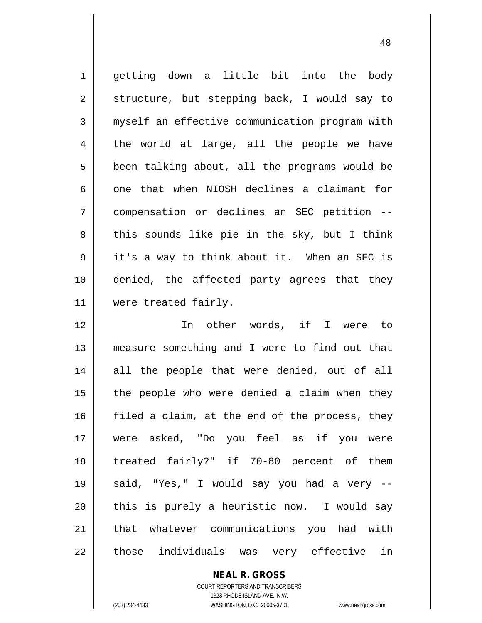getting down a little bit into the body  $2 \parallel$  structure, but stepping back, I would say to 3 | myself an effective communication program with  $4 \parallel$  the world at large, all the people we have  $5 \parallel$  been talking about, all the programs would be  $6 \parallel$  one that when NIOSH declines a claimant for compensation or declines an SEC petition --  $8 \parallel$  this sounds like pie in the sky, but I think it's a way to think about it. When an SEC is denied, the affected party agrees that they were treated fairly. In other words, if I were to measure something and I were to find out that 14 || all the people that were denied, out of all | the people who were denied a claim when they  $\parallel$  filed a claim, at the end of the process, they were asked, "Do you feel as if you were treated fairly?" if 70-80 percent of them said, "Yes," I would say you had a very -- || this is purely a heuristic now. I would say

22 || those individuals was very effective in

**NEAL R. GROSS**

21 || that whatever communications you had with

COURT REPORTERS AND TRANSCRIBERS 1323 RHODE ISLAND AVE., N.W. (202) 234-4433 WASHINGTON, D.C. 20005-3701 www.nealrgross.com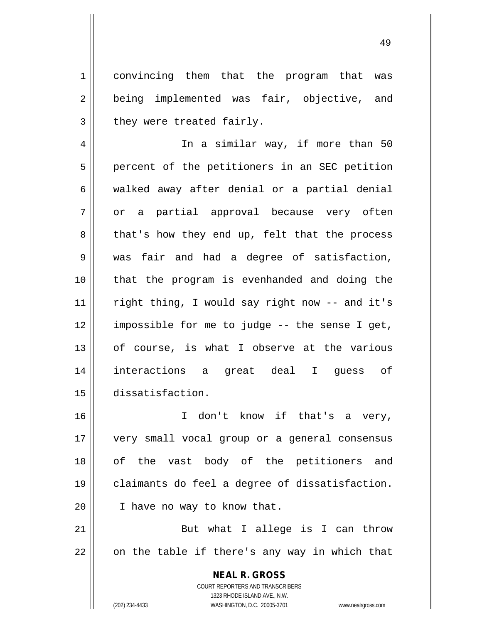1 convincing them that the program that was 2 || being implemented was fair, objective, and  $3$  | they were treated fairly.

4 || In a similar way, if more than 50 5 | percent of the petitioners in an SEC petition  $6 \parallel$  walked away after denial or a partial denial 7 or a partial approval because very often  $8 \parallel$  that's how they end up, felt that the process 9 was fair and had a degree of satisfaction, 10 || that the program is evenhanded and doing the 11 || right thing, I would say right now -- and it's 12 impossible for me to judge -- the sense I get, 13 || of course, is what I observe at the various 14 interactions a great deal I guess of 15 dissatisfaction.

16 I don't know if that's a very, 17 very small vocal group or a general consensus 18 || of the vast body of the petitioners and 19 claimants do feel a degree of dissatisfaction. 20 | I have no way to know that.

21 || But what I allege is I can throw  $22 \parallel$  on the table if there's any way in which that

> **NEAL R. GROSS** COURT REPORTERS AND TRANSCRIBERS 1323 RHODE ISLAND AVE., N.W. (202) 234-4433 WASHINGTON, D.C. 20005-3701 www.nealrgross.com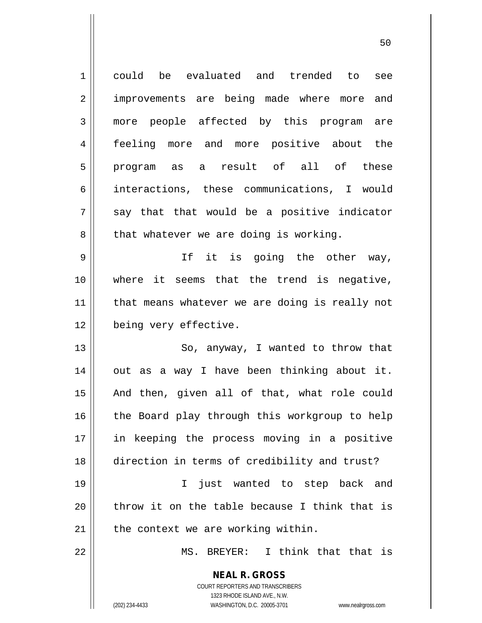| $\mathbf 1$    | could be evaluated and trended to<br>see                            |
|----------------|---------------------------------------------------------------------|
| $\overline{2}$ | improvements are being made where more and                          |
| 3              | more people affected by this program are                            |
| 4              | feeling more and more positive about the                            |
| 5              | program as a result of all of these                                 |
| 6              | interactions, these communications, I would                         |
| 7              | say that that would be a positive indicator                         |
| 8              | that whatever we are doing is working.                              |
| 9              | If it is going the other way,                                       |
| 10             | where it seems that the trend is negative,                          |
| 11             | that means whatever we are doing is really not                      |
| 12             | being very effective.                                               |
| 13             | So, anyway, I wanted to throw that                                  |
| 14             | out as a way I have been thinking about it.                         |
| 15             | And then, given all of that, what role could                        |
| 16             | the Board play through this workgroup to help                       |
| 17             | in keeping the process moving in a positive                         |
| 18             | direction in terms of credibility and trust?                        |
| 19             | $\mathbf{I}$<br>just wanted to step back and                        |
| 20             | throw it on the table because I think that is                       |
| 21             | the context we are working within.                                  |
| 22             | I think that that is<br>MS. BREYER:                                 |
|                | <b>NEAL R. GROSS</b>                                                |
|                | <b>COURT REPORTERS AND TRANSCRIBERS</b>                             |
|                | 1323 RHODE ISLAND AVE., N.W.                                        |
|                | (202) 234-4433<br>WASHINGTON, D.C. 20005-3701<br>www.nealrgross.com |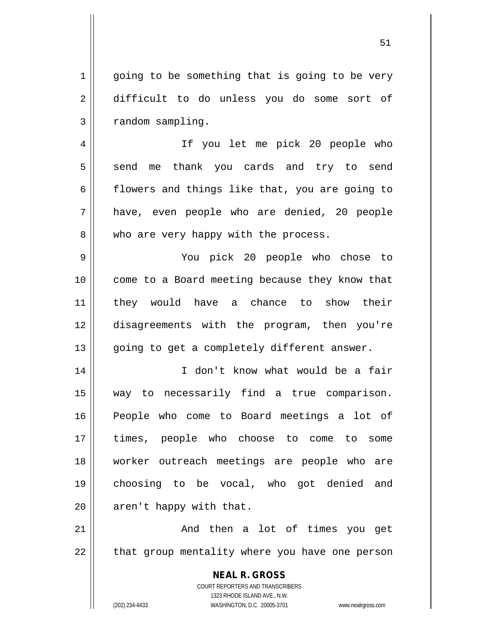$1 \parallel$  going to be something that is going to be very 2 difficult to do unless you do some sort of  $3 \parallel$  random sampling.

4 If you let me pick 20 people who 5 send me thank you cards and try to send  $6 \parallel$  flowers and things like that, you are going to 7 have, even people who are denied, 20 people 8 || who are very happy with the process.

 You pick 20 people who chose to come to a Board meeting because they know that they would have a chance to show their disagreements with the program, then you're 13 || going to get a completely different answer.

14 || I don't know what would be a fair way to necessarily find a true comparison. People who come to Board meetings a lot of times, people who choose to come to some worker outreach meetings are people who are choosing to be vocal, who got denied and | aren't happy with that.

21 || Then a lot of times you get 22 || that group mentality where you have one person

> **NEAL R. GROSS** COURT REPORTERS AND TRANSCRIBERS 1323 RHODE ISLAND AVE., N.W. (202) 234-4433 WASHINGTON, D.C. 20005-3701 www.nealrgross.com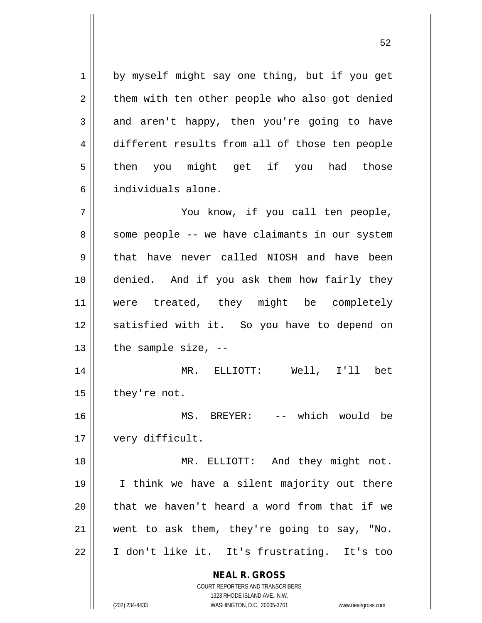1 || by myself might say one thing, but if you get  $2 \parallel$  them with ten other people who also got denied  $3 \parallel$  and aren't happy, then you're going to have 4 different results from all of those ten people 5 || then you might get if you had those 6 individuals alone.

7 || Tou know, if you call ten people, 8 || some people -- we have claimants in our system 9 that have never called NIOSH and have been 10 denied. And if you ask them how fairly they 11 || were treated, they might be completely 12 || satisfied with it. So you have to depend on  $13$  | the sample size,  $-$ 

14 MR. ELLIOTT: Well, I'll bet  $15$  | they're not.

16 || MS. BREYER: -- which would be 17 || very difficult.

18 || MR. ELLIOTT: And they might not. I think we have a silent majority out there || that we haven't heard a word from that if we went to ask them, they're going to say, "No. I don't like it. It's frustrating. It's too

> **NEAL R. GROSS** COURT REPORTERS AND TRANSCRIBERS

1323 RHODE ISLAND AVE., N.W. (202) 234-4433 WASHINGTON, D.C. 20005-3701 www.nealrgross.com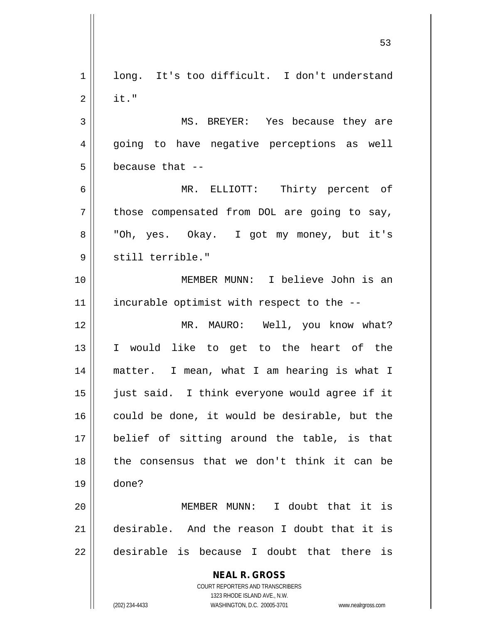**NEAL R. GROSS** COURT REPORTERS AND TRANSCRIBERS 1323 RHODE ISLAND AVE., N.W. (202) 234-4433 WASHINGTON, D.C. 20005-3701 www.nealrgross.com 1 || long. It's too difficult. I don't understand  $2 \parallel$  it." 3 MS. BREYER: Yes because they are 4 || going to have negative perceptions as well  $5 \parallel$  because that  $-$ 6 MR. ELLIOTT: Thirty percent of  $7 \parallel$  those compensated from DOL are going to say, 8 || "Oh, yes. Okay. I got my money, but it's 9 || still terrible." 10 MEMBER MUNN: I believe John is an 11 || incurable optimist with respect to the --12 || MR. MAURO: Well, you know what? 13 I would like to get to the heart of the 14 matter. I mean, what I am hearing is what I 15 just said. I think everyone would agree if it 16 could be done, it would be desirable, but the 17 belief of sitting around the table, is that  $18$  || the consensus that we don't think it can be 19 done? 20 MEMBER MUNN: I doubt that it is 21 desirable. And the reason I doubt that it is  $22$  || desirable is because I doubt that there is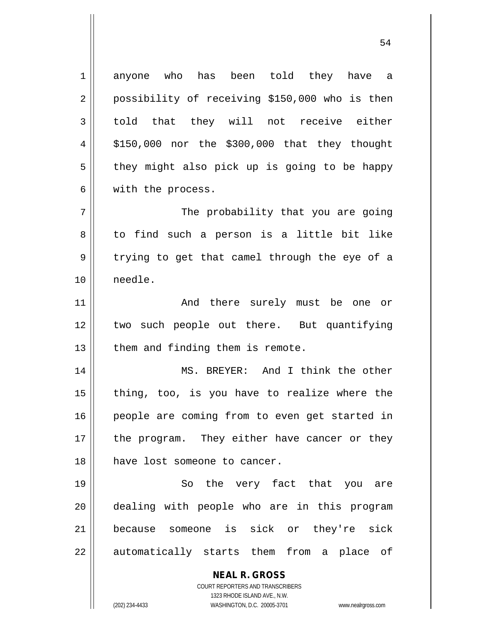1 anyone who has been told they have a 2 || possibility of receiving \$150,000 who is then  $3 \parallel$  told that they will not receive either  $4 \parallel$  \$150,000 nor the \$300,000 that they thought  $5 \parallel$  they might also pick up is going to be happy 6 || with the process. 7 || The probability that you are going 8 || to find such a person is a little bit like  $9 \parallel$  trying to get that camel through the eye of a 10 needle. 11 || The Modu there surely must be one or 12 two such people out there. But quantifying  $13$  | them and finding them is remote. 14 MS. BREYER: And I think the other  $15$  || thing, too, is you have to realize where the 16 || people are coming from to even get started in  $17$  | the program. They either have cancer or they

19 || So the very fact that you are 20 || dealing with people who are in this program 21 because someone is sick or they're sick 22 || automatically starts them from a place of

18 have lost someone to cancer.

**NEAL R. GROSS** COURT REPORTERS AND TRANSCRIBERS

1323 RHODE ISLAND AVE., N.W.

(202) 234-4433 WASHINGTON, D.C. 20005-3701 www.nealrgross.com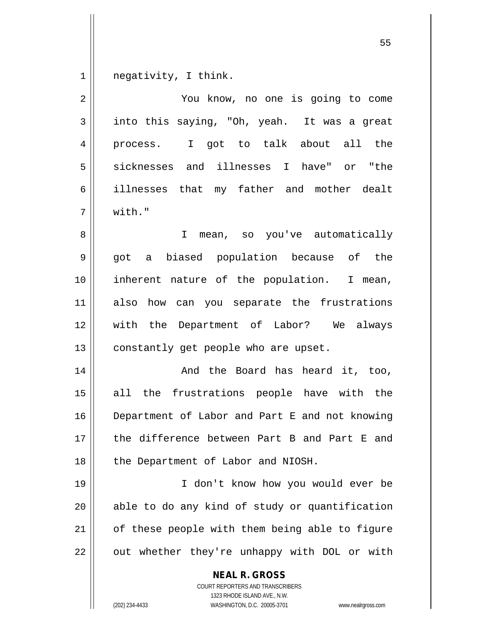negativity, I think.

| $\overline{2}$ | You know, no one is going to come                                                                                                                               |
|----------------|-----------------------------------------------------------------------------------------------------------------------------------------------------------------|
| 3              | into this saying, "Oh, yeah. It was a great                                                                                                                     |
| 4              | I got to talk about all the<br>process.                                                                                                                         |
| 5              | sicknesses and illnesses I have" or "the                                                                                                                        |
| 6              | illnesses that my father and mother dealt                                                                                                                       |
| 7              | with."                                                                                                                                                          |
| 8              | I.<br>mean, so you've automatically                                                                                                                             |
| 9              | got a biased population because of the                                                                                                                          |
| 10             | inherent nature of the population. I mean,                                                                                                                      |
| 11             | how can you separate the frustrations<br>also                                                                                                                   |
| 12             | with the Department of Labor? We always                                                                                                                         |
| 13             | constantly get people who are upset.                                                                                                                            |
| 14             | And the Board has heard it, too,                                                                                                                                |
| 15             | all the frustrations people have with the                                                                                                                       |
| 16             | Department of Labor and Part E and not knowing                                                                                                                  |
| 17             | the difference between Part B and Part E and                                                                                                                    |
| 18             | the Department of Labor and NIOSH.                                                                                                                              |
| 19             | I don't know how you would ever be                                                                                                                              |
| 20             | able to do any kind of study or quantification                                                                                                                  |
| 21             | of these people with them being able to figure                                                                                                                  |
| 22             | out whether they're unhappy with DOL or with                                                                                                                    |
|                | <b>NEAL R. GROSS</b><br>COURT REPORTERS AND TRANSCRIBERS<br>1323 RHODE ISLAND AVE., N.W.<br>(202) 234-4433<br>WASHINGTON, D.C. 20005-3701<br>www.nealrgross.com |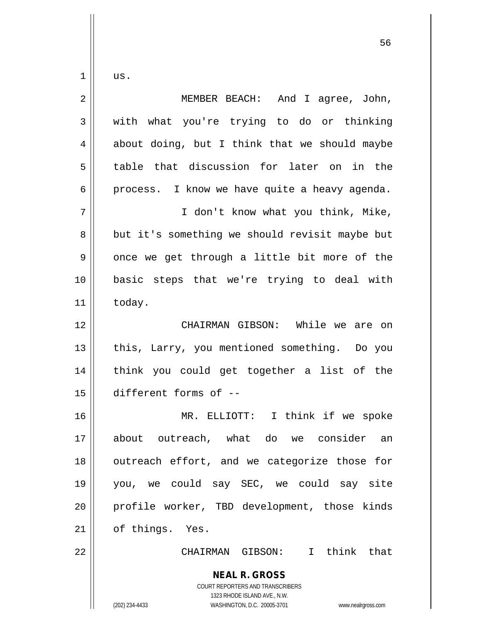$1 \parallel \quad \text{us.}$ 

| $\overline{2}$ | And I agree, John,<br>MEMBER BEACH:                                                                                                                             |
|----------------|-----------------------------------------------------------------------------------------------------------------------------------------------------------------|
| 3              | with what you're trying to do or thinking                                                                                                                       |
| 4              | about doing, but I think that we should maybe                                                                                                                   |
| 5              | table that discussion for later on in the                                                                                                                       |
| 6              | process. I know we have quite a heavy agenda.                                                                                                                   |
| 7              | I don't know what you think, Mike,                                                                                                                              |
| 8              | but it's something we should revisit maybe but                                                                                                                  |
| 9              | once we get through a little bit more of the                                                                                                                    |
| $10$           | basic steps that we're trying to deal with                                                                                                                      |
| 11             | today.                                                                                                                                                          |
| 12             | CHAIRMAN GIBSON: While we are on                                                                                                                                |
| 13             | this, Larry, you mentioned something. Do you                                                                                                                    |
| 14             | think you could get together a list of the                                                                                                                      |
| 15             | different forms of --                                                                                                                                           |
| 16             | MR. ELLIOTT: I think if we spoke                                                                                                                                |
| 17             | about outreach, what do we consider an                                                                                                                          |
| 18             | outreach effort, and we categorize those for                                                                                                                    |
| 19             | you, we could say SEC, we could say site                                                                                                                        |
| 20             | profile worker, TBD development, those kinds                                                                                                                    |
| 21             | of things. Yes.                                                                                                                                                 |
| 22             | CHAIRMAN GIBSON: I think that                                                                                                                                   |
|                | <b>NEAL R. GROSS</b><br>COURT REPORTERS AND TRANSCRIBERS<br>1323 RHODE ISLAND AVE., N.W.<br>(202) 234-4433<br>WASHINGTON, D.C. 20005-3701<br>www.nealrgross.com |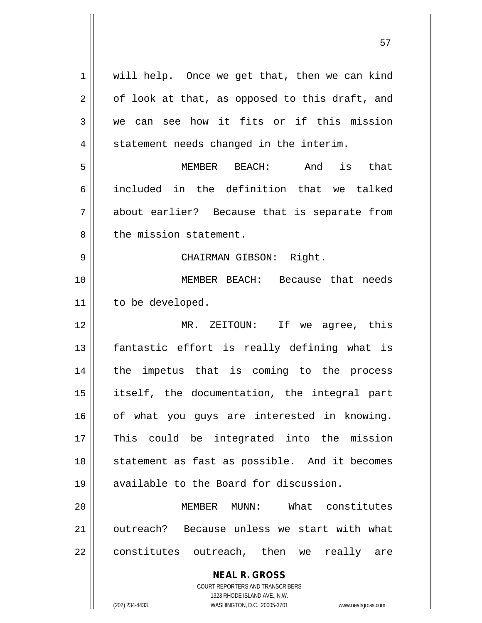| 1  | will help. Once we get that, then we can kind                       |
|----|---------------------------------------------------------------------|
| 2  | of look at that, as opposed to this draft, and                      |
| 3  | we can see how it fits or if this mission                           |
| 4  | statement needs changed in the interim.                             |
| 5  | MEMBER BEACH: And is that                                           |
| 6  | included in the definition that we talked                           |
| 7  | about earlier? Because that is separate from                        |
| 8  | the mission statement.                                              |
| 9  | CHAIRMAN GIBSON: Right.                                             |
| 10 | MEMBER BEACH: Because that needs                                    |
| 11 | to be developed.                                                    |
| 12 | MR. ZEITOUN: If we agree, this                                      |
| 13 | fantastic effort is really defining what is                         |
| 14 | the impetus that is coming to the process                           |
| 15 | itself, the documentation, the integral part                        |
| 16 | of what you guys are interested in knowing.                         |
| 17 | This could be integrated into the mission                           |
| 18 | statement as fast as possible. And it becomes                       |
| 19 | available to the Board for discussion.                              |
| 20 | MUNN: What constitutes<br>MEMBER                                    |
| 21 | outreach? Because unless we start with what                         |
| 22 | constitutes outreach, then we<br>really<br>are                      |
|    | <b>NEAL R. GROSS</b>                                                |
|    | <b>COURT REPORTERS AND TRANSCRIBERS</b>                             |
|    | 1323 RHODE ISLAND AVE., N.W.                                        |
|    | (202) 234-4433<br>WASHINGTON, D.C. 20005-3701<br>www.nealrgross.com |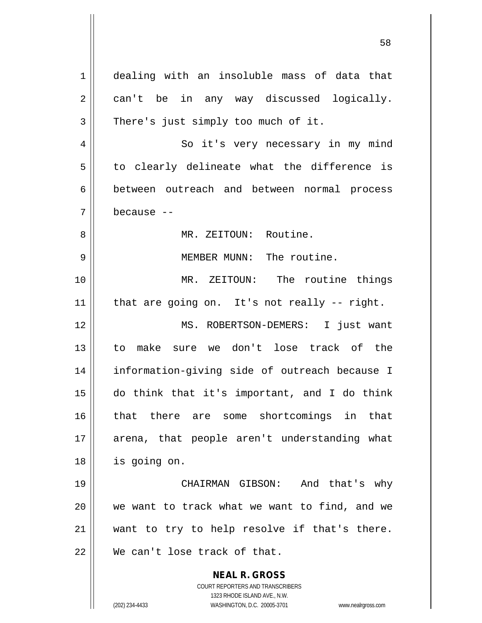**NEAL R. GROSS** COURT REPORTERS AND TRANSCRIBERS 1323 RHODE ISLAND AVE., N.W. 1 dealing with an insoluble mass of data that 2 || can't be in any way discussed logically.  $3 \parallel$  There's just simply too much of it. 4 So it's very necessary in my mind  $5 \parallel$  to clearly delineate what the difference is 6 between outreach and between normal process 7 because -- 8 MR. ZEITOUN: Routine. 9 MEMBER MUNN: The routine. 10 MR. ZEITOUN: The routine things  $11$  | that are going on. It's not really -- right. 12 MS. ROBERTSON-DEMERS: I just want 13 to make sure we don't lose track of the 14 information-giving side of outreach because I 15 do think that it's important, and I do think 16 || that there are some shortcomings in that 17 || arena, that people aren't understanding what 18 is going on. 19 CHAIRMAN GIBSON: And that's why 20 we want to track what we want to find, and we 21 || want to try to help resolve if that's there. 22 We can't lose track of that.

(202) 234-4433 WASHINGTON, D.C. 20005-3701 www.nealrgross.com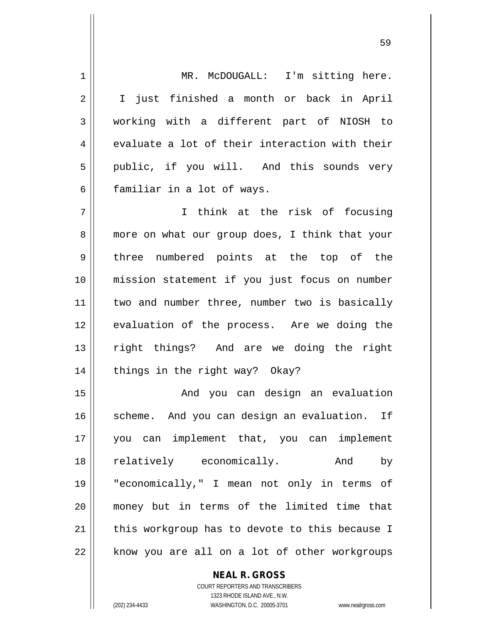1 || MR. McDOUGALL: I'm sitting here. 2 || I just finished a month or back in April 3 working with a different part of NIOSH to  $4 \parallel$  evaluate a lot of their interaction with their 5 | public, if you will. And this sounds very 6 || familiar in a lot of ways. 7 || T think at the risk of focusing 8 || more on what our group does, I think that your 9 three numbered points at the top of the 10 mission statement if you just focus on number 11 || two and number three, number two is basically 12 || evaluation of the process. Are we doing the 13 right things? And are we doing the right 14 || things in the right way? Okay? 15 And you can design an evaluation 16 || scheme. And you can design an evaluation. If 17 you can implement that, you can implement 18 || relatively economically. And by 19 "economically," I mean not only in terms of 20 money but in terms of the limited time that  $21$  | this workgroup has to devote to this because I  $22$  | know you are all on a lot of other workgroups

> COURT REPORTERS AND TRANSCRIBERS 1323 RHODE ISLAND AVE., N.W. (202) 234-4433 WASHINGTON, D.C. 20005-3701 www.nealrgross.com

**NEAL R. GROSS**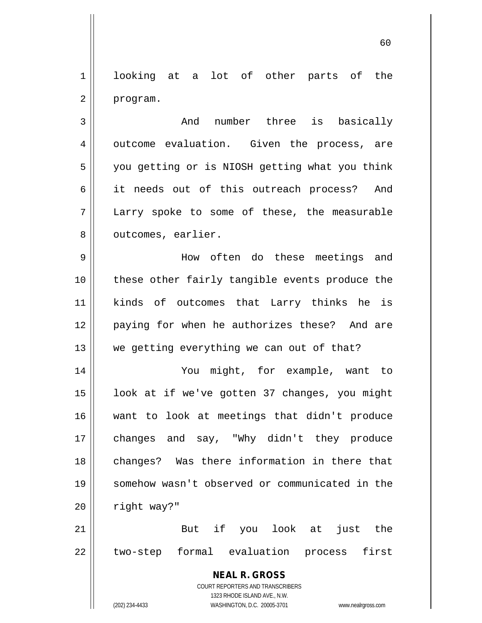1 looking at a lot of other parts of the 2 | program.

3 | Chang and number three is basically 4 || outcome evaluation. Given the process, are 5 | you getting or is NIOSH getting what you think 6 || it needs out of this outreach process? And 7 Larry spoke to some of these, the measurable 8 | outcomes, earlier.

9 How often do these meetings and 10 || these other fairly tangible events produce the 11 kinds of outcomes that Larry thinks he is 12 || paying for when he authorizes these? And are  $13$  we getting everything we can out of that?

 You might, for example, want to 15 || look at if we've gotten 37 changes, you might want to look at meetings that didn't produce changes and say, "Why didn't they produce 18 || changes? Was there information in there that somehow wasn't observed or communicated in the | right way?"

21 But if you look at just the 22 || two-step formal evaluation process first

> **NEAL R. GROSS** COURT REPORTERS AND TRANSCRIBERS 1323 RHODE ISLAND AVE., N.W.

(202) 234-4433 WASHINGTON, D.C. 20005-3701 www.nealrgross.com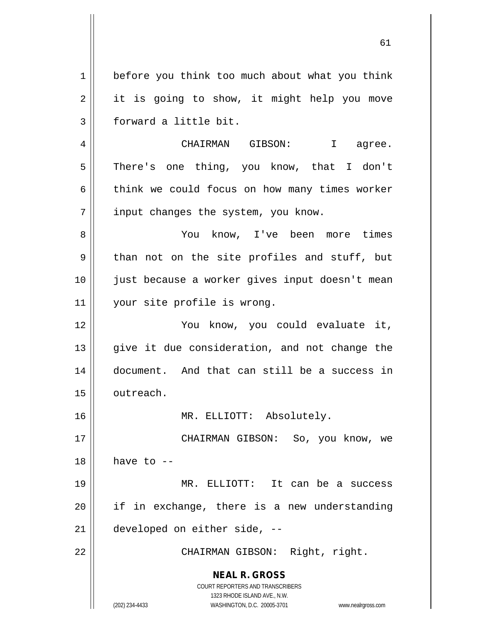1 | before you think too much about what you think 2 || it is going to show, it might help you move 3 | forward a little bit. 4 CHAIRMAN GIBSON: I agree.

5 || There's one thing, you know, that I don't  $6 \parallel$  think we could focus on how many times worker  $7$  | input changes the system, you know.

8 You know, I've been more times  $9 \parallel$  than not on the site profiles and stuff, but 10 just because a worker gives input doesn't mean 11 || your site profile is wrong.

12 You know, you could evaluate it, 13 || give it due consideration, and not change the 14 document. And that can still be a success in 15 | outreach.

16 MR. ELLIOTT: Absolutely.

17 CHAIRMAN GIBSON: So, you know, we  $18$  | have to  $-$ 

19 MR. ELLIOTT: It can be a success 20 if in exchange, there is a new understanding 21 developed on either side, --

22 || CHAIRMAN GIBSON: Right, right.

**NEAL R. GROSS** COURT REPORTERS AND TRANSCRIBERS

1323 RHODE ISLAND AVE., N.W.

(202) 234-4433 WASHINGTON, D.C. 20005-3701 www.nealrgross.com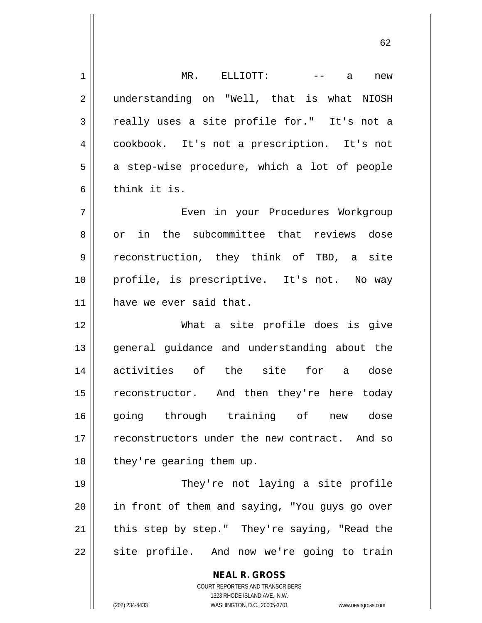**NEAL R. GROSS** COURT REPORTERS AND TRANSCRIBERS 1323 RHODE ISLAND AVE., N.W. (202) 234-4433 WASHINGTON, D.C. 20005-3701 www.nealrgross.com 1 MR. ELLIOTT: -- a new 2 || understanding on "Well, that is what NIOSH 3 really uses a site profile for." It's not a 4 cookbook. It's not a prescription. It's not  $5 \parallel$  a step-wise procedure, which a lot of people 6 bink it is. 7 Even in your Procedures Workgroup 8 or in the subcommittee that reviews dose 9 || reconstruction, they think of TBD, a site 10 profile, is prescriptive. It's not. No way 11 || have we ever said that. 12 What a site profile does is give 13 || general guidance and understanding about the 14 activities of the site for a dose 15 || reconstructor. And then they're here today 16 || going through training of new dose 17 || reconstructors under the new contract. And so  $18$  || they're gearing them up. 19 || They're not laying a site profile 20 || in front of them and saying, "You guys go over  $21$  | this step by step." They're saying, "Read the 22 || site profile. And now we're going to train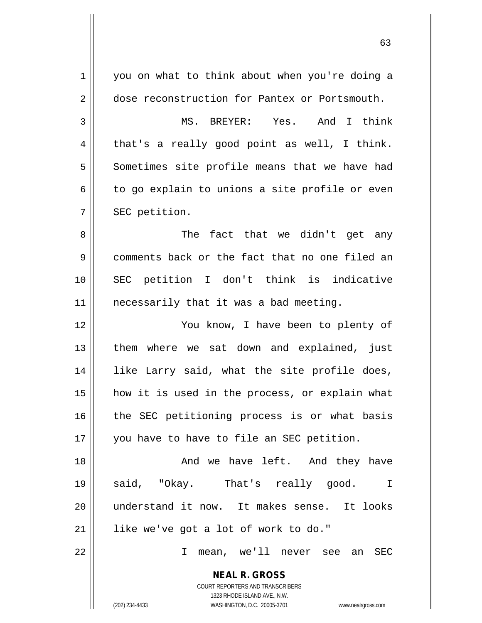| 1  | you on what to think about when you're doing a                      |
|----|---------------------------------------------------------------------|
| 2  | dose reconstruction for Pantex or Portsmouth.                       |
| 3  | MS. BREYER: Yes. And I think                                        |
| 4  | that's a really good point as well, I think.                        |
| 5  | Sometimes site profile means that we have had                       |
| 6  | to go explain to unions a site profile or even                      |
| 7  | SEC petition.                                                       |
| 8  | The fact that we didn't get any                                     |
| 9  | comments back or the fact that no one filed an                      |
| 10 | SEC petition I don't think is indicative                            |
| 11 | necessarily that it was a bad meeting.                              |
| 12 | You know, I have been to plenty of                                  |
| 13 | them where we sat down and explained, just                          |
| 14 | like Larry said, what the site profile does,                        |
| 15 | how it is used in the process, or explain what                      |
| 16 | the SEC petitioning process is or what basis                        |
| 17 | you have to have to file an SEC petition.                           |
| 18 | And we have left. And they have                                     |
| 19 | said, "Okay. That's really good.<br>$\perp$                         |
| 20 | understand it now. It makes sense. It looks                         |
| 21 | like we've got a lot of work to do."                                |
| 22 | mean, we'll never see<br>T.<br>SEC<br>an                            |
|    | <b>NEAL R. GROSS</b>                                                |
|    | COURT REPORTERS AND TRANSCRIBERS                                    |
|    | 1323 RHODE ISLAND AVE., N.W.                                        |
|    | (202) 234-4433<br>WASHINGTON, D.C. 20005-3701<br>www.nealrgross.com |

 $\mathbf{1}$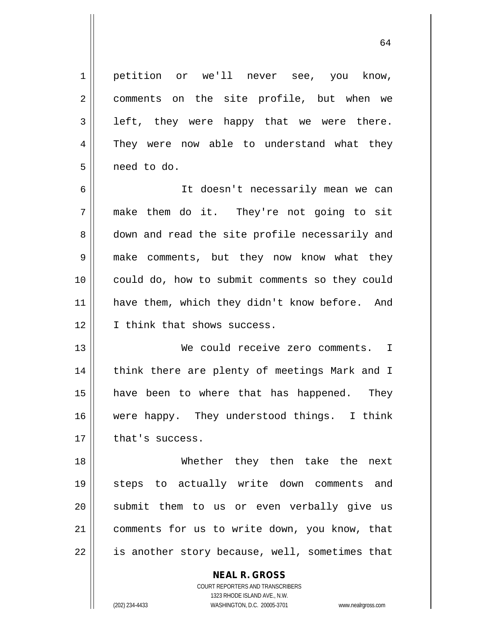| 1              | petition or we'll never see, you know,         |
|----------------|------------------------------------------------|
| $\overline{2}$ | comments on the site profile, but when we      |
| 3              | left, they were happy that we were there.      |
| 4              | They were now able to understand what they     |
| 5              | need to do.                                    |
| 6              | It doesn't necessarily mean we can             |
| 7              | make them do it. They're not going to sit      |
| 8              | down and read the site profile necessarily and |
| $\mathsf 9$    | make comments, but they now know what they     |
| 10             | could do, how to submit comments so they could |
| 11             | have them, which they didn't know before. And  |
| 12             | I think that shows success.                    |
| 13             | We could receive zero comments. I              |
| 14             | think there are plenty of meetings Mark and I  |
| 15             | have been to where that has happened. They     |
| 16             | were happy. They understood things. I think    |
| 17             | that's success.                                |
| 18             | Whether they then take the next                |
| 19             | steps to actually write down comments and      |
| 20             | submit them to us or even verbally give us     |
| 21             | comments for us to write down, you know, that  |
| 22             | is another story because, well, sometimes that |
|                | <b>NEAL R. GROSS</b>                           |

 $\mathsf{I}$ 

1323 RHODE ISLAND AVE., N.W. (202) 234-4433 WASHINGTON, D.C. 20005-3701 www.nealrgross.com

COURT REPORTERS AND TRANSCRIBERS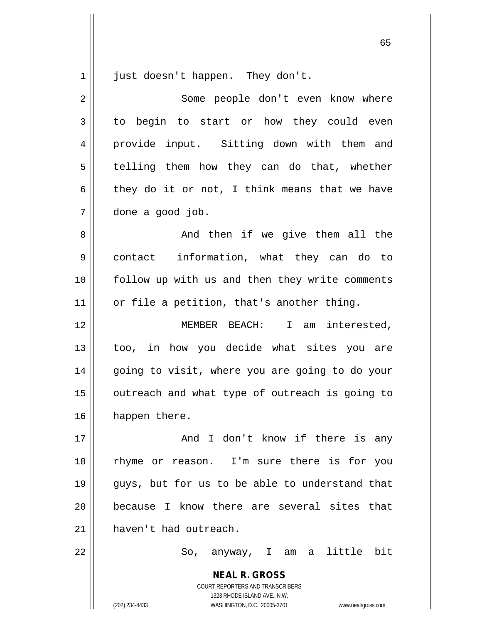$1 \parallel$  just doesn't happen. They don't.

| 2  | Some people don't even know where              |
|----|------------------------------------------------|
| 3  | to begin to start or how they could even       |
| 4  | provide input. Sitting down with them and      |
| 5  | telling them how they can do that, whether     |
| 6  | they do it or not, I think means that we have  |
| 7  | done a good job.                               |
| 8  | And then if we give them all the               |
| 9  | contact information, what they can do to       |
| 10 | follow up with us and then they write comments |
| 11 | or file a petition, that's another thing.      |
| 12 | MEMBER BEACH: I am interested,                 |
| 13 | too, in how you decide what sites you are      |
| 14 | going to visit, where you are going to do your |
| 15 | outreach and what type of outreach is going to |
| 16 | happen there.                                  |
| 17 | And I don't know if there is any               |
| 18 | rhyme or reason. I'm sure there is for you     |
| 19 | guys, but for us to be able to understand that |
| 20 | because I know there are several sites that    |
| 21 | haven't had outreach.                          |
| 22 | So, anyway, I am a little bit                  |
|    | <b>NEAL R. GROSS</b>                           |

COURT REPORTERS AND TRANSCRIBERS 1323 RHODE ISLAND AVE., N.W.

(202) 234-4433 WASHINGTON, D.C. 20005-3701 www.nealrgross.com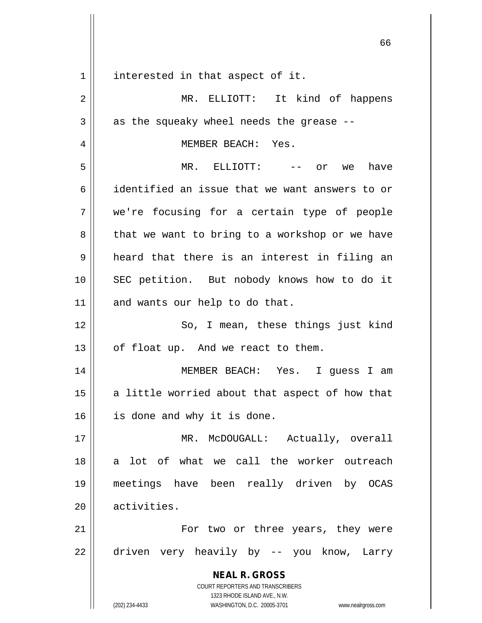**NEAL R. GROSS** COURT REPORTERS AND TRANSCRIBERS 1323 RHODE ISLAND AVE., N.W. 1 || interested in that aspect of it. 2 || MR. ELLIOTT: It kind of happens  $3 \parallel$  as the squeaky wheel needs the grease --4 MEMBER BEACH: Yes. 5 MR. ELLIOTT: -- or we have 6 identified an issue that we want answers to or 7 we're focusing for a certain type of people  $8 \parallel$  that we want to bring to a workshop or we have  $9 \parallel$  heard that there is an interest in filing an 10 || SEC petition. But nobody knows how to do it  $11$  and wants our help to do that. 12 || So, I mean, these things just kind  $13$  | of float up. And we react to them. 14 MEMBER BEACH: Yes. I guess I am  $15$  a little worried about that aspect of how that 16 || is done and why it is done. 17 || MR. McDOUGALL: Actually, overall 18 || a lot of what we call the worker outreach 19 meetings have been really driven by OCAS 20 || activities. 21 For two or three years, they were 22 driven very heavily by -- you know, Larry

(202) 234-4433 WASHINGTON, D.C. 20005-3701 www.nealrgross.com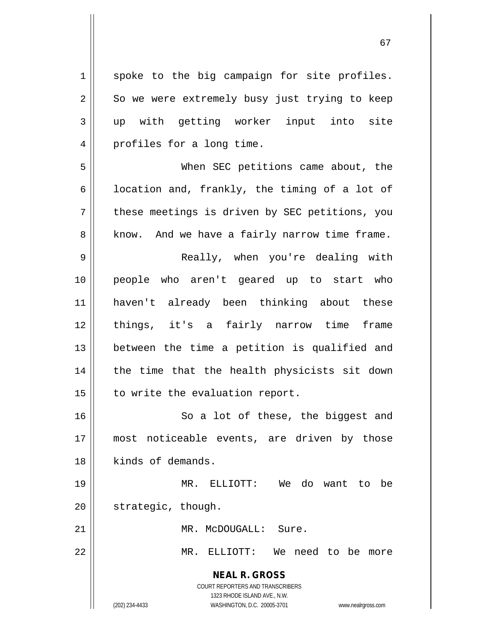| $\mathbf 1$    | spoke to the big campaign for site profiles.                                                                                                                    |
|----------------|-----------------------------------------------------------------------------------------------------------------------------------------------------------------|
| $\overline{2}$ | So we were extremely busy just trying to keep                                                                                                                   |
| $\mathbf{3}$   | up with getting worker input into site                                                                                                                          |
| $\overline{4}$ | profiles for a long time.                                                                                                                                       |
| 5              | When SEC petitions came about, the                                                                                                                              |
| 6              | location and, frankly, the timing of a lot of                                                                                                                   |
| 7              | these meetings is driven by SEC petitions, you                                                                                                                  |
| 8              | know. And we have a fairly narrow time frame.                                                                                                                   |
| $\mathsf 9$    | Really, when you're dealing with                                                                                                                                |
| 10             | people who aren't geared up to start who                                                                                                                        |
| 11             | haven't already been thinking about these                                                                                                                       |
| 12             | things, it's a fairly narrow time frame                                                                                                                         |
| 13             | between the time a petition is qualified and                                                                                                                    |
| 14             | the time that the health physicists sit down                                                                                                                    |
| 15             | to write the evaluation report.                                                                                                                                 |
| 16             | So a lot of these, the biggest and                                                                                                                              |
| 17             | most noticeable events, are driven by those                                                                                                                     |
| 18             | kinds of demands.                                                                                                                                               |
| 19             | MR. ELLIOTT: We do want to be                                                                                                                                   |
| 20             | strategic, though.                                                                                                                                              |
| 21             | MR. McDOUGALL: Sure.                                                                                                                                            |
| 22             | MR.<br>We need to be more<br>ELLIOTT:                                                                                                                           |
|                | <b>NEAL R. GROSS</b><br>COURT REPORTERS AND TRANSCRIBERS<br>1323 RHODE ISLAND AVE., N.W.<br>(202) 234-4433<br>WASHINGTON, D.C. 20005-3701<br>www.nealrgross.com |

 $\mathsf{I}$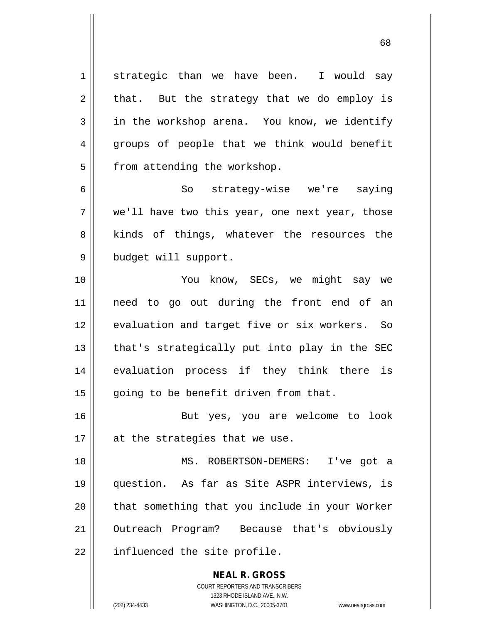1 strategic than we have been. I would say  $2 \parallel$  that. But the strategy that we do employ is 3 in the workshop arena. You know, we identify 4 groups of people that we think would benefit  $5$  | from attending the workshop.

6 So strategy-wise we're saying  $7 \parallel$  we'll have two this year, one next year, those 8 || kinds of things, whatever the resources the 9 | budget will support.

 You know, SECs, we might say we need to go out during the front end of an 12 || evaluation and target five or six workers. So || that's strategically put into play in the SEC 14 || evaluation process if they think there is | going to be benefit driven from that.

16 || But yes, you are welcome to look  $17$  | at the strategies that we use.

 MS. ROBERTSON-DEMERS: I've got a question. As far as Site ASPR interviews, is || that something that you include in your Worker 21 || Outreach Program? Because that's obviously | influenced the site profile.

> COURT REPORTERS AND TRANSCRIBERS 1323 RHODE ISLAND AVE., N.W. (202) 234-4433 WASHINGTON, D.C. 20005-3701 www.nealrgross.com

**NEAL R. GROSS**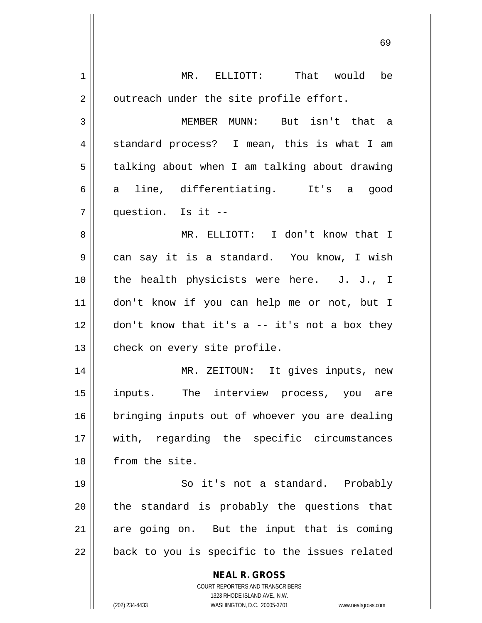| MR. ELLIOTT: That would be                                                        |
|-----------------------------------------------------------------------------------|
| outreach under the site profile effort.                                           |
| MEMBER MUNN: But isn't that a                                                     |
| standard process? I mean, this is what I am                                       |
| talking about when I am talking about drawing                                     |
| line, differentiating. It's a<br>good                                             |
| question. Is it --                                                                |
| MR. ELLIOTT: I don't know that I                                                  |
| can say it is a standard. You know, I wish                                        |
| the health physicists were here. J. J., I                                         |
| don't know if you can help me or not, but I                                       |
| don't know that it's a -- it's not a box they                                     |
| check on every site profile.                                                      |
| MR. ZEITOUN: It gives inputs, new                                                 |
| inputs. The interview process, you are                                            |
| bringing inputs out of whoever you are dealing                                    |
| with, regarding the specific circumstances                                        |
| from the site.                                                                    |
| So it's not a standard. Probably                                                  |
| the standard is probably the questions that                                       |
| are going on. But the input that is coming                                        |
| back to you is specific to the issues related                                     |
| <b>NEAL R. GROSS</b>                                                              |
| COURT REPORTERS AND TRANSCRIBERS                                                  |
| 1323 RHODE ISLAND AVE., N.W.<br>WASHINGTON, D.C. 20005-3701<br>www.nealrgross.com |
|                                                                                   |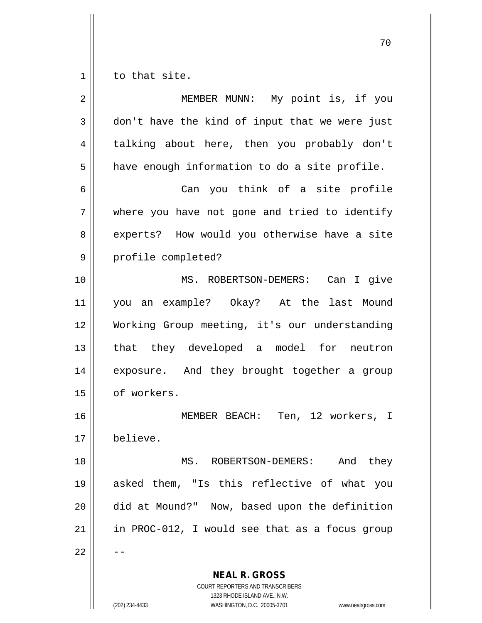$1 \parallel$  to that site.

| $\overline{2}$ | MEMBER MUNN: My point is, if you                         |
|----------------|----------------------------------------------------------|
| 3              | don't have the kind of input that we were just           |
| 4              | talking about here, then you probably don't              |
| 5              | have enough information to do a site profile.            |
| 6              | Can you think of a site profile                          |
| 7              | where you have not gone and tried to identify            |
| 8              | experts? How would you otherwise have a site             |
| 9              | profile completed?                                       |
| 10             | MS. ROBERTSON-DEMERS: Can I give                         |
| 11             | you an example? Okay? At the last Mound                  |
| 12             | Working Group meeting, it's our understanding            |
| 13             | that they developed a model for neutron                  |
| 14             | exposure. And they brought together a group              |
| 15             | of workers.                                              |
| 16             | MEMBER BEACH: Ten, 12 workers, I                         |
| 17             | believe                                                  |
| 18             | And they<br>MS. ROBERTSON-DEMERS:                        |
| 19             | asked them, "Is this reflective of what you              |
| 20             | did at Mound?" Now, based upon the definition            |
| 21             | in PROC-012, I would see that as a focus group           |
| 22             |                                                          |
|                | <b>NEAL R. GROSS</b><br>COURT REPORTERS AND TRANSCRIBERS |

1323 RHODE ISLAND AVE., N.W.

 $\mathop{\textstyle\prod}$ 

(202) 234-4433 WASHINGTON, D.C. 20005-3701 www.nealrgross.com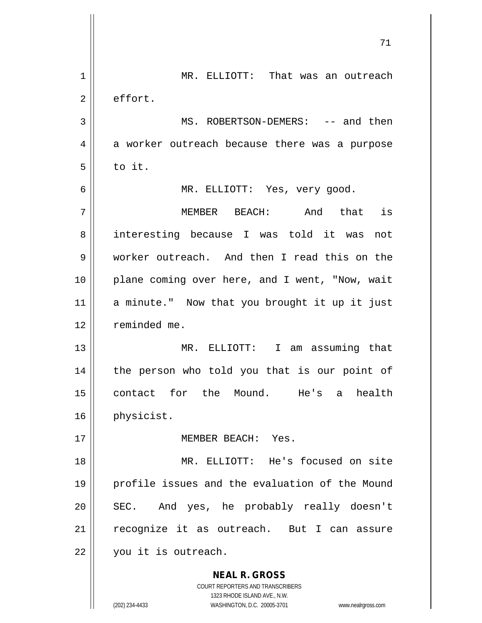|    | 71                                                       |
|----|----------------------------------------------------------|
| 1  | MR. ELLIOTT: That was an outreach                        |
| 2  | effort.                                                  |
| 3  | MS. ROBERTSON-DEMERS: -- and then                        |
| 4  | a worker outreach because there was a purpose            |
| 5  | to it.                                                   |
| 6  | MR. ELLIOTT: Yes, very good.                             |
| 7  | MEMBER BEACH: And that is                                |
| 8  | interesting because I was told it was not                |
| 9  | worker outreach. And then I read this on the             |
| 10 | plane coming over here, and I went, "Now, wait           |
| 11 | a minute." Now that you brought it up it just            |
| 12 | reminded me.                                             |
| 13 | MR. ELLIOTT: I am assuming that                          |
| 14 | the person who told you that is our point of             |
| 15 | contact for the Mound. He's<br>health<br>a               |
| 16 | physicist.                                               |
| 17 | MEMBER BEACH: Yes.                                       |
| 18 | MR. ELLIOTT: He's focused on site                        |
| 19 | profile issues and the evaluation of the Mound           |
| 20 | SEC. And yes, he probably really doesn't                 |
| 21 | recognize it as outreach. But I can assure               |
| 22 | you it is outreach.                                      |
|    | <b>NEAL R. GROSS</b><br>COURT REPORTERS AND TRANSCRIBERS |

1323 RHODE ISLAND AVE., N.W.

 $\prod$ 

 $\mathsf{I}$ 

(202) 234-4433 WASHINGTON, D.C. 20005-3701 www.nealrgross.com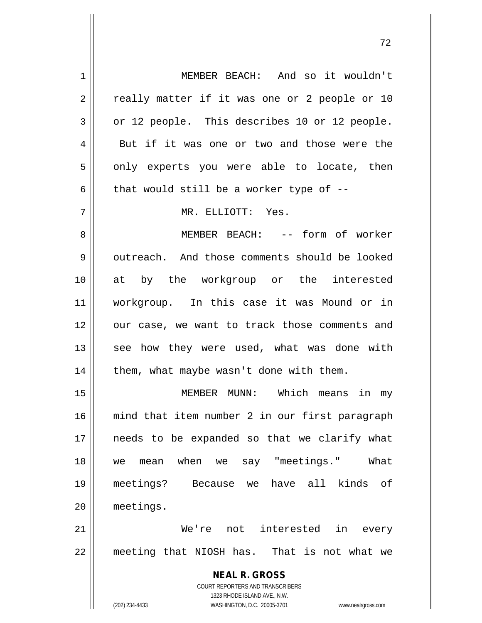**NEAL R. GROSS** COURT REPORTERS AND TRANSCRIBERS 1323 RHODE ISLAND AVE., N.W. 1 MEMBER BEACH: And so it wouldn't 2 || really matter if it was one or 2 people or 10  $3 \parallel$  or 12 people. This describes 10 or 12 people. 4 || But if it was one or two and those were the  $5 \parallel$  only experts you were able to locate, then 6  $\parallel$  that would still be a worker type of --7 MR. ELLIOTT: Yes. 8 || MEMBER BEACH: -- form of worker 9 0 outreach. And those comments should be looked 10 at by the workgroup or the interested 11 workgroup. In this case it was Mound or in 12 || our case, we want to track those comments and 13 || see how they were used, what was done with  $14$  | them, what maybe wasn't done with them. 15 MEMBER MUNN: Which means in my 16 mind that item number 2 in our first paragraph 17 || needs to be expanded so that we clarify what 18 we mean when we say "meetings." What 19 meetings? Because we have all kinds of 20 meetings. 21 We're not interested in every 22 || meeting that NIOSH has. That is not what we

(202) 234-4433 WASHINGTON, D.C. 20005-3701 www.nealrgross.com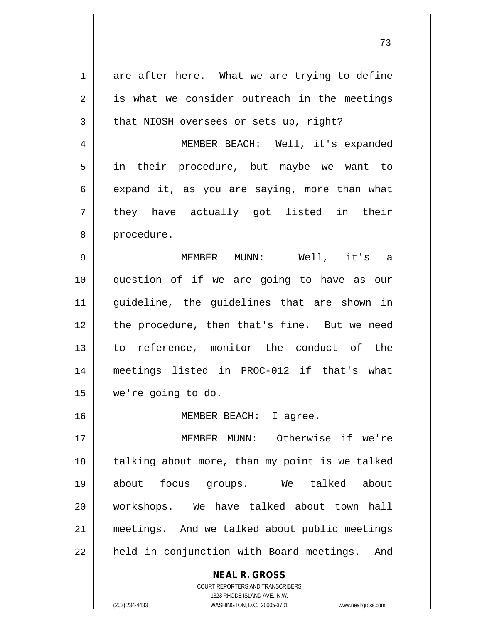**NEAL R. GROSS**  $1 \parallel$  are after here. What we are trying to define  $2 \parallel$  is what we consider outreach in the meetings  $3 \parallel$  that NIOSH oversees or sets up, right? 4 MEMBER BEACH: Well, it's expanded 5 || in their procedure, but maybe we want to  $6 \parallel$  expand it, as you are saying, more than what  $7 \parallel$  they have actually got listed in their 8 | procedure. 9 MEMBER MUNN: Well, it's a 10 question of if we are going to have as our 11 guideline, the guidelines that are shown in 12 || the procedure, then that's fine. But we need 13 to reference, monitor the conduct of the 14 meetings listed in PROC-012 if that's what 15 we're going to do. 16 || MEMBER BEACH: I agree. 17 MEMBER MUNN: Otherwise if we're 18 || talking about more, than my point is we talked 19 about focus groups. We talked about 20 workshops. We have talked about town hall 21 meetings. And we talked about public meetings 22 || held in conjunction with Board meetings. And

1323 RHODE ISLAND AVE., N.W. (202) 234-4433 WASHINGTON, D.C. 20005-3701 www.nealrgross.com

COURT REPORTERS AND TRANSCRIBERS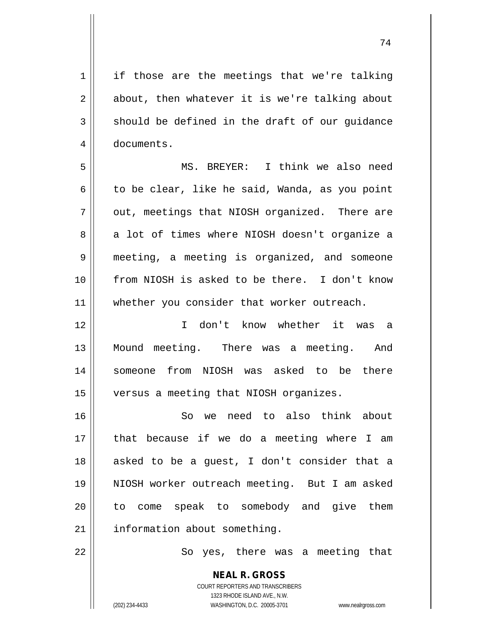$1 \parallel$  if those are the meetings that we're talking  $2 \parallel$  about, then whatever it is we're talking about  $3 \parallel$  should be defined in the draft of our quidance 4 | documents.

5 MS. BREYER: I think we also need 6 to be clear, like he said, Wanda, as you point  $7 \parallel$  out, meetings that NIOSH organized. There are 8 a lot of times where NIOSH doesn't organize a 9 meeting, a meeting is organized, and someone 10 from NIOSH is asked to be there. I don't know 11 || whether you consider that worker outreach.

12 I don't know whether it was a 13 || Mound meeting. There was a meeting. And 14 someone from NIOSH was asked to be there 15 || versus a meeting that NIOSH organizes.

 So we need to also think about that because if we do a meeting where I am asked to be a guest, I don't consider that a NIOSH worker outreach meeting. But I am asked 20 || to come speak to somebody and give them 21 | information about something.

22 || So yes, there was a meeting that

**NEAL R. GROSS** COURT REPORTERS AND TRANSCRIBERS 1323 RHODE ISLAND AVE., N.W. (202) 234-4433 WASHINGTON, D.C. 20005-3701 www.nealrgross.com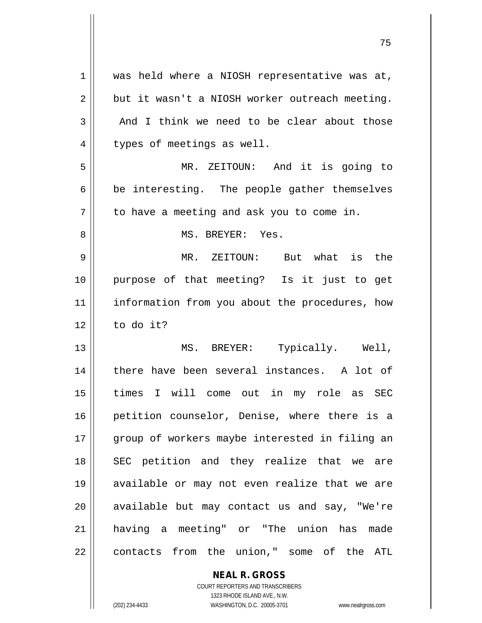| 1              | was held where a NIOSH representative was at,  |
|----------------|------------------------------------------------|
| $\overline{2}$ | but it wasn't a NIOSH worker outreach meeting. |
| 3              | And I think we need to be clear about those    |
| 4              | types of meetings as well.                     |
| 5              | MR. ZEITOUN: And it is going to                |
| 6              | be interesting. The people gather themselves   |
| 7              | to have a meeting and ask you to come in.      |
| 8              | MS. BREYER: Yes.                               |
| 9              | MR. ZEITOUN: But what is<br>the                |
| 10             | purpose of that meeting? Is it just to get     |
| 11             | information from you about the procedures, how |
| 12             | to do it?                                      |
| 13             | MS. BREYER: Typically. Well,                   |
| 14             | there have been several instances. A lot of    |
| 15             | times I will come out in my role as SEC        |
| 16             | petition counselor, Denise, where there is a   |
| 17             | group of workers maybe interested in filing an |
| 18             | SEC petition and they realize that we are      |
| 19             | available or may not even realize that we are  |
| 20             |                                                |
|                | available but may contact us and say, "We're   |
| 21             | having a meeting" or "The union has<br>made    |

**NEAL R. GROSS** COURT REPORTERS AND TRANSCRIBERS

1323 RHODE ISLAND AVE., N.W.

 $\mathbf{I}$ 

(202) 234-4433 WASHINGTON, D.C. 20005-3701 www.nealrgross.com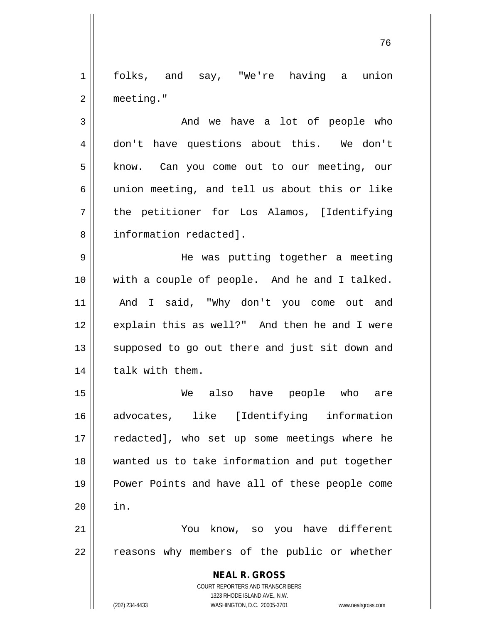1 folks, and say, "We're having a union 2 meeting."

 $3 \parallel$  and we have a lot of people who 4 don't have questions about this. We don't 5 | know. Can you come out to our meeting, our 6  $\parallel$  union meeting, and tell us about this or like 7 the petitioner for Los Alamos, [Identifying 8 || information redacted].

 He was putting together a meeting with a couple of people. And he and I talked. And I said, "Why don't you come out and 12 || explain this as well?" And then he and I were 13 || supposed to go out there and just sit down and | talk with them.

15 We also have people who are 16 advocates, like [Identifying information 17 || redacted], who set up some meetings where he 18 || wanted us to take information and put together 19 || Power Points and have all of these people come  $20$   $\parallel$  in. 21 You know, so you have different

22 || reasons why members of the public or whether

**NEAL R. GROSS** COURT REPORTERS AND TRANSCRIBERS

1323 RHODE ISLAND AVE., N.W. (202) 234-4433 WASHINGTON, D.C. 20005-3701 www.nealrgross.com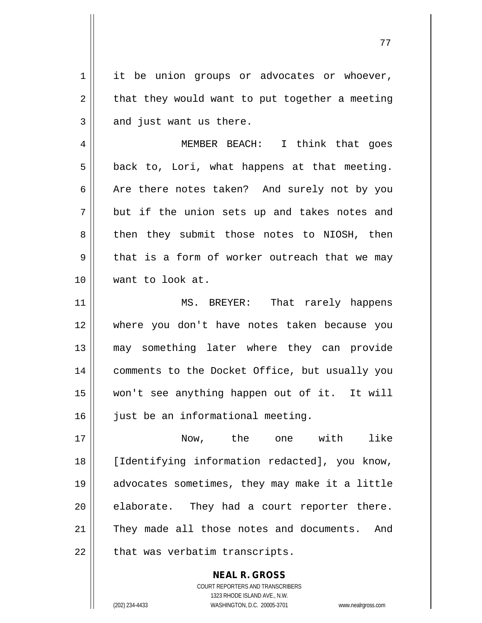1 || it be union groups or advocates or whoever,  $2 \parallel$  that they would want to put together a meeting  $3 \parallel$  and just want us there.

4 MEMBER BEACH: I think that goes  $5 \parallel$  back to, Lori, what happens at that meeting.  $6 \parallel$  Are there notes taken? And surely not by you  $7 \parallel$  but if the union sets up and takes notes and 8 then they submit those notes to NIOSH, then  $9 \parallel$  that is a form of worker outreach that we may 10 want to look at.

11 || MS. BREYER: That rarely happens 12 where you don't have notes taken because you 13 may something later where they can provide 14 || comments to the Docket Office, but usually you 15 won't see anything happen out of it. It will 16 || just be an informational meeting.

 Now, the one with like [Identifying information redacted], you know, advocates sometimes, they may make it a little || elaborate. They had a court reporter there. 21 || They made all those notes and documents. And | that was verbatim transcripts.

> **NEAL R. GROSS** COURT REPORTERS AND TRANSCRIBERS 1323 RHODE ISLAND AVE., N.W. (202) 234-4433 WASHINGTON, D.C. 20005-3701 www.nealrgross.com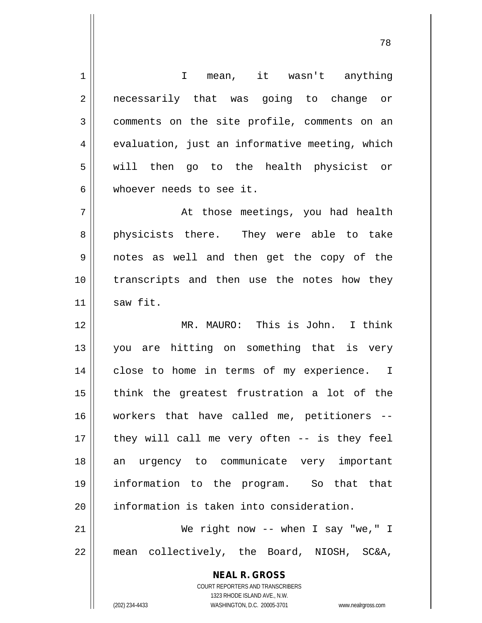**NEAL R. GROSS** COURT REPORTERS AND TRANSCRIBERS 1323 RHODE ISLAND AVE., N.W. (202) 234-4433 WASHINGTON, D.C. 20005-3701 www.nealrgross.com 1 || T mean, it wasn't anything 2 || necessarily that was going to change or 3 comments on the site profile, comments on an  $4 \parallel$  evaluation, just an informative meeting, which 5 || will then go to the health physicist or 6 whoever needs to see it. 7 At those meetings, you had health 8 || physicists there. They were able to take 9 notes as well and then get the copy of the 10 transcripts and then use the notes how they  $11$  saw fit. 12 || MR. MAURO: This is John. I think 13 you are hitting on something that is very 14 || close to home in terms of my experience. I 15 || think the greatest frustration a lot of the 16 workers that have called me, petitioners --  $17$  || they will call me very often -- is they feel 18 an urgency to communicate very important 19 information to the program. So that that 20 | information is taken into consideration. 21 || We right now -- when I say "we," I 22 mean collectively, the Board, NIOSH, SC&A,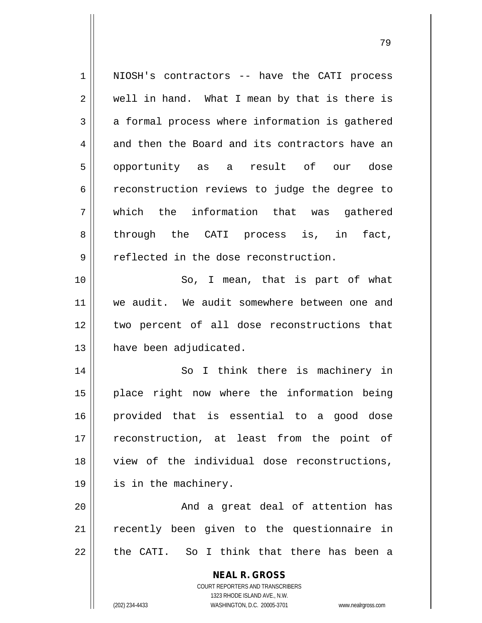**NEAL R. GROSS** COURT REPORTERS AND TRANSCRIBERS 1323 RHODE ISLAND AVE., N.W. (202) 234-4433 WASHINGTON, D.C. 20005-3701 www.nealrgross.com 1 || NIOSH's contractors -- have the CATI process  $2 \parallel$  well in hand. What I mean by that is there is  $3 \parallel$  a formal process where information is gathered  $4 \parallel$  and then the Board and its contractors have an 5 opportunity as a result of our dose 6 | reconstruction reviews to judge the degree to 7 which the information that was gathered 8 through the CATI process is, in fact, 9 || reflected in the dose reconstruction. 10 || So, I mean, that is part of what 11 we audit. We audit somewhere between one and 12 || two percent of all dose reconstructions that 13 | have been adjudicated. 14 || So I think there is machinery in 15 place right now where the information being 16 provided that is essential to a good dose 17 || reconstruction, at least from the point of 18 || view of the individual dose reconstructions, 19 || is in the machinery. 20 || And a great deal of attention has 21 || recently been given to the questionnaire in  $22$  || the CATI. So I think that there has been a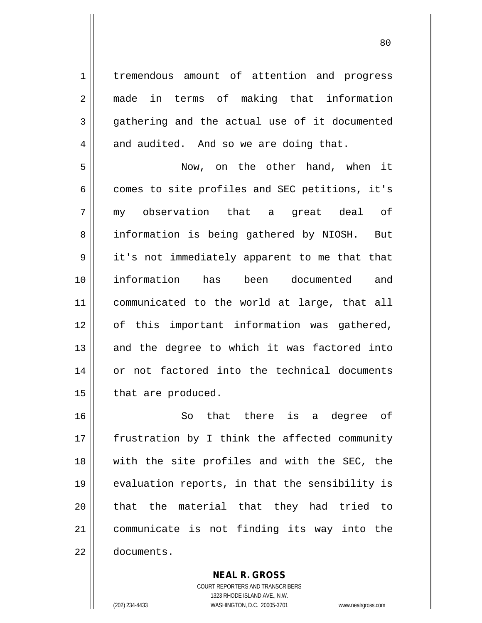1 | tremendous amount of attention and progress 2 made in terms of making that information  $3 \parallel$  gathering and the actual use of it documented  $4 \parallel$  and audited. And so we are doing that. 5 Now, on the other hand, when it  $6 \parallel$  comes to site profiles and SEC petitions, it's

7 || my observation that a great deal of 8 || information is being gathered by NIOSH. But 9 || it's not immediately apparent to me that that 10 information has been documented and 11 communicated to the world at large, that all 12 || of this important information was gathered,  $13$  and the degree to which it was factored into 14 || or not factored into the technical documents  $15$  | that are produced.

 So that there is a degree of 17 || frustration by I think the affected community with the site profiles and with the SEC, the evaluation reports, in that the sensibility is 20 || that the material that they had tried to communicate is not finding its way into the documents.

> COURT REPORTERS AND TRANSCRIBERS 1323 RHODE ISLAND AVE., N.W. (202) 234-4433 WASHINGTON, D.C. 20005-3701 www.nealrgross.com

**NEAL R. GROSS**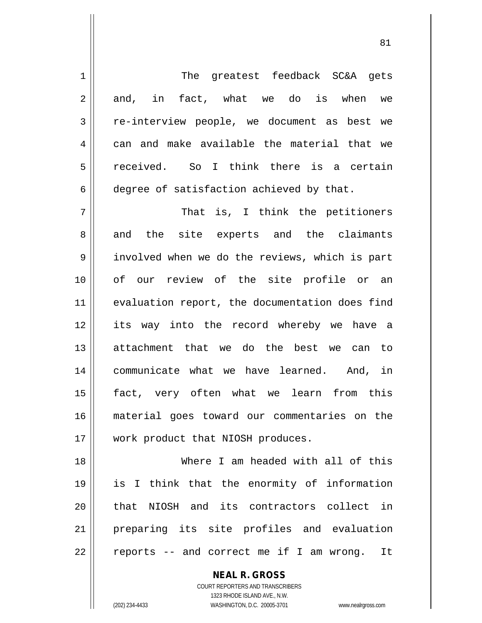1 || The greatest feedback SC&A gets  $2 \parallel$  and, in fact, what we do is when we 3 re-interview people, we document as best we  $4 \parallel$  can and make available the material that we 5 received. So I think there is a certain 6 degree of satisfaction achieved by that. 7 That is, I think the petitioners 8 || and the site experts and the claimants 9 involved when we do the reviews, which is part 10 of our review of the site profile or an 11 || evaluation report, the documentation does find 12 its way into the record whereby we have a 13 attachment that we do the best we can to 14 communicate what we have learned. And, in 15 fact, very often what we learn from this 16 material goes toward our commentaries on the 17 || work product that NIOSH produces. 18 Where I am headed with all of this 19 is I think that the enormity of information 20 || that NIOSH and its contractors collect in 21 preparing its site profiles and evaluation

 $22 \parallel$  reports -- and correct me if I am wrong. It

**NEAL R. GROSS** COURT REPORTERS AND TRANSCRIBERS

1323 RHODE ISLAND AVE., N.W.

(202) 234-4433 WASHINGTON, D.C. 20005-3701 www.nealrgross.com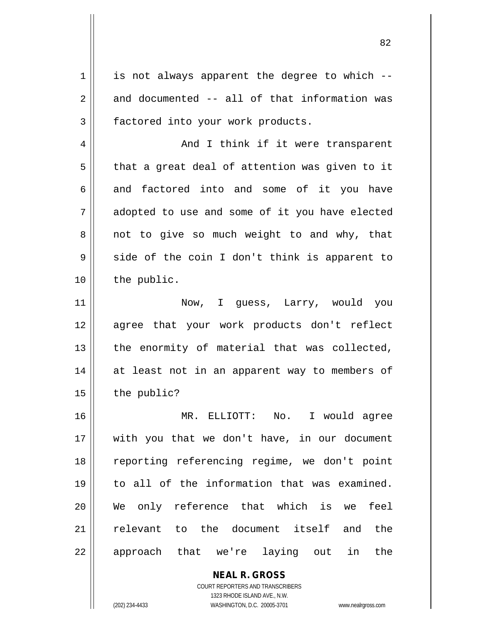$1 \parallel$  is not always apparent the degree to which -- $2 \parallel$  and documented -- all of that information was 3 | factored into your work products.

4 And I think if it were transparent  $5 \parallel$  that a great deal of attention was given to it  $6 \parallel$  and factored into and some of it you have 7 adopted to use and some of it you have elected  $8 \parallel$  not to give so much weight to and why, that  $9 \parallel$  side of the coin I don't think is apparent to 10 | the public.

 Now, I guess, Larry, would you agree that your work products don't reflect | the enormity of material that was collected, 14 || at least not in an apparent way to members of | the public?

16 MR. ELLIOTT: No. I would agree 17 with you that we don't have, in our document 18 || reporting referencing regime, we don't point 19 to all of the information that was examined. 20 We only reference that which is we feel 21 || relevant to the document itself and the 22 || approach that we're laying out in the

> **NEAL R. GROSS** COURT REPORTERS AND TRANSCRIBERS 1323 RHODE ISLAND AVE., N.W. (202) 234-4433 WASHINGTON, D.C. 20005-3701 www.nealrgross.com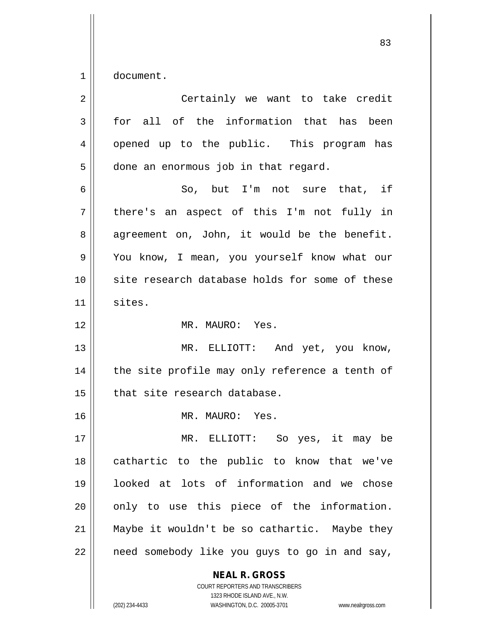1 document.

| $\overline{2}$ | Certainly we want to take credit               |
|----------------|------------------------------------------------|
| 3              | for all of the information that has been       |
| 4              | opened up to the public. This program has      |
| 5              | done an enormous job in that regard.           |
| 6              | So, but I'm not sure that, if                  |
| 7              | there's an aspect of this I'm not fully in     |
| 8              | agreement on, John, it would be the benefit.   |
| 9              | You know, I mean, you yourself know what our   |
| 10             | site research database holds for some of these |
| 11             | sites.                                         |
| 12             | MR. MAURO: Yes.                                |
| 13             | MR. ELLIOTT: And yet, you know,                |
| 14             | the site profile may only reference a tenth of |
| 15             | that site research database.                   |
| 16             | MR. MAURO: Yes.                                |
| 17             | MR. ELLIOTT: So yes, it may be                 |
| 18             | cathartic to the public to know that we've     |
| 19             | looked at lots of information and we chose     |
| 20             | only to use this piece of the information.     |
| 21             | Maybe it wouldn't be so cathartic. Maybe they  |
| 22             | need somebody like you guys to go in and say,  |
|                | <b>NEAL R. GROSS</b>                           |

COURT REPORTERS AND TRANSCRIBERS 1323 RHODE ISLAND AVE., N.W. (202) 234-4433 WASHINGTON, D.C. 20005-3701 www.nealrgross.com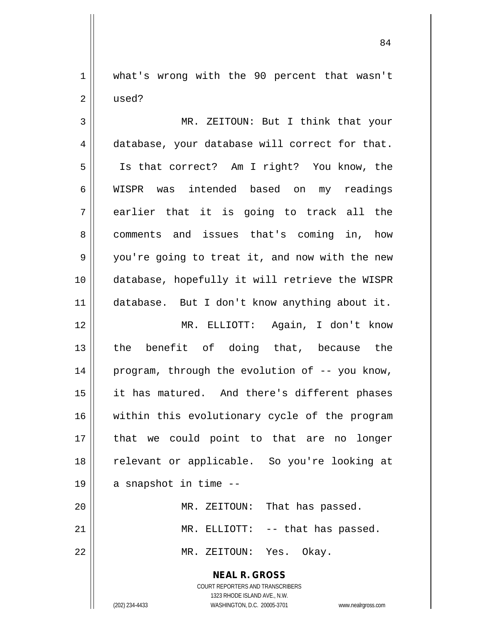1 || what's wrong with the 90 percent that wasn't 2 used?

3 || MR. ZEITOUN: But I think that your 4 database, your database will correct for that. 5 Is that correct? Am I right? You know, the 6 WISPR was intended based on my readings  $7 \parallel$  earlier that it is going to track all the 8 || comments and issues that's coming in, how 9 || you're going to treat it, and now with the new 10 database, hopefully it will retrieve the WISPR 11 database. But I don't know anything about it. 12 MR. ELLIOTT: Again, I don't know 13 the benefit of doing that, because the 14 program, through the evolution of -- you know, 15 || it has matured. And there's different phases 16 || within this evolutionary cycle of the program 17 that we could point to that are no longer 18 relevant or applicable. So you're looking at  $19 \parallel$  a snapshot in time --20 MR. ZEITOUN: That has passed. 21 || MR. ELLIOTT: -- that has passed.

22 MR. ZEITOUN: Yes. Okay.

**NEAL R. GROSS** COURT REPORTERS AND TRANSCRIBERS

1323 RHODE ISLAND AVE., N.W.

(202) 234-4433 WASHINGTON, D.C. 20005-3701 www.nealrgross.com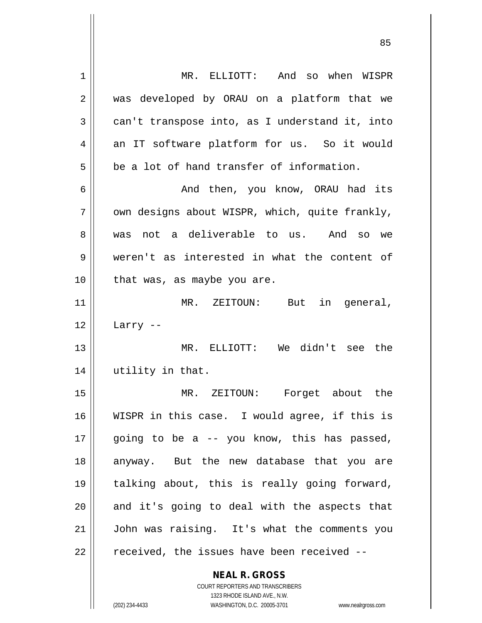| 1  | MR. ELLIOTT: And so when WISPR                 |
|----|------------------------------------------------|
| 2  | was developed by ORAU on a platform that we    |
| 3  | can't transpose into, as I understand it, into |
| 4  | an IT software platform for us. So it would    |
| 5  | be a lot of hand transfer of information.      |
| 6  | And then, you know, ORAU had its               |
| 7  | own designs about WISPR, which, quite frankly, |
| 8  | not a deliverable to us. And so we<br>was      |
| 9  | weren't as interested in what the content of   |
| 10 | that was, as maybe you are.                    |
| 11 | MR. ZEITOUN:<br>But<br>in general,             |
| 12 | Larry --                                       |
| 13 | MR. ELLIOTT: We didn't see the                 |
| 14 | utility in that.                               |
| 15 | Forget about the<br>MR. ZEITOUN:               |
| 16 | WISPR in this case. I would agree, if this is  |
| 17 | going to be a -- you know, this has passed,    |
| 18 | anyway. But the new database that you are      |
| 19 | talking about, this is really going forward,   |
| 20 | and it's going to deal with the aspects that   |
| 21 | John was raising. It's what the comments you   |
| 22 | received, the issues have been received --     |
|    | <b>NEAL R. GROSS</b>                           |

 $\mathsf{I}$ 

1323 RHODE ISLAND AVE., N.W. (202) 234-4433 WASHINGTON, D.C. 20005-3701 www.nealrgross.com

COURT REPORTERS AND TRANSCRIBERS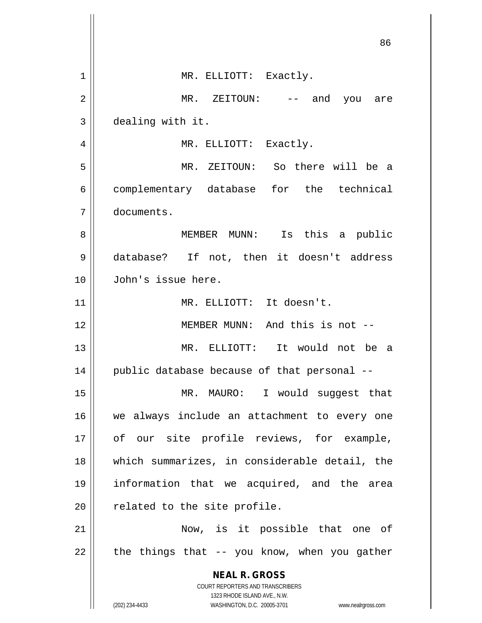|                | 86                                                                                                  |
|----------------|-----------------------------------------------------------------------------------------------------|
| $\mathbf 1$    | MR. ELLIOTT: Exactly.                                                                               |
| $\overline{2}$ | $MR.$ ZEITOUN: $--$ and<br>you are                                                                  |
| 3              | dealing with it.                                                                                    |
| 4              | MR. ELLIOTT: Exactly.                                                                               |
| 5              | MR. ZEITOUN: So there will be a                                                                     |
| 6              | complementary database for the technical                                                            |
| 7              | documents.                                                                                          |
| 8              | MEMBER MUNN: Is this a public                                                                       |
| 9              | database? If not, then it doesn't address                                                           |
| 10             | John's issue here.                                                                                  |
| 11             | MR. ELLIOTT: It doesn't.                                                                            |
| 12             | MEMBER MUNN: And this is not --                                                                     |
| 13             | MR. ELLIOTT: It would not be a                                                                      |
| 14             | public database because of that personal --                                                         |
| 15             | MR. MAURO: I would suggest that                                                                     |
| 16             | we always include an attachment to every one                                                        |
| 17             | of our site profile reviews, for example,                                                           |
| 18             | which summarizes, in considerable detail, the                                                       |
| 19             | information that we acquired, and the area                                                          |
| 20             | related to the site profile.                                                                        |
| 21             | Now, is it possible that one of                                                                     |
| 22             | the things that -- you know, when you gather                                                        |
|                | <b>NEAL R. GROSS</b><br><b>COURT REPORTERS AND TRANSCRIBERS</b>                                     |
|                | 1323 RHODE ISLAND AVE., N.W.<br>(202) 234-4433<br>WASHINGTON, D.C. 20005-3701<br>www.nealrgross.com |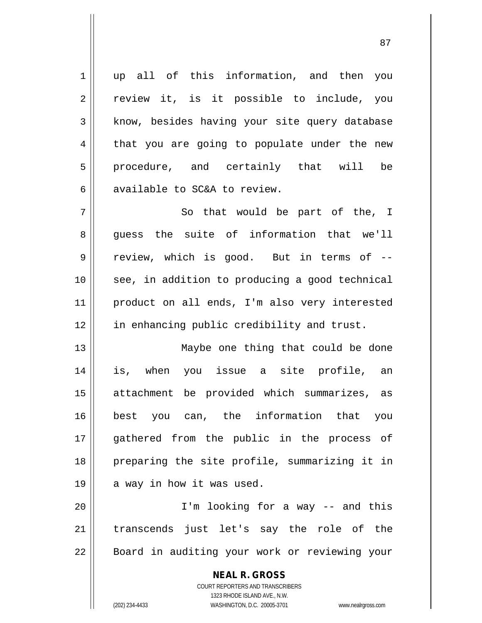1 up all of this information, and then you 2 || review it, is it possible to include, you  $3$  know, besides having your site query database  $4 \parallel$  that you are going to populate under the new 5 procedure, and certainly that will be 6 available to SC&A to review.  $7$   $\parallel$  So that would be part of the, I

8 guess the suite of information that we'll 9 || review, which is good. But in terms of --10 || see, in addition to producing a good technical 11 product on all ends, I'm also very interested 12 || in enhancing public credibility and trust.

13 || Maybe one thing that could be done is, when you issue a site profile, an attachment be provided which summarizes, as best you can, the information that you gathered from the public in the process of preparing the site profile, summarizing it in  $19 \parallel$  a way in how it was used.

20 I'm looking for a way -- and this 21 || transcends just let's say the role of the 22 || Board in auditing your work or reviewing your

> **NEAL R. GROSS** COURT REPORTERS AND TRANSCRIBERS 1323 RHODE ISLAND AVE., N.W. (202) 234-4433 WASHINGTON, D.C. 20005-3701 www.nealrgross.com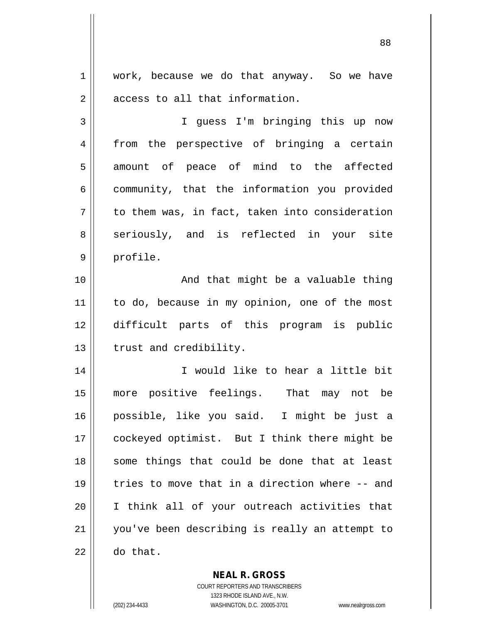1 || work, because we do that anyway. So we have 2 || access to all that information.

3 I guess I'm bringing this up now 4 from the perspective of bringing a certain 5 || amount of peace of mind to the affected  $6 \parallel$  community, that the information you provided  $7 \parallel$  to them was, in fact, taken into consideration 8 seriously, and is reflected in your site 9 | profile.

10 || And that might be a valuable thing 11 || to do, because in my opinion, one of the most 12 difficult parts of this program is public 13 | trust and credibility.

14 || I would like to hear a little bit 15 more positive feelings. That may not be 16 possible, like you said. I might be just a 17 || cockeyed optimist. But I think there might be 18 || some things that could be done that at least 19 tries to move that in a direction where -- and 20 I think all of your outreach activities that 21 you've been describing is really an attempt to  $22 \parallel$  do that.

**NEAL R. GROSS**

COURT REPORTERS AND TRANSCRIBERS 1323 RHODE ISLAND AVE., N.W. (202) 234-4433 WASHINGTON, D.C. 20005-3701 www.nealrgross.com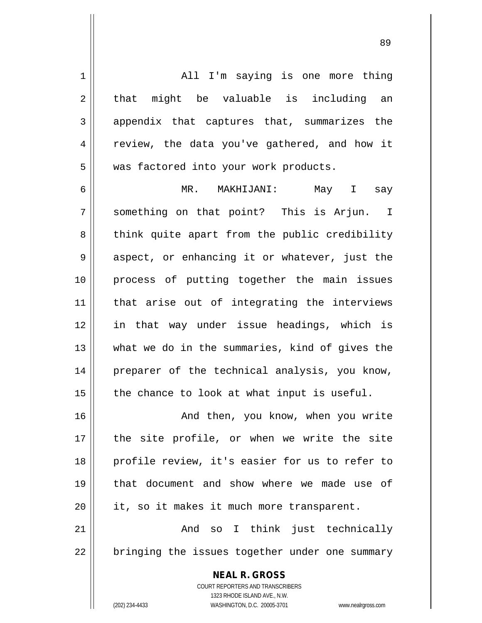**NEAL R. GROSS** 1 All I'm saying is one more thing  $2 \parallel$  that might be valuable is including an 3 appendix that captures that, summarizes the 4 || review, the data you've gathered, and how it 5 | was factored into your work products. 6 MR. MAKHIJANI: May I say 7 || something on that point? This is Arjun. I 8 || think quite apart from the public credibility 9 || aspect, or enhancing it or whatever, just the 10 process of putting together the main issues 11 that arise out of integrating the interviews 12 in that way under issue headings, which is 13 what we do in the summaries, kind of gives the 14 || preparer of the technical analysis, you know,  $15$  | the chance to look at what input is useful. 16 And then, you know, when you write 17 the site profile, or when we write the site 18 || profile review, it's easier for us to refer to 19 that document and show where we made use of  $20$  | it, so it makes it much more transparent. 21 And so I think just technically 22 || bringing the issues together under one summary

> COURT REPORTERS AND TRANSCRIBERS 1323 RHODE ISLAND AVE., N.W.

(202) 234-4433 WASHINGTON, D.C. 20005-3701 www.nealrgross.com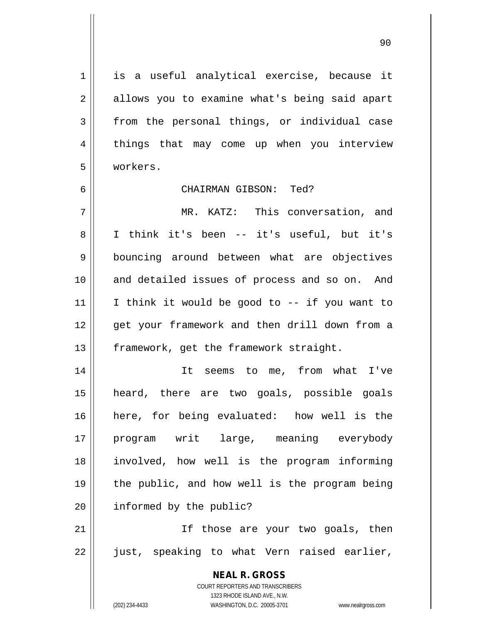1 || is a useful analytical exercise, because it  $2 \parallel$  allows you to examine what's being said apart  $3 \parallel$  from the personal things, or individual case 4 || things that may come up when you interview 5 workers.

## 6 CHAIRMAN GIBSON: Ted?

7 MR. KATZ: This conversation, and 8 || I think it's been -- it's useful, but it's 9 || bouncing around between what are objectives 10 || and detailed issues of process and so on. And 11 || I think it would be good to  $-$ - if you want to 12 || qet your framework and then drill down from a 13 | framework, get the framework straight.

 It seems to me, from what I've heard, there are two goals, possible goals here, for being evaluated: how well is the program writ large, meaning everybody involved, how well is the program informing the public, and how well is the program being 20 | informed by the public?

21 || If those are your two goals, then 22 || just, speaking to what Vern raised earlier,

> **NEAL R. GROSS** COURT REPORTERS AND TRANSCRIBERS 1323 RHODE ISLAND AVE., N.W. (202) 234-4433 WASHINGTON, D.C. 20005-3701 www.nealrgross.com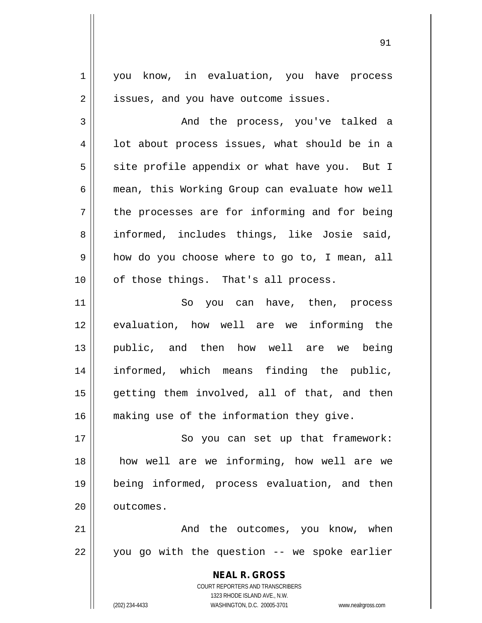1 | you know, in evaluation, you have process 2 | issues, and you have outcome issues.

3 and the process, you've talked a  $4 \parallel$  1ot about process issues, what should be in a  $5 \parallel$  site profile appendix or what have you. But I 6 | mean, this Working Group can evaluate how well  $7 \parallel$  the processes are for informing and for being 8 || informed, includes things, like Josie said, 9 || how do you choose where to go to, I mean, all  $10$  || of those things. That's all process.

11 || So you can have, then, process evaluation, how well are we informing the public, and then how well are we being informed, which means finding the public, getting them involved, all of that, and then 16 making use of the information they give.

17 || So you can set up that framework: 18 how well are we informing, how well are we 19 being informed, process evaluation, and then 20 | outcomes.

21 And the outcomes, you know, when  $22$  || you go with the question -- we spoke earlier

> **NEAL R. GROSS** COURT REPORTERS AND TRANSCRIBERS 1323 RHODE ISLAND AVE., N.W. (202) 234-4433 WASHINGTON, D.C. 20005-3701 www.nealrgross.com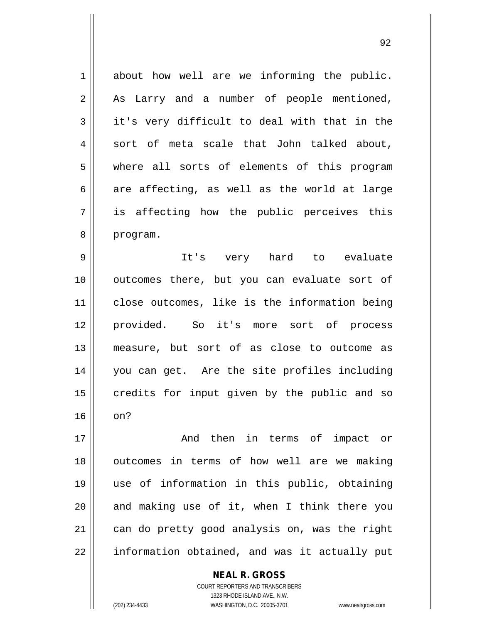$1 \parallel$  about how well are we informing the public. 2 || As Larry and a number of people mentioned,  $3 \parallel$  it's very difficult to deal with that in the  $4 \parallel$  sort of meta scale that John talked about, 5 where all sorts of elements of this program  $6 \parallel$  are affecting, as well as the world at large 7 is affecting how the public perceives this 8 | program.

9 || It's very hard to evaluate outcomes there, but you can evaluate sort of close outcomes, like is the information being provided. So it's more sort of process measure, but sort of as close to outcome as you can get. Are the site profiles including credits for input given by the public and so  $16 \parallel \text{on?}$ 

17 || The Rand then in terms of impact or outcomes in terms of how well are we making use of information in this public, obtaining and making use of it, when I think there you 21 | can do pretty good analysis on, was the right || information obtained, and was it actually put

> COURT REPORTERS AND TRANSCRIBERS 1323 RHODE ISLAND AVE., N.W. (202) 234-4433 WASHINGTON, D.C. 20005-3701 www.nealrgross.com

**NEAL R. GROSS**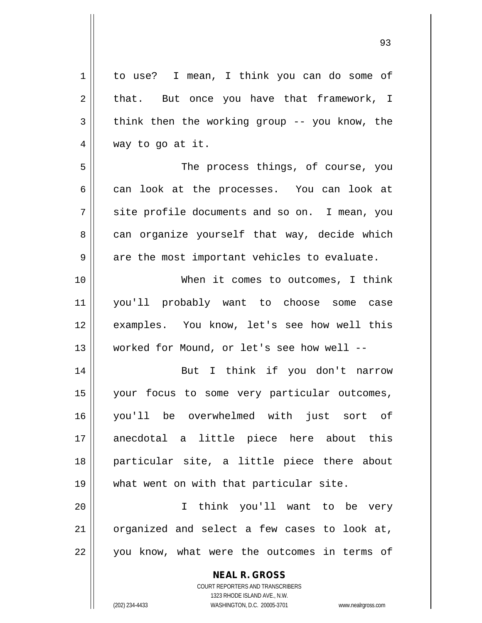| $\mathbf 1$    | to use? I mean, I think you can do some of               |
|----------------|----------------------------------------------------------|
| $\overline{2}$ | that. But once you have that framework, I                |
| 3              | think then the working group -- you know, the            |
| 4              | way to go at it.                                         |
| 5              | The process things, of course, you                       |
| 6              | can look at the processes. You can look at               |
| 7              | site profile documents and so on. I mean, you            |
| 8              | can organize yourself that way, decide which             |
| 9              | are the most important vehicles to evaluate.             |
| 10             | When it comes to outcomes, I think                       |
| 11             | you'll probably want to choose some case                 |
| 12             | examples. You know, let's see how well this              |
| 13             | worked for Mound, or let's see how well --               |
| 14             | But I think if you don't narrow                          |
| 15             | your focus to some very particular outcomes,             |
| 16             | you'll be overwhelmed with just sort of                  |
| 17             | anecdotal a little piece here about this                 |
| 18             | particular site, a little piece there about              |
| 19             | what went on with that particular site.                  |
| 20             | think you'll want to be very<br>$\mathbf{I}$             |
| 21             | organized and select a few cases to look at,             |
| 22             | you know, what were the outcomes in terms of             |
|                | <b>NEAL R. GROSS</b><br>COURT REPORTERS AND TRANSCRIBERS |

1323 RHODE ISLAND AVE., N.W.

 $\prod$ 

(202) 234-4433 WASHINGTON, D.C. 20005-3701 www.nealrgross.com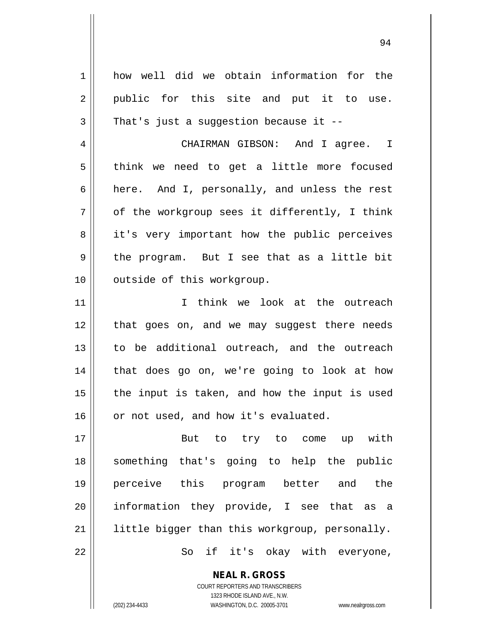| $\mathbf 1$  | how well did we obtain information for the     |
|--------------|------------------------------------------------|
| 2            | public for this site and put it to use.        |
| $\mathbf{3}$ | That's just a suggestion because it $-$ -      |
| 4            | CHAIRMAN GIBSON: And I agree. I                |
| 5            | think we need to get a little more focused     |
| 6            | here. And I, personally, and unless the rest   |
| 7            | of the workgroup sees it differently, I think  |
| 8            | it's very important how the public perceives   |
| 9            | the program. But I see that as a little bit    |
| 10           | outside of this workgroup.                     |
| 11           | I think we look at the outreach                |
| 12           | that goes on, and we may suggest there needs   |
| 13           | to be additional outreach, and the outreach    |
| 14           | that does go on, we're going to look at how    |
| 15           | the input is taken, and how the input is used  |
| 16           | or not used, and how it's evaluated.           |
| 17           | But to try to come up with                     |
| 18           | something that's going to help the public      |
| 19           | perceive this program better and the           |
| 20           | information they provide, I see that as a      |
| 21           | little bigger than this workgroup, personally. |
| 22           | So if it's okay with everyone,                 |
|              |                                                |

COURT REPORTERS AND TRANSCRIBERS 1323 RHODE ISLAND AVE., N.W.

**NEAL R. GROSS**

 $\mathsf{II}$ 

(202) 234-4433 WASHINGTON, D.C. 20005-3701 www.nealrgross.com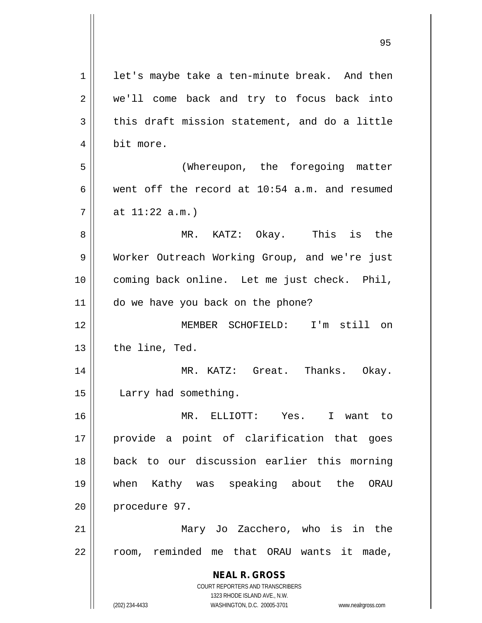| 1  | let's maybe take a ten-minute break. And then                       |
|----|---------------------------------------------------------------------|
| 2  | we'll come back and try to focus back into                          |
| 3  | this draft mission statement, and do a little                       |
| 4  | bit more.                                                           |
| 5  | (Whereupon, the foregoing matter                                    |
| 6  | went off the record at 10:54 a.m. and resumed                       |
| 7  | at $11:22$ a.m.)                                                    |
| 8  | MR. KATZ: Okay. This is the                                         |
| 9  | Worker Outreach Working Group, and we're just                       |
| 10 | coming back online. Let me just check. Phil,                        |
| 11 | do we have you back on the phone?                                   |
| 12 | MEMBER SCHOFIELD: I'm still on                                      |
| 13 | the line, Ted.                                                      |
| 14 | MR. KATZ: Great. Thanks. Okay.                                      |
| 15 | Larry had something.                                                |
| 16 | MR. ELLIOTT: Yes.<br>I want to                                      |
| 17 | provide a point of clarification that goes                          |
| 18 | back to our discussion earlier this morning                         |
| 19 | Kathy was speaking about the<br>when<br>ORAU                        |
| 20 | procedure 97.                                                       |
| 21 | Mary Jo Zacchero, who is in the                                     |
| 22 | room, reminded me that ORAU wants it made,                          |
|    | <b>NEAL R. GROSS</b>                                                |
|    | COURT REPORTERS AND TRANSCRIBERS                                    |
|    | 1323 RHODE ISLAND AVE., N.W.                                        |
|    | WASHINGTON, D.C. 20005-3701<br>(202) 234-4433<br>www.nealrgross.com |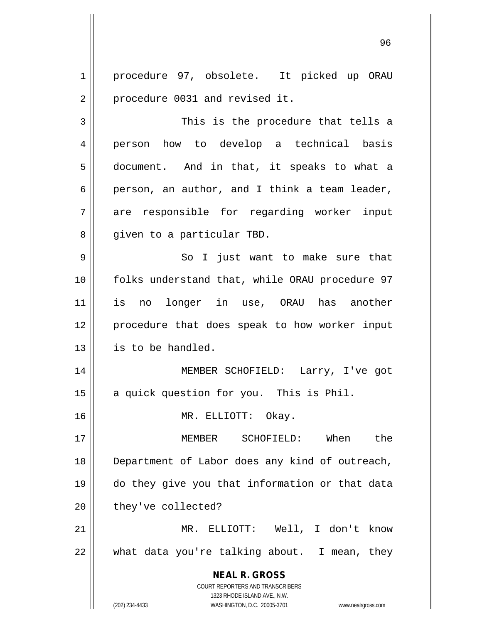1 | procedure 97, obsolete. It picked up ORAU 2 | procedure 0031 and revised it.

3 This is the procedure that tells a 4 person how to develop a technical basis 5 document. And in that, it speaks to what a 6 person, an author, and I think a team leader, 7 are responsible for regarding worker input 8 || given to a particular TBD.

9 || So I just want to make sure that 10 || folks understand that, while ORAU procedure 97 11 is no longer in use, ORAU has another 12 || procedure that does speak to how worker input 13 | is to be handled.

14 || MEMBER SCHOFIELD: Larry, I've got 15 || a quick question for you. This is Phil.

16 MR. ELLIOTT: Okay.

 MEMBER SCHOFIELD: When the 18 || Department of Labor does any kind of outreach, do they give you that information or that data | they've collected?

21 MR. ELLIOTT: Well, I don't know 22 what data you're talking about. I mean, they

> **NEAL R. GROSS** COURT REPORTERS AND TRANSCRIBERS 1323 RHODE ISLAND AVE., N.W. (202) 234-4433 WASHINGTON, D.C. 20005-3701 www.nealrgross.com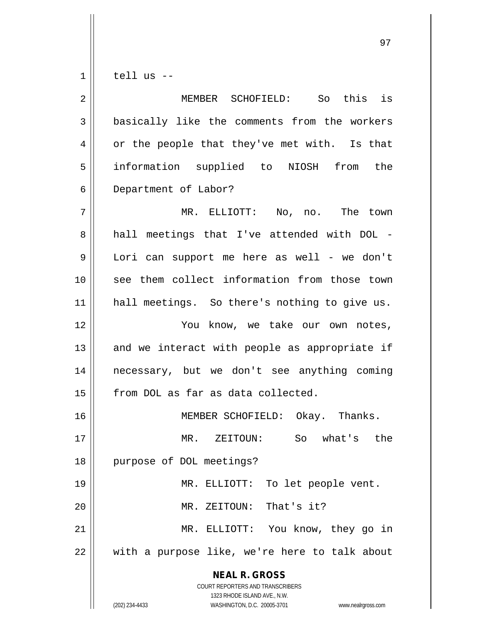$1 \parallel$  tell us --

| $\overline{2}$ | So this is<br>MEMBER SCHOFIELD:                                                                                                                                 |
|----------------|-----------------------------------------------------------------------------------------------------------------------------------------------------------------|
| 3              | basically like the comments from the workers                                                                                                                    |
| 4              | or the people that they've met with. Is that                                                                                                                    |
| 5              | information supplied to NIOSH from the                                                                                                                          |
| 6              | Department of Labor?                                                                                                                                            |
| 7              | MR. ELLIOTT: No, no. The town                                                                                                                                   |
| 8              | hall meetings that I've attended with DOL -                                                                                                                     |
| 9              | Lori can support me here as well - we don't                                                                                                                     |
| 10             | see them collect information from those town                                                                                                                    |
| 11             | hall meetings. So there's nothing to give us.                                                                                                                   |
| 12             | You know, we take our own notes,                                                                                                                                |
| 13             | and we interact with people as appropriate if                                                                                                                   |
| 14             | necessary, but we don't see anything coming                                                                                                                     |
| 15             | from DOL as far as data collected.                                                                                                                              |
| 16             | MEMBER SCHOFIELD: Okay. Thanks.                                                                                                                                 |
| 17             | So what's the<br>MR. ZEITOUN:                                                                                                                                   |
| 18             | purpose of DOL meetings?                                                                                                                                        |
| 19             | To let people vent.<br>MR. ELLIOTT:                                                                                                                             |
| 20             | That's it?<br>MR. ZEITOUN:                                                                                                                                      |
| 21             | MR. ELLIOTT: You know, they go in                                                                                                                               |
| 22             | with a purpose like, we're here to talk about                                                                                                                   |
|                | <b>NEAL R. GROSS</b><br>COURT REPORTERS AND TRANSCRIBERS<br>1323 RHODE ISLAND AVE., N.W.<br>(202) 234-4433<br>WASHINGTON, D.C. 20005-3701<br>www.nealrgross.com |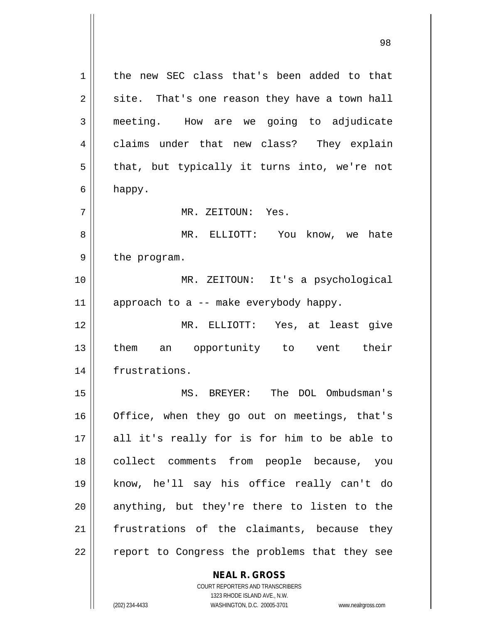1 || the new SEC class that's been added to that  $2 \parallel$  site. That's one reason they have a town hall 3 meeting. How are we going to adjudicate 4 claims under that new class? They explain  $5 \parallel$  that, but typically it turns into, we're not  $6 \parallel$  happy. 7 MR. ZEITOUN: Yes. 8 MR. ELLIOTT: You know, we hate  $9 \parallel$  the program. 10 MR. ZEITOUN: It's a psychological 11  $\parallel$  approach to a -- make everybody happy. 12 MR. ELLIOTT: Yes, at least give 13 || them an opportunity to vent their 14 frustrations. 15 MS. BREYER: The DOL Ombudsman's 16 || Office, when they go out on meetings, that's 17 || all it's really for is for him to be able to 18 || collect comments from people because, you 19 know, he'll say his office really can't do  $20$  anything, but they're there to listen to the  $21$  frustrations of the claimants, because they 22 || report to Congress the problems that they see

**NEAL R. GROSS**

COURT REPORTERS AND TRANSCRIBERS 1323 RHODE ISLAND AVE., N.W. (202) 234-4433 WASHINGTON, D.C. 20005-3701 www.nealrgross.com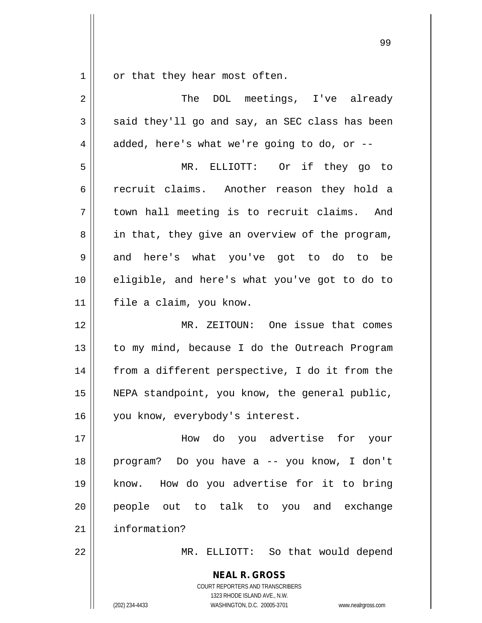$1 \parallel$  or that they hear most often.

| $\sqrt{2}$ | The DOL meetings, I've already                           |
|------------|----------------------------------------------------------|
| 3          | said they'll go and say, an SEC class has been           |
| 4          | added, here's what we're going to do, or --              |
| 5          | MR. ELLIOTT: Or if they go to                            |
| 6          | recruit claims. Another reason they hold a               |
| 7          | town hall meeting is to recruit claims. And              |
| 8          | in that, they give an overview of the program,           |
| 9          | and here's what you've got to do to be                   |
| 10         | eligible, and here's what you've got to do to            |
| 11         | file a claim, you know.                                  |
| 12         | MR. ZEITOUN: One issue that comes                        |
| 13         | to my mind, because I do the Outreach Program            |
| 14         | from a different perspective, I do it from the           |
| 15         | NEPA standpoint, you know, the general public,           |
| 16         | you know, everybody's interest.                          |
| 17         | How do you advertise for your                            |
| 18         | program? Do you have a -- you know, I don't              |
| 19         | know. How do you advertise for it to bring               |
| 20         | people out to talk to you and exchange                   |
| 21         | information?                                             |
| 22         | MR. ELLIOTT: So that would depend                        |
|            | <b>NEAL R. GROSS</b><br>COURT REPORTERS AND TRANSCRIBERS |

1323 RHODE ISLAND AVE., N.W.

 $\mathop{\parallel}$ 

(202) 234-4433 WASHINGTON, D.C. 20005-3701 www.nealrgross.com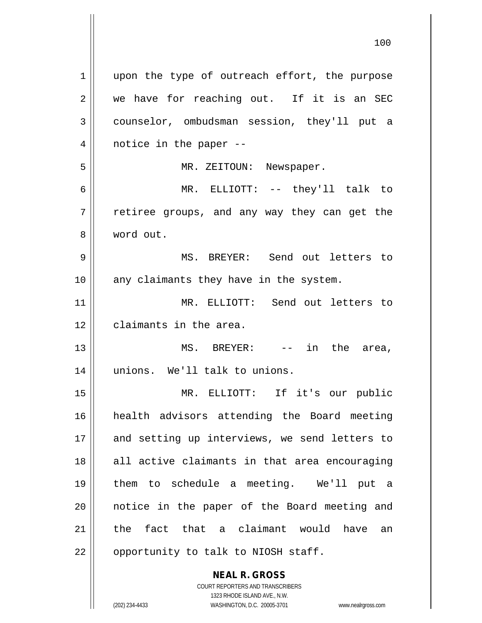**NEAL R. GROSS** COURT REPORTERS AND TRANSCRIBERS 1 || upon the type of outreach effort, the purpose 2 we have for reaching out. If it is an SEC 3 counselor, ombudsman session, they'll put a  $4 \parallel$  notice in the paper --5 MR. ZEITOUN: Newspaper. 6 MR. ELLIOTT: -- they'll talk to 7 The retiree groups, and any way they can get the 8 word out. 9 MS. BREYER: Send out letters to 10 || any claimants they have in the system. 11 MR. ELLIOTT: Send out letters to 12 | claimants in the area. 13 || MS. BREYER: -- in the area, 14 || unions. We'll talk to unions. 15 MR. ELLIOTT: If it's our public 16 health advisors attending the Board meeting 17 and setting up interviews, we send letters to 18 || all active claimants in that area encouraging 19 them to schedule a meeting. We'll put a 20 || notice in the paper of the Board meeting and 21 the fact that a claimant would have an 22 || opportunity to talk to NIOSH staff.

1323 RHODE ISLAND AVE., N.W.

(202) 234-4433 WASHINGTON, D.C. 20005-3701 www.nealrgross.com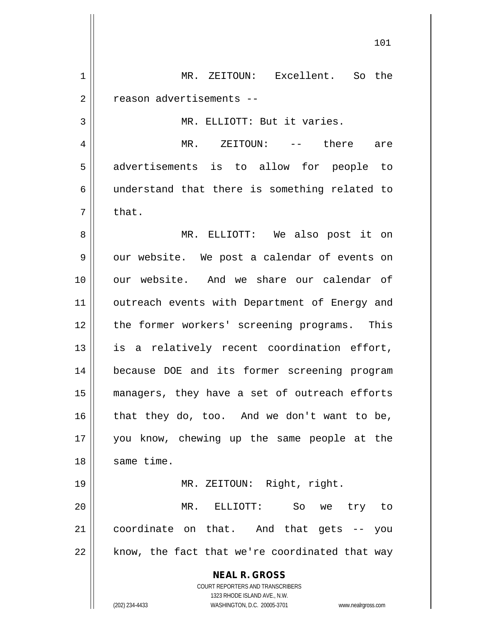**NEAL R. GROSS** COURT REPORTERS AND TRANSCRIBERS 1323 RHODE ISLAND AVE., N.W. 1 || MR. ZEITOUN: Excellent. So the 2 | reason advertisements --3 || MR. ELLIOTT: But it varies. 4 MR. ZEITOUN: -- there are 5 advertisements is to allow for people to 6 understand that there is something related to  $7 \parallel$  that. 8 MR. ELLIOTT: We also post it on 9 | our website. We post a calendar of events on 10 our website. And we share our calendar of 11 || outreach events with Department of Energy and 12 || the former workers' screening programs. This  $13$  is a relatively recent coordination effort, 14 because DOE and its former screening program 15 managers, they have a set of outreach efforts  $16$  that they do, too. And we don't want to be, 17 you know, chewing up the same people at the 18 || same time. 19 MR. ZEITOUN: Right, right. 20 MR. ELLIOTT: So we try to 21 coordinate on that. And that gets -- you  $22$  || know, the fact that we're coordinated that way

(202) 234-4433 WASHINGTON, D.C. 20005-3701 www.nealrgross.com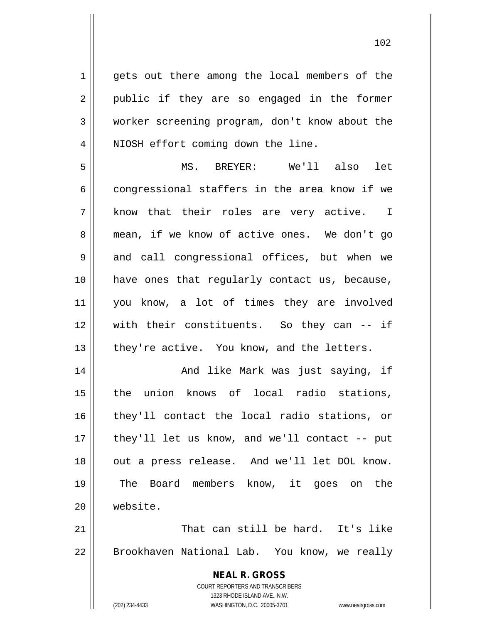1 || gets out there among the local members of the 2 || public if they are so engaged in the former 3 worker screening program, don't know about the 4 || NIOSH effort coming down the line.

5 MS. BREYER: We'll also let 6 congressional staffers in the area know if we 7 || know that their roles are very active. I 8 mean, if we know of active ones. We don't go 9 and call congressional offices, but when we 10 have ones that regularly contact us, because, 11 you know, a lot of times they are involved 12 with their constituents. So they can -- if 13 || they're active. You know, and the letters.

 And like Mark was just saying, if the union knows of local radio stations, they'll contact the local radio stations, or || they'll let us know, and we'll contact -- put 18 || out a press release. And we'll let DOL know. The Board members know, it goes on the 20 website.

21 || That can still be hard. It's like 22 | Brookhaven National Lab. You know, we really

> **NEAL R. GROSS** COURT REPORTERS AND TRANSCRIBERS 1323 RHODE ISLAND AVE., N.W. (202) 234-4433 WASHINGTON, D.C. 20005-3701 www.nealrgross.com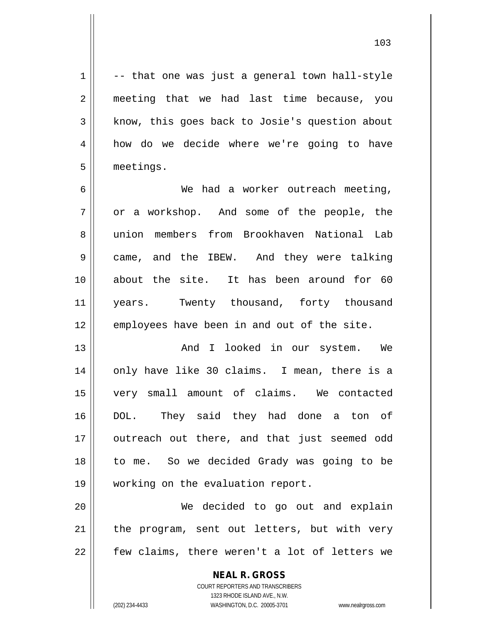$1 \parallel$  -- that one was just a general town hall-style 2 || meeting that we had last time because, you  $3 \parallel$  know, this goes back to Josie's question about 4 how do we decide where we're going to have 5 meetings.

6 We had a worker outreach meeting,  $7 \parallel$  or a workshop. And some of the people, the 8 union members from Brookhaven National Lab 9 came, and the IBEW. And they were talking 10 about the site. It has been around for 60 11 || years. Twenty thousand, forty thousand 12 || employees have been in and out of the site.

13 || The Collection And I looked in our system. We 14 || only have like 30 claims. I mean, there is a 15 very small amount of claims. We contacted 16 DOL. They said they had done a ton of 17 || outreach out there, and that just seemed odd 18 || to me. So we decided Grady was going to be 19 || working on the evaluation report.

20 We decided to go out and explain  $21$  | the program, sent out letters, but with very  $22 \parallel$  few claims, there weren't a lot of letters we

> **NEAL R. GROSS** COURT REPORTERS AND TRANSCRIBERS 1323 RHODE ISLAND AVE., N.W. (202) 234-4433 WASHINGTON, D.C. 20005-3701 www.nealrgross.com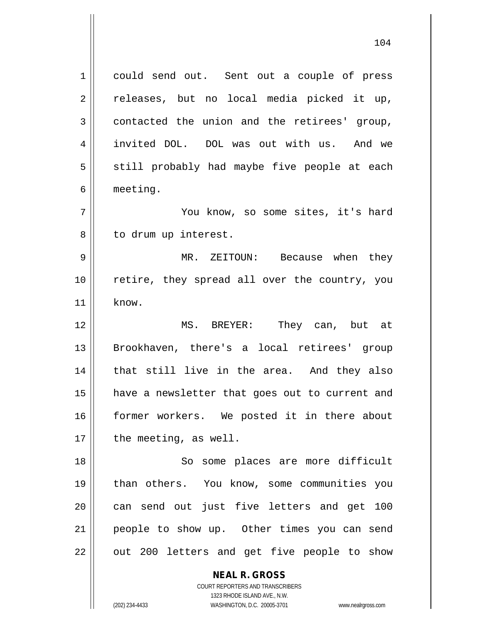1 || could send out. Sent out a couple of press  $2 \parallel$  releases, but no local media picked it up,  $3 \parallel$  contacted the union and the retirees' group, 4 invited DOL. DOL was out with us. And we 5 || still probably had maybe five people at each 6 meeting. 7 || You know, so some sites, it's hard 8 || to drum up interest.

9 MR. ZEITOUN: Because when they 10 retire, they spread all over the country, you 11 know.

 MS. BREYER: They can, but at Brookhaven, there's a local retirees' group 14 || that still live in the area. And they also have a newsletter that goes out to current and former workers. We posted it in there about | the meeting, as well.

18 || So some places are more difficult 19 than others. You know, some communities you 20 can send out just five letters and get 100 21 || people to show up. Other times you can send  $22$  || out 200 letters and get five people to show

**NEAL R. GROSS**

COURT REPORTERS AND TRANSCRIBERS 1323 RHODE ISLAND AVE., N.W. (202) 234-4433 WASHINGTON, D.C. 20005-3701 www.nealrgross.com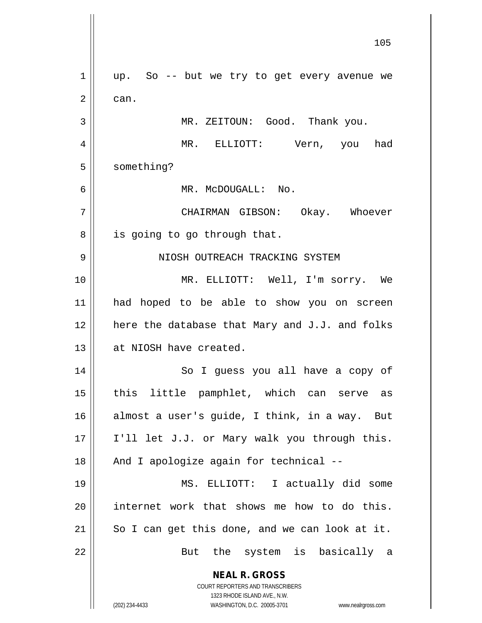**NEAL R. GROSS** COURT REPORTERS AND TRANSCRIBERS 1323 RHODE ISLAND AVE., N.W. (202) 234-4433 WASHINGTON, D.C. 20005-3701 www.nealrgross.com 105  $1 \parallel$  up. So -- but we try to get every avenue we  $2 \parallel$  can. 3 MR. ZEITOUN: Good. Thank you. 4 MR. ELLIOTT: Vern, you had 5 | something? 6 MR. McDOUGALL: No. 7 CHAIRMAN GIBSON: Okay. Whoever  $8 \parallel$  is going to go through that. 9 NIOSH OUTREACH TRACKING SYSTEM 10 MR. ELLIOTT: Well, I'm sorry. We 11 had hoped to be able to show you on screen  $12$  here the database that Mary and J.J. and folks 13 || at NIOSH have created. 14 || So I guess you all have a copy of 15 || this little pamphlet, which can serve as 16 almost a user's guide, I think, in a way. But 17 || I'll let J.J. or Mary walk you through this. 18 || And I apologize again for technical --19 MS. ELLIOTT: I actually did some  $20$  internet work that shows me how to do this.  $21$  So I can get this done, and we can look at it. 22 || But the system is basically a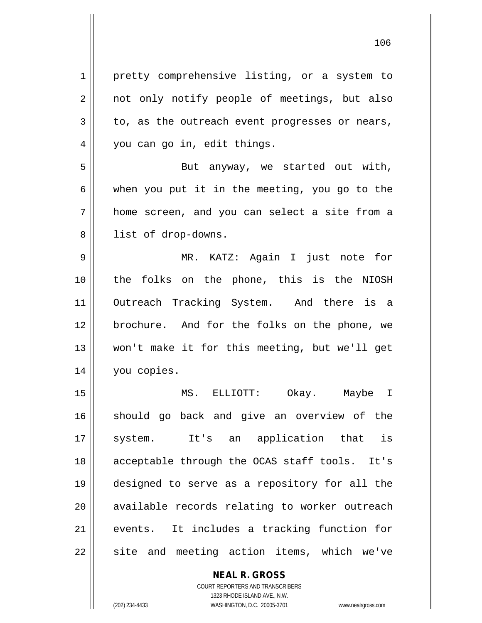1 | pretty comprehensive listing, or a system to 2 || not only notify people of meetings, but also  $3 \parallel$  to, as the outreach event progresses or nears, 4 || you can go in, edit things. 5 || But anyway, we started out with,  $6 \parallel$  when you put it in the meeting, you go to the 7 home screen, and you can select a site from a 8 || list of drop-downs. 9 MR. KATZ: Again I just note for 10 the folks on the phone, this is the NIOSH 11 Outreach Tracking System. And there is a 12 brochure. And for the folks on the phone, we 13 won't make it for this meeting, but we'll get 14 | you copies. 15 MS. ELLIOTT: Okay. Maybe I 16 || should go back and give an overview of the 17 || system. It's an application that is 18 acceptable through the OCAS staff tools. It's 19 designed to serve as a repository for all the 20 || available records relating to worker outreach 21 events. It includes a tracking function for  $22$  site and meeting action items, which we've

> **NEAL R. GROSS** COURT REPORTERS AND TRANSCRIBERS

> > 1323 RHODE ISLAND AVE., N.W.

(202) 234-4433 WASHINGTON, D.C. 20005-3701 www.nealrgross.com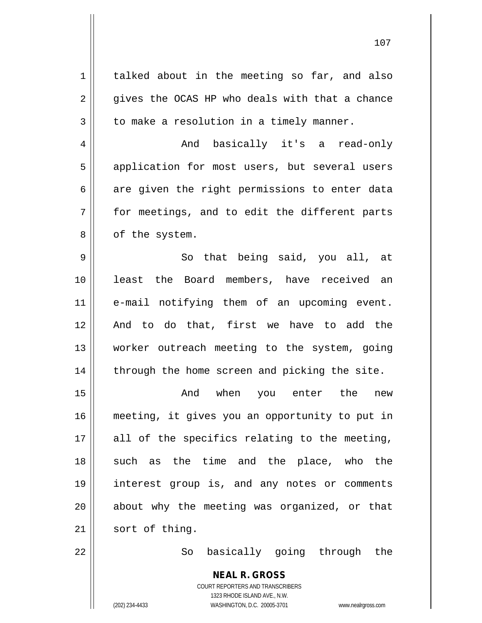**NEAL R. GROSS** COURT REPORTERS AND TRANSCRIBERS 1 | talked about in the meeting so far, and also  $2 \parallel$  gives the OCAS HP who deals with that a chance  $3 \parallel$  to make a resolution in a timely manner. 4 And basically it's a read-only 5 || application for most users, but several users  $6 \parallel$  are given the right permissions to enter data 7 for meetings, and to edit the different parts  $8 \parallel$  of the system.  $9 \parallel$  So that being said, you all, at 10 least the Board members, have received an 11 e-mail notifying them of an upcoming event. 12 And to do that, first we have to add the 13 || worker outreach meeting to the system, going  $14$  | through the home screen and picking the site. 15 And when you enter the new 16 meeting, it gives you an opportunity to put in  $17$  || all of the specifics relating to the meeting, 18 || such as the time and the place, who the 19 interest group is, and any notes or comments 20 || about why the meeting was organized, or that  $21$  sort of thing. 22 || So basically going through the

1323 RHODE ISLAND AVE., N.W.

(202) 234-4433 WASHINGTON, D.C. 20005-3701 www.nealrgross.com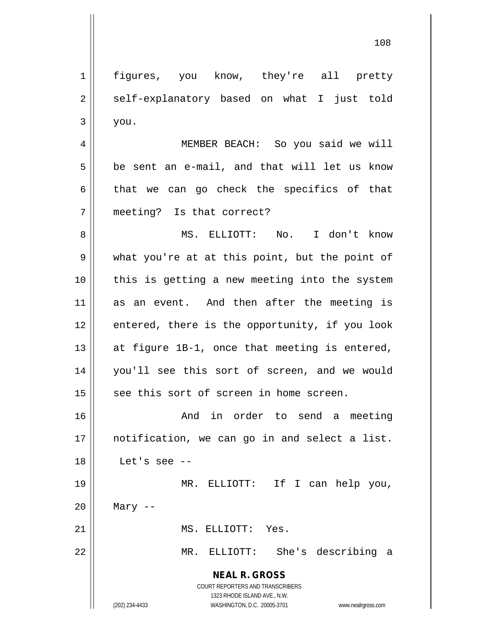**NEAL R. GROSS** COURT REPORTERS AND TRANSCRIBERS 1323 RHODE ISLAND AVE., N.W. (202) 234-4433 WASHINGTON, D.C. 20005-3701 www.nealrgross.com 1 || figures, you know, they're all pretty  $2 \parallel$  self-explanatory based on what I just told  $3 \parallel$  you. 4 MEMBER BEACH: So you said we will  $5 \parallel$  be sent an e-mail, and that will let us know  $6 \parallel$  that we can go check the specifics of that 7 meeting? Is that correct? 8 MS. ELLIOTT: No. I don't know 9 || what you're at at this point, but the point of 10 this is getting a new meeting into the system 11 as an event. And then after the meeting is  $12$  || entered, there is the opportunity, if you look 13  $\parallel$  at figure 1B-1, once that meeting is entered, 14 you'll see this sort of screen, and we would 15 || see this sort of screen in home screen. 16 And in order to send a meeting 17 || notification, we can go in and select a list. 18 Let's see -- 19 MR. ELLIOTT: If I can help you,  $20$  || Mary --21 || MS. ELLIOTT: Yes. 22 MR. ELLIOTT: She's describing a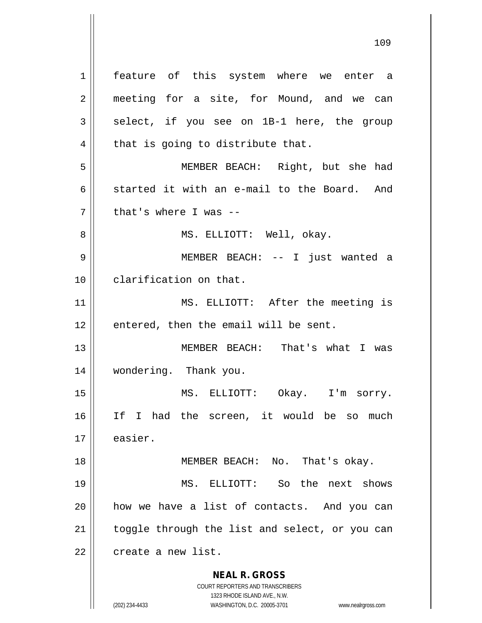**NEAL R. GROSS** COURT REPORTERS AND TRANSCRIBERS 1 || feature of this system where we enter a 2 || meeting for a site, for Mound, and we can  $3 \parallel$  select, if you see on 1B-1 here, the group  $4 \parallel$  that is going to distribute that. 5 MEMBER BEACH: Right, but she had 6 started it with an e-mail to the Board. And  $7$  | that's where I was --8 MS. ELLIOTT: Well, okay. 9 MEMBER BEACH: -- I just wanted a 10 clarification on that. 11 || MS. ELLIOTT: After the meeting is  $12$  | entered, then the email will be sent. 13 MEMBER BEACH: That's what I was 14 wondering. Thank you. 15 MS. ELLIOTT: Okay. I'm sorry. 16 If I had the screen, it would be so much 17 | easier. 18 || MEMBER BEACH: No. That's okay. 19 MS. ELLIOTT: So the next shows 20 how we have a list of contacts. And you can  $21$  | toggle through the list and select, or you can  $22$   $\parallel$  create a new list.

1323 RHODE ISLAND AVE., N.W. (202) 234-4433 WASHINGTON, D.C. 20005-3701 www.nealrgross.com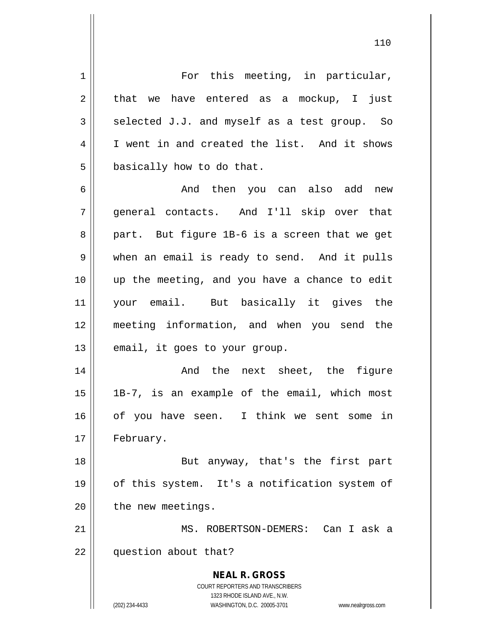**NEAL R. GROSS** COURT REPORTERS AND TRANSCRIBERS 1323 RHODE ISLAND AVE., N.W. (202) 234-4433 WASHINGTON, D.C. 20005-3701 www.nealrgross.com 1 For this meeting, in particular,  $2 \parallel$  that we have entered as a mockup, I just  $3 \parallel$  selected J.J. and myself as a test group. So 4 I I went in and created the list. And it shows  $5 \parallel$  basically how to do that. 6 And then you can also add new 7 general contacts. And I'll skip over that  $8 \parallel$  part. But figure 1B-6 is a screen that we get 9 when an email is ready to send. And it pulls 10 up the meeting, and you have a chance to edit 11 your email. But basically it gives the 12 meeting information, and when you send the  $13$  | email, it goes to your group. 14 || The next sheet, the figure 15  $\parallel$  1B-7, is an example of the email, which most 16 of you have seen. I think we sent some in 17 | February. 18 || But anyway, that's the first part 19 || of this system. It's a notification system of  $20$  | the new meetings. 21 MS. ROBERTSON-DEMERS: Can I ask a 22 question about that?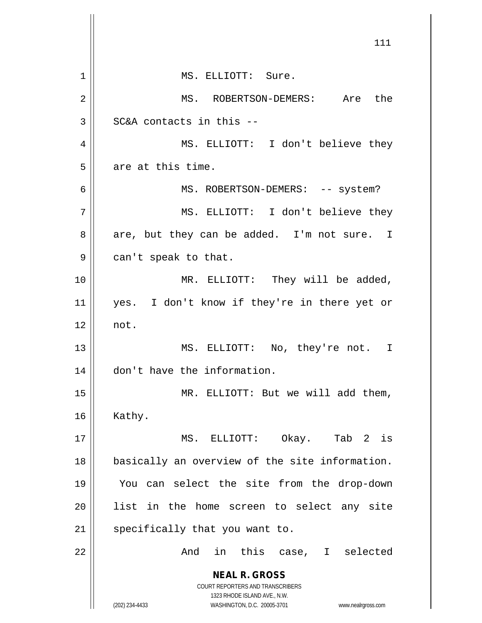|    | 111                                                                                                 |
|----|-----------------------------------------------------------------------------------------------------|
| 1  | MS. ELLIOTT: Sure.                                                                                  |
| 2  | MS. ROBERTSON-DEMERS: Are the                                                                       |
| 3  | SC&A contacts in this --                                                                            |
| 4  | MS. ELLIOTT: I don't believe they                                                                   |
| 5  | are at this time.                                                                                   |
| 6  | MS. ROBERTSON-DEMERS: -- system?                                                                    |
| 7  | MS. ELLIOTT: I don't believe they                                                                   |
| 8  | are, but they can be added. I'm not sure. I                                                         |
| 9  | can't speak to that.                                                                                |
| 10 | MR. ELLIOTT: They will be added,                                                                    |
| 11 | yes. I don't know if they're in there yet or                                                        |
| 12 | not.                                                                                                |
| 13 | MS. ELLIOTT: No, they're not. I                                                                     |
| 14 | don't have the information.                                                                         |
| 15 | MR. ELLIOTT: But we will add them,                                                                  |
| 16 | Kathy.                                                                                              |
| 17 | MS. ELLIOTT: Okay. Tab 2 is                                                                         |
| 18 | basically an overview of the site information.                                                      |
| 19 | You can select the site from the drop-down                                                          |
| 20 | list in the home screen to select any site                                                          |
| 21 | specifically that you want to.                                                                      |
| 22 | in this case, I selected<br>And                                                                     |
|    | <b>NEAL R. GROSS</b>                                                                                |
|    | COURT REPORTERS AND TRANSCRIBERS                                                                    |
|    | 1323 RHODE ISLAND AVE., N.W.<br>(202) 234-4433<br>WASHINGTON, D.C. 20005-3701<br>www.nealrgross.com |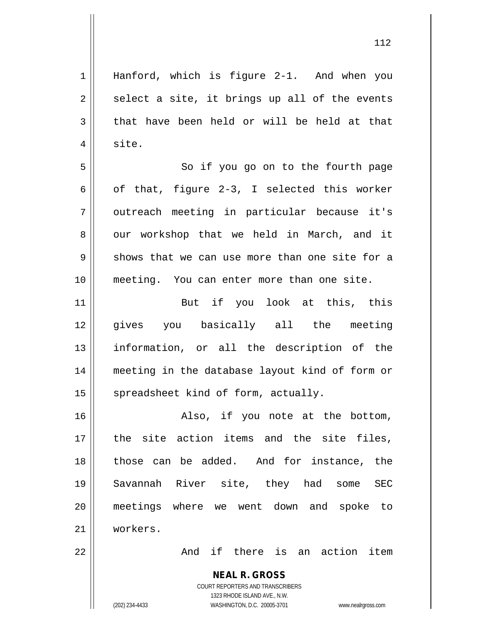1 || Hanford, which is figure 2-1. And when you  $2 \parallel$  select a site, it brings up all of the events  $3 \parallel$  that have been held or will be held at that  $4 \parallel$  site.

5 || So if you go on to the fourth page 6 |  $\sigma$  of that, figure 2-3, I selected this worker 7 || outreach meeting in particular because it's 8 || our workshop that we held in March, and it  $9 \parallel$  shows that we can use more than one site for a 10 meeting. You can enter more than one site.

11 || But if you look at this, this gives you basically all the meeting information, or all the description of the meeting in the database layout kind of form or spreadsheet kind of form, actually.

16 || Also, if you note at the bottom, 17 || the site action items and the site files, 18 || those can be added. And for instance, the 19 Savannah River site, they had some SEC 20 meetings where we went down and spoke to 21 workers.

22 And if there is an action item

COURT REPORTERS AND TRANSCRIBERS 1323 RHODE ISLAND AVE., N.W. (202) 234-4433 WASHINGTON, D.C. 20005-3701 www.nealrgross.com

**NEAL R. GROSS**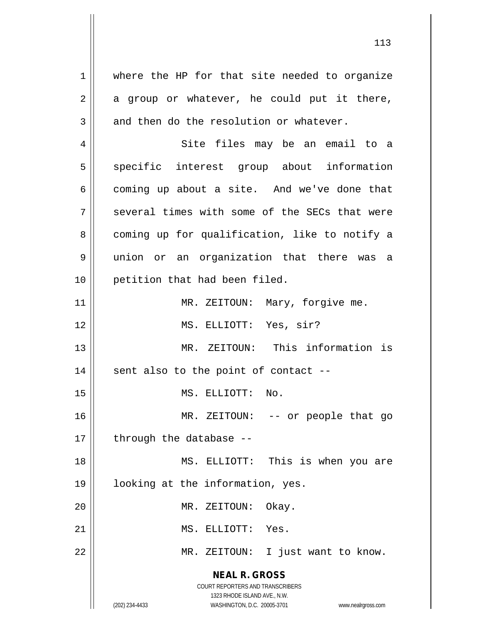**NEAL R. GROSS** COURT REPORTERS AND TRANSCRIBERS 1323 RHODE ISLAND AVE., N.W. 1 where the HP for that site needed to organize  $2 \parallel$  a group or whatever, he could put it there,  $3 \parallel$  and then do the resolution or whatever. 4 Site files may be an email to a 5 || specific interest group about information  $6 \parallel$  coming up about a site. And we've done that  $7 \parallel$  several times with some of the SECs that were 8 coming up for qualification, like to notify a 9 union or an organization that there was a 10 || petition that had been filed. 11 || MR. ZEITOUN: Mary, forgive me. 12 || MS. ELLIOTT: Yes, sir? 13 MR. ZEITOUN: This information is  $14$  || sent also to the point of contact --15 || MS. ELLIOTT: No. 16 || MR. ZEITOUN: -- or people that go  $17$  | through the database --18 MS. ELLIOTT: This is when you are 19 looking at the information, yes. 20 || MR. ZEITOUN: Okay. 21 || MS. ELLIOTT: Yes. 22 MR. ZEITOUN: I just want to know.

(202) 234-4433 WASHINGTON, D.C. 20005-3701 www.nealrgross.com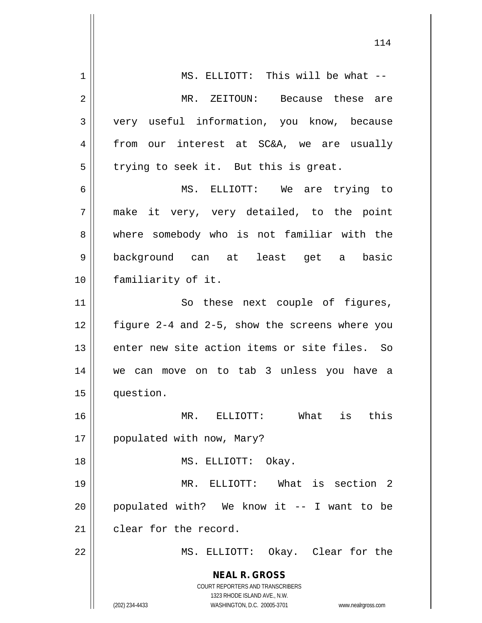| 1  | MS. ELLIOTT: This will be what --                                   |
|----|---------------------------------------------------------------------|
| 2  | MR. ZEITOUN: Because these are                                      |
| 3  | very useful information, you know, because                          |
| 4  | our interest at SC&A, we are usually<br>from                        |
| 5  | trying to seek it. But this is great.                               |
| 6  | MS. ELLIOTT: We are trying to                                       |
| 7  | make it very, very detailed, to the point                           |
| 8  | where somebody who is not familiar with the                         |
| 9  | background can at least get a basic                                 |
| 10 | familiarity of it.                                                  |
| 11 | So these next couple of figures,                                    |
| 12 | figure 2-4 and 2-5, show the screens where you                      |
| 13 | enter new site action items or site files. So                       |
| 14 | we can move on to tab 3 unless you have a                           |
| 15 | question.                                                           |
| 16 | What<br>is<br>this<br>MR. ELLIOTT:                                  |
| 17 | populated with now, Mary?                                           |
| 18 | MS. ELLIOTT:<br>Okay.                                               |
| 19 | MR. ELLIOTT: What is section 2                                      |
| 20 | populated with? We know it -- I want to be                          |
| 21 | clear for the record.                                               |
| 22 | MS. ELLIOTT: Okay. Clear for the                                    |
|    |                                                                     |
|    | <b>NEAL R. GROSS</b><br><b>COURT REPORTERS AND TRANSCRIBERS</b>     |
|    | 1323 RHODE ISLAND AVE., N.W.                                        |
|    | (202) 234-4433<br>WASHINGTON, D.C. 20005-3701<br>www.nealrgross.com |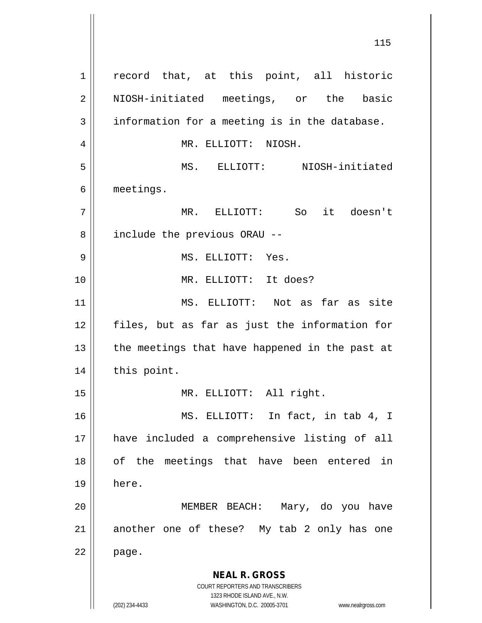**NEAL R. GROSS** COURT REPORTERS AND TRANSCRIBERS 1323 RHODE ISLAND AVE., N.W. (202) 234-4433 WASHINGTON, D.C. 20005-3701 www.nealrgross.com 1 || record that, at this point, all historic 2 || NIOSH-initiated meetings, or the basic  $3 \parallel$  information for a meeting is in the database. 4 MR. ELLIOTT: NIOSH. 5 MS. ELLIOTT: NIOSH-initiated 6 meetings. 7 MR. ELLIOTT: So it doesn't 8 | include the previous ORAU --9 MS. ELLIOTT: Yes. 10 MR. ELLIOTT: It does? 11 MS. ELLIOTT: Not as far as site 12 files, but as far as just the information for  $13$  || the meetings that have happened in the past at 14 | this point. 15 || MR. ELLIOTT: All right. 16 MS. ELLIOTT: In fact, in tab 4, I 17 have included a comprehensive listing of all 18 || of the meetings that have been entered in 19 here. 20 || MEMBER BEACH: Mary, do you have 21 || another one of these? My tab 2 only has one  $22 \parallel$  page.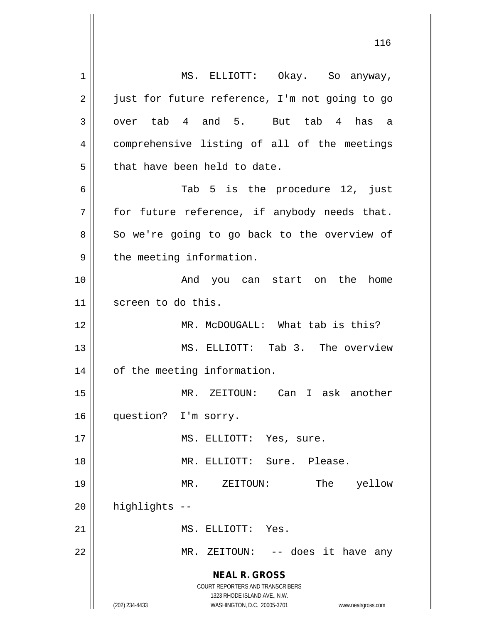**NEAL R. GROSS** COURT REPORTERS AND TRANSCRIBERS 1323 RHODE ISLAND AVE., N.W. (202) 234-4433 WASHINGTON, D.C. 20005-3701 www.nealrgross.com 1 || MS. ELLIOTT: Okay. So anyway, 2 | just for future reference, I'm not going to go  $3 \parallel$  over tab 4 and 5. But tab 4 has a 4 | comprehensive listing of all of the meetings  $5$  || that have been held to date. 6 Tab 5 is the procedure 12, just  $7$  | for future reference, if anybody needs that.  $8 \parallel$  So we're going to go back to the overview of  $9 \parallel$  the meeting information. 10 And you can start on the home 11 || screen to do this. 12 MR. McDOUGALL: What tab is this? 13 MS. ELLIOTT: Tab 3. The overview 14 | of the meeting information. 15 MR. ZEITOUN: Can I ask another 16 || question? I'm sorry. 17 || MS. ELLIOTT: Yes, sure. 18 MR. ELLIOTT: Sure. Please. 19 MR. ZEITOUN: The yellow  $20$  | highlights  $-$ 21 || MS. ELLIOTT: Yes. 22 || MR. ZEITOUN: -- does it have any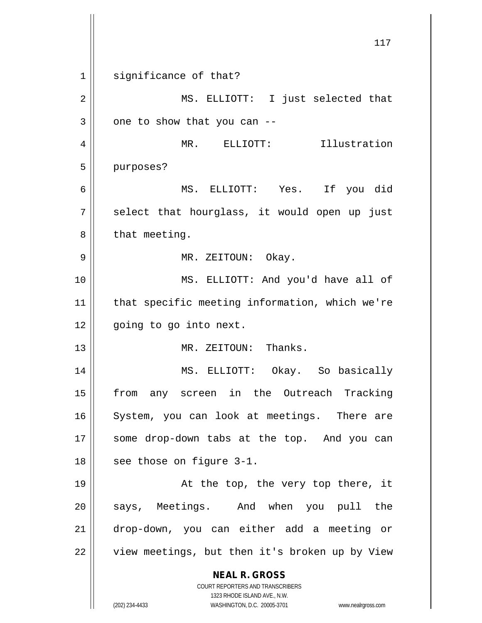**NEAL R. GROSS** COURT REPORTERS AND TRANSCRIBERS 1323 RHODE ISLAND AVE., N.W. (202) 234-4433 WASHINGTON, D.C. 20005-3701 www.nealrgross.com 117 1 || significance of that? 2 || MS. ELLIOTT: I just selected that  $3 \parallel$  one to show that you can --4 MR. ELLIOTT: Illustration 5 | purposes? 6 MS. ELLIOTT: Yes. If you did  $7 \parallel$  select that hourglass, it would open up just  $8 \parallel$  that meeting. 9 MR. ZEITOUN: Okay. 10 MS. ELLIOTT: And you'd have all of 11 that specific meeting information, which we're 12 || going to go into next. 13 MR. ZEITOUN: Thanks. 14 MS. ELLIOTT: Okay. So basically 15 || from any screen in the Outreach Tracking 16 || System, you can look at meetings. There are 17 || some drop-down tabs at the top. And you can  $18$  | see those on figure 3-1. 19 At the top, the very top there, it 20 || says, Meetings. And when you pull the 21 drop-down, you can either add a meeting or 22 | view meetings, but then it's broken up by View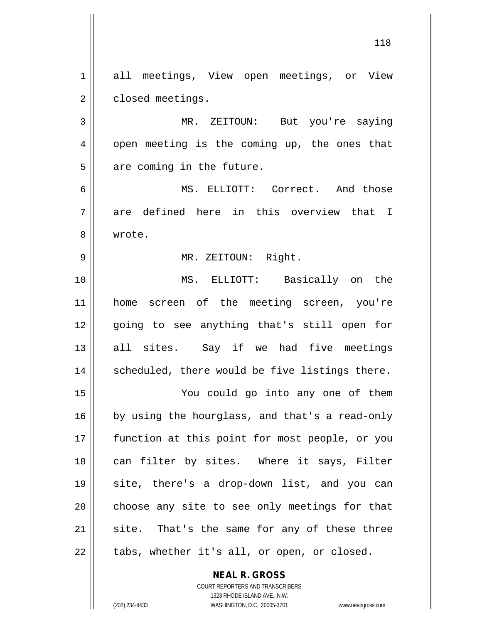**NEAL R. GROSS** COURT REPORTERS AND TRANSCRIBERS 1 all meetings, View open meetings, or View 2 | closed meetings. 3 MR. ZEITOUN: But you're saying 4 || open meeting is the coming up, the ones that  $5$  || are coming in the future. 6 MS. ELLIOTT: Correct. And those  $7 \parallel$  are defined here in this overview that I 8 wrote. 9 MR. ZEITOUN: Right. 10 MS. ELLIOTT: Basically on the 11 home screen of the meeting screen, you're 12 || going to see anything that's still open for 13 all sites. Say if we had five meetings 14 || scheduled, there would be five listings there. 15 You could go into any one of them  $16$  by using the hourglass, and that's a read-only 17 || function at this point for most people, or you 18 || can filter by sites. Where it says, Filter 19 site, there's a drop-down list, and you can  $20$  | choose any site to see only meetings for that  $21$  site. That's the same for any of these three  $22$  | tabs, whether it's all, or open, or closed.

1323 RHODE ISLAND AVE., N.W.

(202) 234-4433 WASHINGTON, D.C. 20005-3701 www.nealrgross.com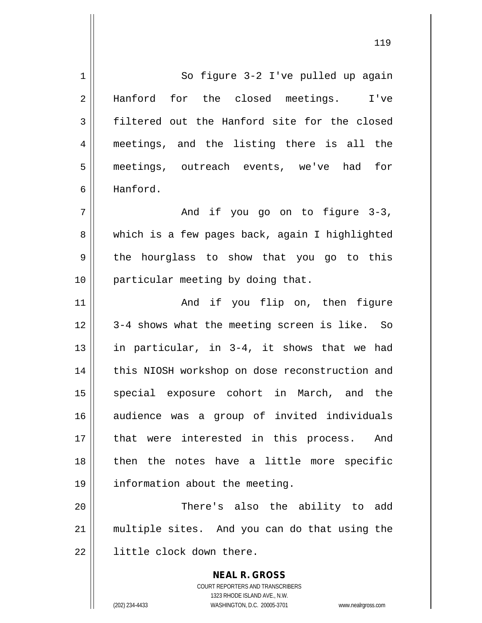1 | So figure 3-2 I've pulled up again 2 Hanford for the closed meetings. I've 3 filtered out the Hanford site for the closed 4 meetings, and the listing there is all the 5 meetings, outreach events, we've had for 6 Hanford.  $7 \parallel$  and if you go on to figure 3-3, 8 which is a few pages back, again I highlighted  $9 \parallel$  the hourglass to show that you go to this 10 || particular meeting by doing that. 11 || The Rand if you flip on, then figure 12 || 3-4 shows what the meeting screen is like. So 13 || in particular, in  $3-4$ , it shows that we had 14 || this NIOSH workshop on dose reconstruction and 15 || special exposure cohort in March, and the 16 audience was a group of invited individuals

17 || that were interested in this process. And  $18$  || then the notes have a little more specific 19 information about the meeting.

20 || There's also the ability to add 21 multiple sites. And you can do that using the 22 || little clock down there.

> **NEAL R. GROSS** COURT REPORTERS AND TRANSCRIBERS 1323 RHODE ISLAND AVE., N.W. (202) 234-4433 WASHINGTON, D.C. 20005-3701 www.nealrgross.com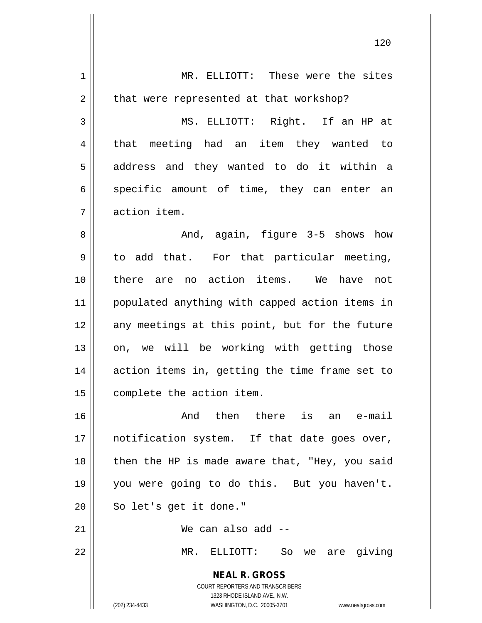| $\mathbf 1$ | MR. ELLIOTT: These were the sites                                   |
|-------------|---------------------------------------------------------------------|
| 2           | that were represented at that workshop?                             |
| 3           | MS. ELLIOTT: Right. If an HP at                                     |
| 4           | that meeting had an item they wanted to                             |
| 5           | address and they wanted to do it within a                           |
| 6           | specific amount of time, they can enter an                          |
| 7           | action item.                                                        |
| 8           | And, again, figure 3-5 shows how                                    |
| 9           | to add that. For that particular meeting,                           |
| 10          | there are no action items. We have not                              |
| 11          | populated anything with capped action items in                      |
| 12          | any meetings at this point, but for the future                      |
| 13          | on, we will be working with getting those                           |
| 14          | action items in, getting the time frame set to                      |
| 15          | complete the action item.                                           |
| 16          | And then there is an e-mail                                         |
| 17          | notification system. If that date goes over,                        |
| 18          | then the HP is made aware that, "Hey, you said                      |
| 19          | you were going to do this. But you haven't.                         |
| 20          | So let's get it done."                                              |
| 21          | We can also add --                                                  |
| 22          | MR. ELLIOTT: So<br>we are giving                                    |
|             | <b>NEAL R. GROSS</b><br>COURT REPORTERS AND TRANSCRIBERS            |
|             | 1323 RHODE ISLAND AVE., N.W.                                        |
|             | (202) 234-4433<br>WASHINGTON, D.C. 20005-3701<br>www.nealrgross.com |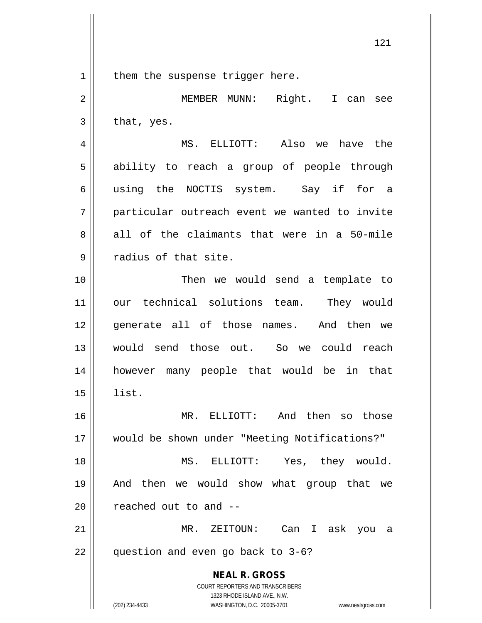$1 \parallel$  them the suspense trigger here.

**NEAL R. GROSS** COURT REPORTERS AND TRANSCRIBERS 1323 RHODE ISLAND AVE., N.W. (202) 234-4433 WASHINGTON, D.C. 20005-3701 www.nealrgross.com 2 MEMBER MUNN: Right. I can see  $3 \parallel$  that, yes. 4 MS. ELLIOTT: Also we have the 5 || ability to reach a group of people through 6 using the NOCTIS system. Say if for a 7 particular outreach event we wanted to invite  $8 \parallel$  all of the claimants that were in a 50-mile 9 || radius of that site. 10 || Then we would send a template to 11 our technical solutions team. They would 12 eenerate all of those names. And then we 13 would send those out. So we could reach 14 however many people that would be in that  $15 \parallel$  list. 16 MR. ELLIOTT: And then so those 17 would be shown under "Meeting Notifications?" 18 MS. ELLIOTT: Yes, they would. 19 And then we would show what group that we  $20$  | reached out to and  $-$ 21 MR. ZEITOUN: Can I ask you a 22 || question and even go back to 3-6?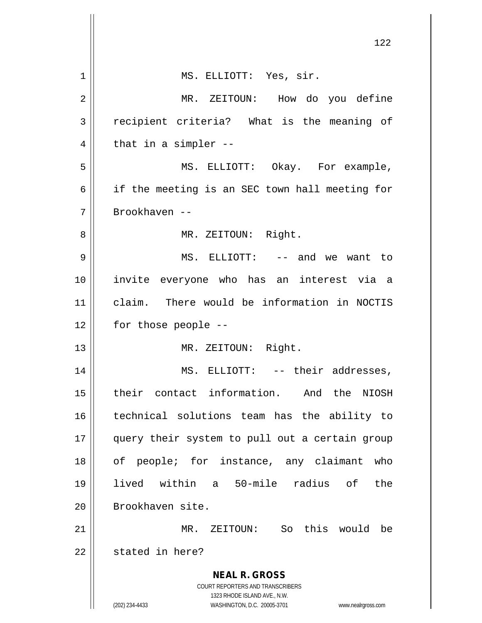|                | 122                                                                                                 |
|----------------|-----------------------------------------------------------------------------------------------------|
| 1              | MS. ELLIOTT: Yes, sir.                                                                              |
| $\overline{2}$ | MR. ZEITOUN: How do you define                                                                      |
| 3              | recipient criteria? What is the meaning of                                                          |
| 4              | that in a simpler --                                                                                |
| 5              | MS. ELLIOTT: Okay. For example,                                                                     |
| 6              | if the meeting is an SEC town hall meeting for                                                      |
| 7              | Brookhaven --                                                                                       |
| 8              | MR. ZEITOUN: Right.                                                                                 |
| 9              | MS. ELLIOTT: -- and we want to                                                                      |
| 10             | invite everyone who has an interest via a                                                           |
| 11             | claim. There would be information in NOCTIS                                                         |
| 12             | for those people --                                                                                 |
| 13             | MR. ZEITOUN: Right.                                                                                 |
| 14             | MS. ELLIOTT: -- their addresses,                                                                    |
| 15             | their contact information. And the NIOSH                                                            |
| 16             | technical solutions team has the ability to                                                         |
| 17             | query their system to pull out a certain group                                                      |
| 18             | of people; for instance, any claimant who                                                           |
| 19             | lived within a 50-mile radius of the                                                                |
| 20             | Brookhaven site.                                                                                    |
| 21             | MR. ZEITOUN: So this would be                                                                       |
| 22             | stated in here?                                                                                     |
|                | <b>NEAL R. GROSS</b><br><b>COURT REPORTERS AND TRANSCRIBERS</b>                                     |
|                | 1323 RHODE ISLAND AVE., N.W.<br>(202) 234-4433<br>WASHINGTON, D.C. 20005-3701<br>www.nealrgross.com |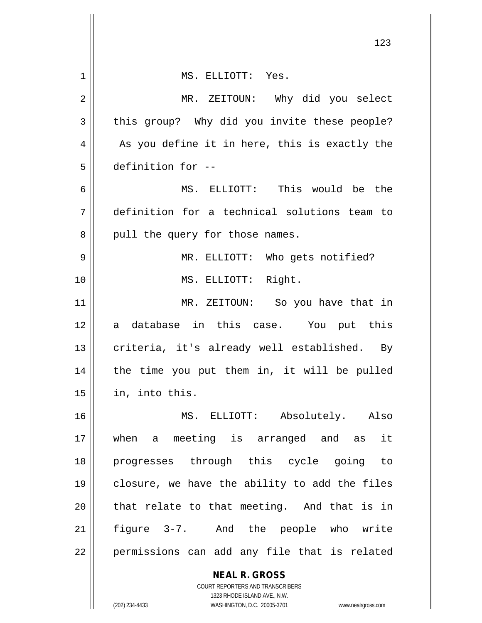|    | 123                                                                                                 |
|----|-----------------------------------------------------------------------------------------------------|
| 1  | MS. ELLIOTT: Yes.                                                                                   |
| 2  | MR. ZEITOUN: Why did you select                                                                     |
| 3  | this group? Why did you invite these people?                                                        |
| 4  | As you define it in here, this is exactly the                                                       |
| 5  | definition for --                                                                                   |
| 6  | MS. ELLIOTT: This would be the                                                                      |
| 7  | definition for a technical solutions team to                                                        |
| 8  | pull the query for those names.                                                                     |
| 9  | MR. ELLIOTT: Who gets notified?                                                                     |
| 10 | MS. ELLIOTT: Right.                                                                                 |
| 11 | MR. ZEITOUN: So you have that in                                                                    |
| 12 | a database in this case. You put this                                                               |
| 13 | criteria, it's already well established. By                                                         |
| 14 | the time you put them in, it will be pulled                                                         |
| 15 | in, into this.                                                                                      |
| 16 | MS. ELLIOTT: Absolutely. Also                                                                       |
| 17 | a meeting is arranged and as it<br>when                                                             |
| 18 | progresses through this cycle going to                                                              |
| 19 | closure, we have the ability to add the files                                                       |
| 20 | that relate to that meeting. And that is in                                                         |
| 21 | figure 3-7. And the people who write                                                                |
| 22 | permissions can add any file that is related                                                        |
|    | <b>NEAL R. GROSS</b>                                                                                |
|    | COURT REPORTERS AND TRANSCRIBERS                                                                    |
|    | 1323 RHODE ISLAND AVE., N.W.<br>(202) 234-4433<br>WASHINGTON, D.C. 20005-3701<br>www.nealrgross.com |

 $\mathsf{l}$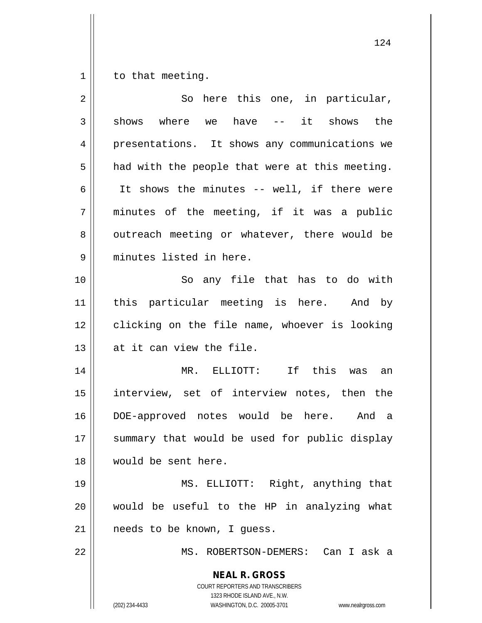$1 \parallel$  to that meeting.

| $\overline{2}$ | So here this one, in particular,                                                                                                                                |
|----------------|-----------------------------------------------------------------------------------------------------------------------------------------------------------------|
| $\mathfrak{Z}$ | shows where we have -- it shows the                                                                                                                             |
| 4              | presentations. It shows any communications we                                                                                                                   |
| 5              | had with the people that were at this meeting.                                                                                                                  |
| 6              | It shows the minutes -- well, if there were                                                                                                                     |
| 7              | minutes of the meeting, if it was a public                                                                                                                      |
| 8              | outreach meeting or whatever, there would be                                                                                                                    |
| 9              | minutes listed in here.                                                                                                                                         |
| 10             | So any file that has to do with                                                                                                                                 |
| 11             | this particular meeting is here. And by                                                                                                                         |
| 12             | clicking on the file name, whoever is looking                                                                                                                   |
| 13             | at it can view the file.                                                                                                                                        |
| 14             | MR. ELLIOTT: If this was<br>an                                                                                                                                  |
| 15             | interview, set of interview notes, then the                                                                                                                     |
| 16             | DOE-approved notes would be here. And a                                                                                                                         |
| 17             | summary that would be used for public display                                                                                                                   |
| 18             | would be sent here.                                                                                                                                             |
| 19             | MS. ELLIOTT: Right, anything that                                                                                                                               |
| 20             | would be useful to the HP in analyzing what                                                                                                                     |
| 21             | needs to be known, I guess.                                                                                                                                     |
| 22             | MS. ROBERTSON-DEMERS: Can I ask a                                                                                                                               |
|                | <b>NEAL R. GROSS</b><br>COURT REPORTERS AND TRANSCRIBERS<br>1323 RHODE ISLAND AVE., N.W.<br>(202) 234-4433<br>WASHINGTON, D.C. 20005-3701<br>www.nealrgross.com |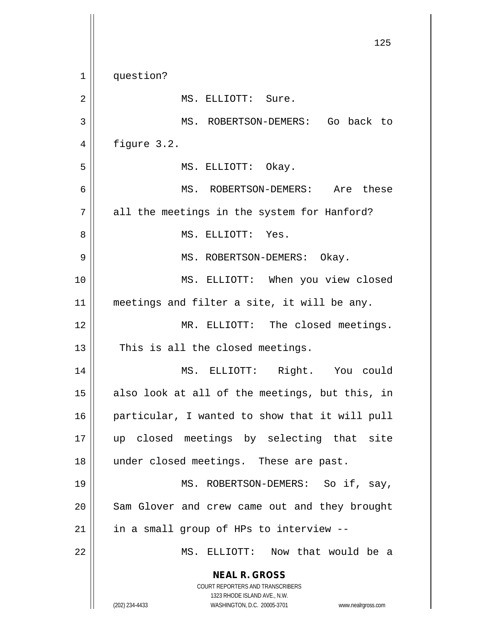**NEAL R. GROSS** COURT REPORTERS AND TRANSCRIBERS 1323 RHODE ISLAND AVE., N.W. (202) 234-4433 WASHINGTON, D.C. 20005-3701 www.nealrgross.com 125 1 | question? 2 | MS. ELLIOTT: Sure. 3 || MS. ROBERTSON-DEMERS: Go back to  $4 \parallel$  figure 3.2. 5 || MS. ELLIOTT: Okay. 6 MS. ROBERTSON-DEMERS: Are these 7 || all the meetings in the system for Hanford? 8 MS. ELLIOTT: Yes. 9 MS. ROBERTSON-DEMERS: Okay. 10 MS. ELLIOTT: When you view closed 11 || meetings and filter a site, it will be any. 12 || MR. ELLIOTT: The closed meetings.  $13$  || This is all the closed meetings. 14 MS. ELLIOTT: Right. You could  $15$  also look at all of the meetings, but this, in 16 || particular, I wanted to show that it will pull 17 up closed meetings by selecting that site 18 || under closed meetings. These are past. 19 || MS. ROBERTSON-DEMERS: So if, say, 20 || Sam Glover and crew came out and they brought  $21$  | in a small group of HPs to interview --22 MS. ELLIOTT: Now that would be a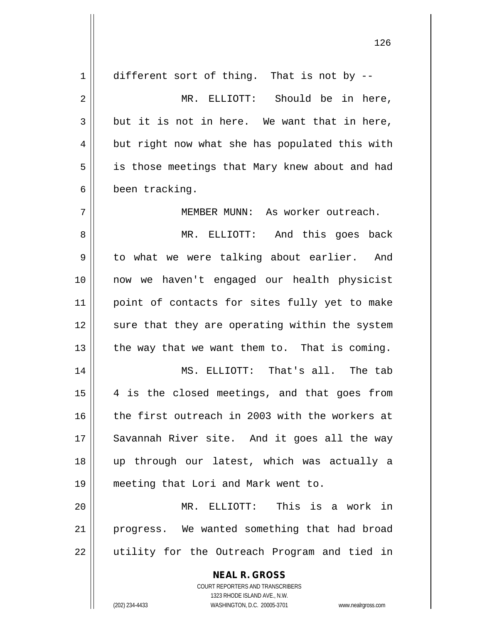| 1  | different sort of thing. That is not by --               |
|----|----------------------------------------------------------|
| 2  | MR. ELLIOTT: Should be in here,                          |
| 3  | but it is not in here. We want that in here,             |
| 4  | but right now what she has populated this with           |
| 5  | is those meetings that Mary knew about and had           |
| 6  | been tracking.                                           |
| 7  | MEMBER MUNN: As worker outreach.                         |
| 8  | MR. ELLIOTT:<br>And this goes back                       |
| 9  | to what we were talking about earlier. And               |
| 10 | now we haven't engaged our health physicist              |
| 11 | point of contacts for sites fully yet to make            |
| 12 | sure that they are operating within the system           |
| 13 | the way that we want them to. That is coming.            |
| 14 | MS. ELLIOTT: That's all. The tab                         |
| 15 | 4 is the closed meetings, and that goes from             |
| 16 | the first outreach in 2003 with the workers at           |
| 17 | Savannah River site. And it goes all the way             |
| 18 | up through our latest, which was actually a              |
| 19 | meeting that Lori and Mark went to.                      |
| 20 | MR. ELLIOTT: This is a work in                           |
| 21 | progress. We wanted something that had broad             |
| 22 | utility for the Outreach Program and tied in             |
|    | <b>NEAL R. GROSS</b><br>COURT REPORTERS AND TRANSCRIBERS |

1323 RHODE ISLAND AVE., N.W.

 $\mathsf{II}$ 

(202) 234-4433 WASHINGTON, D.C. 20005-3701 www.nealrgross.com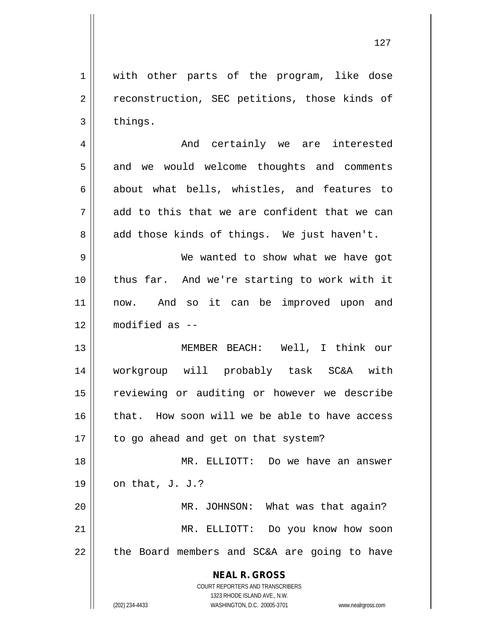1 || with other parts of the program, like dose 2 | reconstruction, SEC petitions, those kinds of

4 And certainly we are interested 5 || and we would welcome thoughts and comments  $6 \parallel$  about what bells, whistles, and features to  $7 \parallel$  add to this that we are confident that we can  $8 \parallel$  add those kinds of things. We just haven't.

 $3$  things.

 We wanted to show what we have got thus far. And we're starting to work with it 11 || now. And so it can be improved upon and modified as --

13 MEMBER BEACH: Well, I think our 14 workgroup will probably task SC&A with 15 || reviewing or auditing or however we describe 16 || that. How soon will we be able to have access 17 || to go ahead and get on that system?

18 MR. ELLIOTT: Do we have an answer 19  $\vert$  on that, J. J.? 20 MR. JOHNSON: What was that again?

21 MR. ELLIOTT: Do you know how soon  $22$  | the Board members and SC&A are going to have

**NEAL R. GROSS**

COURT REPORTERS AND TRANSCRIBERS 1323 RHODE ISLAND AVE., N.W. (202) 234-4433 WASHINGTON, D.C. 20005-3701 www.nealrgross.com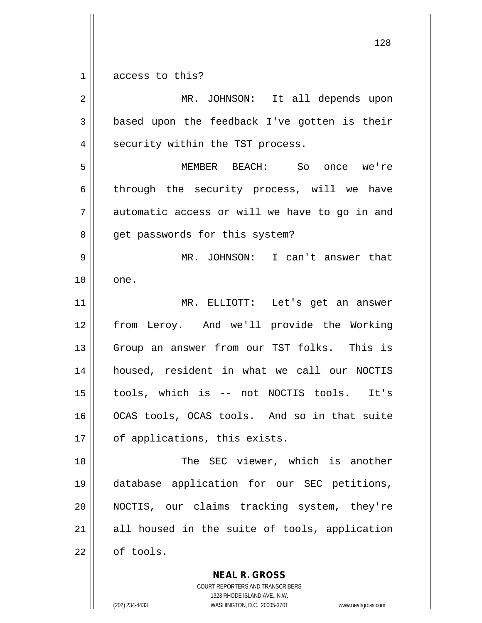$1 \parallel$  access to this?

| 2  | MR. JOHNSON: It all depends upon              |
|----|-----------------------------------------------|
| 3  | based upon the feedback I've gotten is their  |
| 4  | security within the TST process.              |
| 5  | MEMBER BEACH: So once we're                   |
| 6  | through the security process, will we have    |
| 7  | automatic access or will we have to go in and |
| 8  | get passwords for this system?                |
| 9  | MR. JOHNSON: I can't answer that              |
| 10 | one.                                          |
| 11 | MR. ELLIOTT: Let's get an answer              |
| 12 | from Leroy. And we'll provide the Working     |
| 13 | Group an answer from our TST folks. This is   |
| 14 | housed, resident in what we call our NOCTIS   |
| 15 | tools, which is -- not NOCTIS tools. It's     |
| 16 | OCAS tools, OCAS tools. And so in that suite  |
| 17 | of applications, this exists.                 |
| 18 | The SEC viewer, which is another              |
| 19 | database application for our SEC petitions,   |
| 20 | NOCTIS, our claims tracking system, they're   |
| 21 | all housed in the suite of tools, application |
| 22 | of tools.                                     |

**NEAL R. GROSS** COURT REPORTERS AND TRANSCRIBERS

1323 RHODE ISLAND AVE., N.W.

(202) 234-4433 WASHINGTON, D.C. 20005-3701 www.nealrgross.com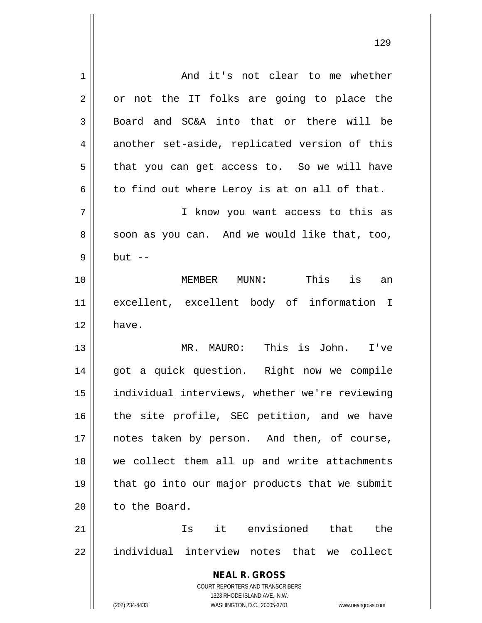| 1  | And it's not clear to me whether                                    |
|----|---------------------------------------------------------------------|
| 2  | or not the IT folks are going to place the                          |
| 3  | Board and SC&A into that or there will be                           |
| 4  | another set-aside, replicated version of this                       |
| 5  | that you can get access to. So we will have                         |
| 6  | to find out where Leroy is at on all of that.                       |
| 7  | I know you want access to this as                                   |
| 8  | soon as you can. And we would like that, too,                       |
| 9  | $but --$                                                            |
| 10 | MEMBER MUNN:<br>This is an                                          |
| 11 | excellent, excellent body of information I                          |
| 12 | have.                                                               |
| 13 | MR. MAURO: This is John. I've                                       |
| 14 | got a quick question. Right now we compile                          |
| 15 | individual interviews, whether we're reviewing                      |
| 16 | the site profile, SEC petition, and we have                         |
| 17 | notes taken by person. And then, of course,                         |
| 18 | we collect them all up and write attachments                        |
| 19 | that go into our major products that we submit                      |
| 20 | to the Board.                                                       |
| 21 | Is it envisioned that the                                           |
| 22 | individual interview notes that we collect                          |
|    | <b>NEAL R. GROSS</b>                                                |
|    | COURT REPORTERS AND TRANSCRIBERS                                    |
|    | 1323 RHODE ISLAND AVE., N.W.                                        |
|    | (202) 234-4433<br>WASHINGTON, D.C. 20005-3701<br>www.nealrgross.com |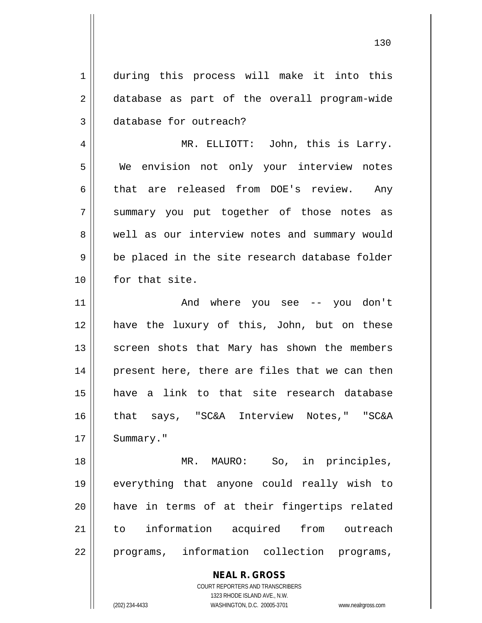1 during this process will make it into this 2 database as part of the overall program-wide 3 database for outreach?

4 MR. ELLIOTT: John, this is Larry. 5 We envision not only your interview notes  $6$  that are released from DOE's review. Any 7 Summary you put together of those notes as 8 well as our interview notes and summary would  $9 \parallel$  be placed in the site research database folder 10 | for that site.

11 And where you see -- you don't 12 have the luxury of this, John, but on these 13 || screen shots that Mary has shown the members 14 || present here, there are files that we can then 15 have a link to that site research database 16 that says, "SC&A Interview Notes," "SC&A 17 | Summary."

18 || MR. MAURO: So, in principles, 19 everything that anyone could really wish to 20 have in terms of at their fingertips related 21 to information acquired from outreach 22 || programs, information collection programs,

> **NEAL R. GROSS** COURT REPORTERS AND TRANSCRIBERS 1323 RHODE ISLAND AVE., N.W.

(202) 234-4433 WASHINGTON, D.C. 20005-3701 www.nealrgross.com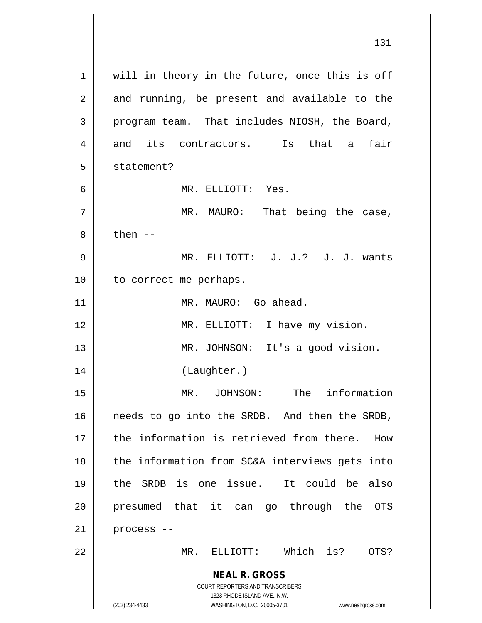**NEAL R. GROSS** COURT REPORTERS AND TRANSCRIBERS 1323 RHODE ISLAND AVE., N.W. (202) 234-4433 WASHINGTON, D.C. 20005-3701 www.nealrgross.com 1 || will in theory in the future, once this is off  $2 \parallel$  and running, be present and available to the  $3 \parallel$  program team. That includes NIOSH, the Board, 4 and its contractors. Is that a fair 5 || statement? 6 MR. ELLIOTT: Yes. 7 MR. MAURO: That being the case,  $8 \parallel$  then  $-$ 9 MR. ELLIOTT: J. J.? J. J. wants 10 || to correct me perhaps. 11 || MR. MAURO: Go ahead. 12 || MR. ELLIOTT: I have my vision. 13 || MR. JOHNSON: It's a good vision. 14 (Laughter.) 15 MR. JOHNSON: The information 16 || needs to go into the SRDB. And then the SRDB, 17 the information is retrieved from there. How  $18$  || the information from SC&A interviews gets into 19 the SRDB is one issue. It could be also 20 || presumed that it can go through the OTS  $21$  | process --22 MR. ELLIOTT: Which is? OTS?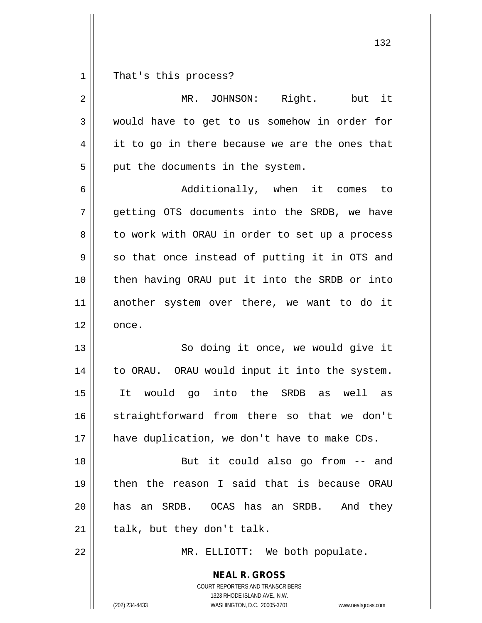That's this process?

| $\overline{2}$ | but it<br>Right.<br>MR.<br>JOHNSON:                                                                                                                             |
|----------------|-----------------------------------------------------------------------------------------------------------------------------------------------------------------|
| $\mathbf{3}$   | would have to get to us somehow in order for                                                                                                                    |
| 4              | it to go in there because we are the ones that                                                                                                                  |
| 5              | put the documents in the system.                                                                                                                                |
| 6              | Additionally, when it comes<br>to to                                                                                                                            |
| 7              | getting OTS documents into the SRDB, we have                                                                                                                    |
| 8              | to work with ORAU in order to set up a process                                                                                                                  |
| 9              | so that once instead of putting it in OTS and                                                                                                                   |
| 10             | then having ORAU put it into the SRDB or into                                                                                                                   |
| 11             | another system over there, we want to do it                                                                                                                     |
| 12             | once.                                                                                                                                                           |
| 13             | So doing it once, we would give it                                                                                                                              |
| 14             | to ORAU. ORAU would input it into the system.                                                                                                                   |
| 15             | It would go into the SRDB as<br>well<br>as                                                                                                                      |
| 16             | straightforward from there so that we don't                                                                                                                     |
| 17             | have duplication, we don't have to make CDs.                                                                                                                    |
| 18             | But it could also go from -- and                                                                                                                                |
| 19             | then the reason I said that is because ORAU                                                                                                                     |
| 20             | has an SRDB. OCAS has an SRDB.<br>And they                                                                                                                      |
| 21             | talk, but they don't talk.                                                                                                                                      |
| 22             | MR. ELLIOTT: We both populate.                                                                                                                                  |
|                | <b>NEAL R. GROSS</b><br>COURT REPORTERS AND TRANSCRIBERS<br>1323 RHODE ISLAND AVE., N.W.<br>(202) 234-4433<br>WASHINGTON, D.C. 20005-3701<br>www.nealrgross.com |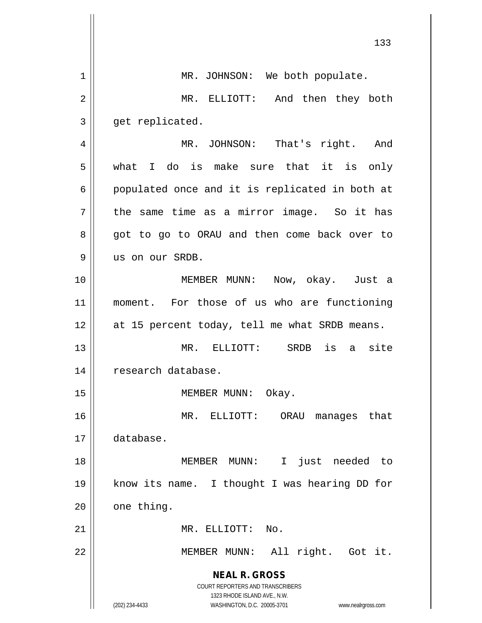|    | 133                                                                                                 |
|----|-----------------------------------------------------------------------------------------------------|
| 1  | MR. JOHNSON: We both populate.                                                                      |
| 2  | MR. ELLIOTT: And then they both                                                                     |
| 3  | get replicated.                                                                                     |
| 4  | MR. JOHNSON: That's right. And                                                                      |
| 5  | what I do is make sure that it is only                                                              |
| 6  | populated once and it is replicated in both at                                                      |
| 7  | the same time as a mirror image. So it has                                                          |
| 8  | got to go to ORAU and then come back over to                                                        |
| 9  | us on our SRDB.                                                                                     |
| 10 | MEMBER MUNN: Now, okay. Just a                                                                      |
| 11 | moment. For those of us who are functioning                                                         |
| 12 | at 15 percent today, tell me what SRDB means.                                                       |
| 13 | is<br>a site<br>MR.<br>ELLIOTT:<br>SRDB                                                             |
| 14 | research database.                                                                                  |
| 15 | MEMBER MUNN: Okay.                                                                                  |
| 16 | MR. ELLIOTT:<br>ORAU<br>that<br>manages                                                             |
| 17 | database.                                                                                           |
| 18 | just needed to<br>MEMBER MUNN:<br>$\mathbf I$                                                       |
| 19 | know its name. I thought I was hearing DD for                                                       |
| 20 | one thing.                                                                                          |
| 21 | MR. ELLIOTT:<br>No.                                                                                 |
| 22 | MEMBER MUNN: All right. Got it.                                                                     |
|    | <b>NEAL R. GROSS</b>                                                                                |
|    | COURT REPORTERS AND TRANSCRIBERS                                                                    |
|    | 1323 RHODE ISLAND AVE., N.W.<br>(202) 234-4433<br>WASHINGTON, D.C. 20005-3701<br>www.nealrgross.com |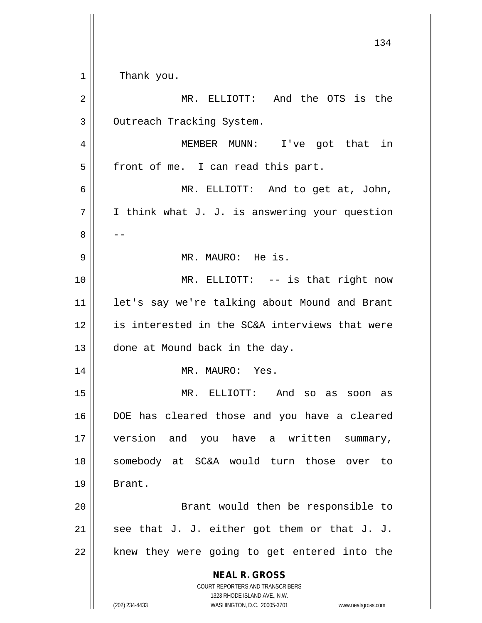| 1  | Thank you.                                                                                          |
|----|-----------------------------------------------------------------------------------------------------|
| 2  | MR. ELLIOTT: And the OTS is the                                                                     |
| 3  | Outreach Tracking System.                                                                           |
| 4  | MEMBER MUNN: I've got that in                                                                       |
| 5  | front of me. I can read this part.                                                                  |
| 6  | MR. ELLIOTT: And to get at, John,                                                                   |
| 7  | I think what J. J. is answering your question                                                       |
| 8  |                                                                                                     |
| 9  | MR. MAURO: He is.                                                                                   |
| 10 | MR. ELLIOTT: -- is that right now                                                                   |
| 11 | let's say we're talking about Mound and Brant                                                       |
| 12 | is interested in the SC&A interviews that were                                                      |
| 13 | done at Mound back in the day.                                                                      |
| 14 | MR. MAURO: Yes.                                                                                     |
| 15 | MR. ELLIOTT: And so<br>as<br>soon as                                                                |
| 16 | DOE has cleared those and you have a cleared                                                        |
| 17 | version and you have a written<br>summary,                                                          |
| 18 | somebody at SC&A would turn those over to                                                           |
| 19 | Brant.                                                                                              |
| 20 | Brant would then be responsible to                                                                  |
| 21 | see that J. J. either got them or that J. J.                                                        |
| 22 | knew they were going to get entered into the                                                        |
|    | <b>NEAL R. GROSS</b>                                                                                |
|    | <b>COURT REPORTERS AND TRANSCRIBERS</b>                                                             |
|    | 1323 RHODE ISLAND AVE., N.W.<br>(202) 234-4433<br>WASHINGTON, D.C. 20005-3701<br>www.nealrgross.com |

 $\mathop{\text{||}}$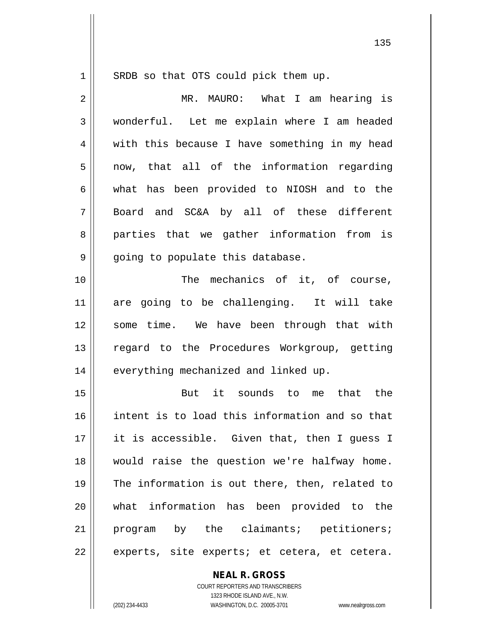$1 \parallel$  SRDB so that OTS could pick them up.

| 2  | MR. MAURO: What I am hearing is                |
|----|------------------------------------------------|
| 3  | wonderful. Let me explain where I am headed    |
| 4  | with this because I have something in my head  |
| 5  | now, that all of the information regarding     |
| 6  | what has been provided to NIOSH and to the     |
| 7  | Board and SC&A by all of these different       |
| 8  | parties that we gather information from is     |
| 9  | going to populate this database.               |
| 10 | The mechanics of it, of course,                |
| 11 | are going to be challenging. It will take      |
| 12 | some time. We have been through that with      |
| 13 | regard to the Procedures Workgroup, getting    |
| 14 | everything mechanized and linked up.           |
| 15 | But it sounds to me that the                   |
| 16 | intent is to load this information and so that |
| 17 | it is accessible. Given that, then I guess I   |
| 18 | would raise the question we're halfway home.   |
| 19 |                                                |
|    | The information is out there, then, related to |
| 20 | what information has been provided to the      |
| 21 | program by the claimants; petitioners;         |
| 22 | experts, site experts; et cetera, et cetera.   |

**NEAL R. GROSS**

COURT REPORTERS AND TRANSCRIBERS 1323 RHODE ISLAND AVE., N.W. (202) 234-4433 WASHINGTON, D.C. 20005-3701 www.nealrgross.com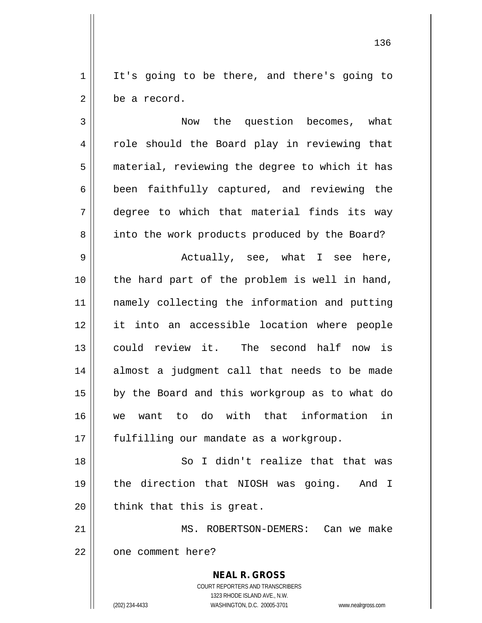$1 \parallel$  It's going to be there, and there's going to 2 l be a record.

3 Now the question becomes, what 4 || role should the Board play in reviewing that 5 | material, reviewing the degree to which it has  $6 \parallel$  been faithfully captured, and reviewing the 7 degree to which that material finds its way 8 | into the work products produced by the Board? 9 Actually, see, what I see here,  $10$  | the hard part of the problem is well in hand, 11 namely collecting the information and putting 12 it into an accessible location where people 13 could review it. The second half now is 14 almost a judgment call that needs to be made 15 || by the Board and this workgroup as to what do 16 we want to do with that information in 17 || fulfilling our mandate as a workgroup.

18 So I didn't realize that that was 19 the direction that NIOSH was going. And I  $20$  || think that this is great.

21 MS. ROBERTSON-DEMERS: Can we make 22 | one comment here?

> **NEAL R. GROSS** COURT REPORTERS AND TRANSCRIBERS 1323 RHODE ISLAND AVE., N.W. (202) 234-4433 WASHINGTON, D.C. 20005-3701 www.nealrgross.com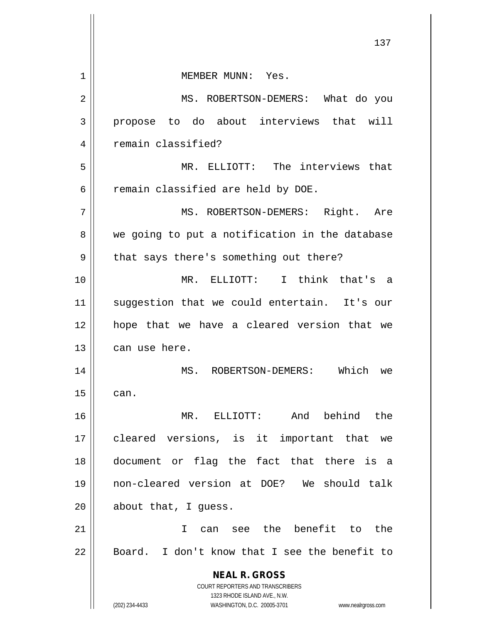|    | ⊥ د ⊥                                                               |
|----|---------------------------------------------------------------------|
| 1  | MEMBER MUNN: Yes.                                                   |
| 2  | MS. ROBERTSON-DEMERS: What do you                                   |
| 3  | propose to do about interviews that will                            |
| 4  | remain classified?                                                  |
| 5  | MR. ELLIOTT: The interviews that                                    |
| 6  | remain classified are held by DOE.                                  |
| 7  | MS. ROBERTSON-DEMERS: Right. Are                                    |
| 8  | we going to put a notification in the database                      |
| 9  | that says there's something out there?                              |
| 10 | MR. ELLIOTT: I think that's a                                       |
| 11 | suggestion that we could entertain. It's our                        |
| 12 | hope that we have a cleared version that we                         |
| 13 | can use here.                                                       |
| 14 | Which<br>MS. ROBERTSON-DEMERS:<br>we                                |
| 15 | can.                                                                |
| 16 | And behind the<br>MR. ELLIOTT:                                      |
| 17 | cleared versions, is it important that we                           |
| 18 | document or flag the fact that there is a                           |
| 19 | non-cleared version at DOE? We should talk                          |
| 20 | about that, I guess.                                                |
| 21 | the benefit to<br>the<br>T.<br>see<br>can                           |
| 22 | Board. I don't know that I see the benefit to                       |
|    | <b>NEAL R. GROSS</b>                                                |
|    | COURT REPORTERS AND TRANSCRIBERS<br>1323 RHODE ISLAND AVE., N.W.    |
|    | (202) 234-4433<br>WASHINGTON, D.C. 20005-3701<br>www.nealrgross.com |

 $\mathbf{\mathcal{H}}$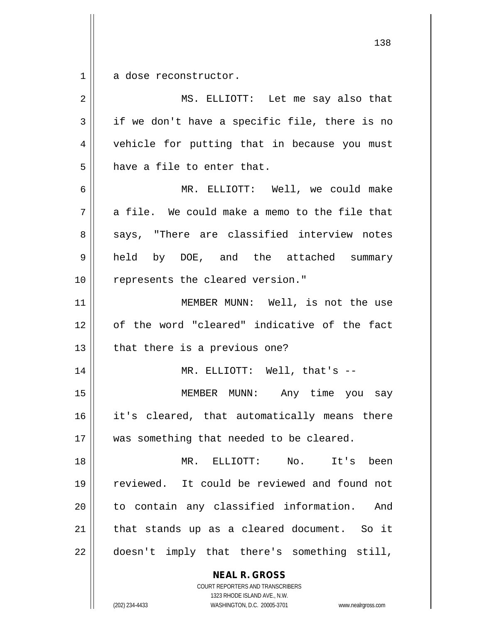$1 \parallel$  a dose reconstructor.

| $\overline{2}$ | MS. ELLIOTT: Let me say also that             |
|----------------|-----------------------------------------------|
| 3              | if we don't have a specific file, there is no |
| 4              | vehicle for putting that in because you must  |
| 5              | have a file to enter that.                    |
| 6              | MR. ELLIOTT: Well, we could make              |
| 7              | a file. We could make a memo to the file that |
| 8              | says, "There are classified interview notes   |
| 9              | held by DOE, and the attached summary         |
| 10             | represents the cleared version."              |
| 11             | MEMBER MUNN: Well, is not the use             |
| 12             | of the word "cleared" indicative of the fact  |
| 13             | that there is a previous one?                 |
| 14             | MR. ELLIOTT: Well, that's $--$                |
| 15             | MEMBER MUNN: Any time you say                 |
| 16             | it's cleared, that automatically means there  |
| 17             | was something that needed to be cleared.      |
| 18             | MR. ELLIOTT: No. It's been                    |
| 19             | reviewed. It could be reviewed and found not  |
| 20             | to contain any classified information.<br>And |
| 21             | that stands up as a cleared document. So it   |
| 22             | doesn't imply that there's something still,   |
|                | <b>NEAL R. GROSS</b>                          |

COURT REPORTERS AND TRANSCRIBERS 1323 RHODE ISLAND AVE., N.W.

 $\mathsf{I}$ 

(202) 234-4433 WASHINGTON, D.C. 20005-3701 www.nealrgross.com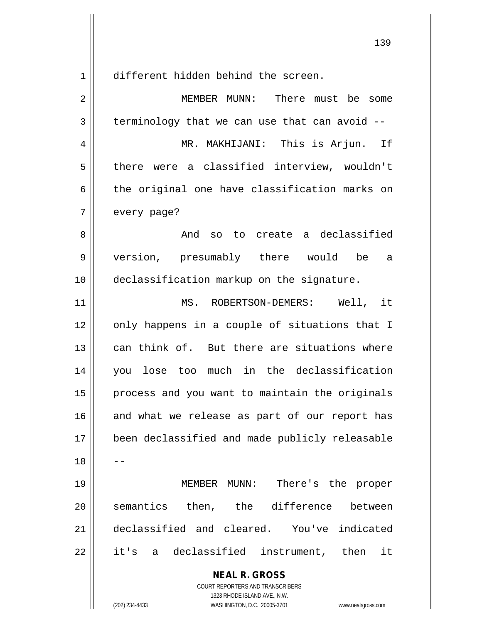1<sup>|</sup> different hidden behind the screen.

**NEAL R. GROSS** COURT REPORTERS AND TRANSCRIBERS 2 MEMBER MUNN: There must be some  $3 \parallel$  terminology that we can use that can avoid  $-$ 4 MR. MAKHIJANI: This is Arjun. If 5 || there were a classified interview, wouldn't  $6 \parallel$  the original one have classification marks on 7 | every page? 8 And so to create a declassified 9 version, presumably there would be a 10 declassification markup on the signature. 11 MS. ROBERTSON-DEMERS: Well, it 12 || only happens in a couple of situations that I 13 can think of. But there are situations where 14 you lose too much in the declassification  $15$  | process and you want to maintain the originals  $16$  and what we release as part of our report has 17 been declassified and made publicly releasable  $18$ 19 MEMBER MUNN: There's the proper 20 || semantics then, the difference between 21 declassified and cleared. You've indicated 22 || it's a declassified instrument, then it

1323 RHODE ISLAND AVE., N.W.

(202) 234-4433 WASHINGTON, D.C. 20005-3701 www.nealrgross.com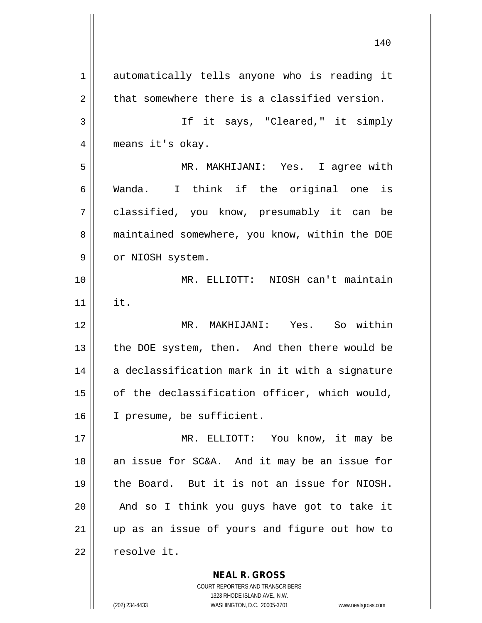1 automatically tells anyone who is reading it  $2 \parallel$  that somewhere there is a classified version. 3 If it says, "Cleared," it simply 4 || means it's okay. 5 MR. MAKHIJANI: Yes. I agree with 6 Wanda. I think if the original one is 7 classified, you know, presumably it can be 8 || maintained somewhere, you know, within the DOE 9 || or NIOSH system. 10 MR. ELLIOTT: NIOSH can't maintain 11 it. 12 MR. MAKHIJANI: Yes. So within 13 || the DOE system, then. And then there would be  $14$  a declassification mark in it with a signature 15 || of the declassification officer, which would, 16 | I presume, be sufficient. 17 MR. ELLIOTT: You know, it may be 18  $\parallel$  an issue for SC&A. And it may be an issue for 19 the Board. But it is not an issue for NIOSH.  $20$  | And so I think you guys have got to take it 21 up as an issue of yours and figure out how to  $22$  | resolve it.

> COURT REPORTERS AND TRANSCRIBERS 1323 RHODE ISLAND AVE., N.W. (202) 234-4433 WASHINGTON, D.C. 20005-3701 www.nealrgross.com

**NEAL R. GROSS**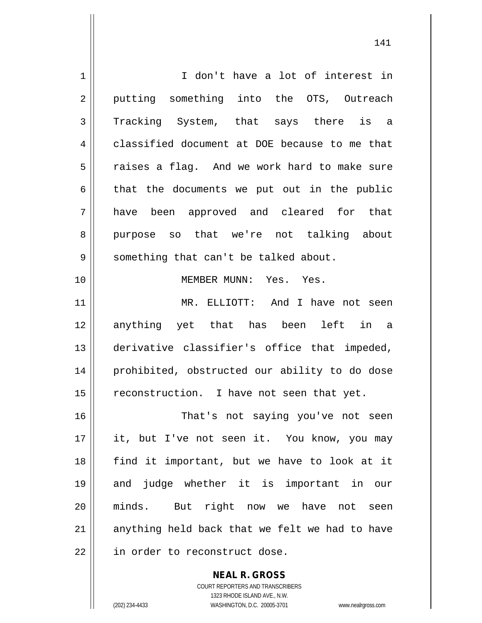1 | I don't have a lot of interest in 2 || putting something into the OTS, Outreach 3 Tracking System, that says there is a 4 classified document at DOE because to me that 5 || raises a flag. And we work hard to make sure  $6 \parallel$  that the documents we put out in the public 7 have been approved and cleared for that 8 purpose so that we're not talking about  $9 \parallel$  something that can't be talked about. 10 MEMBER MUNN: Yes. Yes. 11 MR. ELLIOTT: And I have not seen 12 anything yet that has been left in a 13 derivative classifier's office that impeded, 14 || prohibited, obstructed our ability to do dose 15 | reconstruction. I have not seen that yet. 16 || That's not saying you've not seen 17 || it, but I've not seen it. You know, you may 18 || find it important, but we have to look at it 19 and judge whether it is important in our 20 || minds. But right now we have not seen  $21$  anything held back that we felt we had to have 22 | in order to reconstruct dose.

> COURT REPORTERS AND TRANSCRIBERS 1323 RHODE ISLAND AVE., N.W. (202) 234-4433 WASHINGTON, D.C. 20005-3701 www.nealrgross.com

**NEAL R. GROSS**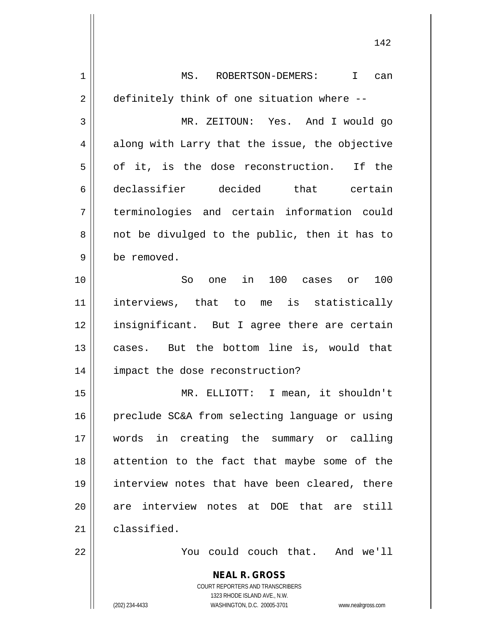| $\mathbf 1$    | MS. ROBERTSON-DEMERS: I can                                         |
|----------------|---------------------------------------------------------------------|
| $\overline{2}$ | definitely think of one situation where --                          |
| 3              | MR. ZEITOUN: Yes. And I would go                                    |
| 4              | along with Larry that the issue, the objective                      |
| 5              | of it, is the dose reconstruction. If the                           |
| 6              | declassifier decided that certain                                   |
| 7              | terminologies and certain information could                         |
| 8              | not be divulged to the public, then it has to                       |
| 9              | be removed.                                                         |
| 10             | one in 100 cases or 100<br>So                                       |
| 11             | interviews, that to me is statistically                             |
| 12             | insignificant. But I agree there are certain                        |
| 13             | cases. But the bottom line is, would that                           |
| 14             | impact the dose reconstruction?                                     |
| 15             | MR. ELLIOTT: I mean, it shouldn't                                   |
| 16             | preclude SC&A from selecting language or using                      |
| 17             | words in creating the summary or calling                            |
| 18             | attention to the fact that maybe some of the                        |
| 19             | interview notes that have been cleared, there                       |
| 20             | are interview notes at DOE that are still                           |
| 21             | classified.                                                         |
| 22             | You could couch that. And we'll                                     |
|                |                                                                     |
|                | <b>NEAL R. GROSS</b>                                                |
|                | COURT REPORTERS AND TRANSCRIBERS<br>1323 RHODE ISLAND AVE., N.W.    |
|                | WASHINGTON, D.C. 20005-3701<br>(202) 234-4433<br>www.nealrgross.com |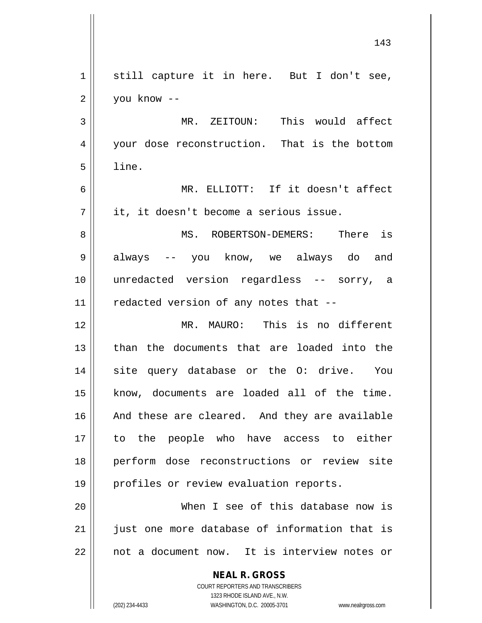| $\mathbf 1$ | still capture it in here. But I don't see,                                                          |
|-------------|-----------------------------------------------------------------------------------------------------|
| 2           | you know --                                                                                         |
| 3           | MR. ZEITOUN: This would affect                                                                      |
| 4           | your dose reconstruction. That is the bottom                                                        |
| 5           | line.                                                                                               |
| 6           | MR. ELLIOTT: If it doesn't affect                                                                   |
| 7           | it, it doesn't become a serious issue.                                                              |
| 8           | MS. ROBERTSON-DEMERS: There is                                                                      |
| 9           | always -- you know, we always do and                                                                |
| 10          | unredacted version regardless -- sorry, a                                                           |
| 11          | redacted version of any notes that --                                                               |
| 12          | MR. MAURO: This is no different                                                                     |
| 13          | than the documents that are loaded into the                                                         |
| 14          | site query database or the 0: drive. You                                                            |
| 15          | know, documents are loaded all of the time.                                                         |
| 16          | And these are cleared. And they are available                                                       |
| 17          | to the people who have access to either                                                             |
| 18          | perform dose reconstructions or review site                                                         |
| 19          | profiles or review evaluation reports.                                                              |
| 20          | When I see of this database now is                                                                  |
| 21          | just one more database of information that is                                                       |
| 22          | not a document now. It is interview notes or                                                        |
|             | <b>NEAL R. GROSS</b>                                                                                |
|             | <b>COURT REPORTERS AND TRANSCRIBERS</b>                                                             |
|             | 1323 RHODE ISLAND AVE., N.W.<br>(202) 234-4433<br>WASHINGTON, D.C. 20005-3701<br>www.nealrgross.com |
|             |                                                                                                     |

 $\mathsf{I}$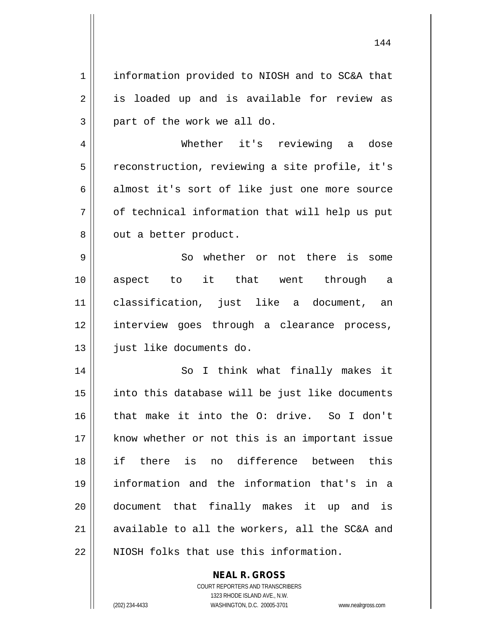1 || information provided to NIOSH and to SC&A that 2 || is loaded up and is available for review as  $3 \parallel$  part of the work we all do. 4 Whether it's reviewing a dose  $5$  reconstruction, reviewing a site profile, it's  $6 \parallel$  almost it's sort of like just one more source  $7 \parallel$  of technical information that will help us put  $8 \parallel$  out a better product. 9 || So whether or not there is some 10 aspect to it that went through a 11 classification, just like a document, an 12 || interview goes through a clearance process, 13 || just like documents do. 14 || So I think what finally makes it 15 || into this database will be just like documents 16 that make it into the O: drive. So I don't 17 || know whether or not this is an important issue 18 if there is no difference between this 19 information and the information that's in a 20 document that finally makes it up and is 21  $\parallel$  available to all the workers, all the SC&A and 22 N NIOSH folks that use this information.

> **NEAL R. GROSS** COURT REPORTERS AND TRANSCRIBERS

> > 1323 RHODE ISLAND AVE., N.W.

(202) 234-4433 WASHINGTON, D.C. 20005-3701 www.nealrgross.com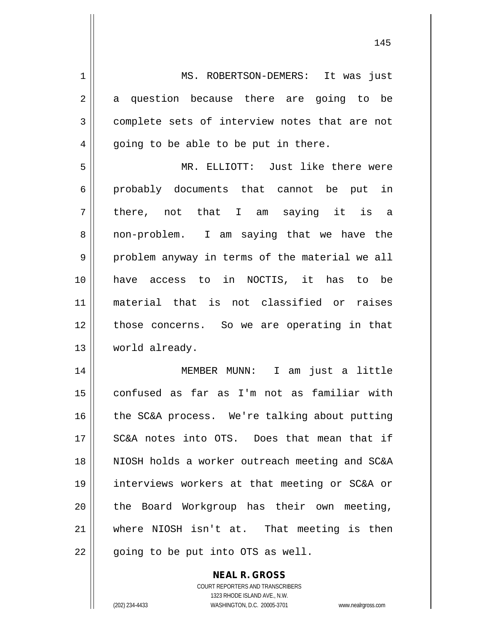1 || MS. ROBERTSON-DEMERS: It was just  $2 \parallel$  a question because there are going to be 3 complete sets of interview notes that are not  $4 \parallel$  going to be able to be put in there. 5 MR. ELLIOTT: Just like there were  $6 \parallel$  probably documents that cannot be put in

 $7 \parallel$  there, not that I am saying it is a 8 || non-problem. I am saying that we have the 9 || problem anyway in terms of the material we all 10 have access to in NOCTIS, it has to be 11 material that is not classified or raises 12 those concerns. So we are operating in that 13 | world already.

 MEMBER MUNN: I am just a little confused as far as I'm not as familiar with 16 || the SC&A process. We're talking about putting 17 || SC&A notes into OTS. Does that mean that if NIOSH holds a worker outreach meeting and SC&A interviews workers at that meeting or SC&A or  $\parallel$  the Board Workgroup has their own meeting, where NIOSH isn't at. That meeting is then || going to be put into OTS as well.

> COURT REPORTERS AND TRANSCRIBERS 1323 RHODE ISLAND AVE., N.W. (202) 234-4433 WASHINGTON, D.C. 20005-3701 www.nealrgross.com

**NEAL R. GROSS**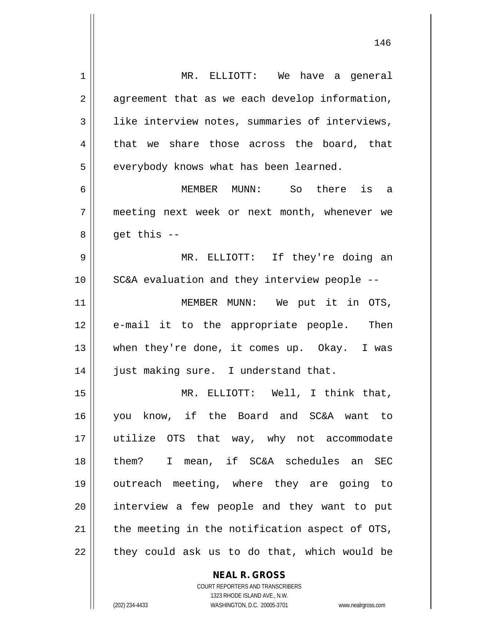| 1  | MR. ELLIOTT: We have a general                 |
|----|------------------------------------------------|
| 2  | agreement that as we each develop information, |
| 3  | like interview notes, summaries of interviews, |
| 4  | that we share those across the board, that     |
| 5  | everybody knows what has been learned.         |
| 6  | is a<br>MEMBER MUNN: So there                  |
| 7  | meeting next week or next month, whenever we   |
| 8  | $get this --$                                  |
| 9  | MR. ELLIOTT: If they're doing an               |
| 10 | SC&A evaluation and they interview people --   |
| 11 | MEMBER MUNN: We put it in OTS,                 |
| 12 | e-mail it to the appropriate people. Then      |
| 13 | when they're done, it comes up. Okay. I was    |
| 14 | just making sure. I understand that.           |
| 15 | MR. ELLIOTT: Well, I think that,               |
| 16 | you know, if the Board and SC&A want to        |
| 17 | utilize OTS that way, why not accommodate      |
| 18 | them? I mean, if SC&A schedules an SEC         |
| 19 | outreach meeting, where they are going to      |
| 20 | interview a few people and they want to put    |
| 21 | the meeting in the notification aspect of OTS, |
| 22 | they could ask us to do that, which would be   |
|    |                                                |

**NEAL R. GROSS** COURT REPORTERS AND TRANSCRIBERS

1323 RHODE ISLAND AVE., N.W.

(202) 234-4433 WASHINGTON, D.C. 20005-3701 www.nealrgross.com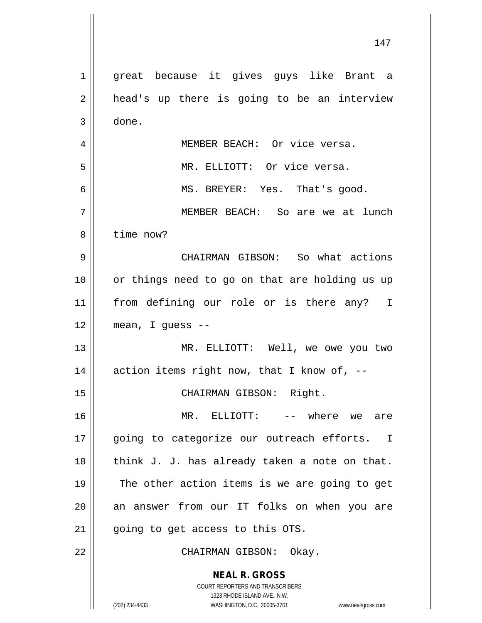| $\mathbf 1$ | great because it gives guys like Brant a                                                            |
|-------------|-----------------------------------------------------------------------------------------------------|
| 2           | head's up there is going to be an interview                                                         |
| 3           | done.                                                                                               |
| 4           | MEMBER BEACH: Or vice versa.                                                                        |
| 5           | MR. ELLIOTT: Or vice versa.                                                                         |
| 6           | MS. BREYER: Yes. That's good.                                                                       |
| 7           | MEMBER BEACH: So are we at lunch                                                                    |
| 8           | time now?                                                                                           |
| 9           | CHAIRMAN GIBSON: So what actions                                                                    |
| 10          | or things need to go on that are holding us up                                                      |
| 11          | from defining our role or is there any? I                                                           |
| 12          | mean, I guess --                                                                                    |
| 13          | MR. ELLIOTT: Well, we owe you two                                                                   |
| 14          | action items right now, that I know of, $-$ -                                                       |
| 15          | CHAIRMAN GIBSON: Right.                                                                             |
| 16          | MR. ELLIOTT: -- where we are                                                                        |
| 17          | going to categorize our outreach efforts. I                                                         |
| 18          | think J. J. has already taken a note on that.                                                       |
| 19          | The other action items is we are going to get                                                       |
| 20          | an answer from our IT folks on when you are                                                         |
| 21          | going to get access to this OTS.                                                                    |
| 22          | CHAIRMAN GIBSON: Okay.                                                                              |
|             | <b>NEAL R. GROSS</b>                                                                                |
|             | COURT REPORTERS AND TRANSCRIBERS                                                                    |
|             | 1323 RHODE ISLAND AVE., N.W.<br>(202) 234-4433<br>WASHINGTON, D.C. 20005-3701<br>www.nealrgross.com |
|             |                                                                                                     |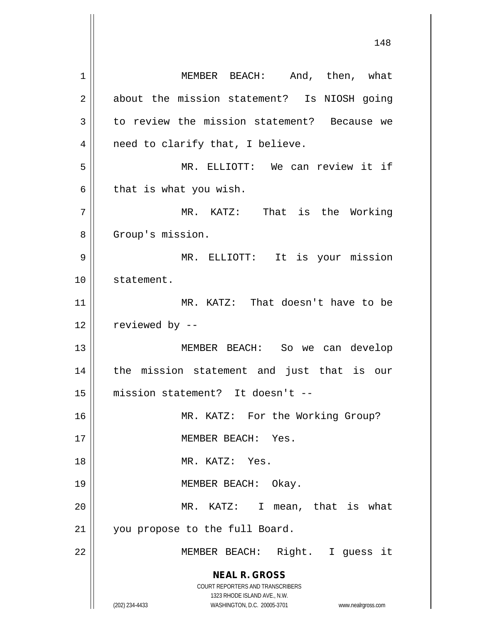**NEAL R. GROSS** COURT REPORTERS AND TRANSCRIBERS 1323 RHODE ISLAND AVE., N.W. (202) 234-4433 WASHINGTON, D.C. 20005-3701 www.nealrgross.com 1 || MEMBER BEACH: And, then, what 2 about the mission statement? Is NIOSH going  $3 \parallel$  to review the mission statement? Because we  $4 \parallel$  need to clarify that, I believe. 5 MR. ELLIOTT: We can review it if  $6 \parallel$  that is what you wish. 7 || MR. KATZ: That is the Working 8 | Group's mission. 9 MR. ELLIOTT: It is your mission 10 statement. 11 || MR. KATZ: That doesn't have to be  $12$  | reviewed by  $-$ 13 MEMBER BEACH: So we can develop 14 || the mission statement and just that is our 15 mission statement? It doesn't -- 16 || MR. KATZ: For the Working Group? 17 MEMBER BEACH: Yes. 18 MR. KATZ: Yes. 19 || MEMBER BEACH: Okay. 20 || MR. KATZ: I mean, that is what 21 || you propose to the full Board. 22 || MEMBER BEACH: Right. I guess it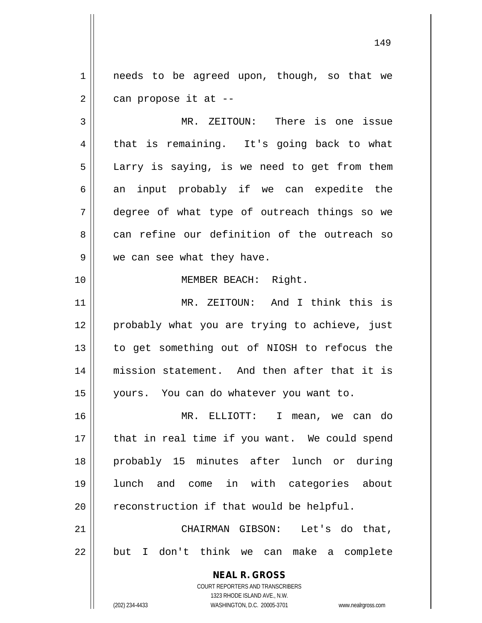1 || needs to be agreed upon, though, so that we  $2 \parallel$  can propose it at --

3 MR. ZEITOUN: There is one issue 4 || that is remaining. It's going back to what  $5 \parallel$  Larry is saying, is we need to get from them  $6 \parallel$  an input probably if we can expedite the 7 degree of what type of outreach things so we  $8 \parallel$  can refine our definition of the outreach so 9 || we can see what they have.

## 10 || **MEMBER BEACH:** Right.

11 MR. ZEITOUN: And I think this is 12 || probably what you are trying to achieve, just 13 || to get something out of NIOSH to refocus the 14 mission statement. And then after that it is 15 yours. You can do whatever you want to.

 MR. ELLIOTT: I mean, we can do || that in real time if you want. We could spend probably 15 minutes after lunch or during lunch and come in with categories about | reconstruction if that would be helpful.

21 CHAIRMAN GIBSON: Let's do that, 22 || but I don't think we can make a complete

> **NEAL R. GROSS** COURT REPORTERS AND TRANSCRIBERS 1323 RHODE ISLAND AVE., N.W.

(202) 234-4433 WASHINGTON, D.C. 20005-3701 www.nealrgross.com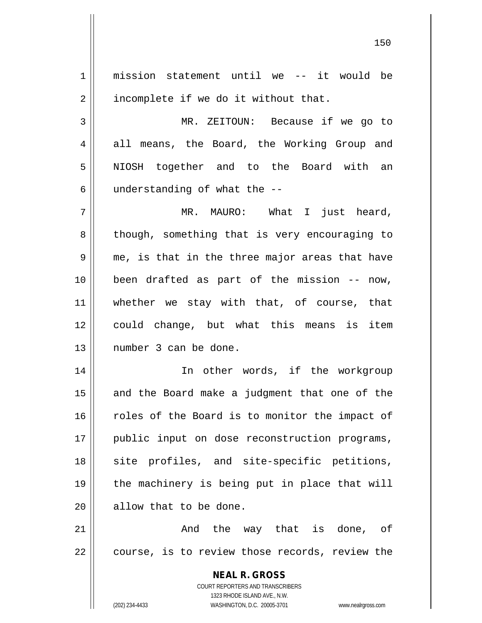**NEAL R. GROSS** COURT REPORTERS AND TRANSCRIBERS 1323 RHODE ISLAND AVE., N.W. 1 mission statement until we -- it would be  $2 \parallel$  incomplete if we do it without that. 3 MR. ZEITOUN: Because if we go to 4 all means, the Board, the Working Group and 5 NIOSH together and to the Board with an  $6$  || understanding of what the  $-$ -7 MR. MAURO: What I just heard, 8 || though, something that is very encouraging to  $9 \parallel$  me, is that in the three major areas that have 10 been drafted as part of the mission -- now, 11 || whether we stay with that, of course, that 12 || could change, but what this means is item 13 number 3 can be done. 14 || In other words, if the workgroup  $15$  and the Board make a judgment that one of the 16 Toles of the Board is to monitor the impact of 17 || public input on dose reconstruction programs, 18 || site profiles, and site-specific petitions, 19 the machinery is being put in place that will 20 || allow that to be done.  $21$  ||  $21$  ||  $21$  ||  $21$  ||  $21$  ||  $21$  ||  $21$  ||  $21$  ||  $21$  ||  $21$  ||  $21$  ||  $21$  ||  $21$  ||  $21$  ||  $21$  ||  $21$  ||  $21$  ||  $21$  ||  $21$  ||  $21$  ||  $21$  ||  $21$  ||  $21$  ||  $21$  ||  $21$  ||  $21$  ||  $21$  ||  $21$  22 || course, is to review those records, review the

(202) 234-4433 WASHINGTON, D.C. 20005-3701 www.nealrgross.com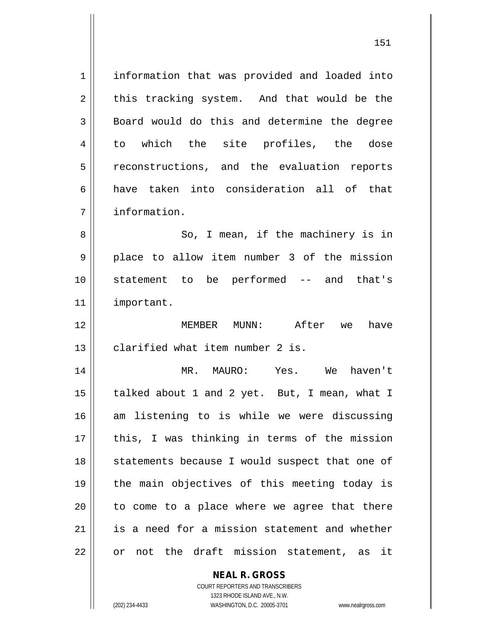1 information that was provided and loaded into  $2 \parallel$  this tracking system. And that would be the 3 **Board** would do this and determine the degree 4 to which the site profiles, the dose 5 || reconstructions, and the evaluation reports 6 || have taken into consideration all of that 7 information.

8 || So, I mean, if the machinery is in 9 place to allow item number 3 of the mission 10 statement to be performed -- and that's 11 important.

12 MEMBER MUNN: After we have 13 || clarified what item number 2 is.

14 MR. MAURO: Yes. We haven't 15 || talked about 1 and 2 yet. But, I mean, what I 16 am listening to is while we were discussing 17 || this, I was thinking in terms of the mission 18 || statements because I would suspect that one of 19 the main objectives of this meeting today is  $20$  || to come to a place where we agree that there 21 || is a need for a mission statement and whether 22 || or not the draft mission statement, as it

## **NEAL R. GROSS**

COURT REPORTERS AND TRANSCRIBERS 1323 RHODE ISLAND AVE., N.W. (202) 234-4433 WASHINGTON, D.C. 20005-3701 www.nealrgross.com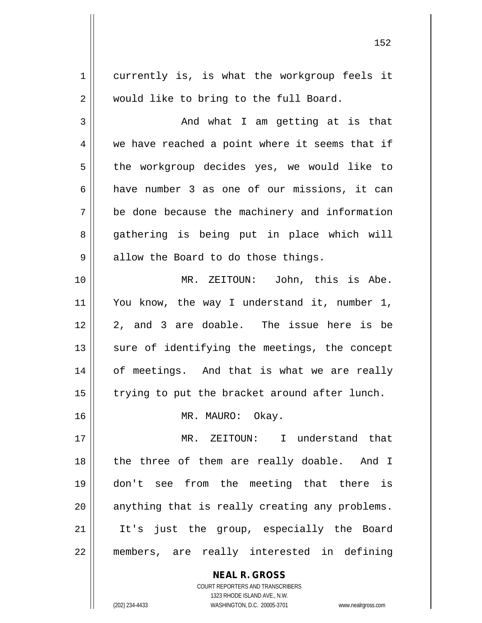**NEAL R. GROSS** 1 || currently is, is what the workgroup feels it 2 || would like to bring to the full Board. 3 And what I am getting at is that 4 we have reached a point where it seems that if 5 | the workgroup decides yes, we would like to 6 have number 3 as one of our missions, it can 7 be done because the machinery and information 8 gathering is being put in place which will  $9 \parallel$  allow the Board to do those things. 10 || MR. ZEITOUN: John, this is Abe. 11 || You know, the way I understand it, number 1, 12 2, and 3 are doable. The issue here is be 13 || sure of identifying the meetings, the concept 14 || of meetings. And that is what we are really  $15$  | trying to put the bracket around after lunch. 16 || MR. MAURO: Okay. 17 MR. ZEITOUN: I understand that 18 || the three of them are really doable. And I 19 don't see from the meeting that there is  $20$  || anything that is really creating any problems. 21 || It's just the group, especially the Board 22 members, are really interested in defining

> COURT REPORTERS AND TRANSCRIBERS 1323 RHODE ISLAND AVE., N.W.

(202) 234-4433 WASHINGTON, D.C. 20005-3701 www.nealrgross.com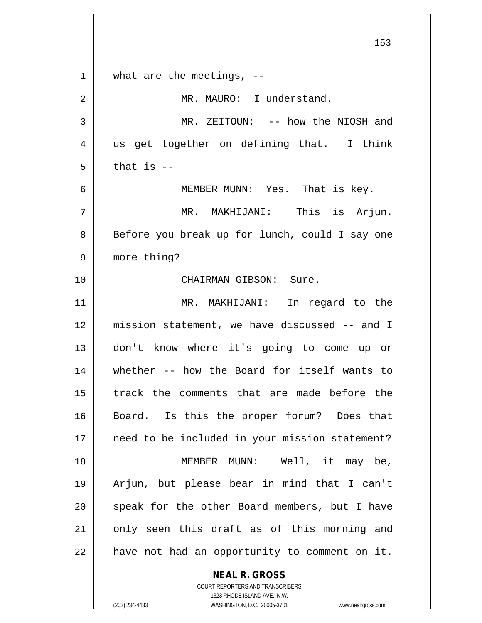153  $1 \parallel$  what are the meetings, --2 | MR. MAURO: I understand. 3 || MR. ZEITOUN: -- how the NIOSH and 4 || us get together on defining that. I think  $5$  | that is  $-$ 6 MEMBER MUNN: Yes. That is key. 7 MR. MAKHIJANI: This is Arjun. 8 || Before you break up for lunch, could I say one 9 more thing? 10 CHAIRMAN GIBSON: Sure. 11 MR. MAKHIJANI: In regard to the 12 mission statement, we have discussed -- and I 13 don't know where it's going to come up or 14 whether -- how the Board for itself wants to 15 track the comments that are made before the 16 || Board. Is this the proper forum? Does that 17 || need to be included in your mission statement? 18 MEMBER MUNN: Well, it may be, 19 Arjun, but please bear in mind that I can't 20 || speak for the other Board members, but I have 21 || only seen this draft as of this morning and  $22$  | have not had an opportunity to comment on it.

> **NEAL R. GROSS** COURT REPORTERS AND TRANSCRIBERS

> > 1323 RHODE ISLAND AVE., N.W.

(202) 234-4433 WASHINGTON, D.C. 20005-3701 www.nealrgross.com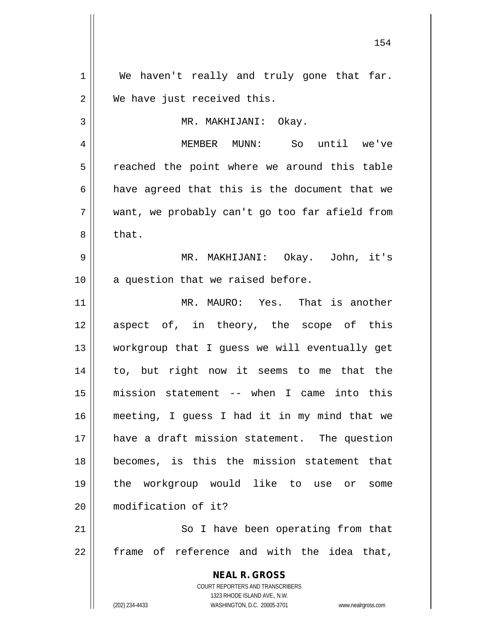**NEAL R. GROSS** COURT REPORTERS AND TRANSCRIBERS 1323 RHODE ISLAND AVE., N.W. 1 || We haven't really and truly gone that far. 2 We have just received this. 3 | MR. MAKHIJANI: Okay. 4 MEMBER MUNN: So until we've 5 || reached the point where we around this table  $6$  || have agreed that this is the document that we 7 want, we probably can't go too far afield from  $8 \parallel$  that. 9 MR. MAKHIJANI: Okay. John, it's  $10$  || a question that we raised before. 11 MR. MAURO: Yes. That is another 12 aspect of, in theory, the scope of this 13 workgroup that I guess we will eventually get 14 to, but right now it seems to me that the 15 mission statement -- when I came into this 16 meeting, I guess I had it in my mind that we 17 have a draft mission statement. The question 18 becomes, is this the mission statement that 19 the workgroup would like to use or some 20 modification of it? 21 || So I have been operating from that  $22$  frame of reference and with the idea that,

(202) 234-4433 WASHINGTON, D.C. 20005-3701 www.nealrgross.com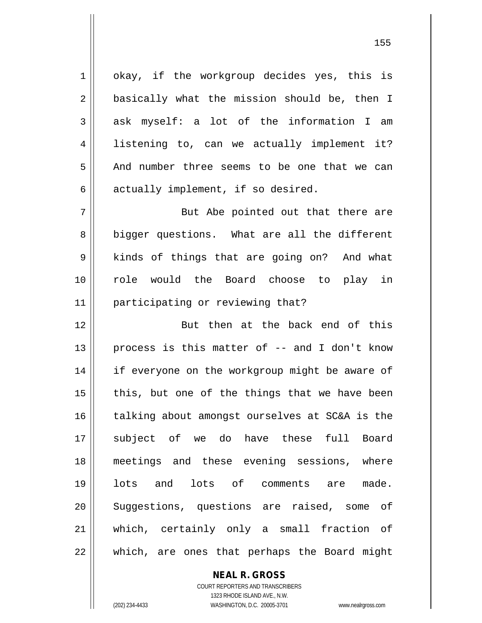1 || okay, if the workgroup decides yes, this is 2 || basically what the mission should be, then I 3 || ask myself: a lot of the information I am 4 || listening to, can we actually implement it? 5 and number three seems to be one that we can  $6 \parallel$  actually implement, if so desired.

7 || But Abe pointed out that there are 8 bigger questions. What are all the different 9 || kinds of things that are going on? And what 10 role would the Board choose to play in 11 || participating or reviewing that?

 But then at the back end of this 13 || process is this matter of  $-$  and I don't know 14 || if everyone on the workgroup might be aware of | this, but one of the things that we have been talking about amongst ourselves at SC&A is the subject of we do have these full Board meetings and these evening sessions, where lots and lots of comments are made. 20 || Suggestions, questions are raised, some of which, certainly only a small fraction of  $\parallel$  which, are ones that perhaps the Board might

> COURT REPORTERS AND TRANSCRIBERS 1323 RHODE ISLAND AVE., N.W. (202) 234-4433 WASHINGTON, D.C. 20005-3701 www.nealrgross.com

**NEAL R. GROSS**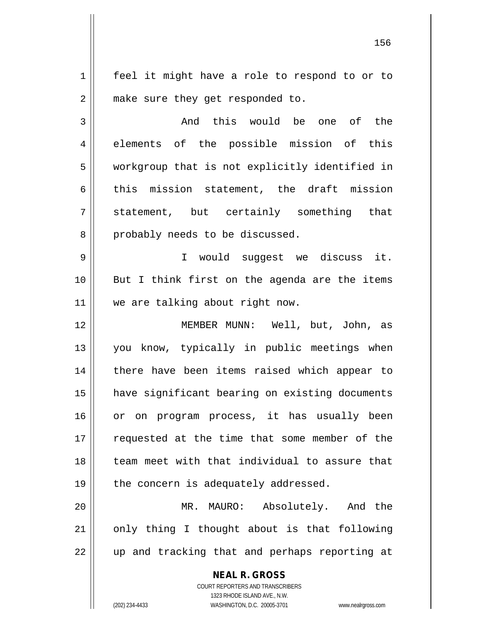1 | feel it might have a role to respond to or to 2 || make sure they get responded to.

3 || The Mondu this would be one of the 4 elements of the possible mission of this 5 workgroup that is not explicitly identified in  $6$  || this mission statement, the draft mission 7 Statement, but certainly something that 8 || probably needs to be discussed.

9 || T would suggest we discuss it. 10 || But I think first on the agenda are the items 11 || we are talking about right now.

 MEMBER MUNN: Well, but, John, as 13 || you know, typically in public meetings when 14 || there have been items raised which appear to have significant bearing on existing documents or on program process, it has usually been 17 || requested at the time that some member of the team meet with that individual to assure that || the concern is adequately addressed.

20 MR. MAURO: Absolutely. And the  $21$  | only thing I thought about is that following 22 || up and tracking that and perhaps reporting at

> **NEAL R. GROSS** COURT REPORTERS AND TRANSCRIBERS 1323 RHODE ISLAND AVE., N.W.

(202) 234-4433 WASHINGTON, D.C. 20005-3701 www.nealrgross.com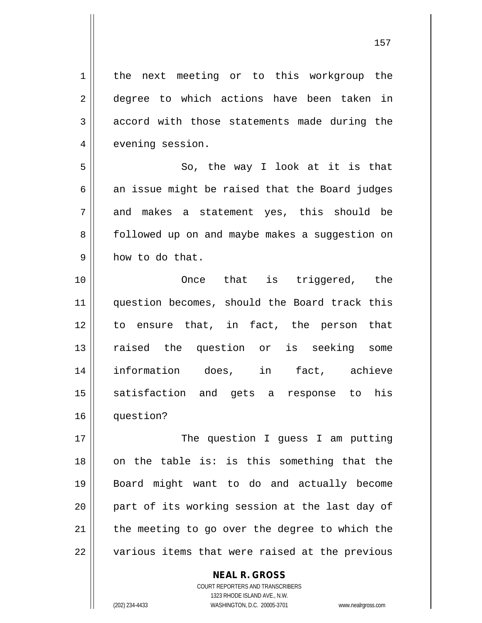1 | the next meeting or to this workgroup the 2 degree to which actions have been taken in  $3 \parallel$  accord with those statements made during the 4 | evening session.

5 || So, the way I look at it is that  $6 \parallel$  an issue might be raised that the Board judges 7 and makes a statement yes, this should be 8 | followed up on and maybe makes a suggestion on  $9 \parallel$  how to do that.

10 || Choose that is triggered, the 11 || question becomes, should the Board track this 12 to ensure that, in fact, the person that 13 || raised the question or is seeking some 14 information does, in fact, achieve 15 || satisfaction and gets a response to his 16 question?

17 || The question I guess I am putting on the table is: is this something that the Board might want to do and actually become 20 || part of its working session at the last day of | the meeting to go over the degree to which the  $\parallel$  various items that were raised at the previous

## **NEAL R. GROSS**

COURT REPORTERS AND TRANSCRIBERS 1323 RHODE ISLAND AVE., N.W. (202) 234-4433 WASHINGTON, D.C. 20005-3701 www.nealrgross.com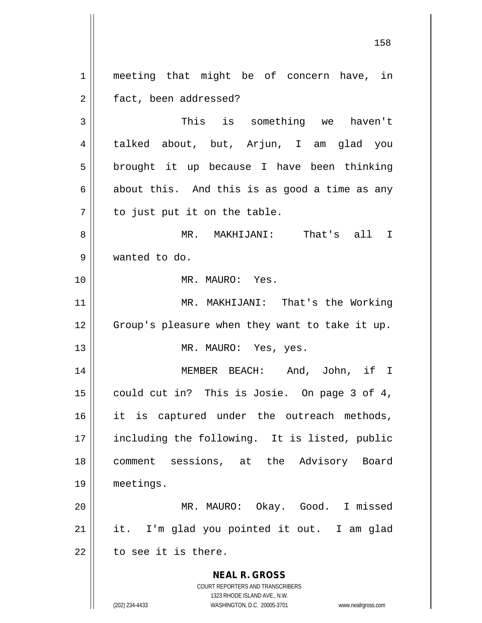1 || meeting that might be of concern have, in 2 | fact, been addressed?

3 This is something we haven't 4 talked about, but, Arjun, I am glad you  $5 \parallel$  brought it up because I have been thinking  $6 \parallel$  about this. And this is as good a time as any  $7 \parallel$  to just put it on the table.

8 MR. MAKHIJANI: That's all I 9 wanted to do.

10 MR. MAURO: Yes.

11 || MR. MAKHIJANI: That's the Working 12 || Group's pleasure when they want to take it up. 13 || MR. MAURO: Yes, yes.

14 MEMBER BEACH: And, John, if I 15 || could cut in? This is Josie. On page 3 of 4, 16 || it is captured under the outreach methods, 17 || including the following. It is listed, public 18 || comment sessions, at the Advisory Board 19 meetings.

20 MR. MAURO: Okay. Good. I missed  $21$  || it. I'm glad you pointed it out. I am glad  $22$   $\parallel$  to see it is there.

> **NEAL R. GROSS** COURT REPORTERS AND TRANSCRIBERS

> > 1323 RHODE ISLAND AVE., N.W.

(202) 234-4433 WASHINGTON, D.C. 20005-3701 www.nealrgross.com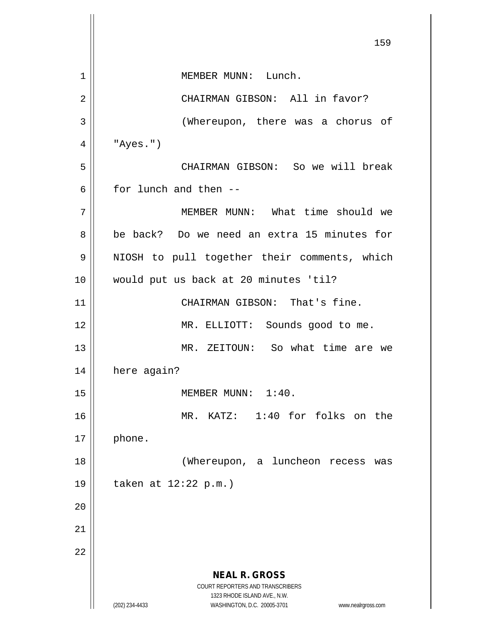**NEAL R. GROSS** COURT REPORTERS AND TRANSCRIBERS 1323 RHODE ISLAND AVE., N.W. (202) 234-4433 WASHINGTON, D.C. 20005-3701 www.nealrgross.com 159 1 || MEMBER MUNN: Lunch. 2 || CHAIRMAN GIBSON: All in favor? 3 || (Whereupon, there was a chorus of  $4 \parallel$  "Ayes.") 5 CHAIRMAN GIBSON: So we will break 6 for lunch and then  $-$ 7 MEMBER MUNN: What time should we 8 be back? Do we need an extra 15 minutes for 9 || NIOSH to pull together their comments, which 10 would put us back at 20 minutes 'til? 11 || CHAIRMAN GIBSON: That's fine. 12 MR. ELLIOTT: Sounds good to me. 13 || MR. ZEITOUN: So what time are we 14 | here again? 15 || MEMBER MUNN: 1:40. 16 MR. KATZ: 1:40 for folks on the  $17 \parallel$  phone. 18 || (Whereupon, a luncheon recess was 19 taken at 12:22 p.m.) 20 21 22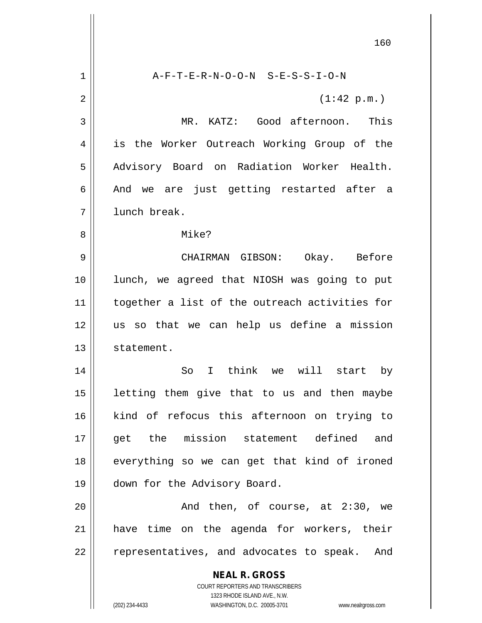**NEAL R. GROSS** COURT REPORTERS AND TRANSCRIBERS 1323 RHODE ISLAND AVE., N.W. (202) 234-4433 WASHINGTON, D.C. 20005-3701 www.nealrgross.com 160 1 A-F-T-E-R-N-O-O-N S-E-S-S-I-O-N  $2 \parallel$  (1:42 p.m.) 3 MR. KATZ: Good afternoon. This 4 || is the Worker Outreach Working Group of the 5 || Advisory Board on Radiation Worker Health. 6 And we are just getting restarted after a 7 l lunch break. 8 Mike? 9 CHAIRMAN GIBSON: Okay. Before 10 lunch, we agreed that NIOSH was going to put 11 || together a list of the outreach activities for 12 us so that we can help us define a mission 13 | statement. 14 So I think we will start by  $15$  letting them give that to us and then maybe 16 kind of refocus this afternoon on trying to 17 get the mission statement defined and 18 || everything so we can get that kind of ironed 19 | down for the Advisory Board. 20 || The Rand then, of course, at 2:30, we 21 have time on the agenda for workers, their 22 || representatives, and advocates to speak. And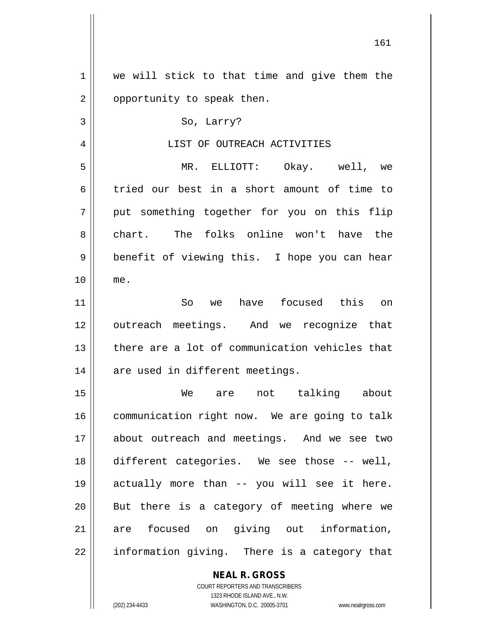**NEAL R. GROSS** COURT REPORTERS AND TRANSCRIBERS 1 || we will stick to that time and give them the 2 | opportunity to speak then.  $3 \parallel$  So, Larry? 4 LIST OF OUTREACH ACTIVITIES 5 MR. ELLIOTT: Okay. well, we 6 tried our best in a short amount of time to 7 || put something together for you on this flip 8 chart. The folks online won't have the 9 || benefit of viewing this. I hope you can hear 10 me. 11 So we have focused this on 12 || outreach meetings. And we recognize that 13 there are a lot of communication vehicles that  $14$  | are used in different meetings. 15 We are not talking about 16 | communication right now. We are going to talk 17 about outreach and meetings. And we see two 18 different categories. We see those -- well, 19 actually more than -- you will see it here.  $20$  || But there is a category of meeting where we 21 || are focused on giving out information, 22 || information giving. There is a category that

1323 RHODE ISLAND AVE., N.W.

(202) 234-4433 WASHINGTON, D.C. 20005-3701 www.nealrgross.com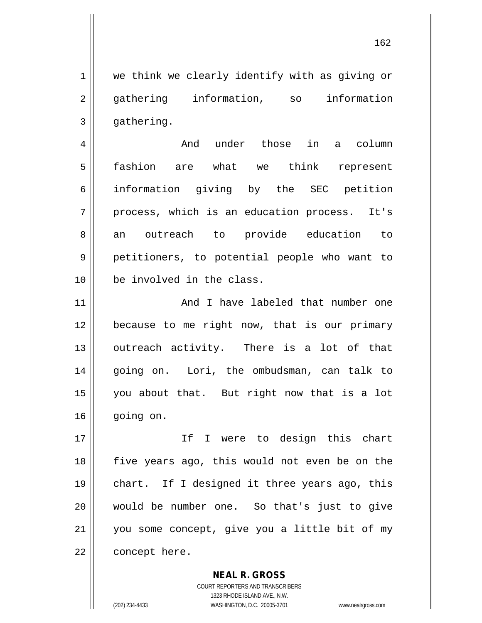1 | we think we clearly identify with as giving or 2 gathering information, so information  $3 \parallel$  gathering.

 And under those in a column fashion are what we think represent information giving by the SEC petition 7 || process, which is an education process. It's 8 an outreach to provide education to petitioners, to potential people who want to be involved in the class.

11 || And I have labeled that number one 12 because to me right now, that is our primary 13 || outreach activity. There is a lot of that 14 || going on. Lori, the ombudsman, can talk to 15 you about that. But right now that is a lot 16 || going on.

 If I were to design this chart || five years ago, this would not even be on the chart. If I designed it three years ago, this would be number one. So that's just to give you some concept, give you a little bit of my 22 | concept here.

> COURT REPORTERS AND TRANSCRIBERS 1323 RHODE ISLAND AVE., N.W. (202) 234-4433 WASHINGTON, D.C. 20005-3701 www.nealrgross.com

**NEAL R. GROSS**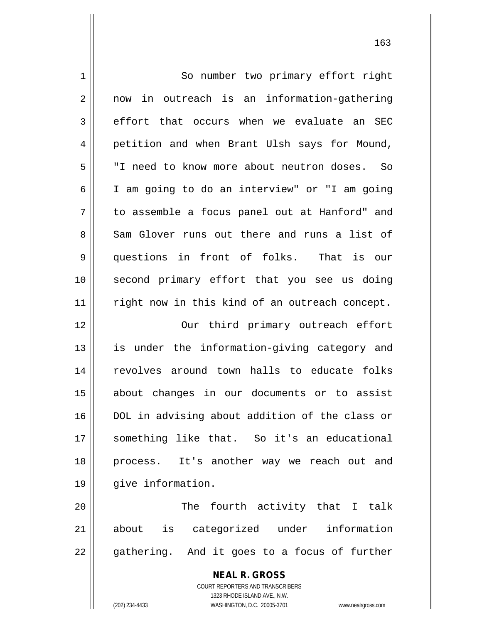| 1  | So number two primary effort right                                  |
|----|---------------------------------------------------------------------|
| 2  | now in outreach is an information-gathering                         |
| 3  | effort that occurs when we evaluate an SEC                          |
| 4  | petition and when Brant Ulsh says for Mound,                        |
| 5  | "I need to know more about neutron doses. So                        |
| 6  | I am going to do an interview" or "I am going                       |
| 7  | to assemble a focus panel out at Hanford" and                       |
| 8  | Sam Glover runs out there and runs a list of                        |
| 9  | questions in front of folks. That is our                            |
| 10 | second primary effort that you see us doing                         |
| 11 | right now in this kind of an outreach concept.                      |
| 12 | Our third primary outreach effort                                   |
| 13 | is under the information-giving category and                        |
| 14 | revolves around town halls to educate folks                         |
| 15 | about changes in our documents or to assist                         |
| 16 | DOL in advising about addition of the class or                      |
| 17 | something like that. So it's an educational                         |
| 18 | process. It's another way we reach out and                          |
| 19 | give information.                                                   |
| 20 | The fourth activity that I talk                                     |
| 21 | about is categorized under information                              |
| 22 | gathering. And it goes to a focus of further                        |
|    | <b>NEAL R. GROSS</b>                                                |
|    | COURT REPORTERS AND TRANSCRIBERS<br>1323 RHODE ISLAND AVE., N.W.    |
|    | WASHINGTON, D.C. 20005-3701<br>(202) 234-4433<br>www.nealrgross.com |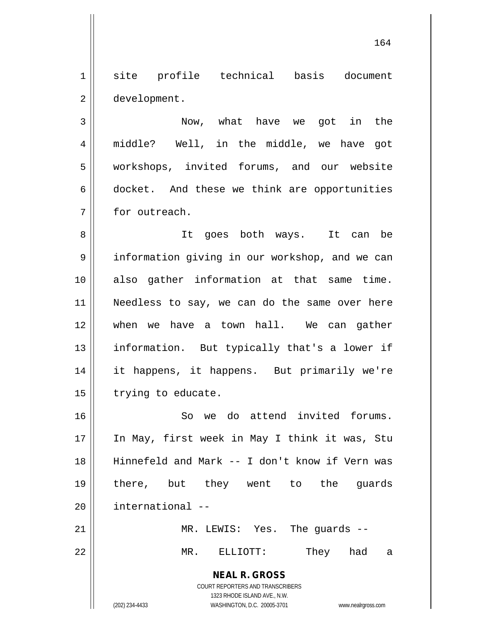1 site profile technical basis document 2 | development.

3 Now, what have we got in the 4 || middle? Well, in the middle, we have got 5 workshops, invited forums, and our website 6 docket. And these we think are opportunities 7 **for outreach.** 

8 || It goes both ways. It can be 9 | information giving in our workshop, and we can also gather information at that same time. Needless to say, we can do the same over here when we have a town hall. We can gather 13 || information. But typically that's a lower if it happens, it happens. But primarily we're | trying to educate.

16 So we do attend invited forums. 17 || In May, first week in May I think it was, Stu 18 || Hinnefeld and Mark -- I don't know if Vern was 19 there, but they went to the guards 20 | international --

21 MR. LEWIS: Yes. The guards --

22 MR. ELLIOTT: They had a

**NEAL R. GROSS** COURT REPORTERS AND TRANSCRIBERS 1323 RHODE ISLAND AVE., N.W.

(202) 234-4433 WASHINGTON, D.C. 20005-3701 www.nealrgross.com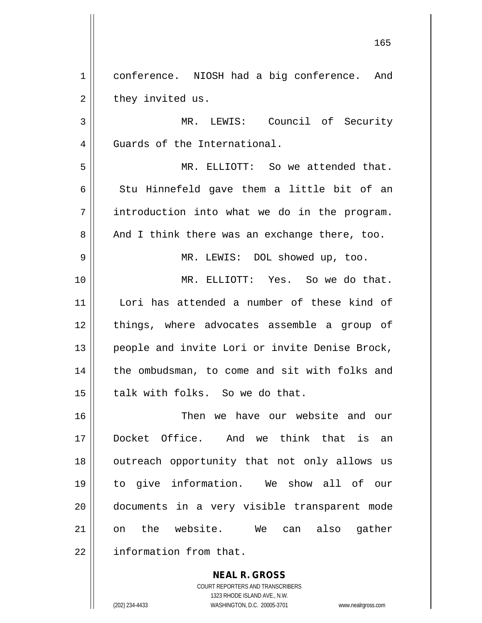1 | conference. NIOSH had a big conference. And  $2 \parallel$  they invited us.

3 || MR. LEWIS: Council of Security 4 Guards of the International.

5 MR. ELLIOTT: So we attended that.  $6$  || Stu Hinnefeld gave them a little bit of an  $7 \parallel$  introduction into what we do in the program.  $8 \parallel$  And I think there was an exchange there, too.

9 MR. LEWIS: DOL showed up, too.

10 MR. ELLIOTT: Yes. So we do that. 11 Lori has attended a number of these kind of 12 || things, where advocates assemble a group of 13 || people and invite Lori or invite Denise Brock, 14 || the ombudsman, to come and sit with folks and  $15$  || talk with folks. So we do that.

16 Then we have our website and our 17 Docket Office. And we think that is an 18 || outreach opportunity that not only allows us 19 to give information. We show all of our 20 documents in a very visible transparent mode 21 || on the website. We can also gather 22 | information from that.

> **NEAL R. GROSS** COURT REPORTERS AND TRANSCRIBERS 1323 RHODE ISLAND AVE., N.W. (202) 234-4433 WASHINGTON, D.C. 20005-3701 www.nealrgross.com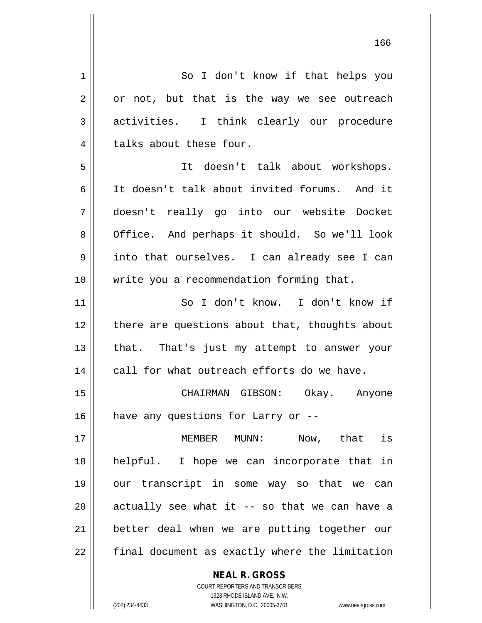| 1  | So I don't know if that helps you                        |
|----|----------------------------------------------------------|
| 2  | or not, but that is the way we see outreach              |
| 3  | activities. I think clearly our procedure                |
| 4  | talks about these four.                                  |
| 5  | It doesn't talk about workshops.                         |
| 6  | It doesn't talk about invited forums. And it             |
| 7  | doesn't really go into our website Docket                |
| 8  | Office. And perhaps it should. So we'll look             |
| 9  | into that ourselves. I can already see I can             |
| 10 | write you a recommendation forming that.                 |
| 11 | So I don't know. I don't know if                         |
| 12 | there are questions about that, thoughts about           |
| 13 | that. That's just my attempt to answer your              |
| 14 | call for what outreach efforts do we have.               |
| 15 | CHAIRMAN GIBSON: Okay. Anyone                            |
| 16 | have any questions for Larry or --                       |
| 17 | Now, that is<br>MEMBER MUNN:                             |
| 18 | helpful. I hope we can incorporate that in               |
| 19 | our transcript in some way so that we can                |
| 20 | actually see what it -- so that we can have a            |
| 21 | better deal when we are putting together our             |
| 22 | final document as exactly where the limitation           |
|    | <b>NEAL R. GROSS</b><br>COURT REPORTERS AND TRANSCRIBERS |

1323 RHODE ISLAND AVE., N.W.

 $\prod$ 

(202) 234-4433 WASHINGTON, D.C. 20005-3701 www.nealrgross.com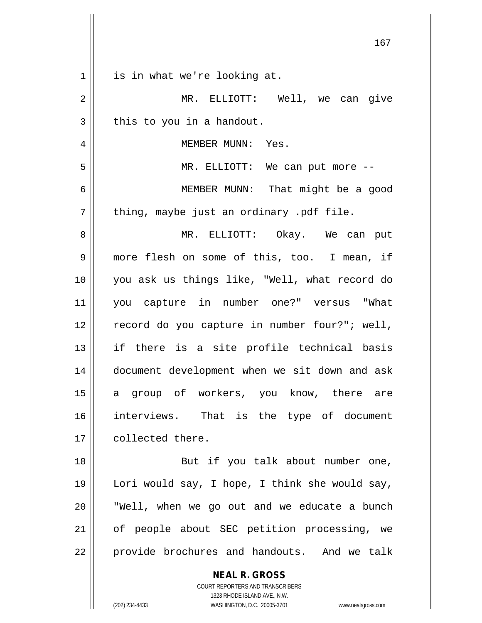| MR. ELLIOTT: Well, we can give                 |
|------------------------------------------------|
|                                                |
|                                                |
|                                                |
|                                                |
|                                                |
| MEMBER MUNN: That might be a good              |
|                                                |
| MR. ELLIOTT: Okay. We can put                  |
| more flesh on some of this, too. I mean, if    |
| you ask us things like, "Well, what record do  |
| you capture in number one?" versus "What       |
| record do you capture in number four?"; well,  |
| if there is a site profile technical basis     |
| document development when we sit down and ask  |
| a group of workers, you know, there are        |
| interviews. That is the type of document       |
|                                                |
| But if you talk about number one,              |
| Lori would say, I hope, I think she would say, |
| "Well, when we go out and we educate a bunch   |
| of people about SEC petition processing, we    |
| provide brochures and handouts. And we talk    |
|                                                |
|                                                |
|                                                |
| www.nealrgross.com                             |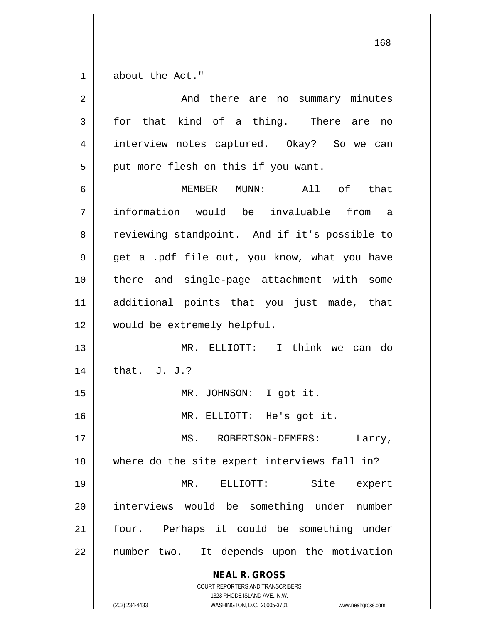$1 \parallel$  about the Act."

| $\overline{2}$ | And there are no summary minutes                                                                                                                                |
|----------------|-----------------------------------------------------------------------------------------------------------------------------------------------------------------|
| 3              | for that kind of a thing. There are no                                                                                                                          |
| $\overline{4}$ | interview notes captured. Okay? So we can                                                                                                                       |
| 5              | put more flesh on this if you want.                                                                                                                             |
| 6              | MEMBER MUNN:<br>All of that                                                                                                                                     |
| 7              | information would be invaluable from<br>a a                                                                                                                     |
| 8              | reviewing standpoint. And if it's possible to                                                                                                                   |
| 9              | get a .pdf file out, you know, what you have                                                                                                                    |
| 10             | there and single-page attachment with some                                                                                                                      |
| 11             | additional points that you just made, that                                                                                                                      |
| 12             | would be extremely helpful.                                                                                                                                     |
| 13             | MR. ELLIOTT: I think we can do                                                                                                                                  |
| 14             | that. J. J.?                                                                                                                                                    |
| 15             | MR. JOHNSON: I got it.                                                                                                                                          |
| 16             | MR. ELLIOTT: He's got it.                                                                                                                                       |
| $17\,$         | ROBERTSON-DEMERS:<br>MS.<br>Larry,                                                                                                                              |
| 18             | where do the site expert interviews fall in?                                                                                                                    |
| 19             | MR. ELLIOTT:<br>Site<br>expert                                                                                                                                  |
| 20             | interviews would be something under<br>number                                                                                                                   |
| 21             | four. Perhaps it could be something under                                                                                                                       |
| 22             | number two. It depends upon the motivation                                                                                                                      |
|                | <b>NEAL R. GROSS</b><br>COURT REPORTERS AND TRANSCRIBERS<br>1323 RHODE ISLAND AVE., N.W.<br>(202) 234-4433<br>WASHINGTON, D.C. 20005-3701<br>www.nealrgross.com |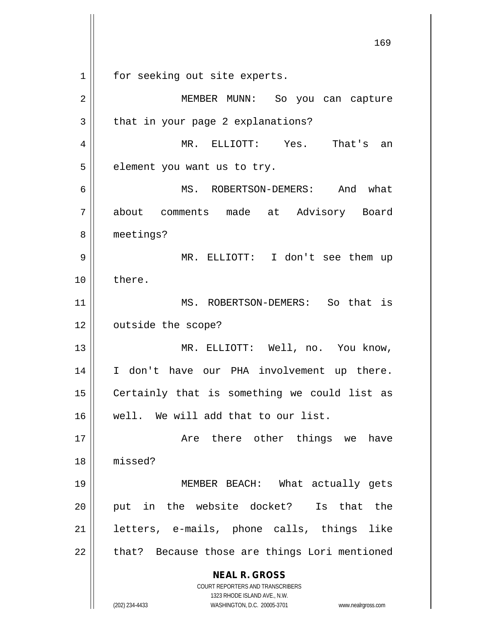**NEAL R. GROSS** COURT REPORTERS AND TRANSCRIBERS 1323 RHODE ISLAND AVE., N.W. (202) 234-4433 WASHINGTON, D.C. 20005-3701 www.nealrgross.com 169 1 || for seeking out site experts. 2 || MEMBER MUNN: So you can capture  $3 \parallel$  that in your page 2 explanations? 4 MR. ELLIOTT: Yes. That's an  $5$  || element you want us to try. 6 MS. ROBERTSON-DEMERS: And what 7 about comments made at Advisory Board 8 | meetings? 9 MR. ELLIOTT: I don't see them up 10 ll there. 11 || MS. ROBERTSON-DEMERS: So that is 12 | outside the scope? 13 || MR. ELLIOTT: Well, no. You know, 14 || I don't have our PHA involvement up there. 15 | Certainly that is something we could list as 16 well. We will add that to our list. 17 Are there other things we have 18 missed? 19 MEMBER BEACH: What actually gets 20 || put in the website docket? Is that the 21 letters, e-mails, phone calls, things like  $22$  || that? Because those are things Lori mentioned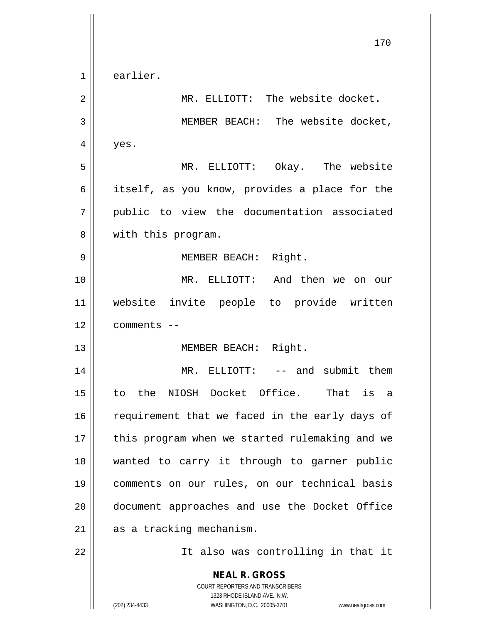**NEAL R. GROSS** COURT REPORTERS AND TRANSCRIBERS 1323 RHODE ISLAND AVE., N.W. (202) 234-4433 WASHINGTON, D.C. 20005-3701 www.nealrgross.com 170 1 earlier. 2 | MR. ELLIOTT: The website docket. 3 || MEMBER BEACH: The website docket,  $4 \parallel$  yes. 5 MR. ELLIOTT: Okay. The website 6 itself, as you know, provides a place for the 7 public to view the documentation associated 8 || with this program. 9 | MEMBER BEACH: Right. 10 MR. ELLIOTT: And then we on our 11 website invite people to provide written 12 comments -- 13 || MEMBER BEACH: Right. 14 MR. ELLIOTT: -- and submit them 15 to the NIOSH Docket Office. That is a 16 || requirement that we faced in the early days of 17 || this program when we started rulemaking and we 18 wanted to carry it through to garner public 19 comments on our rules, on our technical basis 20 || document approaches and use the Docket Office  $21$  as a tracking mechanism. 22 || It also was controlling in that it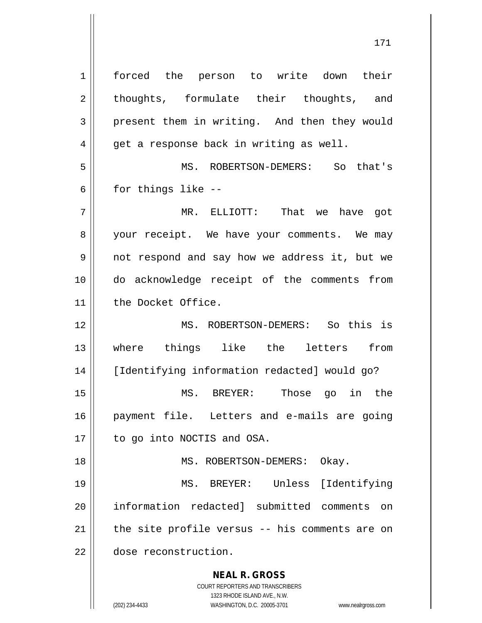**NEAL R. GROSS** COURT REPORTERS AND TRANSCRIBERS 1323 RHODE ISLAND AVE., N.W. (202) 234-4433 WASHINGTON, D.C. 20005-3701 www.nealrgross.com 1 | forced the person to write down their 2 || thoughts, formulate their thoughts, and 3 present them in writing. And then they would  $4 \parallel$  get a response back in writing as well. 5 MS. ROBERTSON-DEMERS: So that's  $6 \parallel$  for things like --7 MR. ELLIOTT: That we have got 8 || your receipt. We have your comments. We may 9 not respond and say how we address it, but we 10 do acknowledge receipt of the comments from 11 || the Docket Office. 12 MS. ROBERTSON-DEMERS: So this is 13 where things like the letters from 14 | [Identifying information redacted] would go? 15 MS. BREYER: Those go in the 16 payment file. Letters and e-mails are going 17 | to go into NOCTIS and OSA. 18 || MS. ROBERTSON-DEMERS: Okay. 19 MS. BREYER: Unless [Identifying 20 information redacted] submitted comments on  $21$  | the site profile versus -- his comments are on 22 dose reconstruction.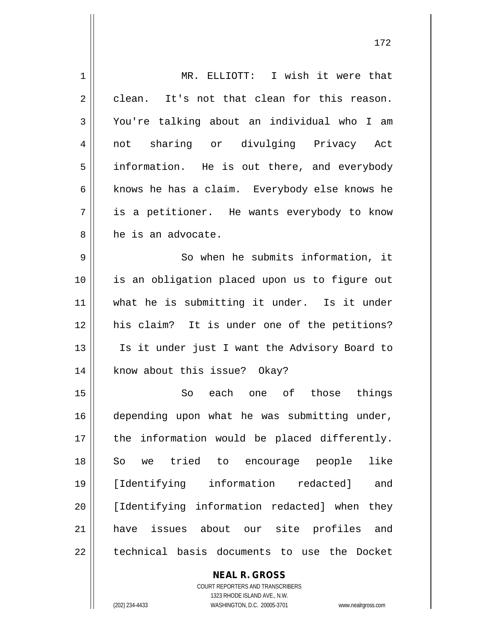| $\mathbf 1$ | MR. ELLIOTT: I wish it were that               |
|-------------|------------------------------------------------|
| 2           | It's not that clean for this reason.<br>clean. |
| 3           | You're talking about an individual who I<br>am |
| 4           | sharing or divulging Privacy Act<br>not        |
| 5           | information. He is out there, and everybody    |
| 6           | knows he has a claim. Everybody else knows he  |
| 7           | is a petitioner. He wants everybody to know    |
| 8           | he is an advocate.                             |
| 9           | So when he submits information, it             |
| 10          | is an obligation placed upon us to figure out  |
| 11          | what he is submitting it under. Is it under    |
| 12          | his claim? It is under one of the petitions?   |
| 13          | Is it under just I want the Advisory Board to  |
| 14          | know about this issue? Okay?                   |
| 15          | each one of those<br>things<br>So              |
| 16          | depending upon what he was submitting under,   |
| 17          | the information would be placed differently.   |
| 18          | tried to encourage people<br>like<br>So we     |
| 19          | [Identifying information redacted]<br>and      |
| 20          | [Identifying information redacted] when they   |
| 21          | have issues about our site profiles and        |
| 22          | technical basis documents to use the Docket    |
|             | <b>NEAL R. GROSS</b>                           |

COURT REPORTERS AND TRANSCRIBERS 1323 RHODE ISLAND AVE., N.W. (202) 234-4433 WASHINGTON, D.C. 20005-3701 www.nealrgross.com

 $\mathbf{\mathsf{I}}$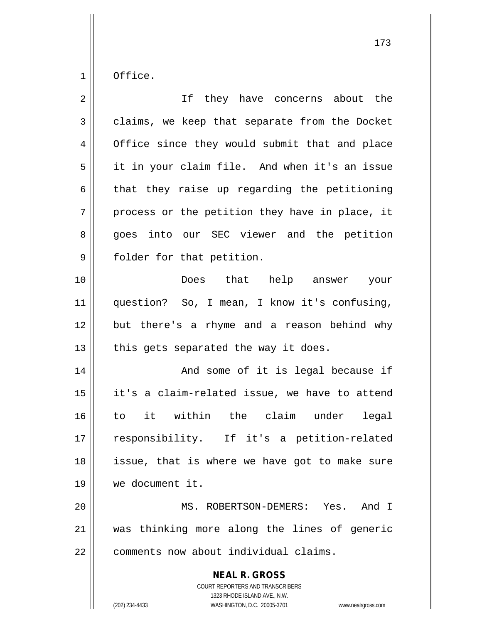$1 \parallel$  Office.

| $\overline{2}$ | If they have concerns about the                                                                                                                                 |
|----------------|-----------------------------------------------------------------------------------------------------------------------------------------------------------------|
| $\mathfrak{Z}$ | claims, we keep that separate from the Docket                                                                                                                   |
| 4              | Office since they would submit that and place                                                                                                                   |
| 5              | it in your claim file. And when it's an issue                                                                                                                   |
| 6              | that they raise up regarding the petitioning                                                                                                                    |
| 7              | process or the petition they have in place, it                                                                                                                  |
| 8              | goes into our SEC viewer and the petition                                                                                                                       |
| 9              | folder for that petition.                                                                                                                                       |
| 10             | Does that help answer your                                                                                                                                      |
| 11             | question? So, I mean, I know it's confusing,                                                                                                                    |
| 12             | but there's a rhyme and a reason behind why                                                                                                                     |
| 13             | this gets separated the way it does.                                                                                                                            |
| 14             | And some of it is legal because if                                                                                                                              |
| 15             | it's a claim-related issue, we have to attend                                                                                                                   |
| 16             | to it within the claim under legal                                                                                                                              |
| 17             | responsibility. If it's a petition-related                                                                                                                      |
| 18             | issue, that is where we have got to make sure                                                                                                                   |
| 19             | we document it.                                                                                                                                                 |
| 20             | MS. ROBERTSON-DEMERS: Yes. And I                                                                                                                                |
| 21             | was thinking more along the lines of generic                                                                                                                    |
| 22             | comments now about individual claims.                                                                                                                           |
|                | <b>NEAL R. GROSS</b><br>COURT REPORTERS AND TRANSCRIBERS<br>1323 RHODE ISLAND AVE., N.W.<br>(202) 234-4433<br>WASHINGTON, D.C. 20005-3701<br>www.nealrgross.com |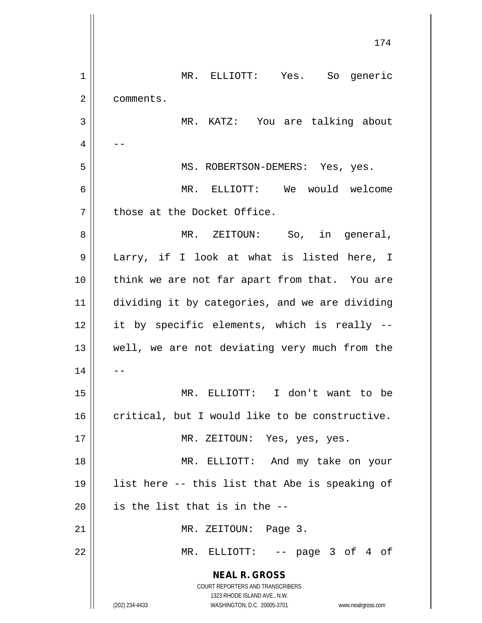|    | 174                                                                                                 |
|----|-----------------------------------------------------------------------------------------------------|
|    |                                                                                                     |
| 1  | MR. ELLIOTT: Yes. So generic                                                                        |
| 2  | comments.                                                                                           |
| 3  | MR. KATZ: You are talking about                                                                     |
| 4  |                                                                                                     |
| 5  | MS. ROBERTSON-DEMERS: Yes, yes.                                                                     |
| 6  | MR. ELLIOTT: We would welcome                                                                       |
| 7  | those at the Docket Office.                                                                         |
| 8  | MR. ZEITOUN: So, in general,                                                                        |
| 9  | Larry, if I look at what is listed here, I                                                          |
| 10 | think we are not far apart from that. You are                                                       |
| 11 | dividing it by categories, and we are dividing                                                      |
| 12 | it by specific elements, which is really --                                                         |
| 13 | well, we are not deviating very much from the                                                       |
| 14 |                                                                                                     |
| 15 | MR. ELLIOTT: I don't want to be                                                                     |
| 16 | critical, but I would like to be constructive.                                                      |
| 17 | MR. ZEITOUN: Yes, yes, yes.                                                                         |
| 18 | MR. ELLIOTT: And my take on your                                                                    |
| 19 | list here -- this list that Abe is speaking of                                                      |
| 20 | is the list that is in the --                                                                       |
| 21 | MR. ZEITOUN: Page 3.                                                                                |
| 22 | MR. ELLIOTT: -- page 3 of 4 of                                                                      |
|    | <b>NEAL R. GROSS</b>                                                                                |
|    | COURT REPORTERS AND TRANSCRIBERS                                                                    |
|    | 1323 RHODE ISLAND AVE., N.W.<br>(202) 234-4433<br>WASHINGTON, D.C. 20005-3701<br>www.nealrgross.com |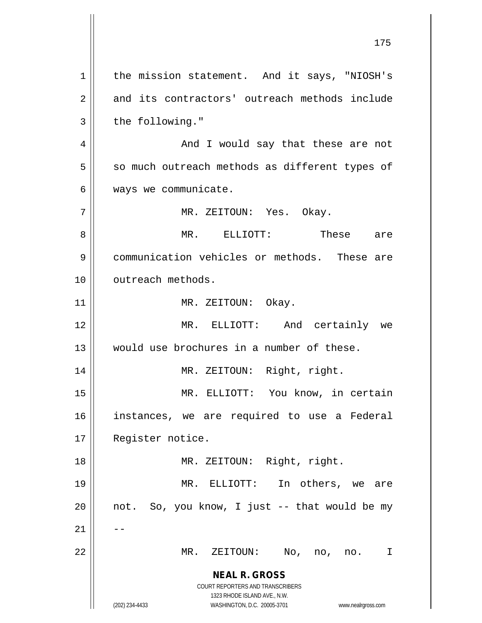**NEAL R. GROSS** COURT REPORTERS AND TRANSCRIBERS 1323 RHODE ISLAND AVE., N.W. (202) 234-4433 WASHINGTON, D.C. 20005-3701 www.nealrgross.com 1 | the mission statement. And it says, "NIOSH's 2 || and its contractors' outreach methods include  $3 \parallel$  the following." 4 And I would say that these are not  $5 \parallel$  so much outreach methods as different types of 6 | ways we communicate. 7 MR. ZEITOUN: Yes. Okay. 8 MR. ELLIOTT: These are 9 communication vehicles or methods. These are 10 || outreach methods. 11 || MR. ZEITOUN: Okay. 12 MR. ELLIOTT: And certainly we 13 would use brochures in a number of these. 14 || MR. ZEITOUN: Right, right. 15 MR. ELLIOTT: You know, in certain 16 instances, we are required to use a Federal 17 | Register notice. 18 || MR. ZEITOUN: Right, right. 19 MR. ELLIOTT: In others, we are  $20$  || not. So, you know, I just  $-$ - that would be my  $21$   $\parallel$   $-$ 22 MR. ZEITOUN: No, no, no. I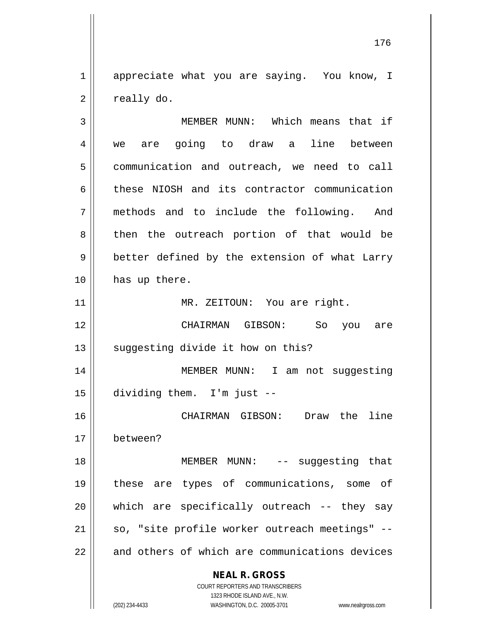1 appreciate what you are saying. You know, I  $2 \parallel$  really do.

**NEAL R. GROSS** COURT REPORTERS AND TRANSCRIBERS 1323 RHODE ISLAND AVE., N.W. 3 || MEMBER MUNN: Which means that if 4 || we are going to draw a line between 5 | communication and outreach, we need to call  $6 \parallel$  these NIOSH and its contractor communication 7 methods and to include the following. And 8 || then the outreach portion of that would be  $9 \parallel$  better defined by the extension of what Larry 10 | has up there. 11 || MR. ZEITOUN: You are right. 12 CHAIRMAN GIBSON: So you are  $13$   $\parallel$  suggesting divide it how on this? 14 MEMBER MUNN: I am not suggesting 15 dividing them. I'm just -- 16 CHAIRMAN GIBSON: Draw the line 17 between? 18 || MEMBER MUNN: -- suggesting that 19 these are types of communications, some of  $20$  || which are specifically outreach -- they say  $21$  | so, "site profile worker outreach meetings" -- $22$  || and others of which are communications devices

(202) 234-4433 WASHINGTON, D.C. 20005-3701 www.nealrgross.com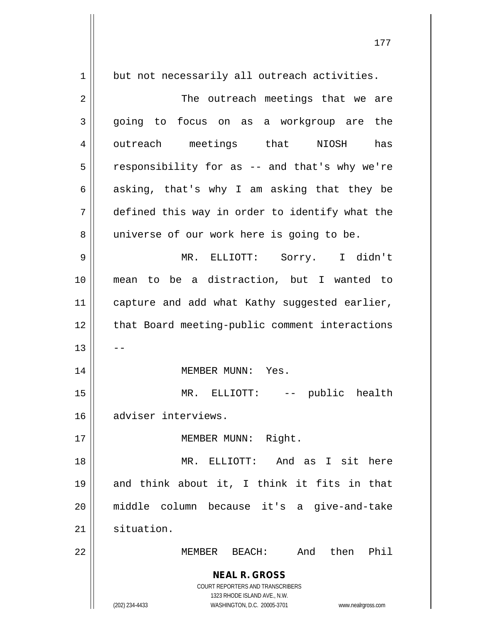| $\mathbf 1$ | but not necessarily all outreach activities.                                                                            |
|-------------|-------------------------------------------------------------------------------------------------------------------------|
| 2           | The outreach meetings that we are                                                                                       |
| 3           | going to focus on as a workgroup are the                                                                                |
| 4           | outreach meetings that NIOSH has                                                                                        |
| 5           | responsibility for as -- and that's why we're                                                                           |
| 6           | asking, that's why I am asking that they be                                                                             |
| 7           | defined this way in order to identify what the                                                                          |
| 8           | universe of our work here is going to be.                                                                               |
| 9           | MR. ELLIOTT: Sorry. I didn't                                                                                            |
| 10          | mean to be a distraction, but I wanted to                                                                               |
| 11          | capture and add what Kathy suggested earlier,                                                                           |
| 12          | that Board meeting-public comment interactions                                                                          |
| 13          |                                                                                                                         |
| 14          | MEMBER MUNN: Yes.                                                                                                       |
| 15          | MR. ELLIOTT:<br>-- public health                                                                                        |
| 16          | adviser interviews.                                                                                                     |
| 17          | Right.<br>MEMBER MUNN:                                                                                                  |
| 18          | ELLIOTT: And as I sit here<br>MR.                                                                                       |
| 19          | and think about it, I think it fits in that                                                                             |
| 20          | middle column because it's a give-and-take                                                                              |
| 21          | situation.                                                                                                              |
| 22          | And then<br>Phil<br>MEMBER<br>BEACH:                                                                                    |
|             | <b>NEAL R. GROSS</b><br>COURT REPORTERS AND TRANSCRIBERS<br>1323 RHODE ISLAND AVE., N.W.<br>WASHINGTON, D.C. 20005-3701 |
|             | (202) 234-4433<br>www.nealrgross.com                                                                                    |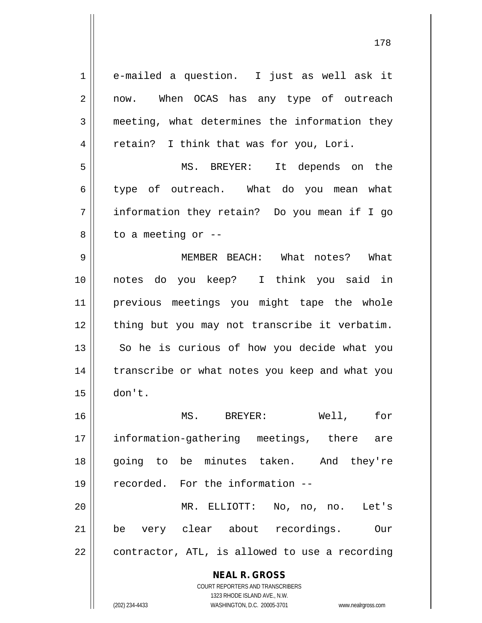**NEAL R. GROSS** COURT REPORTERS AND TRANSCRIBERS 1323 RHODE ISLAND AVE., N.W. 1 e-mailed a question. I just as well ask it 2 || now. When OCAS has any type of outreach 3 meeting, what determines the information they 4 || retain? I think that was for you, Lori. 5 MS. BREYER: It depends on the 6 type of outreach. What do you mean what 7 information they retain? Do you mean if I go  $8 \parallel$  to a meeting or  $-$ 9 MEMBER BEACH: What notes? What 10 notes do you keep? I think you said in 11 previous meetings you might tape the whole 12 || thing but you may not transcribe it verbatim.  $13$  So he is curious of how you decide what you 14 || transcribe or what notes you keep and what you 15 don't. 16 MS. BREYER: Well, for 17 information-gathering meetings, there are 18 going to be minutes taken. And they're 19 recorded. For the information -- 20 MR. ELLIOTT: No, no, no. Let's 21 be very clear about recordings. Our  $22 \parallel$  contractor, ATL, is allowed to use a recording

(202) 234-4433 WASHINGTON, D.C. 20005-3701 www.nealrgross.com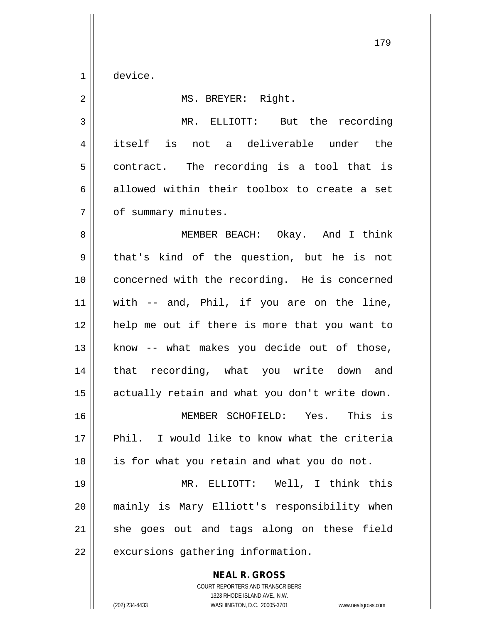1 device.

2 | MS. BREYER: Right. 3 MR. ELLIOTT: But the recording 4 itself is not a deliverable under the  $5 \parallel$  contract. The recording is a tool that is 6 allowed within their toolbox to create a set 7 | of summary minutes. 8 MEMBER BEACH: Okay. And I think 9 || that's kind of the question, but he is not 10 || concerned with the recording. He is concerned  $11$  with -- and, Phil, if you are on the line, 12 || help me out if there is more that you want to  $13$  know -- what makes you decide out of those, 14 || that recording, what you write down and 15 | actually retain and what you don't write down. 16 MEMBER SCHOFIELD: Yes. This is 17 Phil. I would like to know what the criteria  $18$  | is for what you retain and what you do not. 19 MR. ELLIOTT: Well, I think this 20 mainly is Mary Elliott's responsibility when  $21$  she goes out and tags along on these field

 $22$  | excursions gathering information.

**NEAL R. GROSS** COURT REPORTERS AND TRANSCRIBERS

1323 RHODE ISLAND AVE., N.W.

(202) 234-4433 WASHINGTON, D.C. 20005-3701 www.nealrgross.com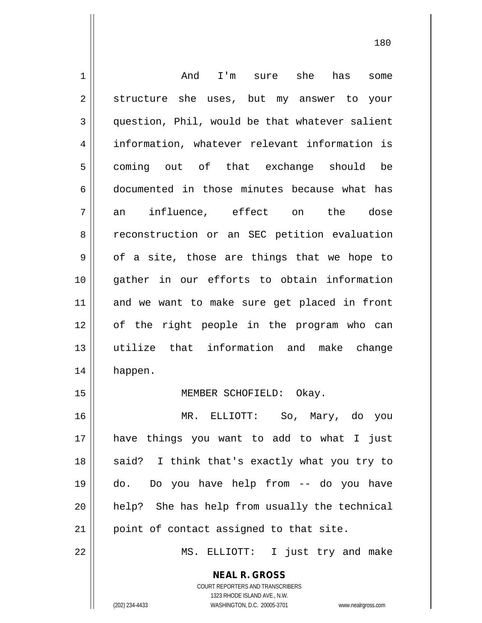| $\mathbf 1$    | And<br>I'm sure she has<br>some                          |
|----------------|----------------------------------------------------------|
| $\mathbf 2$    | structure she uses, but my answer to your                |
| 3              | question, Phil, would be that whatever salient           |
| $\overline{4}$ | information, whatever relevant information is            |
| 5              | coming out of that exchange should be                    |
| 6              | documented in those minutes because what has             |
| 7              | influence, effect on the dose<br>an                      |
| 8              | reconstruction or an SEC petition evaluation             |
| 9              | of a site, those are things that we hope to              |
| 10             | gather in our efforts to obtain information              |
| 11             | and we want to make sure get placed in front             |
| 12             | of the right people in the program who can               |
| 13             | utilize that information and make change                 |
| 14             | happen.                                                  |
| 15             | MEMBER SCHOFIELD: Okay.                                  |
| 16             | MR. ELLIOTT: So, Mary, do you                            |
| 17             | have things you want to add to what I just               |
| 18             | said? I think that's exactly what you try to             |
| 19             | do. Do you have help from -- do you have                 |
| 20             | help? She has help from usually the technical            |
| 21             | point of contact assigned to that site.                  |
| 22             | MS. ELLIOTT: I just try and make                         |
|                | <b>NEAL R. GROSS</b><br>COURT REPORTERS AND TRANSCRIBERS |

1323 RHODE ISLAND AVE., N.W.

 $\mathsf{II}$ 

(202) 234-4433 WASHINGTON, D.C. 20005-3701 www.nealrgross.com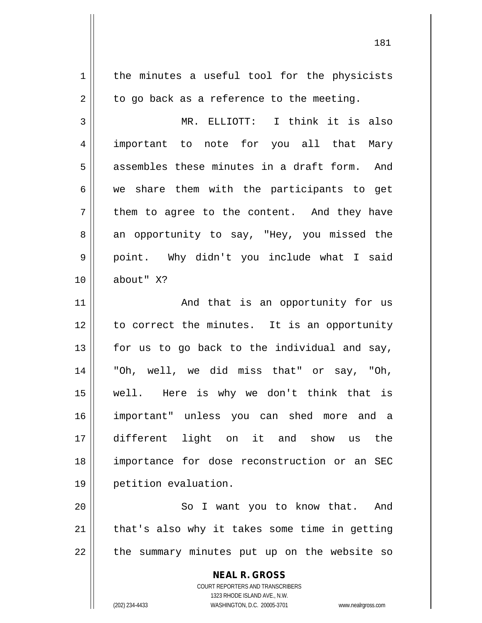**NEAL R. GROSS** 1 | the minutes a useful tool for the physicists  $2 \parallel$  to go back as a reference to the meeting. 3 MR. ELLIOTT: I think it is also 4 important to note for you all that Mary  $5 \parallel$  assembles these minutes in a draft form. And  $6 \parallel$  we share them with the participants to get  $7 \parallel$  them to agree to the content. And they have 8 an opportunity to say, "Hey, you missed the 9 || point. Why didn't you include what I said 10 about" X? 11 || And that is an opportunity for us 12 || to correct the minutes. It is an opportunity  $13$  for us to go back to the individual and say, 14 "Oh, well, we did miss that" or say, "Oh, 15 well. Here is why we don't think that is 16 important" unless you can shed more and a 17 different light on it and show us the 18 importance for dose reconstruction or an SEC 19 petition evaluation. 20 || So I want you to know that. And  $21$  | that's also why it takes some time in getting  $22$  | the summary minutes put up on the website so

> COURT REPORTERS AND TRANSCRIBERS 1323 RHODE ISLAND AVE., N.W.

(202) 234-4433 WASHINGTON, D.C. 20005-3701 www.nealrgross.com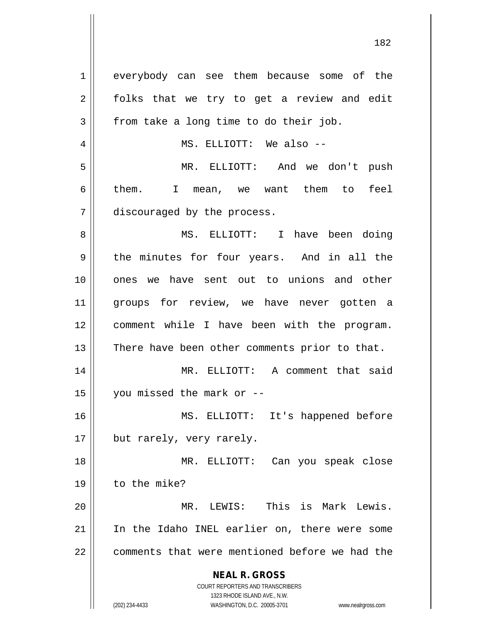**NEAL R. GROSS** COURT REPORTERS AND TRANSCRIBERS 1323 RHODE ISLAND AVE., N.W. 1 everybody can see them because some of the  $2 \parallel$  folks that we try to get a review and edit  $3 \parallel$  from take a long time to do their job. 4 MS. ELLIOTT: We also -- 5 MR. ELLIOTT: And we don't push 6 them. I mean, we want them to feel 7 | discouraged by the process. 8 MS. ELLIOTT: I have been doing  $9 \parallel$  the minutes for four years. And in all the 10 ones we have sent out to unions and other 11 || groups for review, we have never gotten a 12 comment while I have been with the program.  $13$  | There have been other comments prior to that. 14 MR. ELLIOTT: A comment that said 15  $\parallel$  you missed the mark or --16 MS. ELLIOTT: It's happened before 17 || but rarely, very rarely. 18 MR. ELLIOTT: Can you speak close 19 to the mike? 20 MR. LEWIS: This is Mark Lewis. 21 In the Idaho INEL earlier on, there were some 22 || comments that were mentioned before we had the

(202) 234-4433 WASHINGTON, D.C. 20005-3701 www.nealrgross.com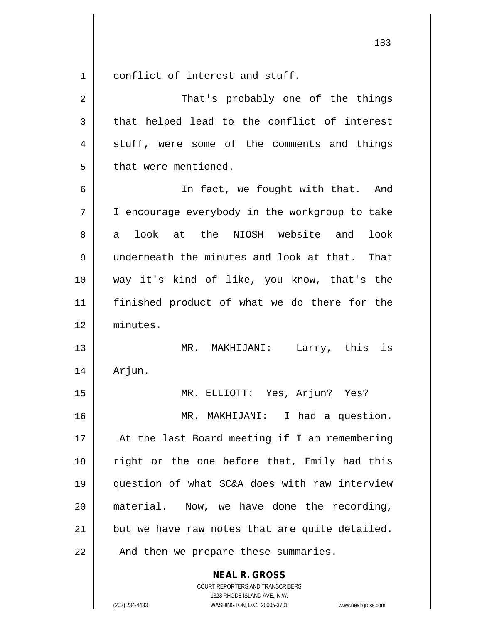$1 \parallel$  conflict of interest and stuff.

| 2  | That's probably one of the things              |
|----|------------------------------------------------|
| 3  | that helped lead to the conflict of interest   |
| 4  | stuff, were some of the comments and things    |
| 5  | that were mentioned.                           |
| 6  | In fact, we fought with that. And              |
| 7  | I encourage everybody in the workgroup to take |
| 8  | look at the NIOSH website and<br>look<br>a i   |
| 9  | underneath the minutes and look at that. That  |
| 10 | way it's kind of like, you know, that's the    |
| 11 | finished product of what we do there for the   |
| 12 | minutes.                                       |
| 13 | MR. MAKHIJANI: Larry, this is                  |
| 14 | Arjun.                                         |
| 15 | MR. ELLIOTT: Yes, Arjun? Yes?                  |
| 16 | MR. MAKHIJANI: I had a question.               |
| 17 | At the last Board meeting if I am remembering  |
| 18 | right or the one before that, Emily had this   |
| 19 | question of what SC&A does with raw interview  |
| 20 | material. Now, we have done the recording,     |
| 21 | but we have raw notes that are quite detailed. |
| 22 | And then we prepare these summaries.           |

**NEAL R. GROSS** COURT REPORTERS AND TRANSCRIBERS

1323 RHODE ISLAND AVE., N.W.

(202) 234-4433 WASHINGTON, D.C. 20005-3701 www.nealrgross.com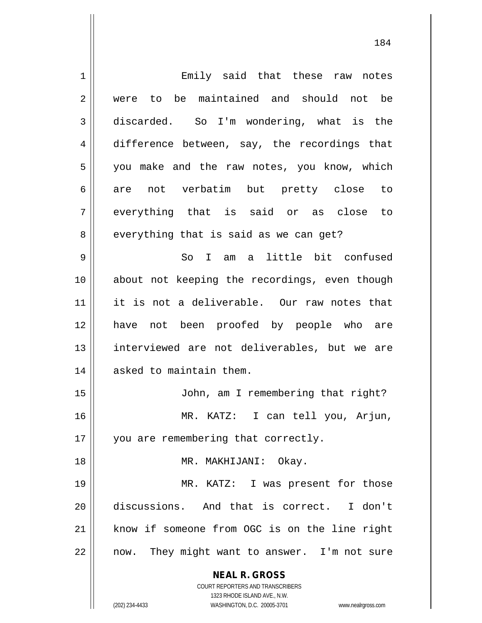**NEAL R. GROSS** COURT REPORTERS AND TRANSCRIBERS 1323 RHODE ISLAND AVE., N.W. (202) 234-4433 WASHINGTON, D.C. 20005-3701 www.nealrgross.com 1 Emily said that these raw notes 2 were to be maintained and should not be 3 discarded. So I'm wondering, what is the 4 difference between, say, the recordings that 5 || you make and the raw notes, you know, which 6 are not verbatim but pretty close to  $7 \parallel$  everything that is said or as close to  $8 \parallel$  everything that is said as we can get? 9 So I am a little bit confused 10 about not keeping the recordings, even though 11 it is not a deliverable. Our raw notes that 12 have not been proofed by people who are 13 || interviewed are not deliverables, but we are 14 | asked to maintain them. 15 || John, am I remembering that right? 16 MR. KATZ: I can tell you, Arjun, 17 || you are remembering that correctly. 18 MR. MAKHIJANI: Okay. 19 || MR. KATZ: I was present for those 20 discussions. And that is correct. I don't 21 || know if someone from OGC is on the line right  $22$  || now. They might want to answer. I'm not sure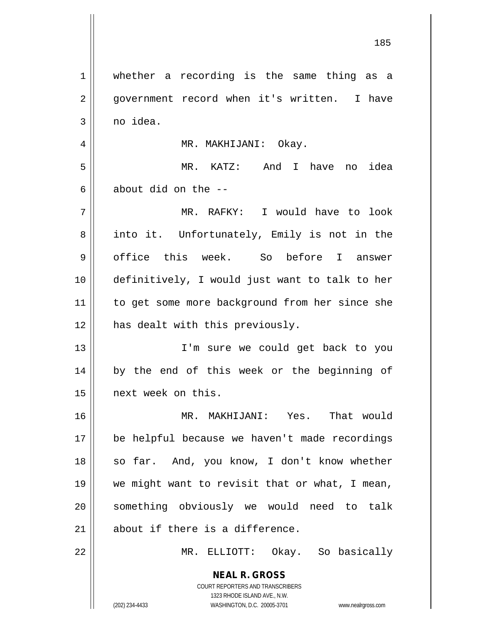**NEAL R. GROSS** COURT REPORTERS AND TRANSCRIBERS 1 || whether a recording is the same thing as a 2 || government record when it's written. I have  $3 \parallel$  no idea. 4 | MR. MAKHIJANI: Okay. 5 MR. KATZ: And I have no idea 6  $\parallel$  about did on the  $-$ -7 MR. RAFKY: I would have to look 8 || into it. Unfortunately, Emily is not in the 9 || office this week. So before I answer 10 definitively, I would just want to talk to her 11 to get some more background from her since she 12 || has dealt with this previously. 13 I'm sure we could get back to you 14 || by the end of this week or the beginning of 15 next week on this. 16 MR. MAKHIJANI: Yes. That would 17 be helpful because we haven't made recordings 18 || so far. And, you know, I don't know whether 19 we might want to revisit that or what, I mean, 20 || something obviously we would need to talk 21 || about if there is a difference. 22 MR. ELLIOTT: Okay. So basically

1323 RHODE ISLAND AVE., N.W.

(202) 234-4433 WASHINGTON, D.C. 20005-3701 www.nealrgross.com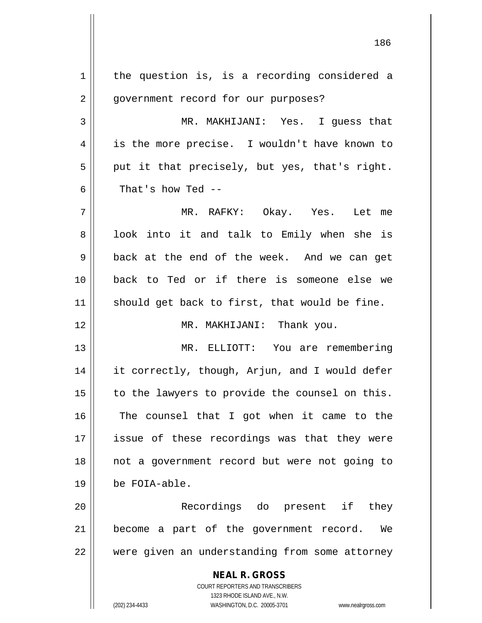**NEAL R. GROSS** COURT REPORTERS AND TRANSCRIBERS 1323 RHODE ISLAND AVE., N.W.  $1$  the question is, is a recording considered a 2 | government record for our purposes? 3 MR. MAKHIJANI: Yes. I guess that 4 || is the more precise. I wouldn't have known to  $5 \parallel$  put it that precisely, but yes, that's right. 6  $\parallel$  That's how Ted --7 MR. RAFKY: Okay. Yes. Let me 8 || look into it and talk to Emily when she is 9 back at the end of the week. And we can get 10 back to Ted or if there is someone else we  $11$  should get back to first, that would be fine. 12 || MR. MAKHIJANI: Thank you. 13 MR. ELLIOTT: You are remembering 14 | it correctly, though, Arjun, and I would defer  $15$  to the lawyers to provide the counsel on this. 16 || The counsel that I got when it came to the 17 issue of these recordings was that they were 18 not a government record but were not going to 19 be FOIA-able. 20 Recordings do present if they 21 || become a part of the government record. We 22 || were given an understanding from some attorney

(202) 234-4433 WASHINGTON, D.C. 20005-3701 www.nealrgross.com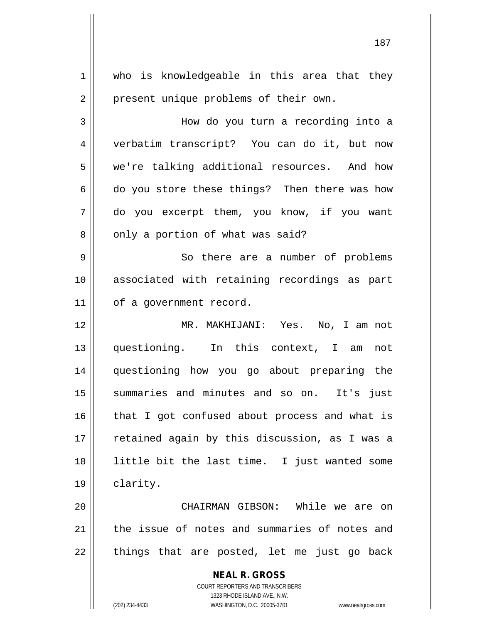**NEAL R. GROSS** COURT REPORTERS AND TRANSCRIBERS 1323 RHODE ISLAND AVE., N.W. (202) 234-4433 WASHINGTON, D.C. 20005-3701 www.nealrgross.com 1 who is knowledgeable in this area that they 2 | present unique problems of their own. 3 How do you turn a recording into a 4 verbatim transcript? You can do it, but now 5 we're talking additional resources. And how  $6 \parallel$  do you store these things? Then there was how 7 do you excerpt them, you know, if you want  $8 \parallel$  only a portion of what was said? 9 || So there are a number of problems 10 || associated with retaining recordings as part 11 | of a government record. 12 MR. MAKHIJANI: Yes. No, I am not 13 questioning. In this context, I am not 14 questioning how you go about preparing the 15 summaries and minutes and so on. It's just  $16$  | that I got confused about process and what is 17 || retained again by this discussion, as I was a 18 little bit the last time. I just wanted some 19 clarity. 20 CHAIRMAN GIBSON: While we are on 21 the issue of notes and summaries of notes and  $22$  || things that are posted, let me just go back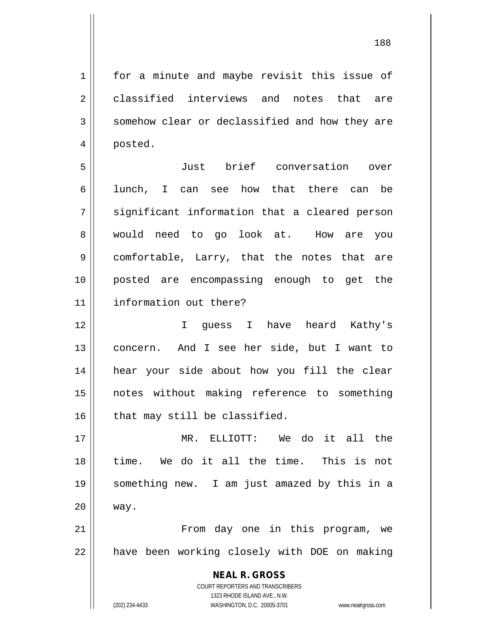1 | for a minute and maybe revisit this issue of  $2 \parallel$  classified interviews and notes that are 3 Somehow clear or declassified and how they are 4 posted. 5 Just brief conversation over 6 || lunch, I can see how that there can be  $7 \parallel$  significant information that a cleared person 8 || would need to go look at. How are you 9 comfortable, Larry, that the notes that are 10 posted are encompassing enough to get the 11 information out there? 12 I guess I have heard Kathy's 13 || concern. And I see her side, but I want to 14 hear your side about how you fill the clear 15 notes without making reference to something  $16$  | that may still be classified. 17 MR. ELLIOTT: We do it all the 18 time. We do it all the time. This is not 19 something new. I am just amazed by this in a 20 way. 21 From day one in this program, we 22 | have been working closely with DOE on making

1323 RHODE ISLAND AVE., N.W. (202) 234-4433 WASHINGTON, D.C. 20005-3701 www.nealrgross.com

**NEAL R. GROSS** COURT REPORTERS AND TRANSCRIBERS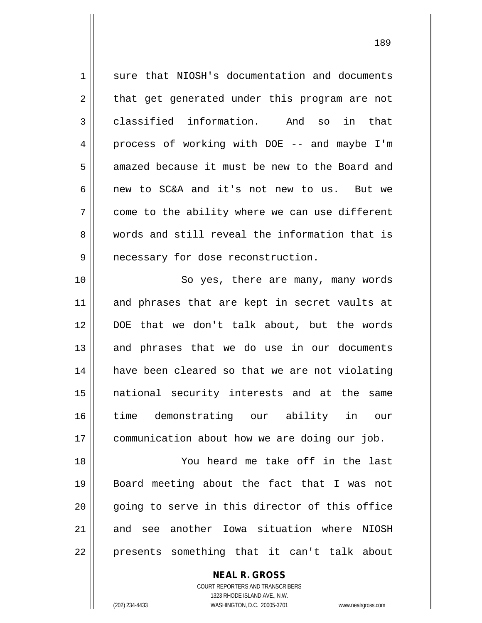| 1  | sure that NIOSH's documentation and documents  |
|----|------------------------------------------------|
| 2  | that get generated under this program are not  |
| 3  | classified information. And so<br>in that      |
| 4  | process of working with DOE -- and maybe I'm   |
| 5  | amazed because it must be new to the Board and |
| 6  | new to SC&A and it's not new to us. But we     |
| 7  | come to the ability where we can use different |
| 8  | words and still reveal the information that is |
| 9  | necessary for dose reconstruction.             |
| 10 | So yes, there are many, many words             |
| 11 | and phrases that are kept in secret vaults at  |
| 12 | DOE that we don't talk about, but the words    |
| 13 | and phrases that we do use in our documents    |
| 14 | have been cleared so that we are not violating |
| 15 | national security interests and at the<br>same |
| 16 | time demonstrating our ability in<br>our       |
| 17 | communication about how we are doing our job.  |
| 18 | You heard me take off in the last              |
| 19 | Board meeting about the fact that I was not    |
| 20 | going to serve in this director of this office |
| 21 | and see another Iowa situation where NIOSH     |
| 22 | presents something that it can't talk about    |

**NEAL R. GROSS**

COURT REPORTERS AND TRANSCRIBERS 1323 RHODE ISLAND AVE., N.W. (202) 234-4433 WASHINGTON, D.C. 20005-3701 www.nealrgross.com

 $\prod$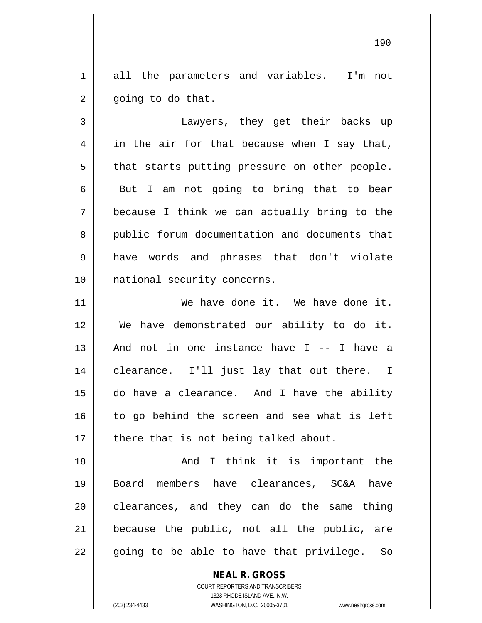1 all the parameters and variables. I'm not  $2 \parallel$  going to do that.

3 Lawyers, they get their backs up  $4 \parallel$  in the air for that because when I say that,  $5 \parallel$  that starts putting pressure on other people.  $6 \parallel$  But I am not going to bring that to bear 7 because I think we can actually bring to the 8 public forum documentation and documents that 9 have words and phrases that don't violate 10 || national security concerns.

 We have done it. We have done it. We have demonstrated our ability to do it. 13 || And not in one instance have I -- I have a clearance. I'll just lay that out there. I do have a clearance. And I have the ability to go behind the screen and see what is left || there that is not being talked about.

18 || Think it is important the 19 Board members have clearances, SC&A have  $20$  clearances, and they can do the same thing 21 because the public, not all the public, are  $22 \parallel$  going to be able to have that privilege. So

> **NEAL R. GROSS** COURT REPORTERS AND TRANSCRIBERS

> > 1323 RHODE ISLAND AVE., N.W.

(202) 234-4433 WASHINGTON, D.C. 20005-3701 www.nealrgross.com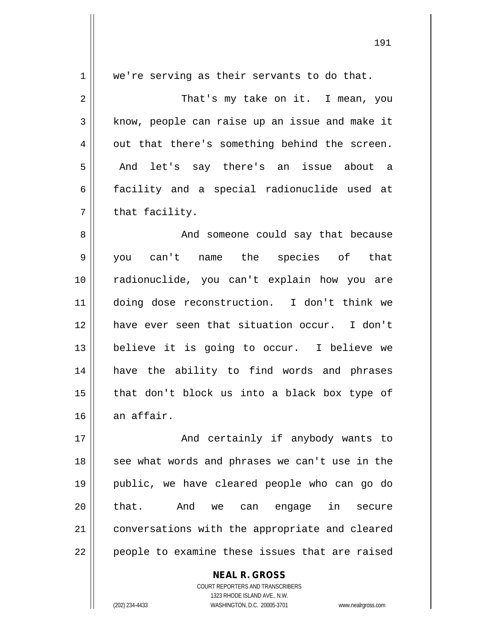| $\mathbf 1$ | we're serving as their servants to do that.    |
|-------------|------------------------------------------------|
| 2           | That's my take on it. I mean, you              |
| 3           | know, people can raise up an issue and make it |
| 4           | out that there's something behind the screen.  |
| 5           | And let's say there's an issue about a         |
| 6           | facility and a special radionuclide used at    |
| 7           | that facility.                                 |
| 8           | And someone could say that because             |
| 9           | you can't name the species of that             |
| 10          | radionuclide, you can't explain how you are    |
| 11          | doing dose reconstruction. I don't think we    |
| 12          | have ever seen that situation occur. I don't   |
| 13          | believe it is going to occur. I believe we     |
| 14          | have the ability to find words and phrases     |
| 15          | that don't block us into a black box type of   |
| 16          | an affair.                                     |
| 17          | And certainly if anybody wants to              |
| 18          | see what words and phrases we can't use in the |
| 19          | public, we have cleared people who can go do   |
| 20          | that.<br>And we can engage in secure           |
| 21          | conversations with the appropriate and cleared |
| 22          | people to examine these issues that are raised |

COURT REPORTERS AND TRANSCRIBERS 1323 RHODE ISLAND AVE., N.W. (202) 234-4433 WASHINGTON, D.C. 20005-3701 www.nealrgross.com

**NEAL R. GROSS**

 $\prod$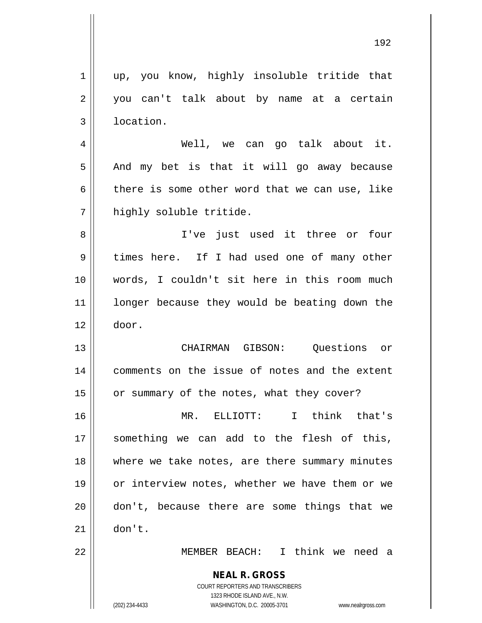| $\mathbf 1$    | up, you know, highly insoluble tritide that                                                         |
|----------------|-----------------------------------------------------------------------------------------------------|
| 2              | you can't talk about by name at a certain                                                           |
| $\mathbf{3}$   | location.                                                                                           |
| $\overline{4}$ | Well, we can go talk about it.                                                                      |
| 5              | And my bet is that it will go away because                                                          |
| 6              | there is some other word that we can use, like                                                      |
| 7              | highly soluble tritide.                                                                             |
| 8              | I've just used it three or four                                                                     |
| 9              | times here. If I had used one of many other                                                         |
| 10             | words, I couldn't sit here in this room much                                                        |
| 11             | longer because they would be beating down the                                                       |
| 12             | door.                                                                                               |
| 13             | CHAIRMAN GIBSON: Questions or                                                                       |
| 14             | comments on the issue of notes and the extent                                                       |
| 15             | or summary of the notes, what they cover?                                                           |
| 16             | MR. ELLIOTT: I think that's                                                                         |
| 17             | something we can add to the flesh of this,                                                          |
| 18             | where we take notes, are there summary minutes                                                      |
| 19             | or interview notes, whether we have them or we                                                      |
| 20             | don't, because there are some things that we                                                        |
| 21             | don't.                                                                                              |
| 22             | MEMBER BEACH: I think we need a                                                                     |
|                | <b>NEAL R. GROSS</b>                                                                                |
|                | COURT REPORTERS AND TRANSCRIBERS                                                                    |
|                | 1323 RHODE ISLAND AVE., N.W.<br>(202) 234-4433<br>WASHINGTON, D.C. 20005-3701<br>www.nealrgross.com |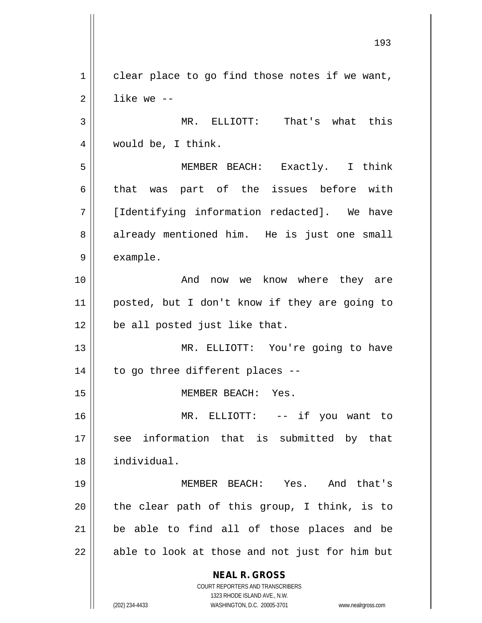**NEAL R. GROSS** COURT REPORTERS AND TRANSCRIBERS 1323 RHODE ISLAND AVE., N.W.  $1 \parallel$  clear place to go find those notes if we want,  $2 \parallel$  like we --3 MR. ELLIOTT: That's what this 4 would be, I think. 5 MEMBER BEACH: Exactly. I think  $6 \parallel$  that was part of the issues before with 7 || [Identifying information redacted]. We have 8 already mentioned him. He is just one small 9 || example. 10 And now we know where they are 11 posted, but I don't know if they are going to 12 | be all posted just like that. 13 || MR. ELLIOTT: You're going to have  $14$  | to go three different places --15 || MEMBER BEACH: Yes. 16 MR. ELLIOTT: -- if you want to 17 || see information that is submitted by that 18 individual. 19 MEMBER BEACH: Yes. And that's  $20$  || the clear path of this group, I think, is to 21 be able to find all of those places and be  $22$  | able to look at those and not just for him but

(202) 234-4433 WASHINGTON, D.C. 20005-3701 www.nealrgross.com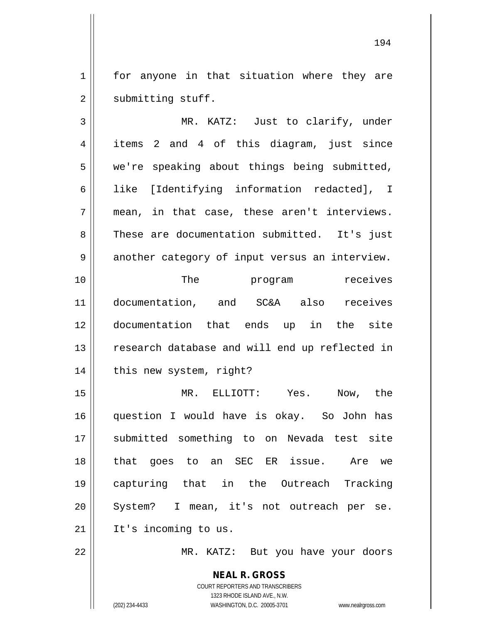1 || for anyone in that situation where they are 2 | submitting stuff.

3 MR. KATZ: Just to clarify, under 4 || items 2 and 4 of this diagram, just since 5 we're speaking about things being submitted, 6 || like [Identifying information redacted], I  $7 \parallel$  mean, in that case, these aren't interviews. 8 These are documentation submitted. It's just 9 | another category of input versus an interview. 10 || The program receives 11 documentation, and SC&A also receives 12 documentation that ends up in the site 13 || research database and will end up reflected in 14 | this new system, right? 15 MR. ELLIOTT: Yes. Now, the 16 question I would have is okay. So John has 17 || submitted something to on Nevada test site 18 that goes to an SEC ER issue. Are we 19 capturing that in the Outreach Tracking 20 || System? I mean, it's not outreach per se.  $21$  | It's incoming to us. 22 MR. KATZ: But you have your doors

> **NEAL R. GROSS** COURT REPORTERS AND TRANSCRIBERS 1323 RHODE ISLAND AVE., N.W. (202) 234-4433 WASHINGTON, D.C. 20005-3701 www.nealrgross.com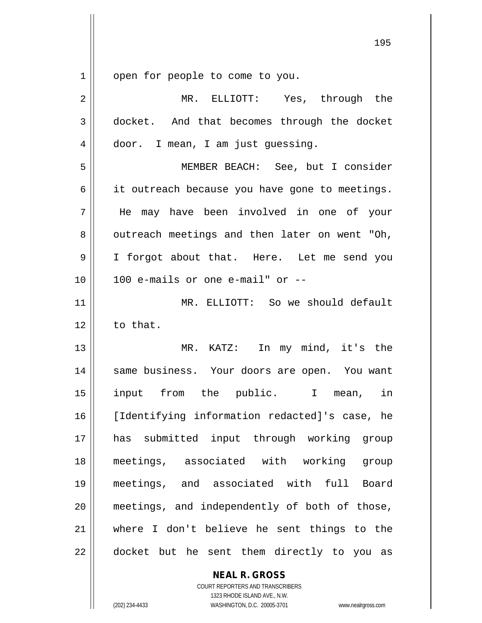1 | open for people to come to you.

| $\overline{2}$ | MR. ELLIOTT: Yes, through the                  |
|----------------|------------------------------------------------|
| $\mathbf{3}$   | docket. And that becomes through the docket    |
| 4              | door. I mean, I am just guessing.              |
| 5              | MEMBER BEACH: See, but I consider              |
| 6              | it outreach because you have gone to meetings. |
| 7              | He may have been involved in one of your       |
| 8              | outreach meetings and then later on went "Oh,  |
| 9              | I forgot about that. Here. Let me send you     |
| 10             | 100 e-mails or one e-mail" or --               |
| 11             | MR. ELLIOTT: So we should default              |
| 12             | to that.                                       |
| 13             | MR. KATZ: In my mind, it's the                 |
| 14             | same business. Your doors are open. You want   |
| 15             | input from the public. I mean, in              |
| 16             | [Identifying information redacted]'s case, he  |
| 17             | has submitted input through working group      |
| 18             | meetings, associated with working group        |
| 19             | meetings, and associated with full Board       |
| 20             | meetings, and independently of both of those,  |
| 21             | where I don't believe he sent things to the    |
| 22             | docket but he sent them directly to you as     |

**NEAL R. GROSS** COURT REPORTERS AND TRANSCRIBERS

1323 RHODE ISLAND AVE., N.W. (202) 234-4433 WASHINGTON, D.C. 20005-3701 www.nealrgross.com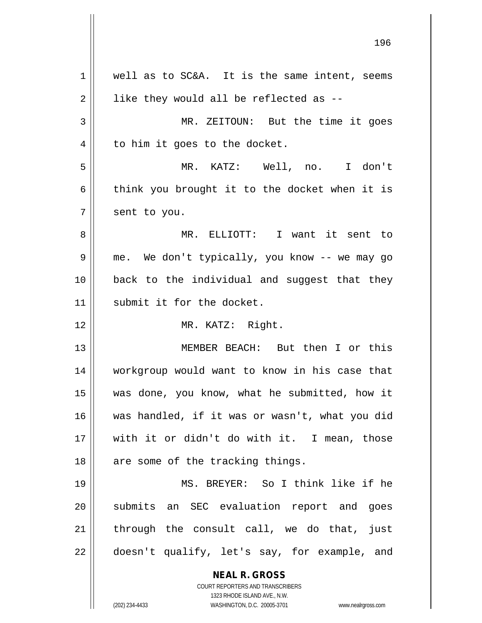**NEAL R. GROSS** COURT REPORTERS AND TRANSCRIBERS  $1 \parallel$  well as to SC&A. It is the same intent, seems  $2 \parallel$  like they would all be reflected as --3 MR. ZEITOUN: But the time it goes  $4 \parallel$  to him it goes to the docket. 5 MR. KATZ: Well, no. I don't  $6 \parallel$  think you brought it to the docket when it is  $7 \parallel$  sent to you. 8 MR. ELLIOTT: I want it sent to 9 me. We don't typically, you know -- we may go 10 back to the individual and suggest that they 11 || submit it for the docket. 12 || MR. KATZ: Right. 13 MEMBER BEACH: But then I or this 14 workgroup would want to know in his case that 15 was done, you know, what he submitted, how it 16 was handled, if it was or wasn't, what you did 17 with it or didn't do with it. I mean, those 18 || are some of the tracking things. 19 MS. BREYER: So I think like if he 20 || submits an SEC evaluation report and goes  $21$  || through the consult call, we do that, just 22 || doesn't qualify, let's say, for example, and

1323 RHODE ISLAND AVE., N.W.

(202) 234-4433 WASHINGTON, D.C. 20005-3701 www.nealrgross.com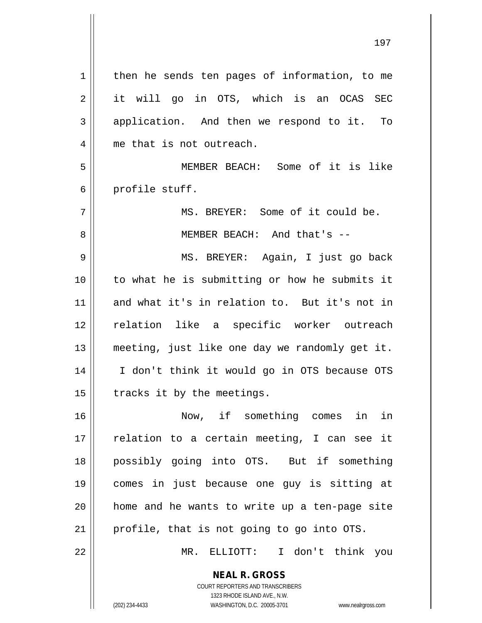**NEAL R. GROSS** 1 | then he sends ten pages of information, to me 2 it will go in OTS, which is an OCAS SEC 3 application. And then we respond to it. To 4 || me that is not outreach. 5 MEMBER BEACH: Some of it is like 6 profile stuff. 7 MS. BREYER: Some of it could be. 8 || MEMBER BEACH: And that's --9 MS. BREYER: Again, I just go back 10 to what he is submitting or how he submits it 11 and what it's in relation to. But it's not in 12 || relation like a specific worker outreach 13 meeting, just like one day we randomly get it. 14 || I don't think it would go in OTS because OTS  $15$  | tracks it by the meetings. 16 Now, if something comes in in 17 || relation to a certain meeting, I can see it 18 possibly going into OTS. But if something 19 comes in just because one guy is sitting at 20 home and he wants to write up a ten-page site 21 | profile, that is not going to go into OTS. 22 MR. ELLIOTT: I don't think you

> COURT REPORTERS AND TRANSCRIBERS 1323 RHODE ISLAND AVE., N.W.

(202) 234-4433 WASHINGTON, D.C. 20005-3701 www.nealrgross.com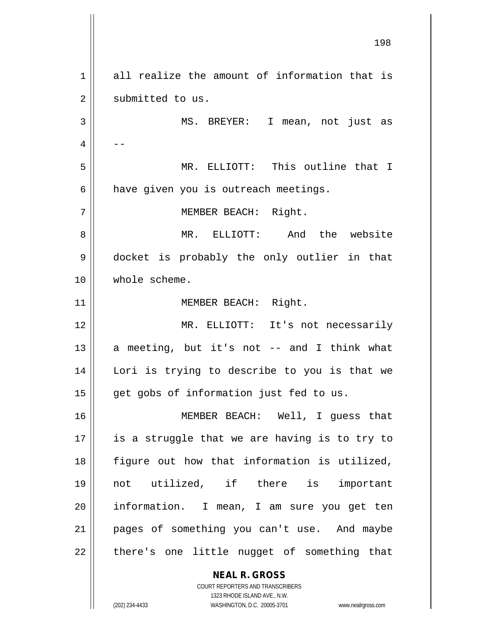1 all realize the amount of information that is 2 || submitted to us. MS. BREYER: I mean, not just as  $4 \parallel - -$  MR. ELLIOTT: This outline that I have given you is outreach meetings. 7 | MEMBER BEACH: Right. MR. ELLIOTT: And the website docket is probably the only outlier in that whole scheme. 11 || MEMBER BEACH: Right. MR. ELLIOTT: It's not necessarily  $\parallel$  a meeting, but it's not -- and I think what Lori is trying to describe to you is that we || get gobs of information just fed to us. MEMBER BEACH: Well, I guess that || is a struggle that we are having is to try to figure out how that information is utilized, not utilized, if there is important 20 || information. I mean, I am sure you get ten pages of something you can't use. And maybe || there's one little nugget of something that

> **NEAL R. GROSS** COURT REPORTERS AND TRANSCRIBERS 1323 RHODE ISLAND AVE., N.W.

(202) 234-4433 WASHINGTON, D.C. 20005-3701 www.nealrgross.com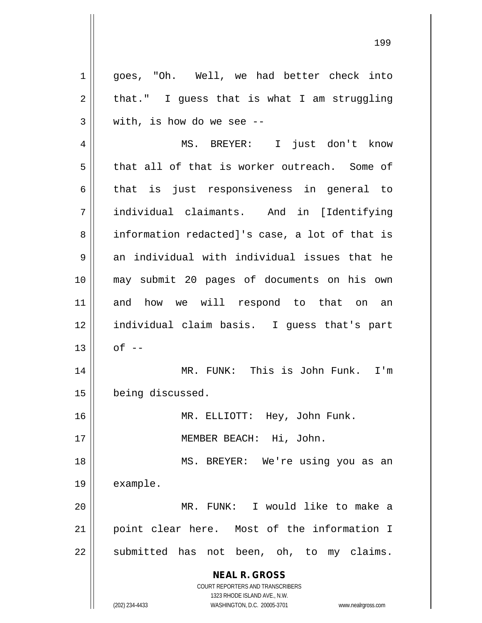**NEAL R. GROSS** COURT REPORTERS AND TRANSCRIBERS 1323 RHODE ISLAND AVE., N.W. 1 || goes, "Oh. Well, we had better check into  $2 \parallel$  that." I guess that is what I am struggling  $3 \parallel$  with, is how do we see --4 || MS. BREYER: I just don't know  $5 \parallel$  that all of that is worker outreach. Some of  $6 \parallel$  that is just responsiveness in general to 7 individual claimants. And in [Identifying 8 information redacted]'s case, a lot of that is  $9$   $\parallel$  an individual with individual issues that he 10 may submit 20 pages of documents on his own 11 and how we will respond to that on an 12 individual claim basis. I guess that's part  $13 \parallel$  of  $-$ 14 || MR. FUNK: This is John Funk. I'm 15 | being discussed. 16 MR. ELLIOTT: Hey, John Funk. 17 || **MEMBER BEACH:** Hi, John. 18 MS. BREYER: We're using you as an 19 | example. 20 MR. FUNK: I would like to make a 21 point clear here. Most of the information I 22 || submitted has not been, oh, to my claims.

(202) 234-4433 WASHINGTON, D.C. 20005-3701 www.nealrgross.com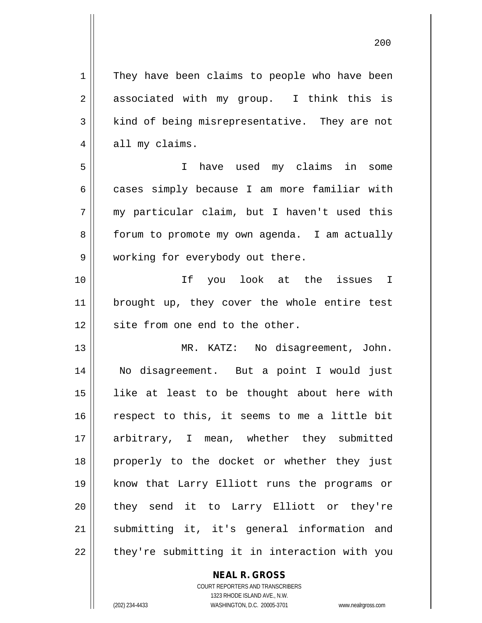1 | They have been claims to people who have been 2 associated with my group. I think this is 3 | kind of being misrepresentative. They are not  $4 \parallel$  all my claims. 5 || Thave used my claims in some 6 cases simply because I am more familiar with  $7 \parallel$  my particular claim, but I haven't used this 8 | forum to promote my own agenda. I am actually 9 | working for everybody out there. 10 If you look at the issues I 11 || brought up, they cover the whole entire test  $12$   $\parallel$  site from one end to the other. 13 || MR. KATZ: No disagreement, John. 14 No disagreement. But a point I would just 15 like at least to be thought about here with  $16$  respect to this, it seems to me a little bit 17 arbitrary, I mean, whether they submitted 18 properly to the docket or whether they just 19 know that Larry Elliott runs the programs or 20 they send it to Larry Elliott or they're 21 submitting it, it's general information and  $22$  | they're submitting it in interaction with you

**NEAL R. GROSS**

COURT REPORTERS AND TRANSCRIBERS 1323 RHODE ISLAND AVE., N.W. (202) 234-4433 WASHINGTON, D.C. 20005-3701 www.nealrgross.com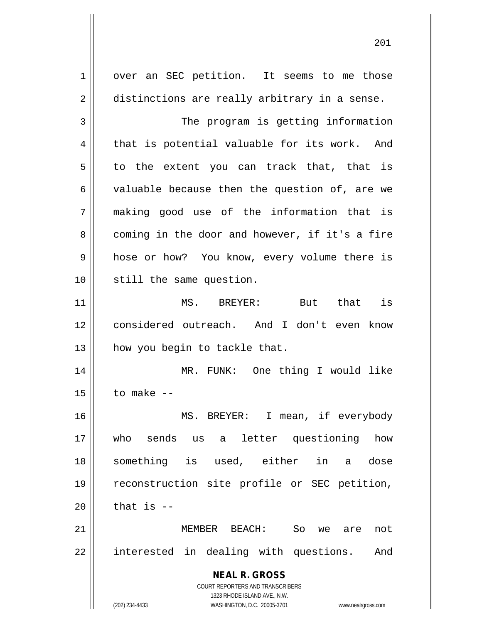**NEAL R. GROSS** COURT REPORTERS AND TRANSCRIBERS 1323 RHODE ISLAND AVE., N.W. (202) 234-4433 WASHINGTON, D.C. 20005-3701 www.nealrgross.com 1 | over an SEC petition. It seems to me those  $2 \parallel$  distinctions are really arbitrary in a sense. 3 | The program is getting information  $4 \parallel$  that is potential valuable for its work. And  $5 \parallel$  to the extent you can track that, that is  $6 \parallel$  valuable because then the question of, are we 7 making good use of the information that is  $8 ||$  coming in the door and however, if it's a fire 9 || hose or how? You know, every volume there is 10 || still the same question. 11 MS. BREYER: But that is 12 considered outreach. And I don't even know 13 || how you begin to tackle that. 14 || MR. FUNK: One thing I would like  $15$   $\parallel$  to make  $-$ 16 MS. BREYER: I mean, if everybody 17 who sends us a letter questioning how 18 something is used, either in a dose 19 reconstruction site profile or SEC petition,  $20$  | that is  $-$ 21 MEMBER BEACH: So we are not 22 || interested in dealing with questions. And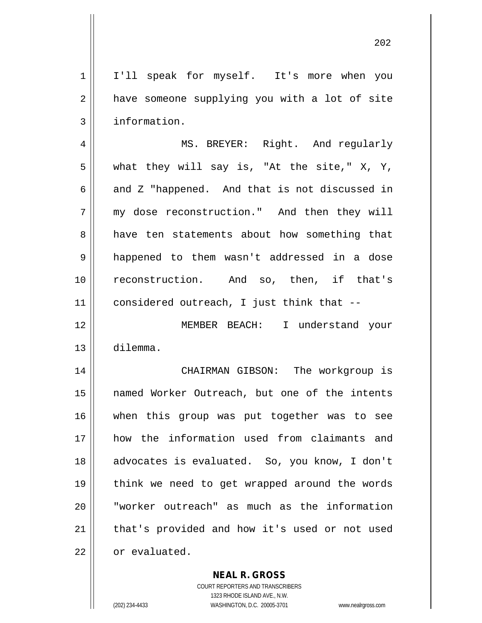1 || I'll speak for myself. It's more when you  $2 \parallel$  have someone supplying you with a lot of site 3 | information.

 MS. BREYER: Right. And regularly  $5 \parallel$  what they will say is, "At the site," X, Y,  $6 \parallel$  and Z "happened. And that is not discussed in my dose reconstruction." And then they will 8 aabout how something that happened to them wasn't addressed in a dose reconstruction. And so, then, if that's considered outreach, I just think that --

12 MEMBER BEACH: I understand your 13 dilemma.

14 CHAIRMAN GIBSON: The workgroup is 15 named Worker Outreach, but one of the intents 16 when this group was put together was to see 17 how the information used from claimants and 18 advocates is evaluated. So, you know, I don't 19 || think we need to get wrapped around the words 20 || "worker outreach" as much as the information 21 || that's provided and how it's used or not used 22 or evaluated.

**NEAL R. GROSS**

COURT REPORTERS AND TRANSCRIBERS 1323 RHODE ISLAND AVE., N.W. (202) 234-4433 WASHINGTON, D.C. 20005-3701 www.nealrgross.com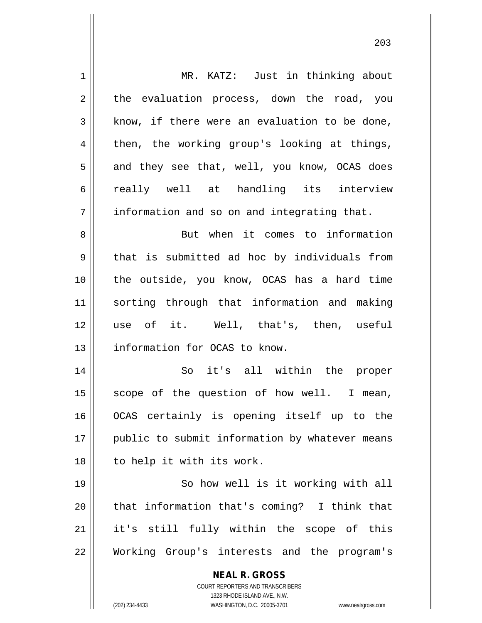| 1  | MR. KATZ: Just in thinking about                                    |
|----|---------------------------------------------------------------------|
| 2  | the evaluation process, down the road, you                          |
| 3  | know, if there were an evaluation to be done,                       |
| 4  | then, the working group's looking at things,                        |
| 5  | and they see that, well, you know, OCAS does                        |
| 6  | really well at handling its interview                               |
| 7  | information and so on and integrating that.                         |
| 8  | But when it comes to information                                    |
| 9  | that is submitted ad hoc by individuals from                        |
| 10 | the outside, you know, OCAS has a hard time                         |
| 11 | sorting through that information and making                         |
| 12 | use of it. Well, that's, then, useful                               |
| 13 | information for OCAS to know.                                       |
| 14 | So it's all within the proper                                       |
| 15 | scope of the question of how well. I mean,                          |
| 16 | OCAS certainly is opening itself up to the                          |
| 17 | public to submit information by whatever means                      |
| 18 | to help it with its work.                                           |
| 19 | So how well is it working with all                                  |
| 20 | that information that's coming? I think that                        |
| 21 | it's still fully within the scope of this                           |
| 22 | Working Group's interests and the program's                         |
|    | <b>NEAL R. GROSS</b>                                                |
|    | COURT REPORTERS AND TRANSCRIBERS                                    |
|    | 1323 RHODE ISLAND AVE., N.W.                                        |
|    | (202) 234-4433<br>WASHINGTON, D.C. 20005-3701<br>www.nealrgross.com |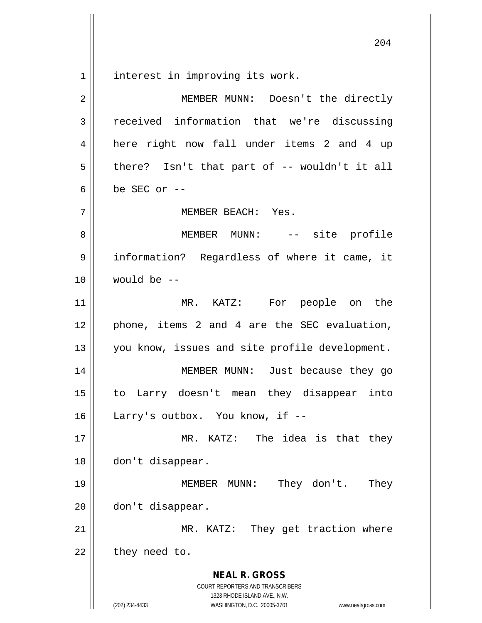interest in improving its work.

| $\overline{2}$ | MEMBER MUNN: Doesn't the directly                                                                                                                               |
|----------------|-----------------------------------------------------------------------------------------------------------------------------------------------------------------|
| 3              | received information that we're discussing                                                                                                                      |
| 4              | here right now fall under items 2 and 4 up                                                                                                                      |
| 5              | there? Isn't that part of -- wouldn't it all                                                                                                                    |
| 6              | be SEC or $-$                                                                                                                                                   |
| 7              | MEMBER BEACH: Yes.                                                                                                                                              |
| 8              | MEMBER MUNN: -- site profile                                                                                                                                    |
| 9              | information? Regardless of where it came, it                                                                                                                    |
| 10             | would be --                                                                                                                                                     |
| 11             | MR. KATZ: For people on the                                                                                                                                     |
| 12             | phone, items 2 and 4 are the SEC evaluation,                                                                                                                    |
| 13             | you know, issues and site profile development.                                                                                                                  |
| 14             | MEMBER MUNN: Just because they go                                                                                                                               |
| 15             | to Larry doesn't mean they disappear into                                                                                                                       |
| 16             | Larry's outbox. You know, if --                                                                                                                                 |
| 17             | KATZ: The idea is that they<br>$MR$ .                                                                                                                           |
| 18             | don't disappear.                                                                                                                                                |
| 19             | They don't.<br>MEMBER MUNN:<br>They                                                                                                                             |
| 20             | don't disappear.                                                                                                                                                |
| 21             | MR. KATZ: They get traction where                                                                                                                               |
| 22             | they need to.                                                                                                                                                   |
|                | <b>NEAL R. GROSS</b><br>COURT REPORTERS AND TRANSCRIBERS<br>1323 RHODE ISLAND AVE., N.W.<br>(202) 234-4433<br>WASHINGTON, D.C. 20005-3701<br>www.nealrgross.com |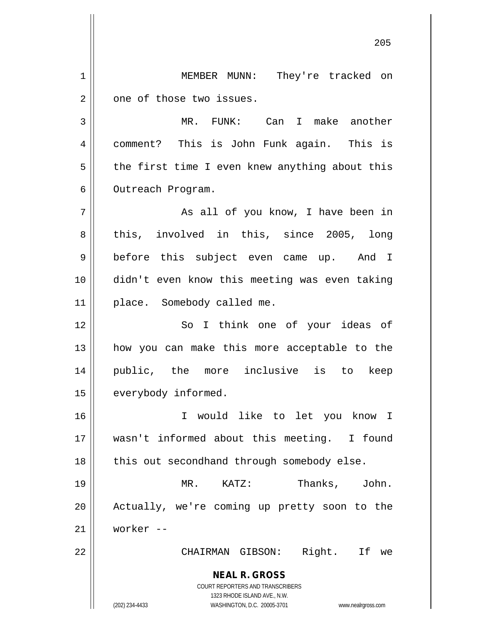**NEAL R. GROSS** COURT REPORTERS AND TRANSCRIBERS 1323 RHODE ISLAND AVE., N.W. (202) 234-4433 WASHINGTON, D.C. 20005-3701 www.nealrgross.com 205 1 | MEMBER MUNN: They're tracked on  $2 \parallel$  one of those two issues. 3 MR. FUNK: Can I make another 4 | comment? This is John Funk again. This is  $5 \parallel$  the first time I even knew anything about this 6 | Outreach Program. 7 || As all of you know, I have been in 8 || this, involved in this, since 2005, long 9 || before this subject even came up. And I 10 didn't even know this meeting was even taking 11 || place. Somebody called me. 12 || So I think one of your ideas of 13 how you can make this more acceptable to the 14 public, the more inclusive is to keep 15 | everybody informed. 16 I would like to let you know I 17 wasn't informed about this meeting. I found  $18$  | this out secondhand through somebody else. 19 MR. KATZ: Thanks, John. 20 || Actually, we're coming up pretty soon to the 21 worker -- 22 CHAIRMAN GIBSON: Right. If we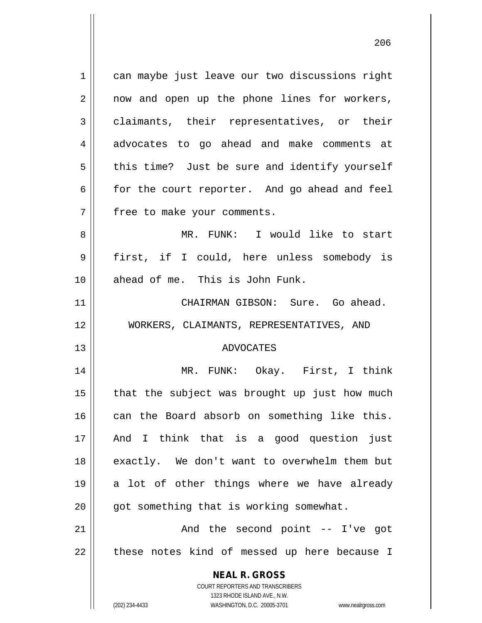**NEAL R. GROSS** COURT REPORTERS AND TRANSCRIBERS 1323 RHODE ISLAND AVE., N.W. 1 || can maybe just leave our two discussions right 2 || now and open up the phone lines for workers, 3 claimants, their representatives, or their 4 advocates to go ahead and make comments at  $5 \parallel$  this time? Just be sure and identify yourself 6 for the court reporter. And go ahead and feel 7 | free to make your comments. 8 MR. FUNK: I would like to start 9 || first, if I could, here unless somebody is 10 ahead of me. This is John Funk. 11 CHAIRMAN GIBSON: Sure. Go ahead. 12 WORKERS, CLAIMANTS, REPRESENTATIVES, AND 13 ADVOCATES 14 MR. FUNK: Okay. First, I think  $15$  | that the subject was brought up just how much 16 can the Board absorb on something like this. 17 And I think that is a good question just 18 || exactly. We don't want to overwhelm them but  $19 \parallel$  a lot of other things where we have already  $20$  | got something that is working somewhat. 21 || The second point -- I've got 22 || these notes kind of messed up here because I

(202) 234-4433 WASHINGTON, D.C. 20005-3701 www.nealrgross.com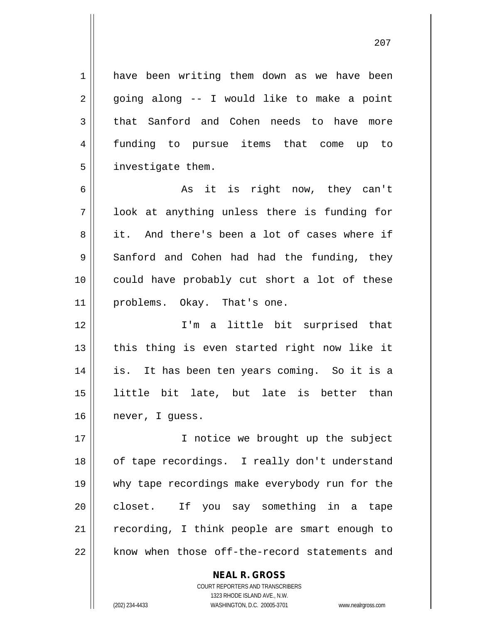1 have been writing them down as we have been  $2 \parallel$  going along -- I would like to make a point 3 that Sanford and Cohen needs to have more 4 funding to pursue items that come up to 5 | investigate them.

6  $\parallel$  as it is right now, they can't 7 || look at anything unless there is funding for 8 it. And there's been a lot of cases where if  $9 \parallel$  Sanford and Cohen had had the funding, they 10 || could have probably cut short a lot of these 11 || problems. Okay. That's one.

 I'm a little bit surprised that || this thing is even started right now like it is. It has been ten years coming. So it is a little bit late, but late is better than 16 | never, I quess.

17 || **I** notice we brought up the subject 18 || of tape recordings. I really don't understand 19 why tape recordings make everybody run for the 20 || closet. If you say something in a tape  $21$  recording, I think people are smart enough to 22 || know when those off-the-record statements and

> **NEAL R. GROSS** COURT REPORTERS AND TRANSCRIBERS 1323 RHODE ISLAND AVE., N.W.

(202) 234-4433 WASHINGTON, D.C. 20005-3701 www.nealrgross.com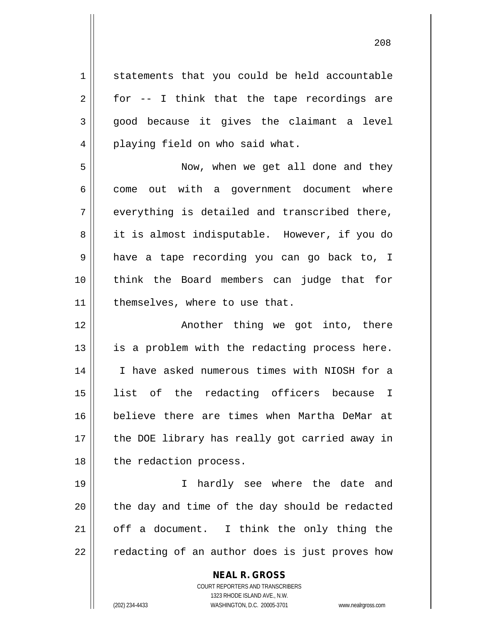1 statements that you could be held accountable  $2 \parallel$  for -- I think that the tape recordings are  $3 \parallel$  good because it gives the claimant a level 4 || playing field on who said what. 5 Now, when we get all done and they  $6 \parallel$  come out with a government document where  $7 \parallel$  everything is detailed and transcribed there, 8 it is almost indisputable. However, if you do 9 || have a tape recording you can go back to, I 10 think the Board members can judge that for 11 | themselves, where to use that.

12 || Another thing we got into, there  $13$  || is a problem with the redacting process here. 14 I have asked numerous times with NIOSH for a 15 list of the redacting officers because I 16 believe there are times when Martha DeMar at 17 || the DOE library has really got carried away in 18 || the redaction process.

 I hardly see where the date and || the day and time of the day should be redacted | off a document. I think the only thing the 22 || redacting of an author does is just proves how

> **NEAL R. GROSS** COURT REPORTERS AND TRANSCRIBERS 1323 RHODE ISLAND AVE., N.W. (202) 234-4433 WASHINGTON, D.C. 20005-3701 www.nealrgross.com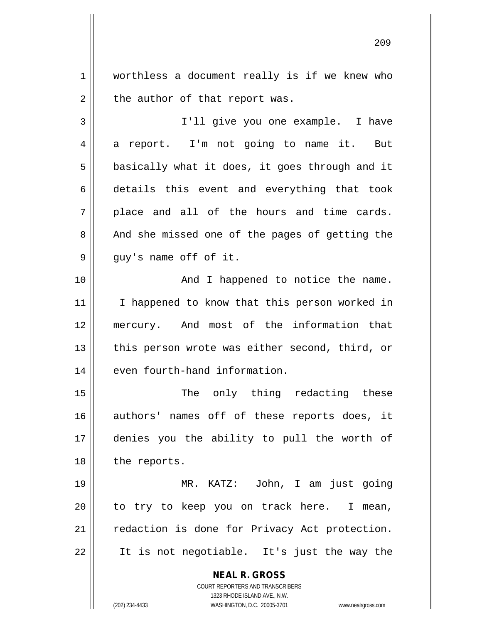1 worthless a document really is if we knew who  $2 \parallel$  the author of that report was.

3 I'll give you one example. I have 4 a report. I'm not going to name it. But  $5 \parallel$  basically what it does, it goes through and it 6 details this event and everything that took  $7 \parallel$  place and all of the hours and time cards. 8 || And she missed one of the pages of getting the  $9 \parallel$  guy's name off of it.

10 || Thappened to notice the name. 11 || I happened to know that this person worked in 12 mercury. And most of the information that  $13$  || this person wrote was either second, third, or 14 even fourth-hand information.

15 || The only thing redacting these 16 authors' names off of these reports does, it 17 denies you the ability to pull the worth of 18 | the reports.

19 MR. KATZ: John, I am just going  $20$  to try to keep you on track here. I mean, 21 | redaction is done for Privacy Act protection.  $22 \parallel$  It is not negotiable. It's just the way the

> **NEAL R. GROSS** COURT REPORTERS AND TRANSCRIBERS

> > 1323 RHODE ISLAND AVE., N.W.

(202) 234-4433 WASHINGTON, D.C. 20005-3701 www.nealrgross.com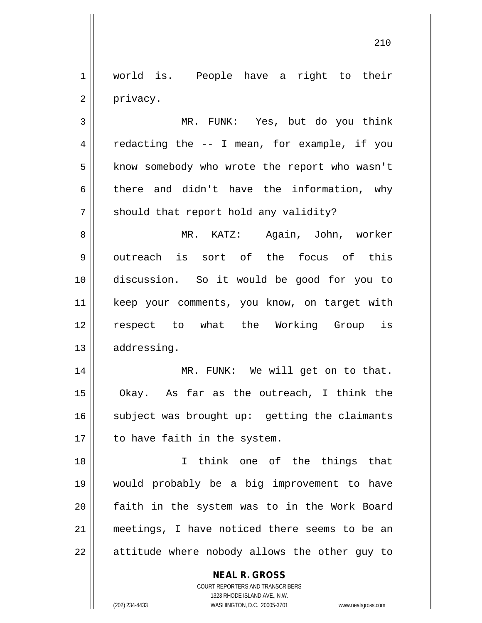1 || world is. People have a right to their 2 | privacy.

3 MR. FUNK: Yes, but do you think  $4 \parallel$  redacting the  $-$  I mean, for example, if you 5 | know somebody who wrote the report who wasn't 6 there and didn't have the information, why  $7 \parallel$  should that report hold any validity?

 MR. KATZ: Again, John, worker  $9 \parallel$  outreach is sort of the focus of this discussion. So it would be good for you to keep your comments, you know, on target with respect to what the Working Group is 13 | addressing.

14 || MR. FUNK: We will get on to that. Okay. As far as the outreach, I think the subject was brought up: getting the claimants | to have faith in the system.

 I think one of the things that would probably be a big improvement to have faith in the system was to in the Work Board meetings, I have noticed there seems to be an || attitude where nobody allows the other guy to

**NEAL R. GROSS**

COURT REPORTERS AND TRANSCRIBERS 1323 RHODE ISLAND AVE., N.W. (202) 234-4433 WASHINGTON, D.C. 20005-3701 www.nealrgross.com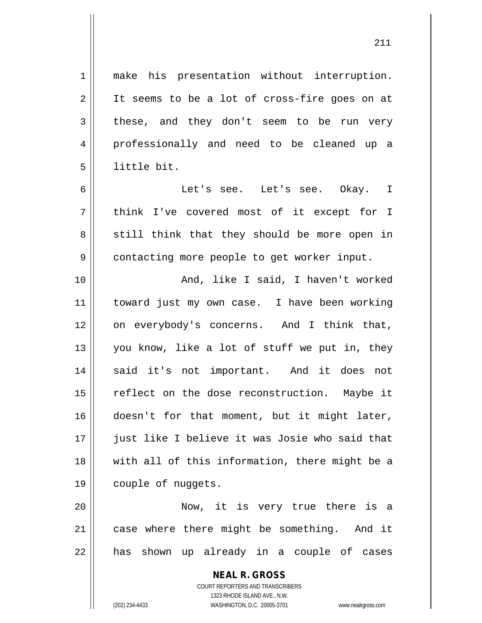1 make his presentation without interruption. 2 || It seems to be a lot of cross-fire goes on at  $3 \parallel$  these, and they don't seem to be run very 4 professionally and need to be cleaned up a 5 little bit.

6 Let's see. Let's see. Okay. I 7 || think I've covered most of it except for I  $8 \parallel$  still think that they should be more open in 9 | contacting more people to get worker input.

10 || And, like I said, I haven't worked 11 toward just my own case. I have been working 12 on everybody's concerns. And I think that, 13  $\parallel$  you know, like a lot of stuff we put in, they 14 || said it's not important. And it does not 15 || reflect on the dose reconstruction. Maybe it 16 doesn't for that moment, but it might later, 17 || just like I believe it was Josie who said that 18 with all of this information, there might be a 19 couple of nuggets.

20 Now, it is very true there is a 21 || case where there might be something. And it 22 || has shown up already in a couple of cases

> **NEAL R. GROSS** COURT REPORTERS AND TRANSCRIBERS 1323 RHODE ISLAND AVE., N.W. (202) 234-4433 WASHINGTON, D.C. 20005-3701 www.nealrgross.com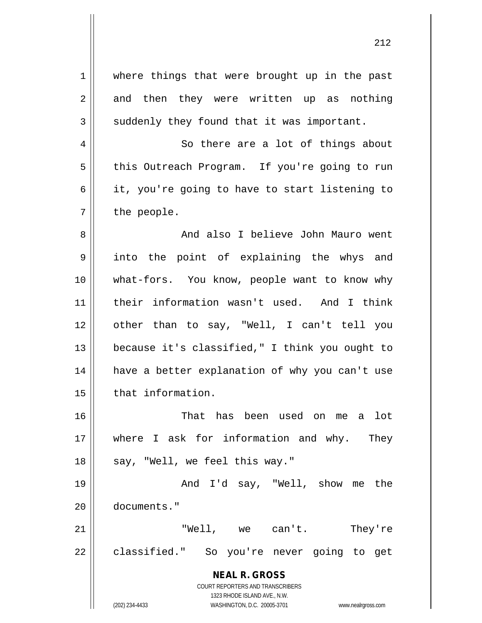**NEAL R. GROSS** COURT REPORTERS AND TRANSCRIBERS 1323 RHODE ISLAND AVE., N.W. 1 || where things that were brought up in the past  $2 \parallel$  and then they were written up as nothing  $3 \parallel$  suddenly they found that it was important. 4 || So there are a lot of things about 5 | this Outreach Program. If you're going to run  $6 \parallel$  it, you're going to have to start listening to  $7 \parallel$  the people. 8 And also I believe John Mauro went 9 || into the point of explaining the whys and 10 what-fors. You know, people want to know why 11 their information wasn't used. And I think 12 other than to say, "Well, I can't tell you 13 || because it's classified," I think you ought to 14 || have a better explanation of why you can't use 15 | that information. 16 That has been used on me a lot 17 where I ask for information and why. They  $18$  | say, "Well, we feel this way." 19 And I'd say, "Well, show me the 20 documents." 21 "Well, we can't. They're 22 || classified." So you're never going to get

(202) 234-4433 WASHINGTON, D.C. 20005-3701 www.nealrgross.com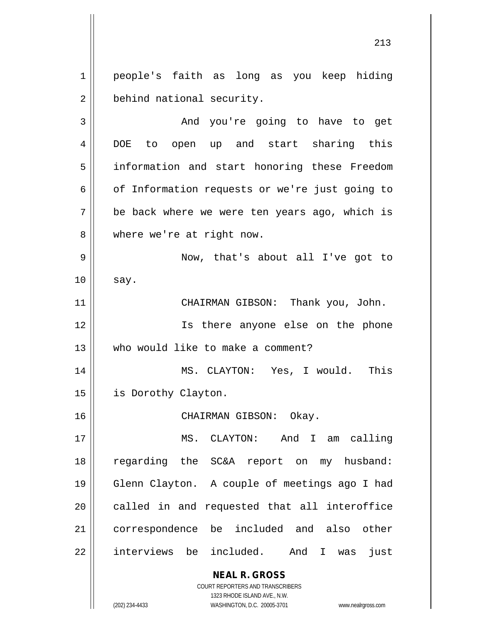1 || people's faith as long as you keep hiding 2 | behind national security.

3 And you're going to have to get 4 DOE to open up and start sharing this 5 | information and start honoring these Freedom  $6 \parallel$  of Information requests or we're just going to  $7 \parallel$  be back where we were ten years ago, which is 8 || where we're at right now. 9 Now, that's about all I've got to  $10 \parallel$  say. 11 CHAIRMAN GIBSON: Thank you, John. 12 || Is there anyone else on the phone 13 Who would like to make a comment? 14 MS. CLAYTON: Yes, I would. This 15 | is Dorothy Clayton. 16 CHAIRMAN GIBSON: Okay. 17 MS. CLAYTON: And I am calling 18 regarding the SC&A report on my husband: 19 Glenn Clayton. A couple of meetings ago I had

20 || called in and requested that all interoffice 21 correspondence be included and also other  $22$  || interviews be included. And I was just

> **NEAL R. GROSS** COURT REPORTERS AND TRANSCRIBERS

> > 1323 RHODE ISLAND AVE., N.W.

(202) 234-4433 WASHINGTON, D.C. 20005-3701 www.nealrgross.com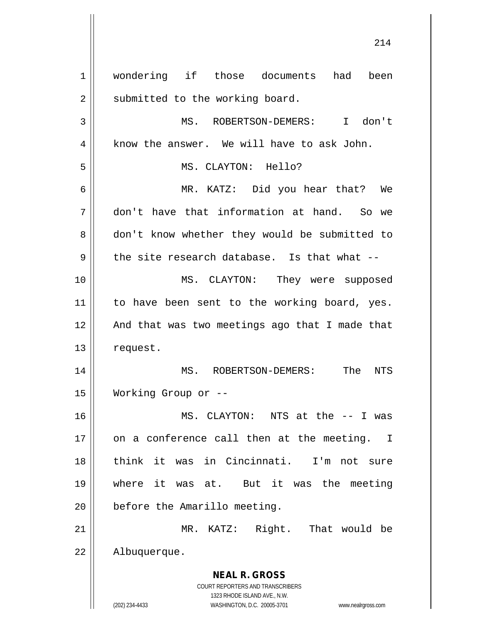**NEAL R. GROSS** COURT REPORTERS AND TRANSCRIBERS 1323 RHODE ISLAND AVE., N.W. (202) 234-4433 WASHINGTON, D.C. 20005-3701 www.nealrgross.com 1 wondering if those documents had been  $2 \parallel$  submitted to the working board. 3 MS. ROBERTSON-DEMERS: I don't  $4 \parallel$  know the answer. We will have to ask John. 5 MS. CLAYTON: Hello? 6 MR. KATZ: Did you hear that? We 7 don't have that information at hand. So we 8 don't know whether they would be submitted to  $9 \parallel$  the site research database. Is that what --10 MS. CLAYTON: They were supposed 11 || to have been sent to the working board, yes. 12 || And that was two meetings ago that I made that 13 | request. 14 MS. ROBERTSON-DEMERS: The NTS 15 Working Group or -- 16 MS. CLAYTON: NTS at the -- I was 17 || on a conference call then at the meeting. I 18 think it was in Cincinnati. I'm not sure 19 where it was at. But it was the meeting 20 | before the Amarillo meeting. 21 MR. KATZ: Right. That would be 22 | Albuquerque.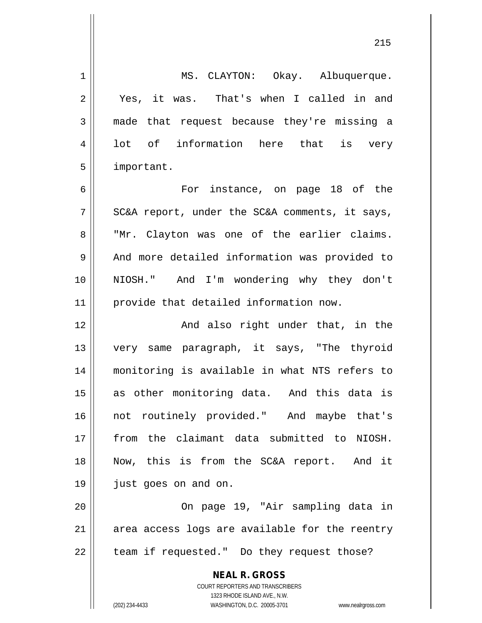**NEAL R. GROSS** COURT REPORTERS AND TRANSCRIBERS 1323 RHODE ISLAND AVE., N.W. (202) 234-4433 WASHINGTON, D.C. 20005-3701 www.nealrgross.com 1 | MS. CLAYTON: Okay. Albuquerque. 2 || Yes, it was. That's when I called in and 3 made that request because they're missing a 4 || lot of information here that is very 5 | important. 6 For instance, on page 18 of the  $7 \parallel$  SC&A report, under the SC&A comments, it says, 8 || "Mr. Clayton was one of the earlier claims. 9 || And more detailed information was provided to 10 NIOSH." And I'm wondering why they don't 11 provide that detailed information now. 12 And also right under that, in the 13 very same paragraph, it says, "The thyroid 14 monitoring is available in what NTS refers to 15 as other monitoring data. And this data is 16 not routinely provided." And maybe that's 17 from the claimant data submitted to NIOSH. 18 Now, this is from the SC&A report. And it 19 just goes on and on. 20 On page 19, "Air sampling data in  $21$  || area access logs are available for the reentry  $22$  | team if requested." Do they request those?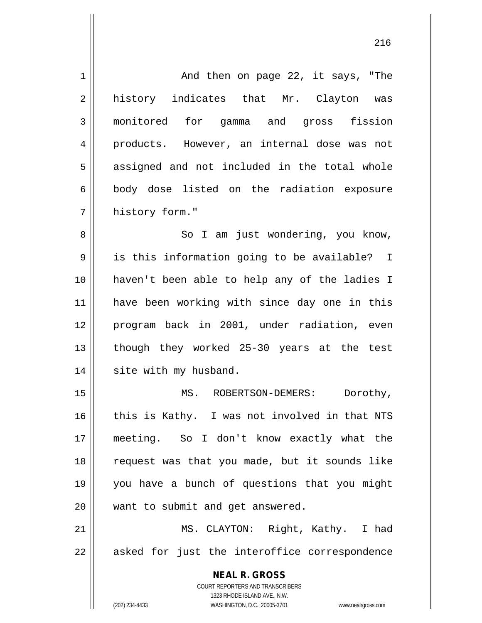**NEAL R. GROSS** COURT REPORTERS AND TRANSCRIBERS 1323 RHODE ISLAND AVE., N.W. (202) 234-4433 WASHINGTON, D.C. 20005-3701 www.nealrgross.com 1 | And then on page 22, it says, "The 2 history indicates that Mr. Clayton was 3 monitored for gamma and gross fission 4 || products. However, an internal dose was not  $5 \parallel$  assigned and not included in the total whole 6 || body dose listed on the radiation exposure 7 | history form." 8 || So I am just wondering, you know, 9 || is this information going to be available? I 10 haven't been able to help any of the ladies I 11 have been working with since day one in this 12 program back in 2001, under radiation, even 13 || though they worked 25-30 years at the test 14 | site with my husband. 15 || MS. ROBERTSON-DEMERS: Dorothy, 16 this is Kathy. I was not involved in that NTS 17 meeting. So I don't know exactly what the 18 request was that you made, but it sounds like 19 you have a bunch of questions that you might 20 || want to submit and get answered. 21 MS. CLAYTON: Right, Kathy. I had  $22$  || asked for just the interoffice correspondence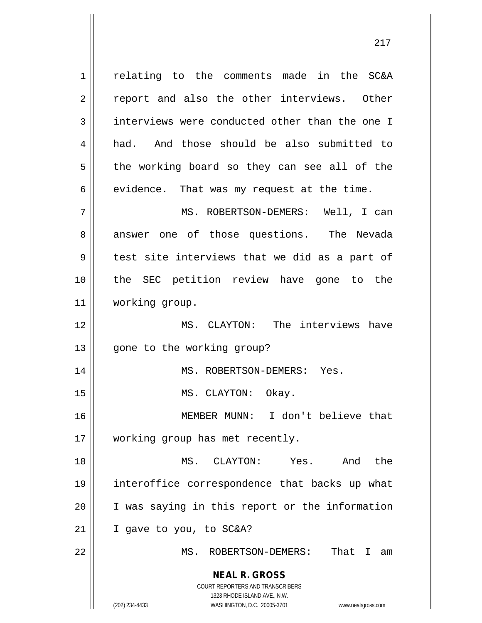**NEAL R. GROSS** COURT REPORTERS AND TRANSCRIBERS 1323 RHODE ISLAND AVE., N.W. 1 | relating to the comments made in the SC&A 2 || report and also the other interviews. Other  $3 \parallel$  interviews were conducted other than the one I 4 had. And those should be also submitted to  $5 \parallel$  the working board so they can see all of the  $6 \parallel$  evidence. That was my request at the time. 7 MS. ROBERTSON-DEMERS: Well, I can 8 answer one of those questions. The Nevada  $9 \parallel$  test site interviews that we did as a part of 10 the SEC petition review have gone to the 11 working group. 12 MS. CLAYTON: The interviews have 13 || gone to the working group? 14 || MS. ROBERTSON-DEMERS: Yes. 15 || MS. CLAYTON: Okay. 16 MEMBER MUNN: I don't believe that 17 || working group has met recently. 18 MS. CLAYTON: Yes. And the 19 interoffice correspondence that backs up what 20 || I was saying in this report or the information  $21$  | I gave to you, to SC&A? 22 MS. ROBERTSON-DEMERS: That I am

(202) 234-4433 WASHINGTON, D.C. 20005-3701 www.nealrgross.com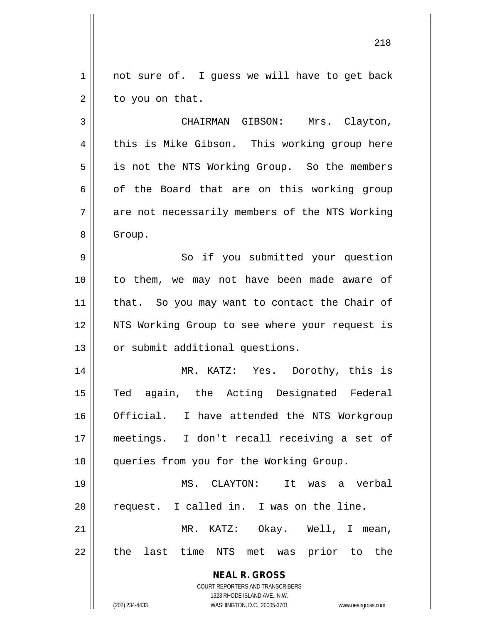$1 \parallel$  not sure of. I guess we will have to get back  $2 \parallel$  to you on that.

3 CHAIRMAN GIBSON: Mrs. Clayton, 4 this is Mike Gibson. This working group here 5 || is not the NTS Working Group. So the members  $6 \parallel$  of the Board that are on this working group  $7 \parallel$  are not necessarily members of the NTS Working 8 | Group.

9 || So if you submitted your question 10 || to them, we may not have been made aware of 11 || that. So you may want to contact the Chair of 12 || NTS Working Group to see where your request is 13 | or submit additional questions.

14 MR. KATZ: Yes. Dorothy, this is 15 Ted again, the Acting Designated Federal 16 || Official. I have attended the NTS Workgroup 17 meetings. I don't recall receiving a set of 18 || queries from you for the Working Group.

19 MS. CLAYTON: It was a verbal 20 || request. I called in. I was on the line. 21 MR. KATZ: Okay. Well, I mean,

22 || the last time NTS met was prior to the

**NEAL R. GROSS** COURT REPORTERS AND TRANSCRIBERS

1323 RHODE ISLAND AVE., N.W.

(202) 234-4433 WASHINGTON, D.C. 20005-3701 www.nealrgross.com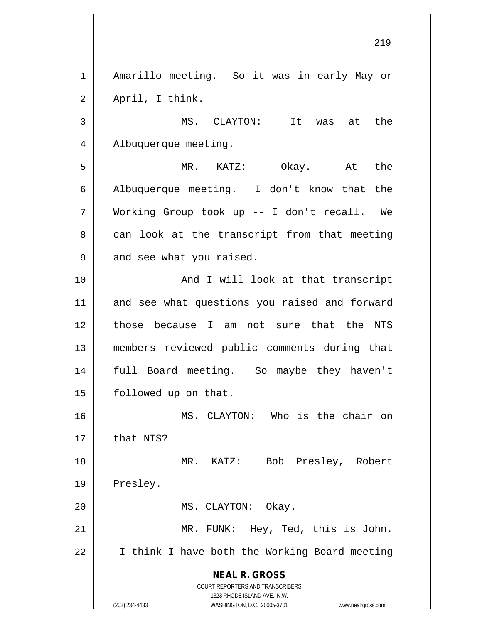**NEAL R. GROSS** COURT REPORTERS AND TRANSCRIBERS 1323 RHODE ISLAND AVE., N.W. 1 | Amarillo meeting. So it was in early May or  $2 \parallel$  April, I think. 3 MS. CLAYTON: It was at the 4 | Albuquerque meeting. 5 MR. KATZ: Okay. At the  $6 \parallel$  Albuquerque meeting. I don't know that the 7 Working Group took up -- I don't recall. We  $8 \parallel$  can look at the transcript from that meeting  $9 \parallel$  and see what you raised. 10 || And I will look at that transcript 11 and see what questions you raised and forward 12 those because I am not sure that the NTS 13 members reviewed public comments during that 14 full Board meeting. So maybe they haven't 15 | followed up on that. 16 || MS. CLAYTON: Who is the chair on  $17$  | that NTS? 18 MR. KATZ: Bob Presley, Robert 19 | Presley. 20 || MS. CLAYTON: Okay. 21 MR. FUNK: Hey, Ted, this is John. 22 | I think I have both the Working Board meeting

(202) 234-4433 WASHINGTON, D.C. 20005-3701 www.nealrgross.com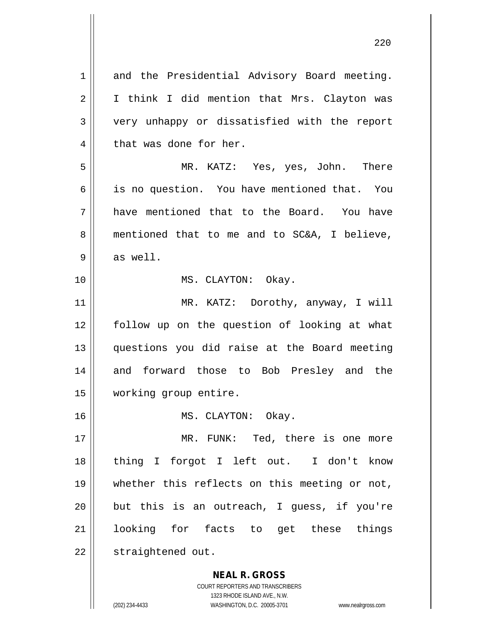**NEAL R. GROSS** 1 and the Presidential Advisory Board meeting. 2 || I think I did mention that Mrs. Clayton was 3 || very unhappy or dissatisfied with the report  $4 \parallel$  that was done for her. 5 MR. KATZ: Yes, yes, John. There 6 is no question. You have mentioned that. You 7 have mentioned that to the Board. You have 8 mentioned that to me and to SC&A, I believe, 9 || as well. 10 || MS. CLAYTON: Okay. 11 || MR. KATZ: Dorothy, anyway, I will 12 follow up on the question of looking at what 13 questions you did raise at the Board meeting 14 and forward those to Bob Presley and the 15 working group entire. 16 || MS. CLAYTON: Okay. 17 || MR. FUNK: Ted, there is one more 18 thing I forgot I left out. I don't know 19 whether this reflects on this meeting or not,  $20$  || but this is an outreach, I quess, if you're 21 || looking for facts to get these things 22 | straightened out.

COURT REPORTERS AND TRANSCRIBERS

1323 RHODE ISLAND AVE., N.W. (202) 234-4433 WASHINGTON, D.C. 20005-3701 www.nealrgross.com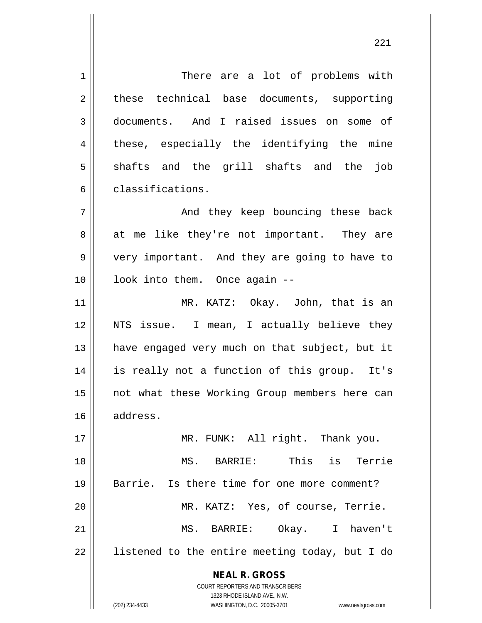**NEAL R. GROSS** COURT REPORTERS AND TRANSCRIBERS 1323 RHODE ISLAND AVE., N.W. 1 | There are a lot of problems with 2 || these technical base documents, supporting 3 documents. And I raised issues on some of 4 || these, especially the identifying the mine  $5 \parallel$  shafts and the grill shafts and the job 6 classifications. 7 And they keep bouncing these back  $8 \parallel$  at me like they're not important. They are 9 very important. And they are going to have to 10 || look into them. Once again --11 || MR. KATZ: Okay. John, that is an 12 NTS issue. I mean, I actually believe they 13 || have engaged very much on that subject, but it 14 is really not a function of this group. It's 15 || not what these Working Group members here can 16 address. 17 || MR. FUNK: All right. Thank you. 18 MS. BARRIE: This is Terrie 19 Barrie. Is there time for one more comment? 20 MR. KATZ: Yes, of course, Terrie. 21 MS. BARRIE: Okay. I haven't 22 || listened to the entire meeting today, but I do

(202) 234-4433 WASHINGTON, D.C. 20005-3701 www.nealrgross.com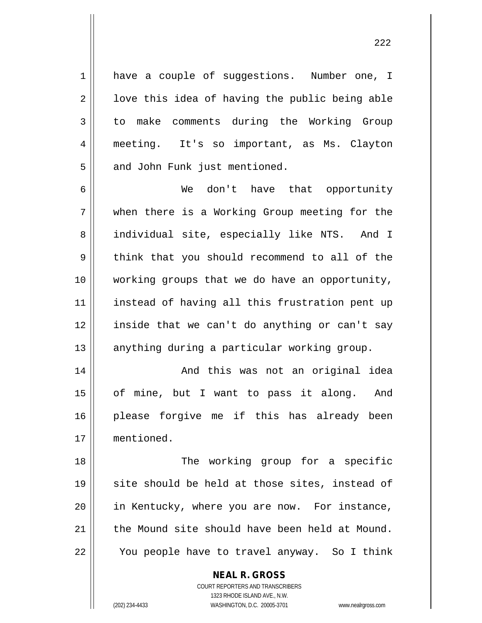1 | have a couple of suggestions. Number one, I  $2 \parallel$  love this idea of having the public being able 3 to make comments during the Working Group 4 meeting. It's so important, as Ms. Clayton 5 | and John Funk just mentioned.

 We don't have that opportunity when there is a Working Group meeting for the 8 || individual site, especially like NTS. And I  $9 \parallel$  think that you should recommend to all of the working groups that we do have an opportunity, 11 || instead of having all this frustration pent up inside that we can't do anything or can't say anything during a particular working group.

14 || And this was not an original idea 15 || of mine, but I want to pass it along. And 16 please forgive me if this has already been 17 mentioned.

18 || The working group for a specific  $19$  site should be held at those sites, instead of 20 || in Kentucky, where you are now. For instance,  $21$  the Mound site should have been held at Mound. 22 || You people have to travel anyway. So I think

**NEAL R. GROSS**

COURT REPORTERS AND TRANSCRIBERS 1323 RHODE ISLAND AVE., N.W. (202) 234-4433 WASHINGTON, D.C. 20005-3701 www.nealrgross.com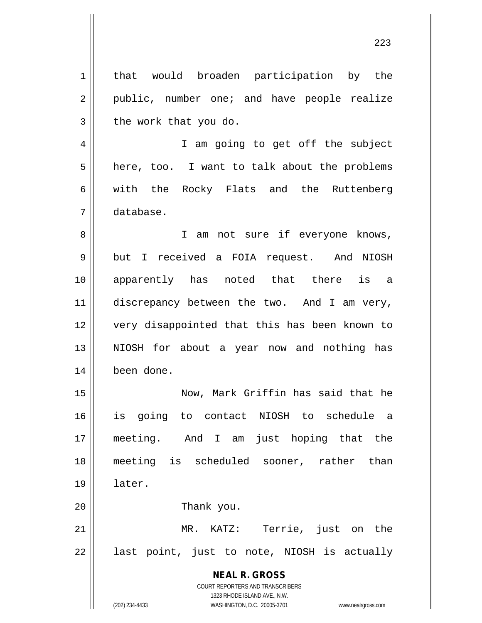**NEAL R. GROSS** COURT REPORTERS AND TRANSCRIBERS 1323 RHODE ISLAND AVE., N.W. 1 | that would broaden participation by the 2 || public, number one; and have people realize  $3 \parallel$  the work that you do. 4 || I am going to get off the subject  $5 \parallel$  here, too. I want to talk about the problems 6 || with the Rocky Flats and the Ruttenberg 7 database. 8 || I am not sure if everyone knows, 9 | but I received a FOIA request. And NIOSH 10 apparently has noted that there is a 11 discrepancy between the two. And I am very, 12 very disappointed that this has been known to 13 || NIOSH for about a year now and nothing has 14 been done. 15 Now, Mark Griffin has said that he 16 is going to contact NIOSH to schedule a 17 meeting. And I am just hoping that the 18 meeting is scheduled sooner, rather than 19 later. 20 Thank you. 21 MR. KATZ: Terrie, just on the  $22 \parallel$  last point, just to note, NIOSH is actually

(202) 234-4433 WASHINGTON, D.C. 20005-3701 www.nealrgross.com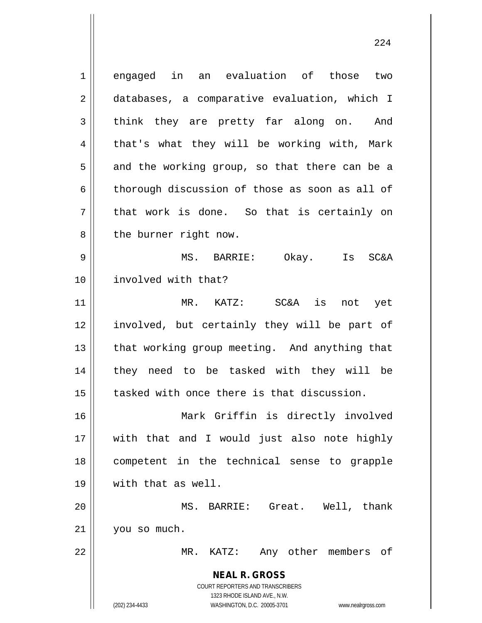**NEAL R. GROSS** COURT REPORTERS AND TRANSCRIBERS 1323 RHODE ISLAND AVE., N.W. (202) 234-4433 WASHINGTON, D.C. 20005-3701 www.nealrgross.com 1 engaged in an evaluation of those two 2 databases, a comparative evaluation, which I  $3 \parallel$  think they are pretty far along on. And  $4 \parallel$  that's what they will be working with, Mark  $5 \parallel$  and the working group, so that there can be a  $6 \parallel$  thorough discussion of those as soon as all of  $7 \parallel$  that work is done. So that is certainly on  $8 \parallel$  the burner right now. 9 MS. BARRIE: Okay. Is SC&A 10 involved with that? 11 MR. KATZ: SC&A is not yet 12 involved, but certainly they will be part of 13 || that working group meeting. And anything that 14 they need to be tasked with they will be 15 tasked with once there is that discussion. 16 Mark Griffin is directly involved 17 with that and I would just also note highly 18 competent in the technical sense to grapple 19 with that as well. 20 MS. BARRIE: Great. Well, thank 21 you so much. 22 MR. KATZ: Any other members of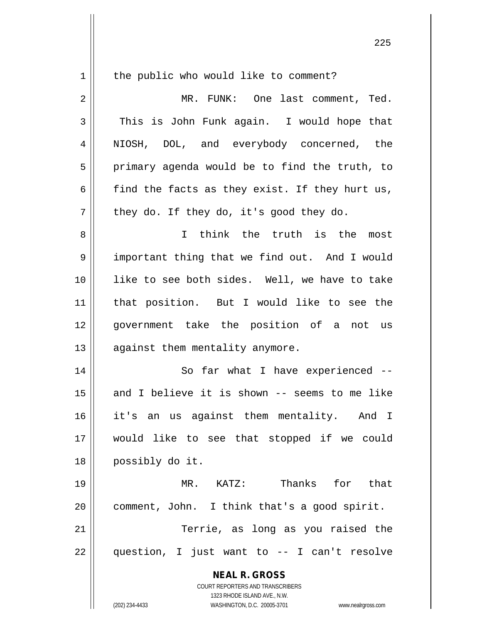| $\mathbf 1$    | the public who would like to comment?                               |
|----------------|---------------------------------------------------------------------|
| $\overline{2}$ | MR. FUNK: One last comment, Ted.                                    |
| 3              | This is John Funk again. I would hope that                          |
| 4              | NIOSH, DOL, and everybody concerned, the                            |
| 5              | primary agenda would be to find the truth, to                       |
| 6              | find the facts as they exist. If they hurt us,                      |
| 7              | they do. If they do, it's good they do.                             |
| 8              | I think the truth is the<br>most                                    |
| 9              | important thing that we find out. And I would                       |
| 10             | like to see both sides. Well, we have to take                       |
| 11             | that position. But I would like to see the                          |
| 12             | government take the position of a not us                            |
| 13             | against them mentality anymore.                                     |
| 14             | So far what I have experienced --                                   |
| 15             | and I believe it is shown -- seems to me like                       |
| 16             | it's an us against them mentality. And I                            |
| 17             | would like to see that stopped if we could                          |
| 18             | possibly do it.                                                     |
| 19             | Thanks for that<br>MR. KATZ:                                        |
| 20             | comment, John. I think that's a good spirit.                        |
| 21             | Terrie, as long as you raised the                                   |
| 22             | question, I just want to -- I can't resolve                         |
|                | <b>NEAL R. GROSS</b>                                                |
|                | COURT REPORTERS AND TRANSCRIBERS                                    |
|                | 1323 RHODE ISLAND AVE., N.W.                                        |
|                | (202) 234-4433<br>WASHINGTON, D.C. 20005-3701<br>www.nealrgross.com |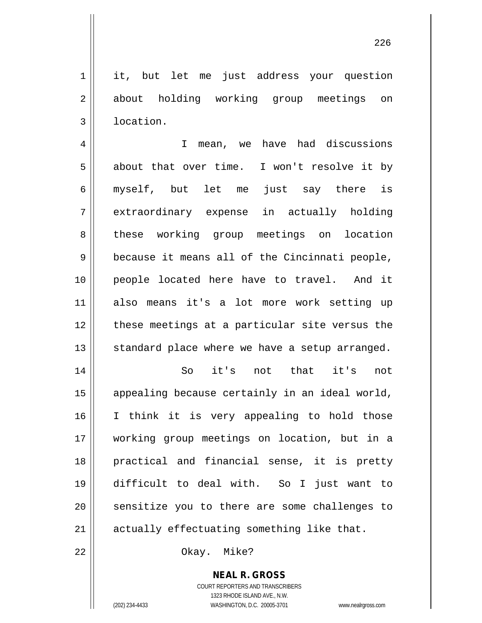1 || it, but let me just address your question 2 about holding working group meetings on 3 | location.

4 || T mean, we have had discussions  $5 \parallel$  about that over time. I won't resolve it by 6 myself, but let me just say there is 7 extraordinary expense in actually holding 8 || these working group meetings on location  $9 \parallel$  because it means all of the Cincinnati people, 10 people located here have to travel. And it 11 also means it's a lot more work setting up 12 || these meetings at a particular site versus the  $13$  standard place where we have a setup arranged.

 So it's not that it's not 15 || appealing because certainly in an ideal world, I think it is very appealing to hold those working group meetings on location, but in a practical and financial sense, it is pretty difficult to deal with. So I just want to 20 || sensitize you to there are some challenges to actually effectuating something like that.

22 || Ckay. Mike?

**NEAL R. GROSS** COURT REPORTERS AND TRANSCRIBERS

1323 RHODE ISLAND AVE., N.W.

(202) 234-4433 WASHINGTON, D.C. 20005-3701 www.nealrgross.com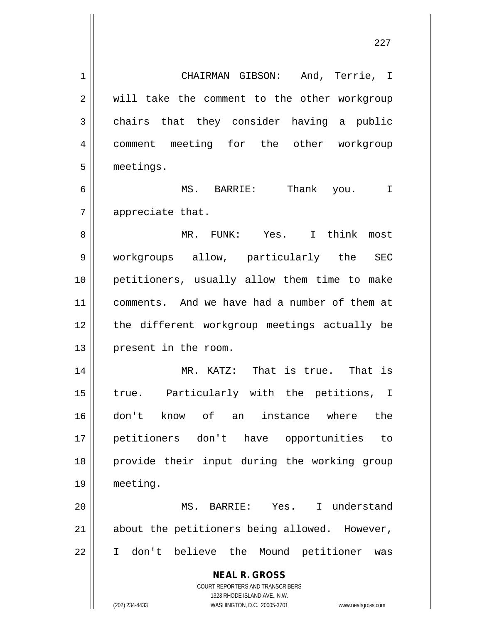**NEAL R. GROSS** COURT REPORTERS AND TRANSCRIBERS 1323 RHODE ISLAND AVE., N.W. 1 CHAIRMAN GIBSON: And, Terrie, I 2 || will take the comment to the other workgroup 3 chairs that they consider having a public 4 || comment meeting for the other workgroup 5 | meetings. 6 MS. BARRIE: Thank you. I 7 || appreciate that. 8 MR. FUNK: Yes. I think most 9 workgroups allow, particularly the SEC 10 petitioners, usually allow them time to make 11 comments. And we have had a number of them at 12 the different workgroup meetings actually be 13 || present in the room. 14 MR. KATZ: That is true. That is 15 || true. Particularly with the petitions, I 16 don't know of an instance where the 17 petitioners don't have opportunities to 18 provide their input during the working group 19 meeting. 20 MS. BARRIE: Yes. I understand  $21$  about the petitioners being allowed. However, 22 I don't believe the Mound petitioner was

(202) 234-4433 WASHINGTON, D.C. 20005-3701 www.nealrgross.com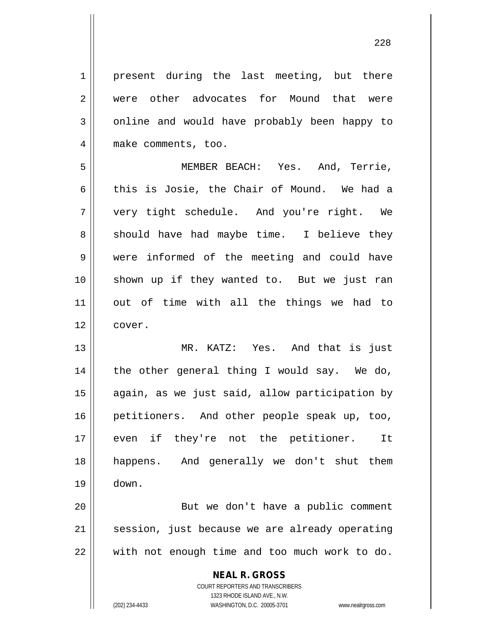1 || present during the last meeting, but there 2 were other advocates for Mound that were 3 | online and would have probably been happy to 4 | make comments, too.

 MEMBER BEACH: Yes. And, Terrie, 6 this is Josie, the Chair of Mound. We had a very tight schedule. And you're right. We  $8 \parallel$  should have had maybe time. I believe they were informed of the meeting and could have shown up if they wanted to. But we just ran out of time with all the things we had to 12 | cover.

13 || MR. KATZ: Yes. And that is just 14 || the other general thing I would say. We do, 15 again, as we just said, allow participation by 16 || petitioners. And other people speak up, too, 17 || even if they're not the petitioner. It 18 happens. And generally we don't shut them 19 down.

20 But we don't have a public comment 21 || session, just because we are already operating 22 || with not enough time and too much work to do.

> **NEAL R. GROSS** COURT REPORTERS AND TRANSCRIBERS 1323 RHODE ISLAND AVE., N.W. (202) 234-4433 WASHINGTON, D.C. 20005-3701 www.nealrgross.com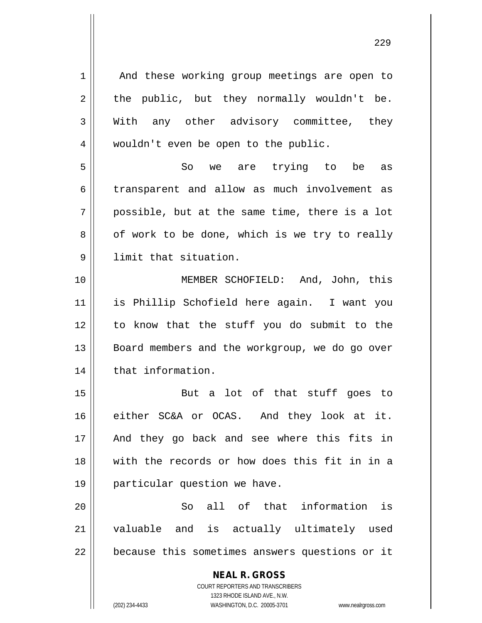**NEAL R. GROSS** COURT REPORTERS AND TRANSCRIBERS 1323 RHODE ISLAND AVE., N.W. 1 || And these working group meetings are open to  $2 \parallel$  the public, but they normally wouldn't be. 3 With any other advisory committee, they 4 | wouldn't even be open to the public. 5 So we are trying to be as 6 transparent and allow as much involvement as  $7 \parallel$  possible, but at the same time, there is a lot  $8 \parallel$  of work to be done, which is we try to really 9 limit that situation. 10 MEMBER SCHOFIELD: And, John, this 11 is Phillip Schofield here again. I want you 12 to know that the stuff you do submit to the 13 || Board members and the workgroup, we do go over 14 | that information. 15 But a lot of that stuff goes to 16 either SC&A or OCAS. And they look at it. 17 And they go back and see where this fits in 18 with the records or how does this fit in in a 19 particular question we have. 20 || So all of that information is 21 valuable and is actually ultimately used 22 | because this sometimes answers questions or it

(202) 234-4433 WASHINGTON, D.C. 20005-3701 www.nealrgross.com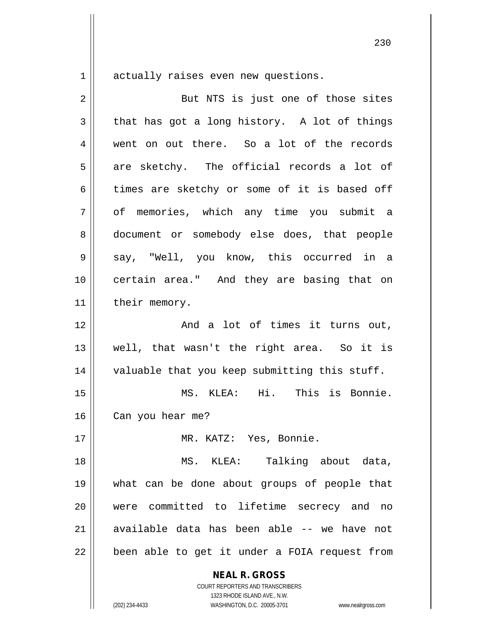$1 \parallel$  actually raises even new questions.

| 2  | But NTS is just one of those sites            |
|----|-----------------------------------------------|
| 3  | that has got a long history. A lot of things  |
| 4  | went on out there. So a lot of the records    |
| 5  | are sketchy. The official records a lot of    |
| 6  | times are sketchy or some of it is based off  |
| 7  | of memories, which any time you submit a      |
| 8  | document or somebody else does, that people   |
| 9  | say, "Well, you know, this occurred in a      |
| 10 | certain area." And they are basing that on    |
| 11 | their memory.                                 |
| 12 | And a lot of times it turns out,              |
| 13 | well, that wasn't the right area. So it is    |
| 14 | valuable that you keep submitting this stuff. |
| 15 | MS. KLEA: Hi. This is Bonnie.                 |
| 16 | Can you hear me?                              |
| 17 | MR. KATZ: Yes, Bonnie.                        |
| 18 | MS. KLEA: Talking about data,                 |
| 19 | what can be done about groups of people that  |
| 20 | were committed to lifetime secrecy and no     |
| 21 | available data has been able -- we have not   |
| 22 | been able to get it under a FOIA request from |
|    | <b>NEAL R. GROSS</b>                          |

1323 RHODE ISLAND AVE., N.W. (202) 234-4433 WASHINGTON, D.C. 20005-3701 www.nealrgross.com

COURT REPORTERS AND TRANSCRIBERS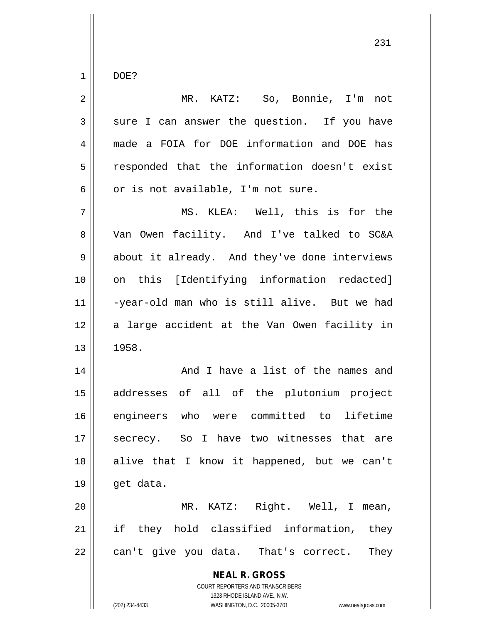$1 \parallel$  DOE?

| $\overline{2}$ | MR. KATZ: So, Bonnie, I'm not                                                                                                                                          |
|----------------|------------------------------------------------------------------------------------------------------------------------------------------------------------------------|
| 3              | sure I can answer the question. If you have                                                                                                                            |
| 4              | made a FOIA for DOE information and DOE has                                                                                                                            |
| 5              | responded that the information doesn't exist                                                                                                                           |
| 6              | or is not available, I'm not sure.                                                                                                                                     |
| 7              | MS. KLEA: Well, this is for the                                                                                                                                        |
| 8              | Van Owen facility. And I've talked to SC&A                                                                                                                             |
| 9              | about it already. And they've done interviews                                                                                                                          |
| 10             | on this [Identifying information redacted]                                                                                                                             |
| 11             | -year-old man who is still alive. But we had                                                                                                                           |
| 12             | a large accident at the Van Owen facility in                                                                                                                           |
| 13             | 1958.                                                                                                                                                                  |
| 14             | And I have a list of the names and                                                                                                                                     |
| 15             | addresses of all of the plutonium project                                                                                                                              |
| 16             | engineers who were committed to lifetime                                                                                                                               |
| 17             | secrecy. So I have two witnesses that are                                                                                                                              |
| 18             | alive that I know it happened, but we can't                                                                                                                            |
| 19             | get data.                                                                                                                                                              |
| 20             | MR. KATZ: Right. Well, I mean,                                                                                                                                         |
| 21             | if they hold classified information,<br>they                                                                                                                           |
| 22             | can't give you data. That's correct.<br>They                                                                                                                           |
|                | <b>NEAL R. GROSS</b><br><b>COURT REPORTERS AND TRANSCRIBERS</b><br>1323 RHODE ISLAND AVE., N.W.<br>(202) 234-4433<br>WASHINGTON, D.C. 20005-3701<br>www.nealrgross.com |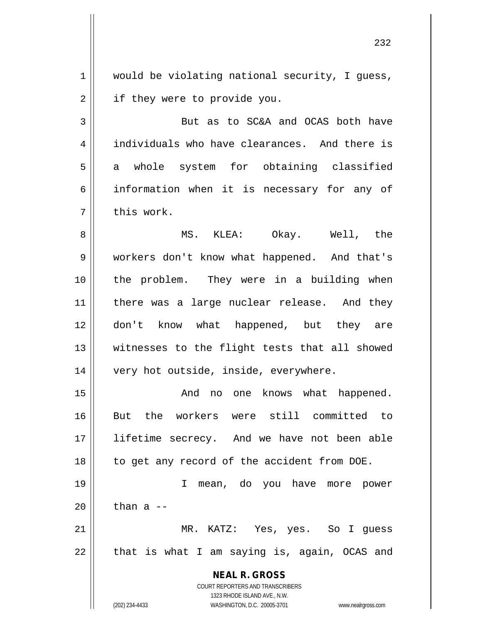$1$  would be violating national security, I guess, 2 | if they were to provide you.

3 || But as to SC&A and OCAS both have 4 individuals who have clearances. And there is 5 a whole system for obtaining classified 6 || information when it is necessary for any of  $7 \parallel$  this work.

8 MS. KLEA: Okay. Well, the 9 workers don't know what happened. And that's 10 || the problem. They were in a building when 11 || there was a large nuclear release. And they 12 don't know what happened, but they are 13 || witnesses to the flight tests that all showed 14 || very hot outside, inside, everywhere.

 And no one knows what happened. But the workers were still committed to lifetime secrecy. And we have not been able 18 || to get any record of the accident from DOE.

19 I mean, do you have more power  $20$  | than a --21 MR. KATZ: Yes, yes. So I guess

 $22 \parallel$  that is what I am saying is, again, OCAS and

**NEAL R. GROSS** COURT REPORTERS AND TRANSCRIBERS

1323 RHODE ISLAND AVE., N.W.

(202) 234-4433 WASHINGTON, D.C. 20005-3701 www.nealrgross.com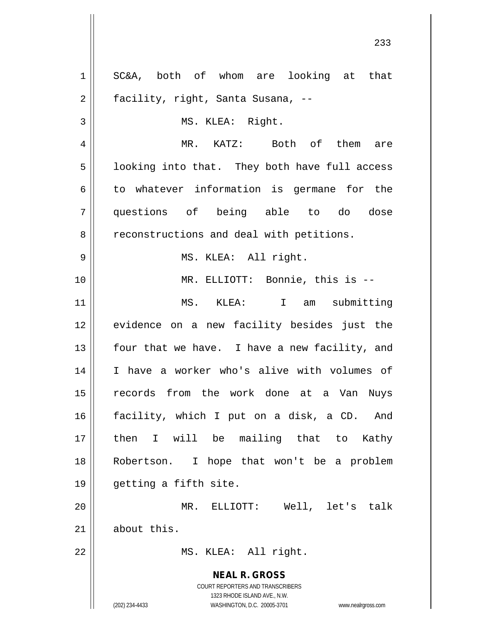**NEAL R. GROSS** COURT REPORTERS AND TRANSCRIBERS 1323 RHODE ISLAND AVE., N.W. (202) 234-4433 WASHINGTON, D.C. 20005-3701 www.nealrgross.com 1 SC&A, both of whom are looking at that 2 | facility, right, Santa Susana, --3 || MS. KLEA: Right. 4 MR. KATZ: Both of them are  $5 \parallel$  looking into that. They both have full access  $6 \parallel$  to whatever information is germane for the 7 questions of being able to do dose 8 | reconstructions and deal with petitions. 9 || MS. KLEA: All right. 10 || MR. ELLIOTT: Bonnie, this is --11 MS. KLEA: I am submitting 12 evidence on a new facility besides just the 13  $\parallel$  four that we have. I have a new facility, and 14 I have a worker who's alive with volumes of 15 records from the work done at a Van Nuys 16 facility, which I put on a disk, a CD. And 17 || then I will be mailing that to Kathy 18 Robertson. I hope that won't be a problem 19 getting a fifth site. 20 MR. ELLIOTT: Well, let's talk  $21$  about this. 22 || MS. KLEA: All right.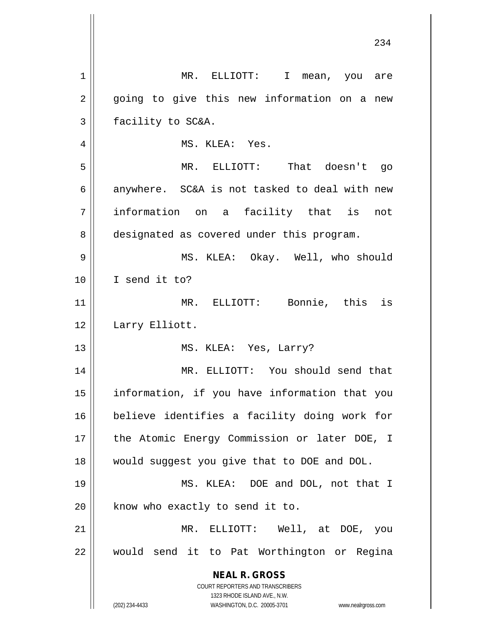| 1  | MR. ELLIOTT: I<br>mean, you are                                                                     |
|----|-----------------------------------------------------------------------------------------------------|
| 2  | going to give this new information on a new                                                         |
| 3  | facility to SC&A.                                                                                   |
| 4  | MS. KLEA: Yes.                                                                                      |
| 5  | MR. ELLIOTT: That doesn't go                                                                        |
| 6  | anywhere. SC&A is not tasked to deal with new                                                       |
| 7  | information on a facility that is<br>not                                                            |
| 8  | designated as covered under this program.                                                           |
| 9  | MS. KLEA: Okay. Well, who should                                                                    |
| 10 | I send it to?                                                                                       |
| 11 | MR. ELLIOTT: Bonnie, this is                                                                        |
| 12 | Larry Elliott.                                                                                      |
| 13 | MS. KLEA: Yes, Larry?                                                                               |
| 14 | MR. ELLIOTT: You should send that                                                                   |
| 15 | information, if you have information that you                                                       |
| 16 | believe identifies a facility doing work for                                                        |
| 17 | the Atomic Energy Commission or later DOE, I                                                        |
| 18 | would suggest you give that to DOE and DOL.                                                         |
| 19 | MS. KLEA: DOE and DOL, not that I                                                                   |
| 20 | know who exactly to send it to.                                                                     |
| 21 | MR. ELLIOTT: Well, at DOE, you                                                                      |
| 22 | would send it to Pat Worthington or Regina                                                          |
|    | <b>NEAL R. GROSS</b>                                                                                |
|    | COURT REPORTERS AND TRANSCRIBERS                                                                    |
|    | 1323 RHODE ISLAND AVE., N.W.<br>(202) 234-4433<br>WASHINGTON, D.C. 20005-3701<br>www.nealrgross.com |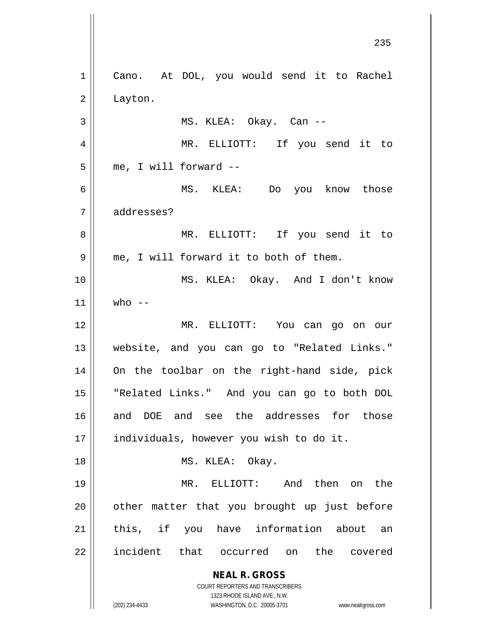**NEAL R. GROSS** COURT REPORTERS AND TRANSCRIBERS 1323 RHODE ISLAND AVE., N.W. (202) 234-4433 WASHINGTON, D.C. 20005-3701 www.nealrgross.com 1 || Cano. At DOL, you would send it to Rachel 2 Layton.  $3 \parallel$  MS. KLEA: Okay. Can --4 MR. ELLIOTT: If you send it to  $5 \parallel$  me, I will forward  $-$ 6 MS. KLEA: Do you know those 7 addresses? 8 || MR. ELLIOTT: If you send it to  $9 \parallel$  me, I will forward it to both of them. 10 MS. KLEA: Okay. And I don't know  $11 \parallel$  who --12 MR. ELLIOTT: You can go on our 13 website, and you can go to "Related Links." 14 On the toolbar on the right-hand side, pick 15 "Related Links." And you can go to both DOL 16 and DOE and see the addresses for those 17 | individuals, however you wish to do it. 18 || MS. KLEA: Okay. 19 MR. ELLIOTT: And then on the  $20$  || other matter that you brought up just before 21 || this, if you have information about an 22 || incident that occurred on the covered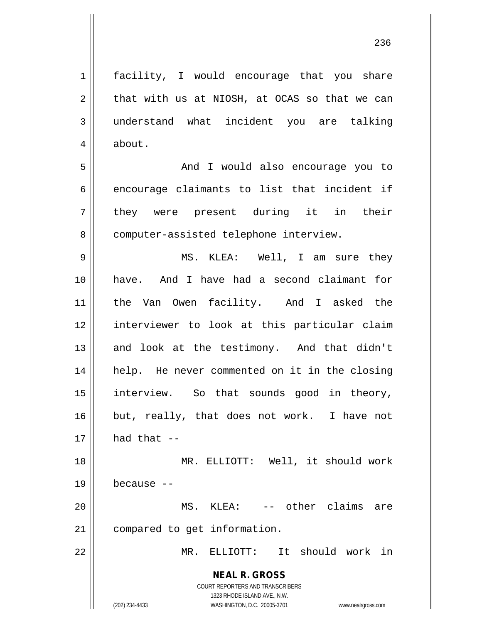1 || facility, I would encourage that you share  $2 \parallel$  that with us at NIOSH, at OCAS so that we can 3 understand what incident you are talking 4 | about.

5 And I would also encourage you to  $6 \parallel$  encourage claimants to list that incident if 7 || they were present during it in their 8 | computer-assisted telephone interview.

 MS. KLEA: Well, I am sure they have. And I have had a second claimant for the Van Owen facility. And I asked the interviewer to look at this particular claim 13 || and look at the testimony. And that didn't 14 || help. He never commented on it in the closing interview. So that sounds good in theory, 16 || but, really, that does not work. I have not | had that  $-$ 

18 || MR. ELLIOTT: Well, it should work  $19$   $\parallel$  because  $-$ 20 MS. KLEA: -- other claims are

21 | compared to get information.

22 MR. ELLIOTT: It should work in

**NEAL R. GROSS** COURT REPORTERS AND TRANSCRIBERS

1323 RHODE ISLAND AVE., N.W.

(202) 234-4433 WASHINGTON, D.C. 20005-3701 www.nealrgross.com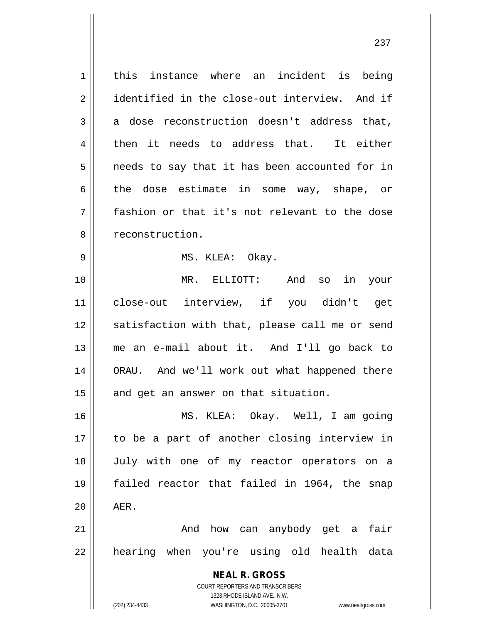**NEAL R. GROSS** COURT REPORTERS AND TRANSCRIBERS 1323 RHODE ISLAND AVE., N.W. (202) 234-4433 WASHINGTON, D.C. 20005-3701 www.nealrgross.com 1 | this instance where an incident is being 2 identified in the close-out interview. And if  $3 \parallel$  a dose reconstruction doesn't address that,  $4 \parallel$  then it needs to address that. It either  $5 \parallel$  needs to say that it has been accounted for in 6 the dose estimate in some way, shape, or 7 fashion or that it's not relevant to the dose 8 | reconstruction. 9 MS. KLEA: Okay. 10 MR. ELLIOTT: And so in your 11 close-out interview, if you didn't get 12 || satisfaction with that, please call me or send 13 me an e-mail about it. And I'll go back to 14 ORAU. And we'll work out what happened there  $15$  and get an answer on that situation. 16 MS. KLEA: Okay. Well, I am going 17 to be a part of another closing interview in 18 July with one of my reactor operators on a 19 failed reactor that failed in 1964, the snap  $20$  |  $AER$ . 21 And how can anybody get a fair 22 || hearing when you're using old health data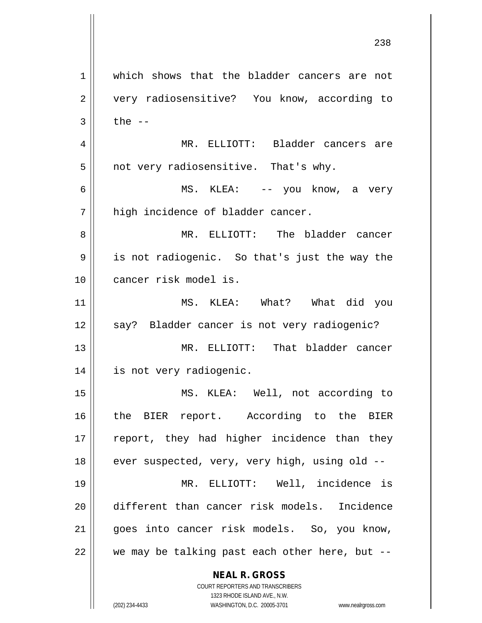**NEAL R. GROSS** COURT REPORTERS AND TRANSCRIBERS 1323 RHODE ISLAND AVE., N.W. 1 which shows that the bladder cancers are not 2 || very radiosensitive? You know, according to  $3 \parallel$  the  $-$ 4 MR. ELLIOTT: Bladder cancers are  $5 \parallel$  not very radiosensitive. That's why. 6 MS. KLEA: -- you know, a very  $7 \parallel$  high incidence of bladder cancer. 8 MR. ELLIOTT: The bladder cancer 9 is not radiogenic. So that's just the way the 10 cancer risk model is. 11 MS. KLEA: What? What did you 12 || say? Bladder cancer is not very radiogenic? 13 MR. ELLIOTT: That bladder cancer 14 is not very radiogenic. 15 MS. KLEA: Well, not according to 16 || the BIER report. According to the BIER 17 || report, they had higher incidence than they 18  $\parallel$  ever suspected, very, very high, using old --19 MR. ELLIOTT: Well, incidence is 20 different than cancer risk models. Incidence 21 || goes into cancer risk models. So, you know,  $22$  | we may be talking past each other here, but --

(202) 234-4433 WASHINGTON, D.C. 20005-3701 www.nealrgross.com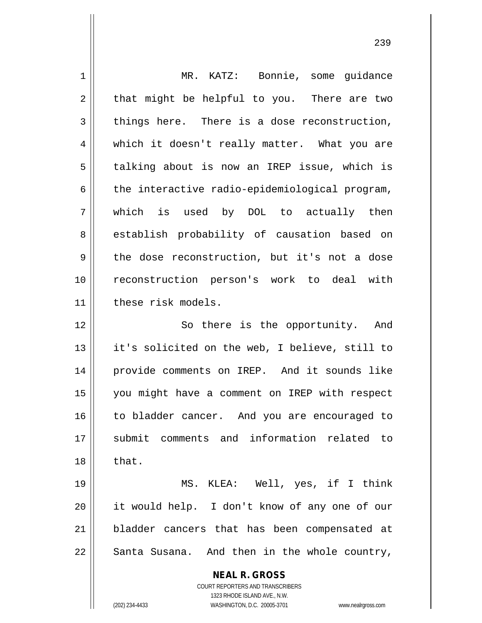| $\mathbf 1$    | MR. KATZ: Bonnie, some guidance                                     |
|----------------|---------------------------------------------------------------------|
| $\overline{2}$ | that might be helpful to you. There are two                         |
| 3              | things here. There is a dose reconstruction,                        |
| 4              | which it doesn't really matter. What you are                        |
| 5              | talking about is now an IREP issue, which is                        |
| 6              | the interactive radio-epidemiological program,                      |
| 7              | which is used by DOL to actually then                               |
| 8              | establish probability of causation based on                         |
| 9              | the dose reconstruction, but it's not a dose                        |
| 10             | reconstruction person's work to deal with                           |
| 11             | these risk models.                                                  |
| 12             | So there is the opportunity. And                                    |
| 13             | it's solicited on the web, I believe, still to                      |
| 14             | provide comments on IREP. And it sounds like                        |
| 15             | you might have a comment on IREP with respect                       |
| 16             | to bladder cancer. And you are encouraged to                        |
| 17             | submit comments and information related to                          |
| 18             | that.                                                               |
| 19             | MS. KLEA: Well, yes, if I think                                     |
| 20             | it would help. I don't know of any one of our                       |
| 21             | bladder cancers that has been compensated at                        |
| 22             | Santa Susana. And then in the whole country,                        |
|                | <b>NEAL R. GROSS</b>                                                |
|                | COURT REPORTERS AND TRANSCRIBERS                                    |
|                | 1323 RHODE ISLAND AVE., N.W.                                        |
|                | (202) 234-4433<br>WASHINGTON, D.C. 20005-3701<br>www.nealrgross.com |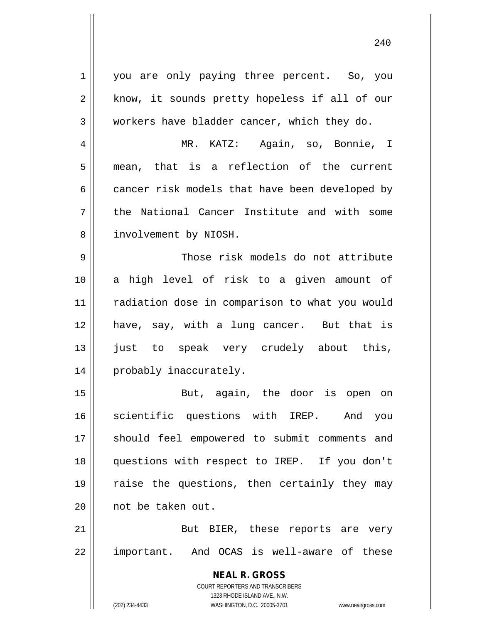**NEAL R. GROSS** COURT REPORTERS AND TRANSCRIBERS 1323 RHODE ISLAND AVE., N.W. 1 you are only paying three percent. So, you  $2 \parallel$  know, it sounds pretty hopeless if all of our  $3 \parallel$  workers have bladder cancer, which they do. 4 MR. KATZ: Again, so, Bonnie, I 5 || mean, that is a reflection of the current  $6 \parallel$  cancer risk models that have been developed by  $7$  || the National Cancer Institute and with some 8 | involvement by NIOSH. 9 Those risk models do not attribute 10 a high level of risk to a given amount of 11 || radiation dose in comparison to what you would 12 have, say, with a lung cancer. But that is 13 just to speak very crudely about this, 14 || probably inaccurately. 15 || But, again, the door is open on 16 Scientific questions with IREP. And you 17 || should feel empowered to submit comments and 18 questions with respect to IREP. If you don't 19 || raise the questions, then certainly they may 20 | not be taken out. 21 || But BIER, these reports are very 22 || important. And OCAS is well-aware of these

(202) 234-4433 WASHINGTON, D.C. 20005-3701 www.nealrgross.com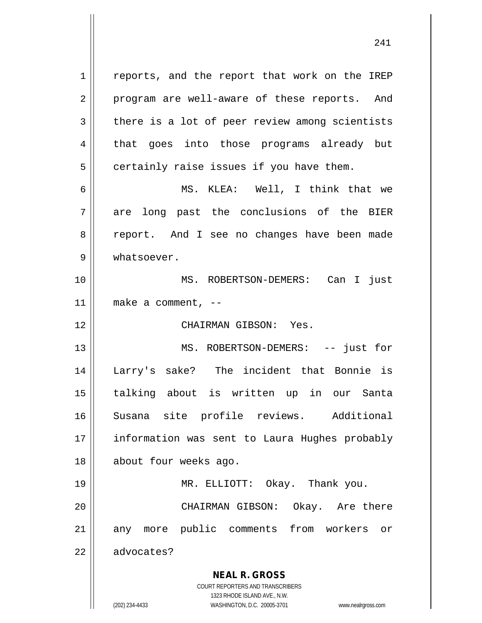**NEAL R. GROSS** COURT REPORTERS AND TRANSCRIBERS 1 || reports, and the report that work on the IREP 2 || program are well-aware of these reports. And  $3 \parallel$  there is a lot of peer review among scientists 4 || that goes into those programs already but  $5 \parallel$  certainly raise issues if you have them. 6 MS. KLEA: Well, I think that we 7 are long past the conclusions of the BIER 8 || report. And I see no changes have been made 9 | whatsoever. 10 MS. ROBERTSON-DEMERS: Can I just  $11$  | make a comment,  $-$ 12 CHAIRMAN GIBSON: Yes. 13 || MS. ROBERTSON-DEMERS: -- just for 14 Larry's sake? The incident that Bonnie is 15 talking about is written up in our Santa 16 Susana site profile reviews. Additional 17 || information was sent to Laura Hughes probably 18 || about four weeks ago. 19 MR. ELLIOTT: Okay. Thank you. 20 CHAIRMAN GIBSON: Okay. Are there 21 || any more public comments from workers or 22 | advocates?

1323 RHODE ISLAND AVE., N.W.

(202) 234-4433 WASHINGTON, D.C. 20005-3701 www.nealrgross.com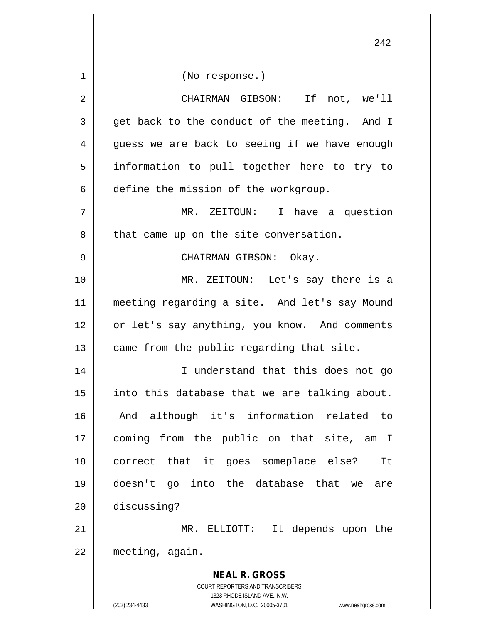**NEAL R. GROSS** COURT REPORTERS AND TRANSCRIBERS 1323 RHODE ISLAND AVE., N.W. 1 || (No response.) 2 CHAIRMAN GIBSON: If not, we'll  $3 \parallel$  get back to the conduct of the meeting. And I  $4 \parallel$  guess we are back to seeing if we have enough 5 || information to pull together here to try to 6 define the mission of the workgroup. 7 MR. ZEITOUN: I have a question  $8 \parallel$  that came up on the site conversation. 9 CHAIRMAN GIBSON: Okay. 10 MR. ZEITOUN: Let's say there is a 11 meeting regarding a site. And let's say Mound 12 || or let's say anything, you know. And comments  $13$  | came from the public regarding that site. 14 || I understand that this does not go  $15$  | into this database that we are talking about. 16 And although it's information related to 17 coming from the public on that site, am I 18 correct that it goes someplace else? It 19 doesn't go into the database that we are 20 discussing? 21 || MR. ELLIOTT: It depends upon the 22 meeting, again.

(202) 234-4433 WASHINGTON, D.C. 20005-3701 www.nealrgross.com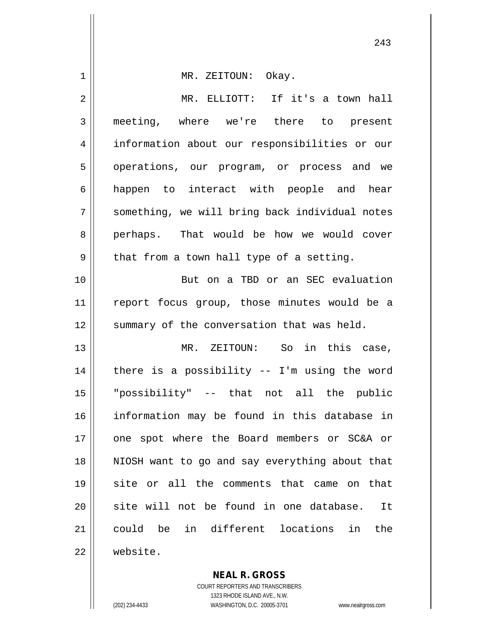| 1  | MR. ZEITOUN: Okay.                              |
|----|-------------------------------------------------|
| 2  | MR. ELLIOTT: If it's a town hall                |
| 3  | meeting, where we're there to present           |
| 4  | information about our responsibilities or our   |
| 5  | operations, our program, or process and we      |
| 6  | happen to interact with people and hear         |
| 7  | something, we will bring back individual notes  |
| 8  | perhaps. That would be how we would cover       |
| 9  | that from a town hall type of a setting.        |
| 10 | But on a TBD or an SEC evaluation               |
| 11 | report focus group, those minutes would be a    |
| 12 | summary of the conversation that was held.      |
| 13 | MR. ZEITOUN: So in this case,                   |
| 14 | there is a possibility $-$ I'm using the word   |
| 15 | "possibility" -- that not all the public        |
| 16 | information may be found in this database in    |
| 17 | one spot where the Board members or SC&A or     |
| 18 | NIOSH want to go and say everything about that  |
| 19 | site or all the comments that came on that      |
| 20 | site will not be found in one database.<br>It   |
| 21 | in different locations<br>could be<br>in<br>the |
| 22 | website.                                        |

**NEAL R. GROSS** COURT REPORTERS AND TRANSCRIBERS 1323 RHODE ISLAND AVE., N.W.

(202) 234-4433 WASHINGTON, D.C. 20005-3701 www.nealrgross.com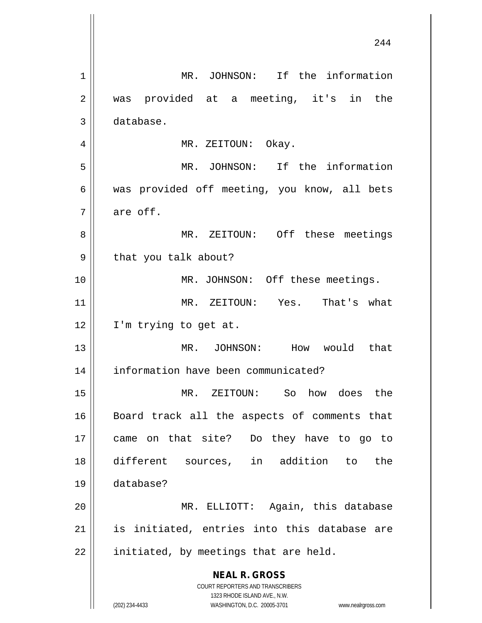**NEAL R. GROSS** COURT REPORTERS AND TRANSCRIBERS 1323 RHODE ISLAND AVE., N.W. (202) 234-4433 WASHINGTON, D.C. 20005-3701 www.nealrgross.com 1 MR. JOHNSON: If the information 2 || was provided at a meeting, it's in the 3 database. 4 | MR. ZEITOUN: Okay. 5 MR. JOHNSON: If the information 6 || was provided off meeting, you know, all bets  $7 \parallel$  are off. 8 || MR. ZEITOUN: Off these meetings 9 | that you talk about? 10 || MR. JOHNSON: Off these meetings. 11 MR. ZEITOUN: Yes. That's what 12 || I'm trying to get at. 13 MR. JOHNSON: How would that 14 information have been communicated? 15 MR. ZEITOUN: So how does the 16 || Board track all the aspects of comments that 17 came on that site? Do they have to go to 18 different sources, in addition to the 19 database? 20 MR. ELLIOTT: Again, this database  $21$  || is initiated, entries into this database are  $22$  | initiated, by meetings that are held.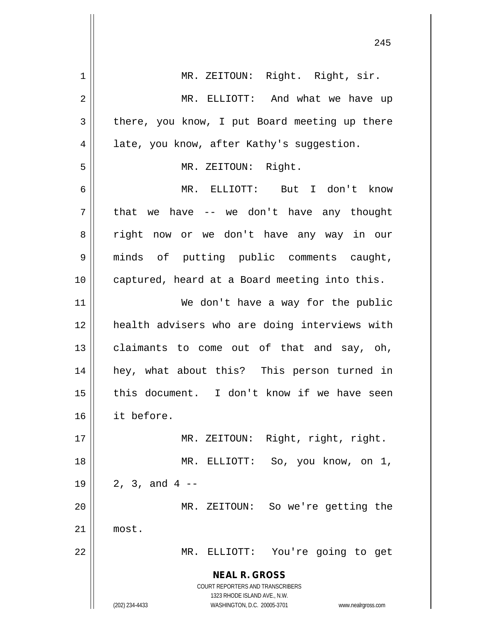| 1  | MR. ZEITOUN: Right. Right, sir.                                                                     |
|----|-----------------------------------------------------------------------------------------------------|
| 2  | MR. ELLIOTT: And what we have up                                                                    |
| 3  | there, you know, I put Board meeting up there                                                       |
| 4  | late, you know, after Kathy's suggestion.                                                           |
| 5  | MR. ZEITOUN: Right.                                                                                 |
| 6  | MR. ELLIOTT: But I don't know                                                                       |
| 7  | that we have -- we don't have any thought                                                           |
| 8  | right now or we don't have any way in our                                                           |
| 9  | minds of putting public comments caught,                                                            |
| 10 | captured, heard at a Board meeting into this.                                                       |
| 11 | We don't have a way for the public                                                                  |
| 12 | health advisers who are doing interviews with                                                       |
| 13 | claimants to come out of that and say, oh,                                                          |
| 14 | hey, what about this? This person turned in                                                         |
| 15 | this document. I don't know if we have seen                                                         |
| 16 | it before.                                                                                          |
| 17 | MR. ZEITOUN: Right, right, right.                                                                   |
| 18 | MR. ELLIOTT: So, you know, on 1,                                                                    |
| 19 | 2, 3, and $4$ --                                                                                    |
| 20 | So we're getting the<br>MR. ZEITOUN:                                                                |
| 21 | most.                                                                                               |
| 22 | MR. ELLIOTT: You're going to get                                                                    |
|    | <b>NEAL R. GROSS</b>                                                                                |
|    | COURT REPORTERS AND TRANSCRIBERS                                                                    |
|    | 1323 RHODE ISLAND AVE., N.W.<br>(202) 234-4433<br>WASHINGTON, D.C. 20005-3701<br>www.nealrgross.com |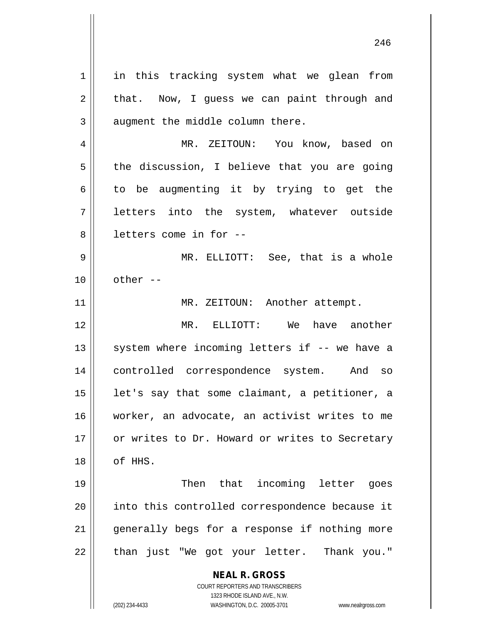**NEAL R. GROSS** COURT REPORTERS AND TRANSCRIBERS 1 || in this tracking system what we glean from  $2 \parallel$  that. Now, I guess we can paint through and  $3$  | augment the middle column there. 4 MR. ZEITOUN: You know, based on  $5 \parallel$  the discussion, I believe that you are going  $6 \parallel$  to be augmenting it by trying to get the 7 letters into the system, whatever outside 8 l letters come in for --9 MR. ELLIOTT: See, that is a whole  $10 \parallel$  other  $-$ 11 || MR. ZEITOUN: Another attempt. 12 MR. ELLIOTT: We have another  $13$  system where incoming letters if  $-$  we have a 14 controlled correspondence system. And so 15  $\parallel$  1et's say that some claimant, a petitioner, a 16 worker, an advocate, an activist writes to me 17 || or writes to Dr. Howard or writes to Secretary 18 of HHS. 19 || Then that incoming letter goes 20 || into this controlled correspondence because it 21 || generally begs for a response if nothing more 22 || than just "We got your letter. Thank you."

1323 RHODE ISLAND AVE., N.W.

(202) 234-4433 WASHINGTON, D.C. 20005-3701 www.nealrgross.com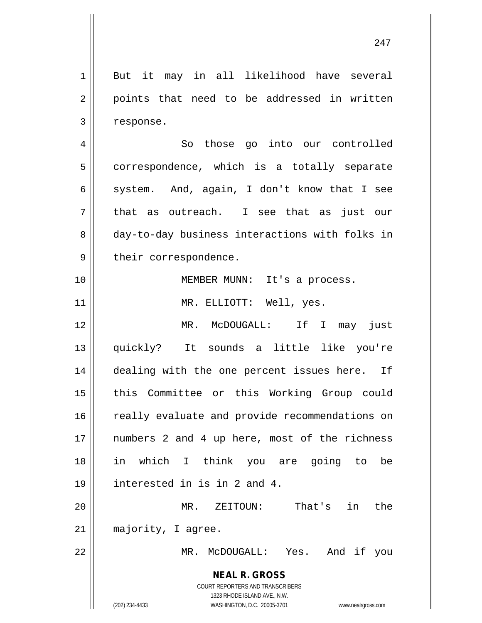**NEAL R. GROSS** COURT REPORTERS AND TRANSCRIBERS 1323 RHODE ISLAND AVE., N.W. (202) 234-4433 WASHINGTON, D.C. 20005-3701 www.nealrgross.com 1 But it may in all likelihood have several  $2 \parallel$  points that need to be addressed in written 3 | response. 4 || So those qo into our controlled  $5 \parallel$  correspondence, which is a totally separate 6 system. And, again, I don't know that I see  $7 \parallel$  that as outreach. I see that as just our 8 day-to-day business interactions with folks in 9 | their correspondence. 10 MEMBER MUNN: It's a process. 11 || MR. ELLIOTT: Well, yes. 12 MR. McDOUGALL: If I may just 13 quickly? It sounds a little like you're 14 || dealing with the one percent issues here. If 15 || this Committee or this Working Group could 16 || really evaluate and provide recommendations on 17 || numbers 2 and 4 up here, most of the richness 18 in which I think you are going to be 19 interested in is in 2 and 4. 20 MR. ZEITOUN: That's in the 21 | majority, I agree. 22 MR. McDOUGALL: Yes. And if you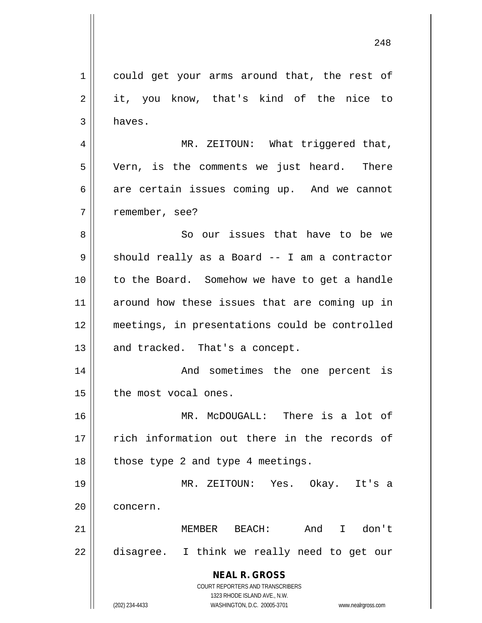**NEAL R. GROSS** COURT REPORTERS AND TRANSCRIBERS 1323 RHODE ISLAND AVE., N.W. 1 || could get your arms around that, the rest of  $2 \parallel$  it, you know, that's kind of the nice to  $3 \parallel$  haves. 4 || MR. ZEITOUN: What triggered that, 5 | Vern, is the comments we just heard. There  $6 \parallel$  are certain issues coming up. And we cannot 7 || remember, see? 8 So our issues that have to be we  $9 \parallel$  should really as a Board -- I am a contractor 10 to the Board. Somehow we have to get a handle 11 || around how these issues that are coming up in 12 meetings, in presentations could be controlled  $13$  and tracked. That's a concept. 14 || The Mand sometimes the one percent is  $15$  | the most vocal ones. 16 MR. McDOUGALL: There is a lot of 17 || rich information out there in the records of  $18$  || those type 2 and type 4 meetings. 19 MR. ZEITOUN: Yes. Okay. It's a 20 | concern. 21 MEMBER BEACH: And I don't 22 disagree. I think we really need to get our

(202) 234-4433 WASHINGTON, D.C. 20005-3701 www.nealrgross.com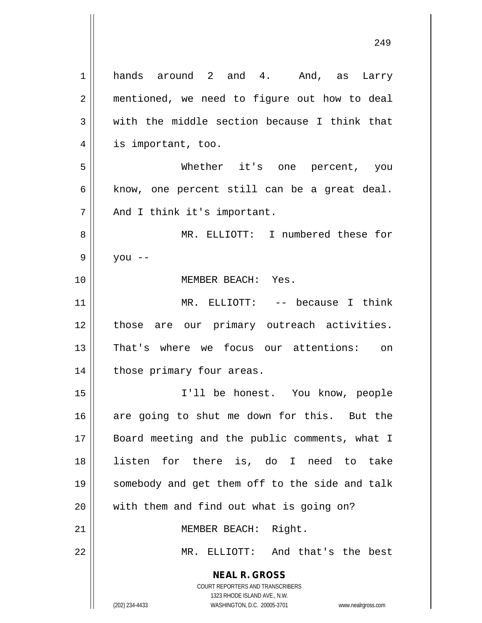**NEAL R. GROSS** COURT REPORTERS AND TRANSCRIBERS 1323 RHODE ISLAND AVE., N.W. (202) 234-4433 WASHINGTON, D.C. 20005-3701 www.nealrgross.com 1 hands around 2 and 4. And, as Larry 2 | mentioned, we need to figure out how to deal  $3 \parallel$  with the middle section because I think that 4 || is important, too. 5 Whether it's one percent, you  $6 \parallel$  know, one percent still can be a great deal. 7 || And I think it's important. 8 MR. ELLIOTT: I numbered these for  $9 \parallel$  you --10 || **MEMBER BEACH:** Yes. 11 || MR. ELLIOTT: -- because I think 12 || those are our primary outreach activities. 13 That's where we focus our attentions: on 14 | those primary four areas. 15 I'll be honest. You know, people 16 are going to shut me down for this. But the 17 || Board meeting and the public comments, what I 18 listen for there is, do I need to take 19 somebody and get them off to the side and talk 20 || with them and find out what is going on? 21 || MEMBER BEACH: Right. 22 MR. ELLIOTT: And that's the best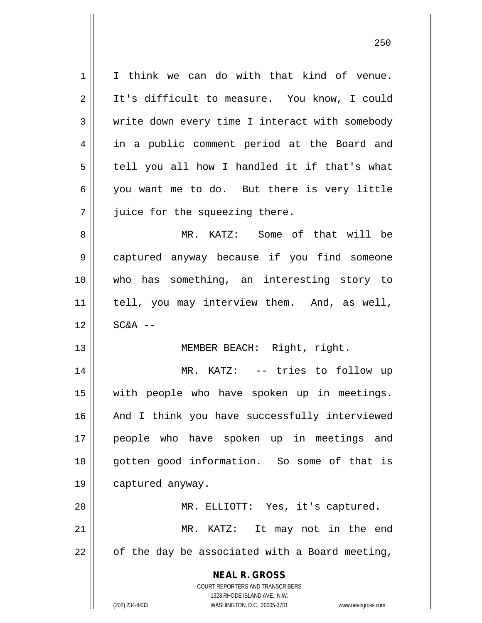**NEAL R. GROSS** COURT REPORTERS AND TRANSCRIBERS 1323 RHODE ISLAND AVE., N.W. 1 || I think we can do with that kind of venue. 2 | It's difficult to measure. You know, I could  $3 \parallel$  write down every time I interact with somebody 4 in a public comment period at the Board and  $5 \parallel$  tell you all how I handled it if that's what 6 you want me to do. But there is very little  $7$  | juice for the squeezing there. 8 MR. KATZ: Some of that will be 9 captured anyway because if you find someone 10 who has something, an interesting story to 11 || tell, you may interview them. And, as well,  $12$   $\parallel$   $SC&A$  --13 || **MEMBER BEACH:** Right, right. 14 MR. KATZ: -- tries to follow up 15 with people who have spoken up in meetings. 16 || And I think you have successfully interviewed 17 people who have spoken up in meetings and 18 || qotten good information. So some of that is 19 captured anyway. 20 MR. ELLIOTT: Yes, it's captured. 21 || MR. KATZ: It may not in the end  $22 \parallel$  of the day be associated with a Board meeting,

(202) 234-4433 WASHINGTON, D.C. 20005-3701 www.nealrgross.com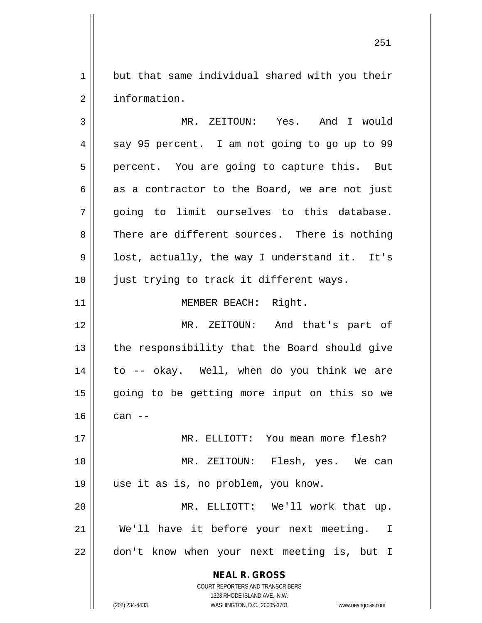$1 \parallel$  but that same individual shared with you their 2 | information.

**NEAL R. GROSS** COURT REPORTERS AND TRANSCRIBERS 1323 RHODE ISLAND AVE., N.W. 3 MR. ZEITOUN: Yes. And I would 4 || say 95 percent. I am not going to go up to 99 5 || percent. You are going to capture this. But  $6 \parallel$  as a contractor to the Board, we are not just 7 going to limit ourselves to this database. 8 There are different sources. There is nothing  $9 \parallel$  lost, actually, the way I understand it. It's 10 || just trying to track it different ways. 11 MEMBER BEACH: Right. 12 MR. ZEITOUN: And that's part of  $13$  || the responsibility that the Board should give 14 to -- okay. Well, when do you think we are 15 || going to be getting more input on this so we  $16 \parallel \cdot \cdot \cdot$  can --17 MR. ELLIOTT: You mean more flesh? 18 MR. ZEITOUN: Flesh, yes. We can 19 use it as is, no problem, you know. 20 MR. ELLIOTT: We'll work that up. 21 || We'll have it before your next meeting. I 22 || don't know when your next meeting is, but I

(202) 234-4433 WASHINGTON, D.C. 20005-3701 www.nealrgross.com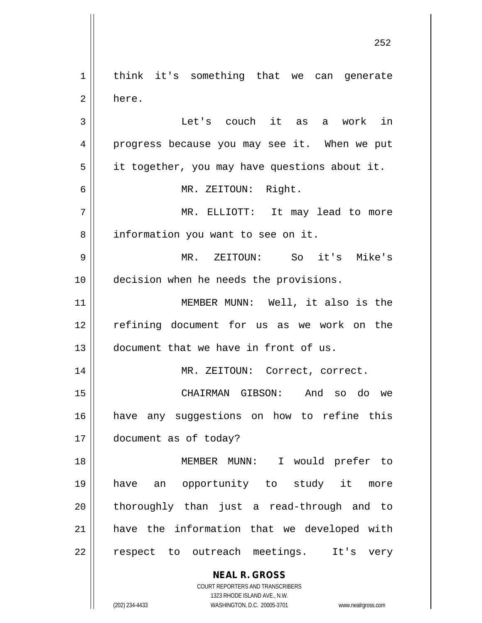**NEAL R. GROSS** COURT REPORTERS AND TRANSCRIBERS 1323 RHODE ISLAND AVE., N.W. 1 || think it's something that we can generate 2 here. 3 Let's couch it as a work in 4 || progress because you may see it. When we put  $5 \parallel$  it together, you may have questions about it. 6 MR. ZEITOUN: Right. 7 MR. ELLIOTT: It may lead to more 8 | information you want to see on it. 9 MR. ZEITOUN: So it's Mike's 10 decision when he needs the provisions. 11 || MEMBER MUNN: Well, it also is the 12 refining document for us as we work on the 13 document that we have in front of us. 14 || MR. ZEITOUN: Correct, correct. 15 CHAIRMAN GIBSON: And so do we 16 have any suggestions on how to refine this 17 document as of today? 18 MEMBER MUNN: I would prefer to 19 have an opportunity to study it more 20 || thoroughly than just a read-through and to 21 have the information that we developed with 22 || respect to outreach meetings. It's very

(202) 234-4433 WASHINGTON, D.C. 20005-3701 www.nealrgross.com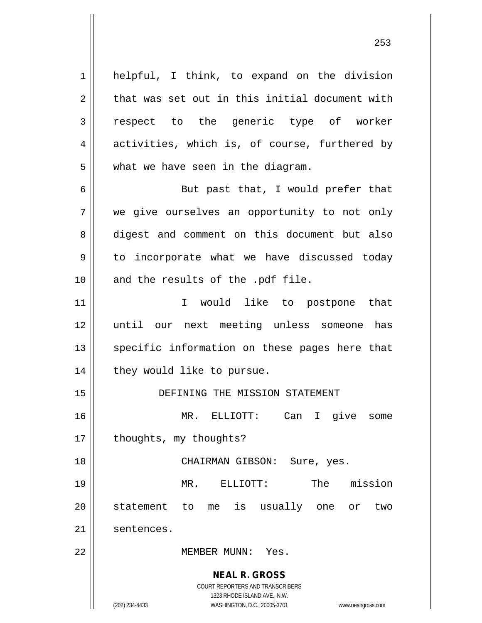**NEAL R. GROSS** COURT REPORTERS AND TRANSCRIBERS 1323 RHODE ISLAND AVE., N.W. 1 || helpful, I think, to expand on the division  $2 \parallel$  that was set out in this initial document with 3 respect to the generic type of worker 4 activities, which is, of course, furthered by  $5 \parallel$  what we have seen in the diagram. 6 || But past that, I would prefer that 7 we give ourselves an opportunity to not only 8 digest and comment on this document but also  $9 \parallel$  to incorporate what we have discussed today  $10$  and the results of the .pdf file. 11 || T would like to postpone that 12 until our next meeting unless someone has 13 || specific information on these pages here that 14 | they would like to pursue. 15 DEFINING THE MISSION STATEMENT 16 MR. ELLIOTT: Can I give some 17 | thoughts, my thoughts? 18 CHAIRMAN GIBSON: Sure, yes. 19 MR. ELLIOTT: The mission 20 || statement to me is usually one or two 21 sentences. 22 MEMBER MUNN: Yes.

(202) 234-4433 WASHINGTON, D.C. 20005-3701 www.nealrgross.com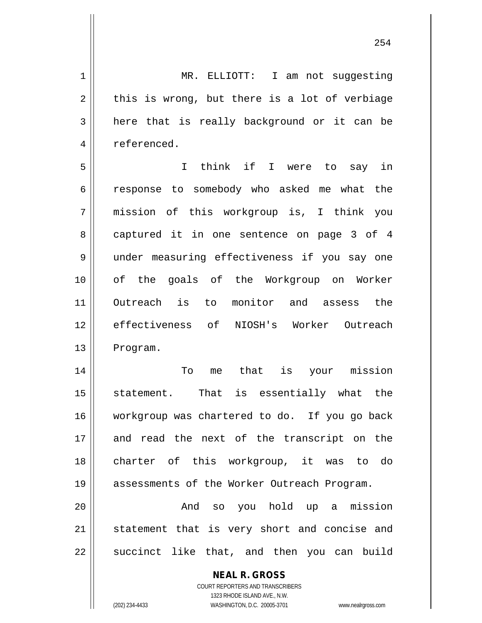**NEAL R. GROSS** 1 | MR. ELLIOTT: I am not suggesting  $2 \parallel$  this is wrong, but there is a lot of verbiage  $3 \parallel$  here that is really background or it can be 4 | referenced. 5 I think if I were to say in 6 || response to somebody who asked me what the 7 mission of this workgroup is, I think you 8 captured it in one sentence on page 3 of 4 9 under measuring effectiveness if you say one 10 of the goals of the Workgroup on Worker 11 Outreach is to monitor and assess the 12 effectiveness of NIOSH's Worker Outreach 13 | Program. 14 To me that is your mission 15 || statement. That is essentially what the 16 workgroup was chartered to do. If you go back 17 and read the next of the transcript on the 18 charter of this workgroup, it was to do 19 assessments of the Worker Outreach Program. 20 And so you hold up a mission 21 || statement that is very short and concise and  $22$  || succinct like that, and then you can build

> COURT REPORTERS AND TRANSCRIBERS 1323 RHODE ISLAND AVE., N.W.

(202) 234-4433 WASHINGTON, D.C. 20005-3701 www.nealrgross.com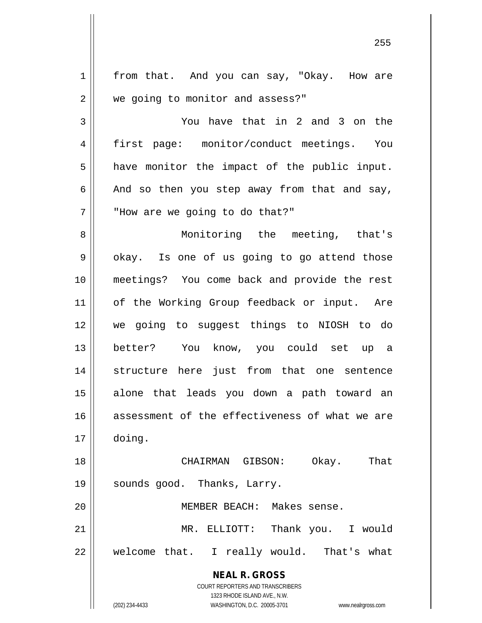**NEAL R. GROSS** COURT REPORTERS AND TRANSCRIBERS 1323 RHODE ISLAND AVE., N.W. 1 | from that. And you can say, "Okay. How are 2 | we going to monitor and assess?" 3 You have that in 2 and 3 on the 4 first page: monitor/conduct meetings. You  $5 \parallel$  have monitor the impact of the public input.  $6 \parallel$  And so then you step away from that and say,  $7$   $\parallel$   $\parallel$  "How are we going to do that?" 8 || Monitoring the meeting, that's  $9 \parallel$  okay. Is one of us going to go attend those 10 meetings? You come back and provide the rest 11 || of the Working Group feedback or input. Are 12 we going to suggest things to NIOSH to do 13 better? You know, you could set up a 14 structure here just from that one sentence 15 alone that leads you down a path toward an 16 assessment of the effectiveness of what we are 17 doing. 18 CHAIRMAN GIBSON: Okay. That 19 || sounds good. Thanks, Larry. 20 MEMBER BEACH: Makes sense. 21 MR. ELLIOTT: Thank you. I would  $22$  || welcome that. I really would. That's what

(202) 234-4433 WASHINGTON, D.C. 20005-3701 www.nealrgross.com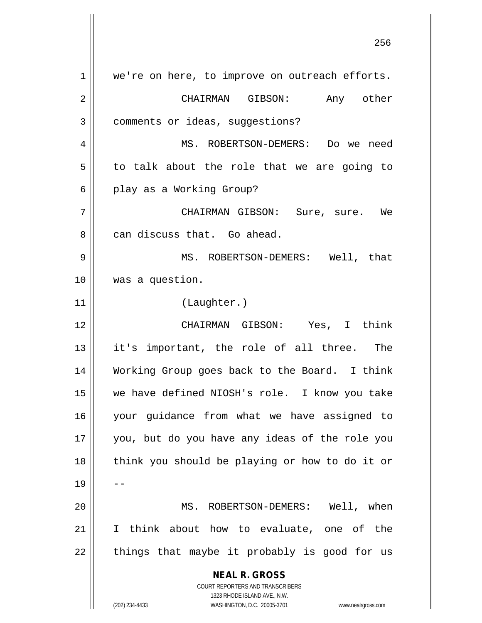**NEAL R. GROSS** COURT REPORTERS AND TRANSCRIBERS 1323 RHODE ISLAND AVE., N.W. (202) 234-4433 WASHINGTON, D.C. 20005-3701 www.nealrgross.com 1 || we're on here, to improve on outreach efforts. 2 CHAIRMAN GIBSON: Any other 3 | comments or ideas, suggestions? 4 MS. ROBERTSON-DEMERS: Do we need  $5 \parallel$  to talk about the role that we are going to 6 || play as a Working Group? 7 CHAIRMAN GIBSON: Sure, sure. We 8 can discuss that. Go ahead. 9 MS. ROBERTSON-DEMERS: Well, that 10 was a question. 11 (Laughter.) 12 CHAIRMAN GIBSON: Yes, I think 13 it's important, the role of all three. The 14 Working Group goes back to the Board. I think 15 we have defined NIOSH's role. I know you take 16 your guidance from what we have assigned to 17 you, but do you have any ideas of the role you 18 || think you should be playing or how to do it or  $19 \parallel -$ 20 MS. ROBERTSON-DEMERS: Well, when 21 I think about how to evaluate, one of the  $22$  || things that maybe it probably is good for us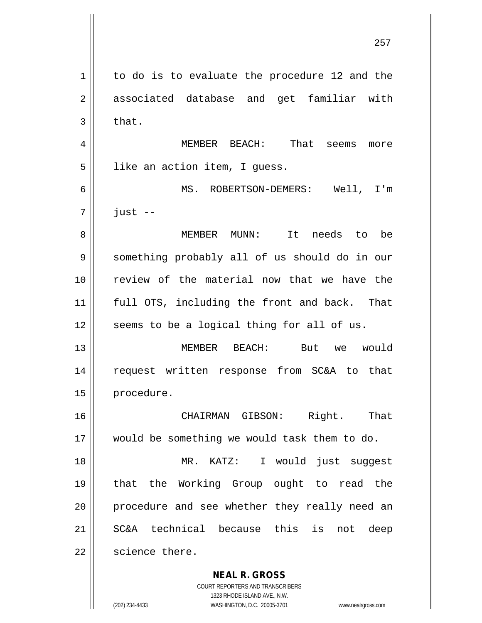**NEAL R. GROSS** 257 1 | to do is to evaluate the procedure 12 and the 2 associated database and get familiar with  $3 \parallel$  that. 4 MEMBER BEACH: That seems more 5 | like an action item, I guess. 6 MS. ROBERTSON-DEMERS: Well, I'm  $7 \parallel$  just  $-$ 8 MEMBER MUNN: It needs to be 9 Something probably all of us should do in our 10 review of the material now that we have the 11 full OTS, including the front and back. That  $12$  seems to be a logical thing for all of us. 13 MEMBER BEACH: But we would 14 request written response from SC&A to that 15 | procedure. 16 CHAIRMAN GIBSON: Right. That 17 would be something we would task them to do. 18 || MR. KATZ: I would just suggest 19 that the Working Group ought to read the 20 || procedure and see whether they really need an 21 SC&A technical because this is not deep 22 | science there.

> COURT REPORTERS AND TRANSCRIBERS 1323 RHODE ISLAND AVE., N.W.

(202) 234-4433 WASHINGTON, D.C. 20005-3701 www.nealrgross.com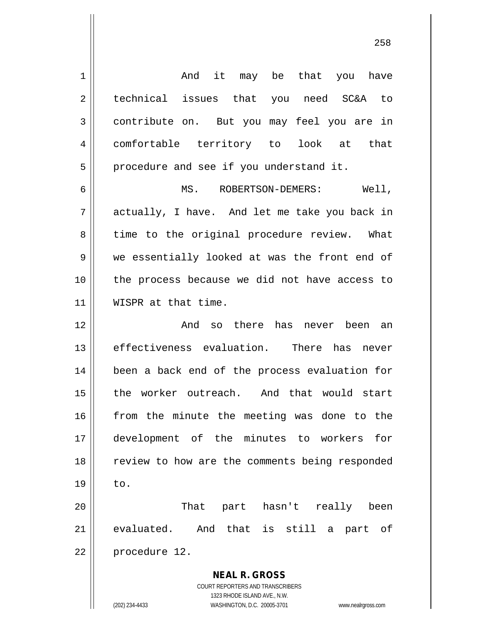**NEAL R. GROSS** COURT REPORTERS AND TRANSCRIBERS 1 and it may be that you have 2 || technical issues that you need SC&A to 3 contribute on. But you may feel you are in 4 comfortable territory to look at that  $5 \parallel$  procedure and see if you understand it. 6 MS. ROBERTSON-DEMERS: Well, 7 actually, I have. And let me take you back in 8 time to the original procedure review. What 9 we essentially looked at was the front end of 10 the process because we did not have access to 11 || WISPR at that time. 12 And so there has never been an 13 effectiveness evaluation. There has never 14 || been a back end of the process evaluation for 15 the worker outreach. And that would start 16 || from the minute the meeting was done to the 17 development of the minutes to workers for 18 || review to how are the comments being responded  $19 \parallel$  to. 20 That part hasn't really been 21 evaluated. And that is still a part of 22 | procedure 12.

1323 RHODE ISLAND AVE., N.W. (202) 234-4433 WASHINGTON, D.C. 20005-3701 www.nealrgross.com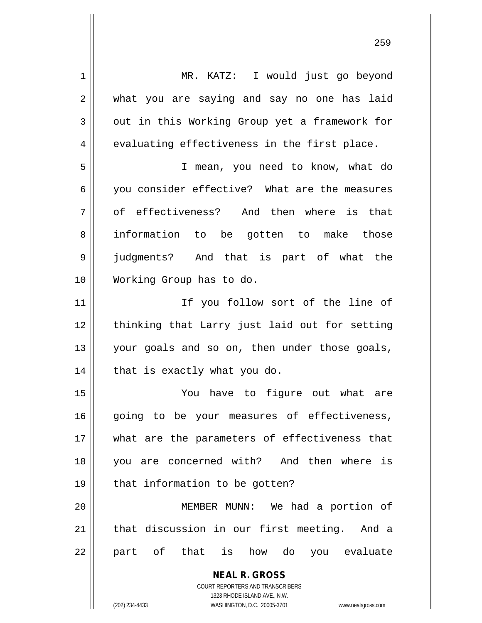**NEAL R. GROSS** COURT REPORTERS AND TRANSCRIBERS 1323 RHODE ISLAND AVE., N.W. (202) 234-4433 WASHINGTON, D.C. 20005-3701 www.nealrgross.com 1 || MR. KATZ: I would just go beyond 2 what you are saying and say no one has laid 3 out in this Working Group yet a framework for  $4 \parallel$  evaluating effectiveness in the first place. 5 I mean, you need to know, what do 6 you consider effective? What are the measures 7 of effectiveness? And then where is that 8 information to be gotten to make those 9 judgments? And that is part of what the 10 Working Group has to do. 11 || The Vou follow sort of the line of 12 || thinking that Larry just laid out for setting 13 || your goals and so on, then under those goals,  $14$  | that is exactly what you do. 15 You have to figure out what are 16 || going to be your measures of effectiveness, 17 what are the parameters of effectiveness that 18 you are concerned with? And then where is  $19$  | that information to be gotten? 20 MEMBER MUNN: We had a portion of 21 || that discussion in our first meeting. And a 22 || part of that is how do you evaluate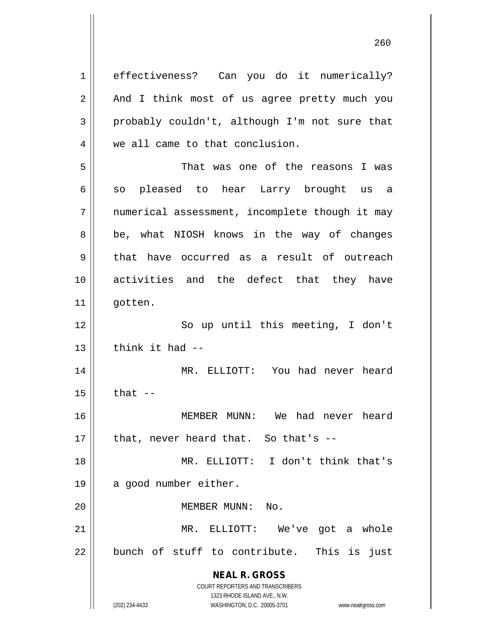**NEAL R. GROSS** COURT REPORTERS AND TRANSCRIBERS 1323 RHODE ISLAND AVE., N.W. 1 | effectiveness? Can you do it numerically?  $2 \parallel$  And I think most of us agree pretty much you  $3 \parallel$  probably couldn't, although I'm not sure that 4 we all came to that conclusion. 5 That was one of the reasons I was  $6 \parallel$  so pleased to hear Larry brought us a 7 || numerical assessment, incomplete though it may 8 || be, what NIOSH knows in the way of changes  $9 \parallel$  that have occurred as a result of outreach 10 activities and the defect that they have 11 gotten. 12 || So up until this meeting, I don't  $13$   $\parallel$  think it had  $-$ 14 MR. ELLIOTT: You had never heard  $15$   $\parallel$  that  $-$ 16 MEMBER MUNN: We had never heard  $17$  || that, never heard that. So that's --18 MR. ELLIOTT: I don't think that's 19 || a good number either. 20 MEMBER MUNN: No. 21 MR. ELLIOTT: We've got a whole 22 || bunch of stuff to contribute. This is just

(202) 234-4433 WASHINGTON, D.C. 20005-3701 www.nealrgross.com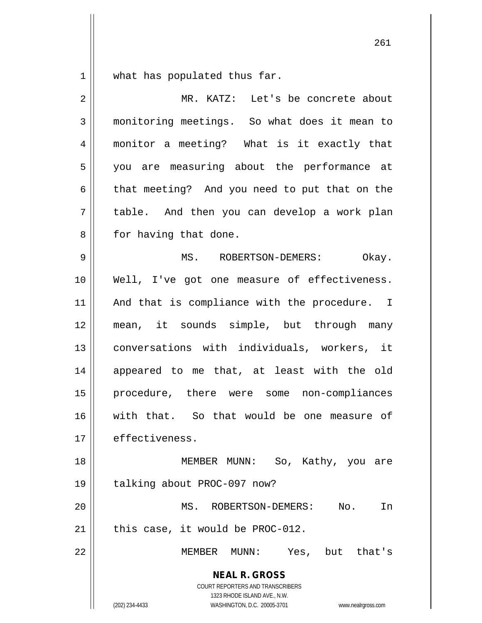$1 \parallel$  what has populated thus far.

| $\overline{2}$ | MR. KATZ: Let's be concrete about                                                                                                                               |
|----------------|-----------------------------------------------------------------------------------------------------------------------------------------------------------------|
| 3              | monitoring meetings. So what does it mean to                                                                                                                    |
| 4              | monitor a meeting? What is it exactly that                                                                                                                      |
| 5              | you are measuring about the performance at                                                                                                                      |
| 6              | that meeting? And you need to put that on the                                                                                                                   |
| 7              | table. And then you can develop a work plan                                                                                                                     |
| 8              | for having that done.                                                                                                                                           |
| 9              | MS. ROBERTSON-DEMERS:<br>Okay.                                                                                                                                  |
| 10             | Well, I've got one measure of effectiveness.                                                                                                                    |
| 11             | And that is compliance with the procedure. I                                                                                                                    |
| 12             | mean, it sounds simple, but through many                                                                                                                        |
| 13             | conversations with individuals, workers, it                                                                                                                     |
| 14             | appeared to me that, at least with the old                                                                                                                      |
| 15             | procedure, there were some non-compliances                                                                                                                      |
| 16             | with that. So that would be one measure of                                                                                                                      |
| $17\,$         | effectiveness.                                                                                                                                                  |
| 18             | MEMBER MUNN: So, Kathy, you are                                                                                                                                 |
| 19             | talking about PROC-097 now?                                                                                                                                     |
| 20             | MS. ROBERTSON-DEMERS:<br>No.<br>In                                                                                                                              |
| 21             | this case, it would be PROC-012.                                                                                                                                |
| 22             | Yes, but that's<br>MEMBER MUNN:                                                                                                                                 |
|                | <b>NEAL R. GROSS</b><br>COURT REPORTERS AND TRANSCRIBERS<br>1323 RHODE ISLAND AVE., N.W.<br>(202) 234-4433<br>WASHINGTON, D.C. 20005-3701<br>www.nealrgross.com |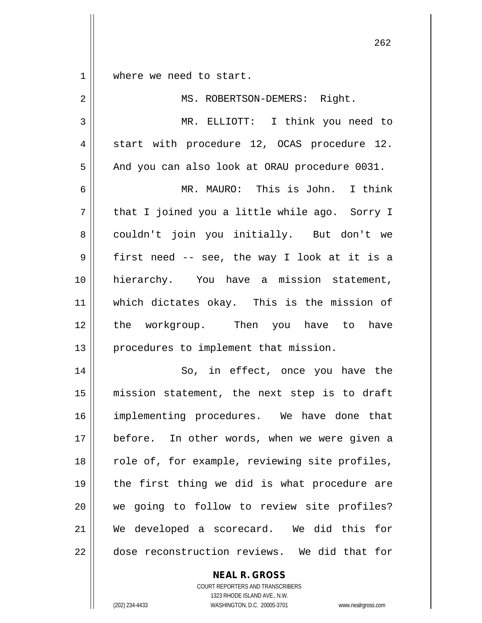1 where we need to start.

| $\overline{a}$ | MS. ROBERTSON-DEMERS: Right.                   |
|----------------|------------------------------------------------|
| 3              | MR. ELLIOTT: I think you need to               |
| 4              | start with procedure 12, OCAS procedure 12.    |
| 5              | And you can also look at ORAU procedure 0031.  |
| 6              | MR. MAURO: This is John. I think               |
| 7              | that I joined you a little while ago. Sorry I  |
| 8              | couldn't join you initially. But don't we      |
| 9              | first need -- see, the way I look at it is a   |
| 10             | hierarchy. You have a mission statement,       |
| 11             | which dictates okay. This is the mission of    |
| 12             | the workgroup. Then you have to<br>have        |
| 13             | procedures to implement that mission.          |
| 14             | So, in effect, once you have the               |
| 15             | mission statement, the next step is to draft   |
| 16             | implementing procedures. We have done that     |
| 17             | before. In other words, when we were given a   |
| 18             | role of, for example, reviewing site profiles, |
| 19             | the first thing we did is what procedure are   |
| 20             | we going to follow to review site profiles?    |
| 21             | We developed a scorecard. We did this<br>for   |
| 22             | dose reconstruction reviews. We did that for   |

**NEAL R. GROSS**

COURT REPORTERS AND TRANSCRIBERS 1323 RHODE ISLAND AVE., N.W. (202) 234-4433 WASHINGTON, D.C. 20005-3701 www.nealrgross.com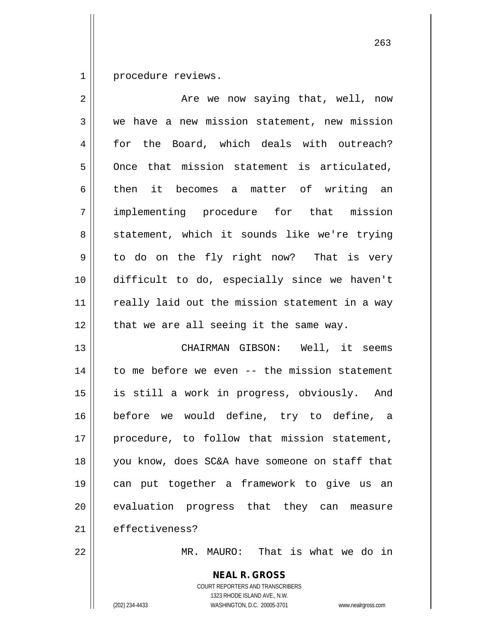1 | procedure reviews.

| $\overline{2}$ | Are we now saying that, well, now                        |
|----------------|----------------------------------------------------------|
| 3              | we have a new mission statement, new mission             |
| 4              | for the Board, which deals with outreach?                |
| 5              | Once that mission statement is articulated,              |
| 6              | then it becomes a matter of writing an                   |
| 7              | implementing procedure for that mission                  |
| 8              | statement, which it sounds like we're trying             |
| 9              | to do on the fly right now? That is very                 |
| 10             | difficult to do, especially since we haven't             |
| 11             | really laid out the mission statement in a way           |
| 12             | that we are all seeing it the same way.                  |
| 13             | CHAIRMAN GIBSON: Well, it seems                          |
| 14             | to me before we even -- the mission statement            |
| 15             | is still a work in progress, obviously. And              |
| 16             | before we would define, try to define, a                 |
| 17             | procedure, to follow that mission statement,             |
| 18             | you know, does SC&A have someone on staff that           |
| 19             | can put together a framework to give us an               |
| 20             | evaluation progress that they can measure                |
| 21             | effectiveness?                                           |
| 22             | MR. MAURO: That is what we do in                         |
|                | <b>NEAL R. GROSS</b><br>COURT REPORTERS AND TRANSCRIBERS |

 $\prod$ 

1323 RHODE ISLAND AVE., N.W. (202) 234-4433 WASHINGTON, D.C. 20005-3701 www.nealrgross.com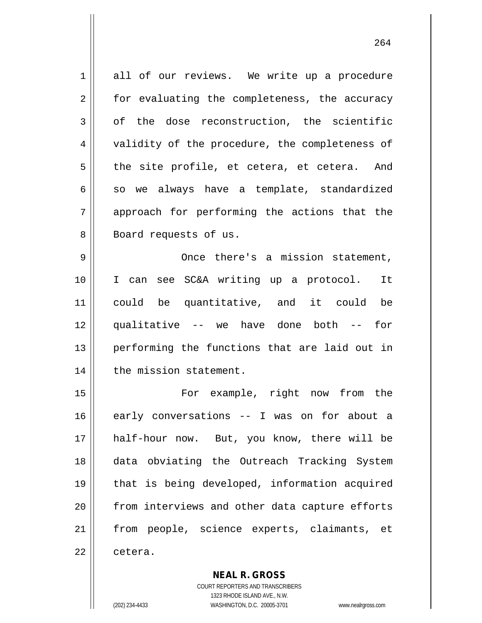1 all of our reviews. We write up a procedure 2 || for evaluating the completeness, the accuracy  $3 \parallel$  of the dose reconstruction, the scientific 4 || validity of the procedure, the completeness of  $5 \parallel$  the site profile, et cetera, et cetera. And  $6 \parallel$  so we always have a template, standardized 7 approach for performing the actions that the 8 Board requests of us. 9 Once there's a mission statement, 10 I can see SC&A writing up a protocol. It 11 could be quantitative, and it could be 12 || qualitative -- we have done both -- for 13 performing the functions that are laid out in 14 | the mission statement. 15 || For example, right now from the 16 early conversations -- I was on for about a 17 half-hour now. But, you know, there will be 18 data obviating the Outreach Tracking System 19 that is being developed, information acquired 20 || from interviews and other data capture efforts 21 from people, science experts, claimants, et 22 ll cetera.

> **NEAL R. GROSS** COURT REPORTERS AND TRANSCRIBERS

> > 1323 RHODE ISLAND AVE., N.W.

(202) 234-4433 WASHINGTON, D.C. 20005-3701 www.nealrgross.com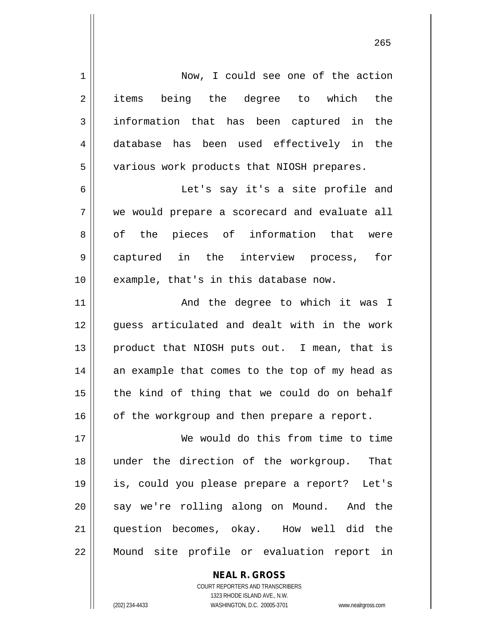| 1  | Now, I could see one of the action             |
|----|------------------------------------------------|
| 2  | items being the degree to which the            |
| 3  | information that has been captured in the      |
| 4  | database has been used effectively in the      |
| 5  | various work products that NIOSH prepares.     |
| 6  | Let's say it's a site profile and              |
| 7  | we would prepare a scorecard and evaluate all  |
| 8  | of the pieces of information that were         |
| 9  | captured in the interview process, for         |
| 10 | example, that's in this database now.          |
| 11 | And the degree to which it was I               |
| 12 | guess articulated and dealt with in the work   |
| 13 | product that NIOSH puts out. I mean, that is   |
| 14 | an example that comes to the top of my head as |
| 15 | the kind of thing that we could do on behalf   |
| 16 | of the workgroup and then prepare a report.    |
| 17 | We would do this from time to time             |
| 18 | under the direction of the workgroup.<br>That  |
| 19 | is, could you please prepare a report? Let's   |
| 20 | say we're rolling along on Mound. And the      |
| 21 | question becomes, okay. How well did the       |
| 22 | Mound site profile or evaluation report in     |

COURT REPORTERS AND TRANSCRIBERS 1323 RHODE ISLAND AVE., N.W. (202) 234-4433 WASHINGTON, D.C. 20005-3701 www.nealrgross.com

**NEAL R. GROSS**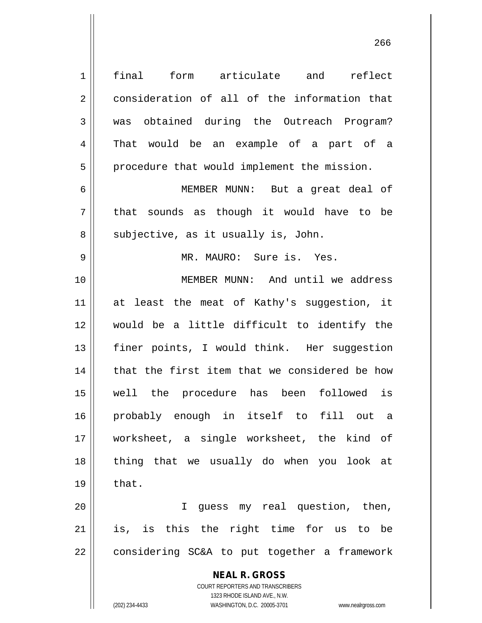| $\mathbf 1$ | form<br>final<br>articulate<br>and<br>reflect                                                                                                                          |
|-------------|------------------------------------------------------------------------------------------------------------------------------------------------------------------------|
| $\sqrt{2}$  | consideration of all of the information that                                                                                                                           |
| 3           | was obtained during the Outreach Program?                                                                                                                              |
| 4           | would be an example of a part of a<br>That                                                                                                                             |
| 5           | procedure that would implement the mission.                                                                                                                            |
| 6           | MEMBER MUNN: But a great deal of                                                                                                                                       |
| 7           | sounds as though it would have to be<br>that                                                                                                                           |
| 8           | subjective, as it usually is, John.                                                                                                                                    |
| $\mathsf 9$ | MR. MAURO: Sure is. Yes.                                                                                                                                               |
| 10          | MEMBER MUNN: And until we address                                                                                                                                      |
| 11          | at least the meat of Kathy's suggestion, it                                                                                                                            |
| 12          | would be a little difficult to identify the                                                                                                                            |
| 13          | finer points, I would think. Her suggestion                                                                                                                            |
| 14          | that the first item that we considered be how                                                                                                                          |
| 15          | well the procedure has been followed is                                                                                                                                |
| 16          | probably enough in itself to fill out<br>- a                                                                                                                           |
| 17          | worksheet, a single worksheet, the kind of                                                                                                                             |
| 18          | thing that we usually do when you look at                                                                                                                              |
| 19          | that.                                                                                                                                                                  |
| 20          | I guess my real question, then,                                                                                                                                        |
| 21          | is, is this the right time for us to be                                                                                                                                |
| 22          | considering SC&A to put together a framework                                                                                                                           |
|             | <b>NEAL R. GROSS</b><br><b>COURT REPORTERS AND TRANSCRIBERS</b><br>1323 RHODE ISLAND AVE., N.W.<br>(202) 234-4433<br>WASHINGTON, D.C. 20005-3701<br>www.nealrgross.com |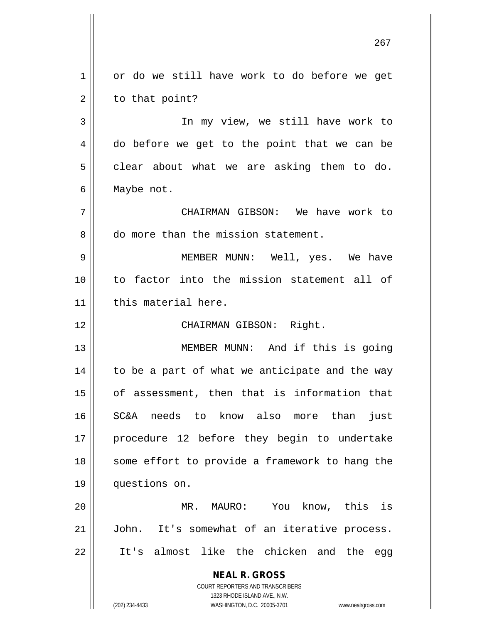**NEAL R. GROSS** COURT REPORTERS AND TRANSCRIBERS 1323 RHODE ISLAND AVE., N.W. (202) 234-4433 WASHINGTON, D.C. 20005-3701 www.nealrgross.com 1 or do we still have work to do before we get  $2 \parallel$  to that point? 3 || In my view, we still have work to  $4 \parallel$  do before we get to the point that we can be  $5 \parallel$  clear about what we are asking them to do. 6 Maybe not. 7 CHAIRMAN GIBSON: We have work to 8 do more than the mission statement. 9 MEMBER MUNN: Well, yes. We have 10 to factor into the mission statement all of 11 | this material here. 12 || CHAIRMAN GIBSON: Right. 13 || MEMBER MUNN: And if this is going  $14$  | to be a part of what we anticipate and the way 15 of assessment, then that is information that 16 SC&A needs to know also more than just 17 procedure 12 before they begin to undertake 18 || some effort to provide a framework to hang the 19 questions on. 20 || MR. MAURO: You know, this is 21 | John. It's somewhat of an iterative process. 22 It's almost like the chicken and the egg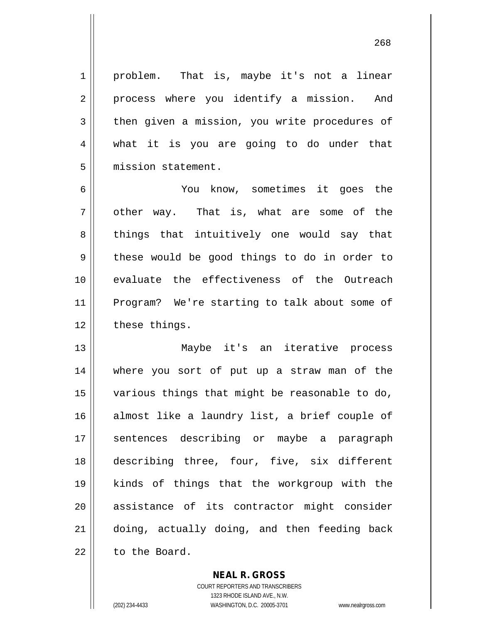1 || problem. That is, maybe it's not a linear 2 || process where you identify a mission. And 3 then given a mission, you write procedures of 4 what it is you are going to do under that 5 | mission statement.

6 You know, sometimes it goes the  $7 \parallel$  other way. That is, what are some of the 8 || things that intuitively one would say that  $9 \parallel$  these would be good things to do in order to 10 evaluate the effectiveness of the Outreach 11 Program? We're starting to talk about some of  $12$  | these things.

13 Maybe it's an iterative process 14 where you sort of put up a straw man of the 15 various things that might be reasonable to do, 16 almost like a laundry list, a brief couple of 17 || sentences describing or maybe a paragraph 18 || describing three, four, five, six different 19 kinds of things that the workgroup with the 20 || assistance of its contractor might consider 21 doing, actually doing, and then feeding back 22 to the Board.

> COURT REPORTERS AND TRANSCRIBERS 1323 RHODE ISLAND AVE., N.W. (202) 234-4433 WASHINGTON, D.C. 20005-3701 www.nealrgross.com

**NEAL R. GROSS**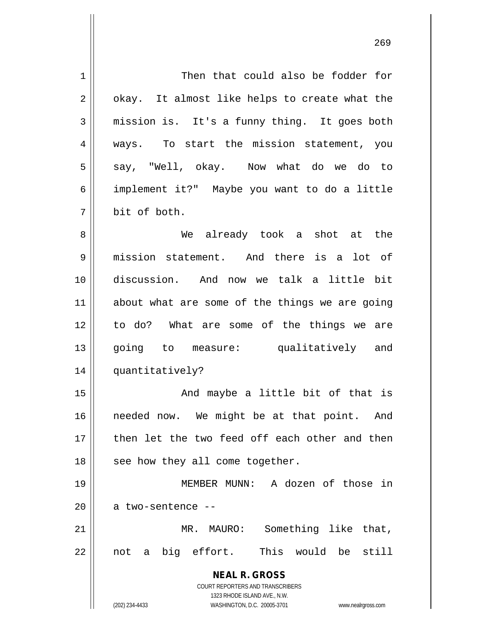**NEAL R. GROSS** COURT REPORTERS AND TRANSCRIBERS 1323 RHODE ISLAND AVE., N.W. (202) 234-4433 WASHINGTON, D.C. 20005-3701 www.nealrgross.com 1 Then that could also be fodder for  $2 \parallel$  okay. It almost like helps to create what the  $3 \parallel$  mission is. It's a funny thing. It goes both 4 || ways. To start the mission statement, you  $5 \parallel$  say, "Well, okay. Now what do we do to 6 implement it?" Maybe you want to do a little 7 bit of both. 8 We already took a shot at the 9 mission statement. And there is a lot of 10 discussion. And now we talk a little bit 11 || about what are some of the things we are going 12 to do? What are some of the things we are 13 || qoinq to measure: qualitatively and 14 quantitatively? 15 || The Mondow And maybe a little bit of that is 16 || needed now. We might be at that point. And 17 then let the two feed off each other and then  $18$  | see how they all come together. 19 MEMBER MUNN: A dozen of those in  $20$  || a two-sentence --21 MR. MAURO: Something like that, 22 not a big effort. This would be still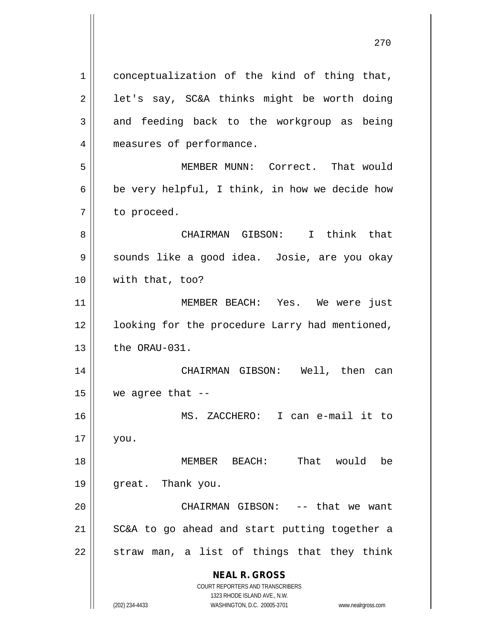**NEAL R. GROSS** COURT REPORTERS AND TRANSCRIBERS 1 || conceptualization of the kind of thing that,  $2 \parallel$  let's say, SC&A thinks might be worth doing  $3 \parallel$  and feeding back to the workgroup as being 4 | measures of performance. 5 MEMBER MUNN: Correct. That would 6 | be very helpful, I think, in how we decide how  $7 \parallel$  to proceed. 8 CHAIRMAN GIBSON: I think that 9 || sounds like a good idea. Josie, are you okay 10 with that, too? 11 || MEMBER BEACH: Yes. We were just 12 || looking for the procedure Larry had mentioned,  $13$   $\parallel$  the ORAU-031. 14 CHAIRMAN GIBSON: Well, then can 15  $\parallel$  we agree that --16 MS. ZACCHERO: I can e-mail it to 17 you. 18 MEMBER BEACH: That would be 19 great. Thank you. 20 CHAIRMAN GIBSON: -- that we want  $21$  SC&A to go ahead and start putting together a  $22$  || straw man, a list of things that they think

1323 RHODE ISLAND AVE., N.W. (202) 234-4433 WASHINGTON, D.C. 20005-3701 www.nealrgross.com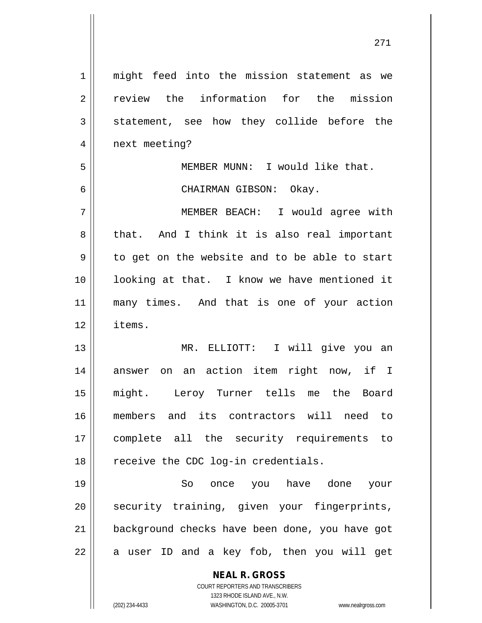| $\mathbf 1$    | might feed into the mission statement as we                         |
|----------------|---------------------------------------------------------------------|
| $\overline{2}$ | review the information for the mission                              |
| 3              | statement, see how they collide before the                          |
| $\overline{4}$ | next meeting?                                                       |
| 5              | MEMBER MUNN: I would like that.                                     |
| 6              | CHAIRMAN GIBSON: Okay.                                              |
| 7              | MEMBER BEACH: I would agree with                                    |
| 8              | that. And I think it is also real important                         |
| $\mathsf 9$    | to get on the website and to be able to start                       |
| 10             | looking at that. I know we have mentioned it                        |
| 11             | many times. And that is one of your action                          |
| 12             | items.                                                              |
| 13             | MR. ELLIOTT: I will give you an                                     |
| 14             | answer on an action item right now, if I                            |
| 15             | might. Leroy Turner tells me the Board                              |
| 16             | its contractors will need<br>members and<br>to                      |
| 17             | complete all the security requirements to                           |
| 18             | receive the CDC log-in credentials.                                 |
| 19             | So<br>once you have done<br>your                                    |
| 20             | security training, given your fingerprints,                         |
| 21             | background checks have been done, you have got                      |
| 22             | user ID and a key fob, then you will get<br>a                       |
|                | <b>NEAL R. GROSS</b>                                                |
|                | COURT REPORTERS AND TRANSCRIBERS                                    |
|                | 1323 RHODE ISLAND AVE., N.W.                                        |
|                | (202) 234-4433<br>WASHINGTON, D.C. 20005-3701<br>www.nealrgross.com |

 $\mathsf{I}$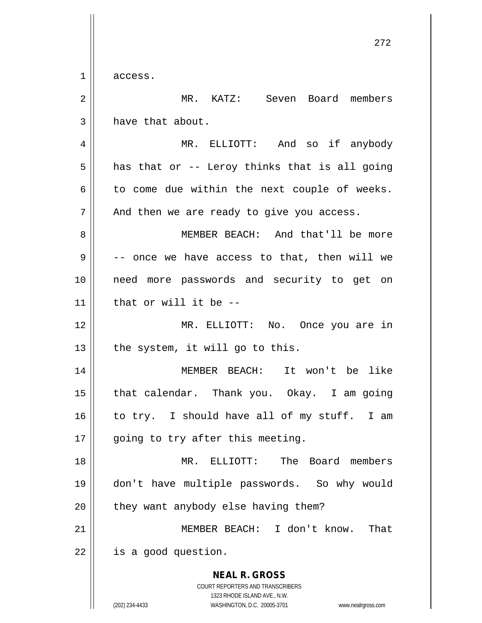$1 \parallel$  access.

| $\overline{2}$ | MR. KATZ: Seven Board members                                                                                                                                   |
|----------------|-----------------------------------------------------------------------------------------------------------------------------------------------------------------|
| 3              | have that about.                                                                                                                                                |
| 4              | MR. ELLIOTT: And so if anybody                                                                                                                                  |
| 5              | has that or -- Leroy thinks that is all going                                                                                                                   |
| 6              | to come due within the next couple of weeks.                                                                                                                    |
| 7              | And then we are ready to give you access.                                                                                                                       |
| 8              | MEMBER BEACH: And that'll be more                                                                                                                               |
| 9              | -- once we have access to that, then will we                                                                                                                    |
| 10             | need more passwords and security to get on                                                                                                                      |
| 11             | that or will it be --                                                                                                                                           |
| 12             | MR. ELLIOTT: No. Once you are in                                                                                                                                |
| 13             | the system, it will go to this.                                                                                                                                 |
| 14             | MEMBER BEACH: It won't be like                                                                                                                                  |
| 15             | that calendar. Thank you. Okay. I am going                                                                                                                      |
| 16             | to try. I should have all of my stuff. I am                                                                                                                     |
| 17             | going to try after this meeting.                                                                                                                                |
| 18             | MR. ELLIOTT:<br>The Board members                                                                                                                               |
| 19             | don't have multiple passwords. So why would                                                                                                                     |
| 20             | they want anybody else having them?                                                                                                                             |
| 21             | MEMBER BEACH: I don't know.<br>That                                                                                                                             |
| 22             | is a good question.                                                                                                                                             |
|                | <b>NEAL R. GROSS</b><br>COURT REPORTERS AND TRANSCRIBERS<br>1323 RHODE ISLAND AVE., N.W.<br>(202) 234-4433<br>WASHINGTON, D.C. 20005-3701<br>www.nealrgross.com |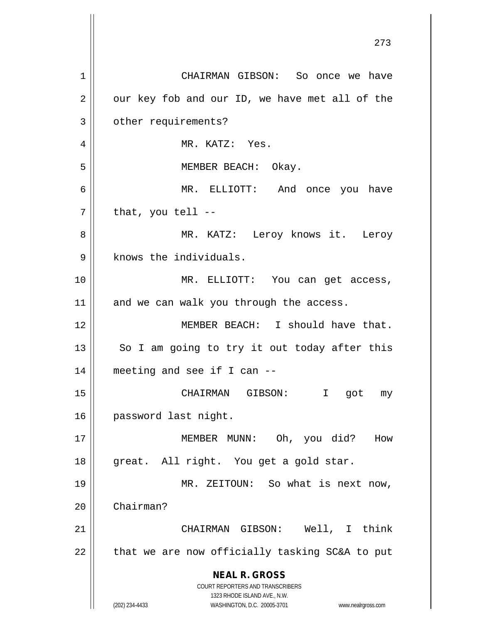**NEAL R. GROSS** COURT REPORTERS AND TRANSCRIBERS 1323 RHODE ISLAND AVE., N.W. (202) 234-4433 WASHINGTON, D.C. 20005-3701 www.nealrgross.com 1 CHAIRMAN GIBSON: So once we have  $2 \parallel$  our key fob and our ID, we have met all of the 3 | other requirements? 4 MR. KATZ: Yes. 5 MEMBER BEACH: Okay. 6 MR. ELLIOTT: And once you have  $7 \parallel$  that, you tell --8 MR. KATZ: Leroy knows it. Leroy  $9$  | knows the individuals. 10 MR. ELLIOTT: You can get access,  $11$  and we can walk you through the access. 12 || MEMBER BEACH: I should have that.  $13$  So I am going to try it out today after this 14 meeting and see if I can -- 15 CHAIRMAN GIBSON: I got my 16 | password last night. 17 MEMBER MUNN: Oh, you did? How 18 || great. All right. You get a gold star. 19 || MR. ZEITOUN: So what is next now, 20 Chairman? 21 CHAIRMAN GIBSON: Well, I think  $22$  | that we are now officially tasking SC&A to put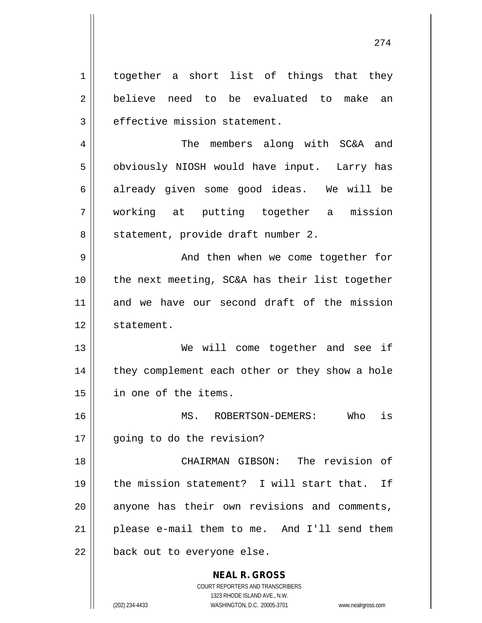**NEAL R. GROSS** COURT REPORTERS AND TRANSCRIBERS 1 together a short list of things that they 2 believe need to be evaluated to make an  $3$  | effective mission statement. 4 || The members along with SC&A and 5 | obviously NIOSH would have input. Larry has 6 already given some good ideas. We will be 7 working at putting together a mission 8 || statement, provide draft number 2. 9 || And then when we come together for  $10$  | the next meeting, SC&A has their list together 11 and we have our second draft of the mission 12 | statement. 13 We will come together and see if 14 || they complement each other or they show a hole 15 in one of the items. 16 MS. ROBERTSON-DEMERS: Who is 17 || going to do the revision? 18 CHAIRMAN GIBSON: The revision of 19 || the mission statement? I will start that. If  $20$  || anyone has their own revisions and comments,  $21$  | please e-mail them to me. And I'll send them  $22$  | back out to everyone else.

1323 RHODE ISLAND AVE., N.W.

(202) 234-4433 WASHINGTON, D.C. 20005-3701 www.nealrgross.com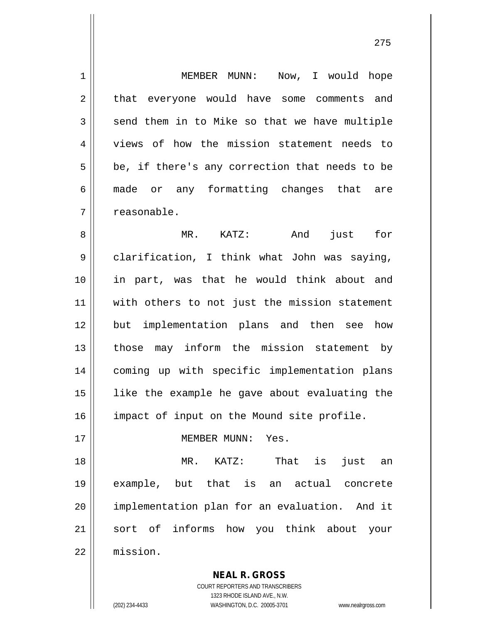1 || MEMBER MUNN: Now, I would hope 2 || that everyone would have some comments and  $3 \parallel$  send them in to Mike so that we have multiple 4 Views of how the mission statement needs to  $5 \parallel$  be, if there's any correction that needs to be 6 made or any formatting changes that are 7 || reasonable. 8 MR. KATZ: And just for 9 clarification, I think what John was saying, 10 in part, was that he would think about and 11 || with others to not just the mission statement 12 but implementation plans and then see how 13 || those may inform the mission statement by 14 coming up with specific implementation plans 15 like the example he gave about evaluating the 16 || impact of input on the Mound site profile. 17 MEMBER MUNN: Yes. 18 MR. KATZ: That is just an 19 example, but that is an actual concrete 20 implementation plan for an evaluation. And it 21 sort of informs how you think about your 22 mission.

> COURT REPORTERS AND TRANSCRIBERS 1323 RHODE ISLAND AVE., N.W. (202) 234-4433 WASHINGTON, D.C. 20005-3701 www.nealrgross.com

**NEAL R. GROSS**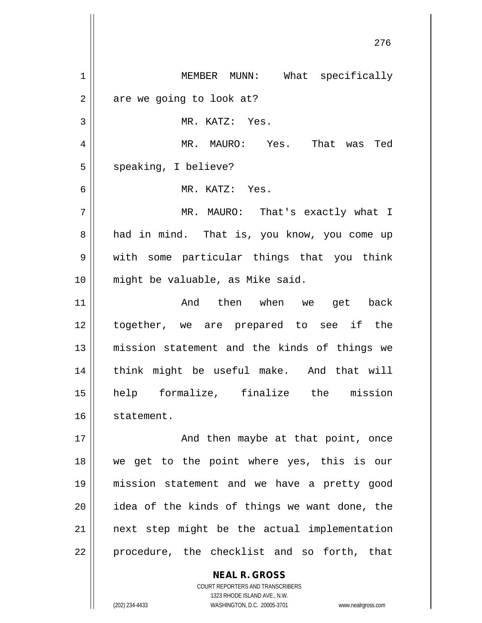**NEAL R. GROSS** 1 | MEMBER MUNN: What specifically  $2 \parallel$  are we going to look at? 3 || MR. KATZ: Yes. MR. MAURO: Yes. That was Ted 5 | speaking, I believe? MR. KATZ: Yes. MR. MAURO: That's exactly what I 8 || had in mind. That is, you know, you come up with some particular things that you think might be valuable, as Mike said. And then when we get back together, we are prepared to see if the mission statement and the kinds of things we 14 || think might be useful make. And that will help formalize, finalize the mission 16 statement. 17 || **And then maybe at that point, once**  we get to the point where yes, this is our mission statement and we have a pretty good || idea of the kinds of things we want done, the next step might be the actual implementation || procedure, the checklist and so forth, that

> COURT REPORTERS AND TRANSCRIBERS 1323 RHODE ISLAND AVE., N.W.

(202) 234-4433 WASHINGTON, D.C. 20005-3701 www.nealrgross.com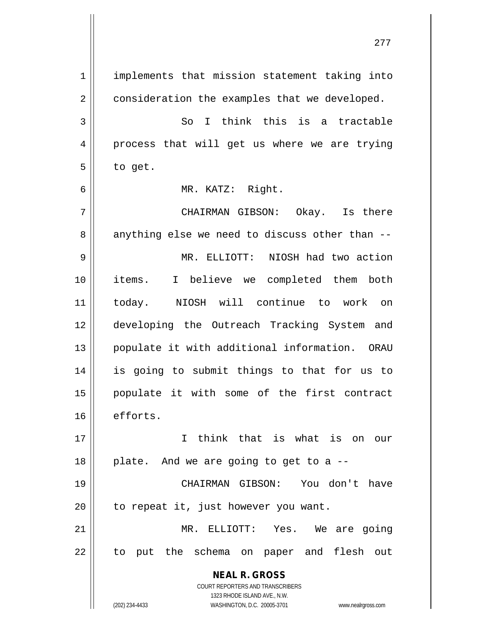**NEAL R. GROSS** COURT REPORTERS AND TRANSCRIBERS 1323 RHODE ISLAND AVE., N.W. (202) 234-4433 WASHINGTON, D.C. 20005-3701 www.nealrgross.com 1 || implements that mission statement taking into 2 | consideration the examples that we developed.  $3 \parallel$  So I think this is a tractable 4 || process that will get us where we are trying  $5 \parallel$  to get. 6 MR. KATZ: Right. 7 CHAIRMAN GIBSON: Okay. Is there  $8 \parallel$  anything else we need to discuss other than  $-$ 9 MR. ELLIOTT: NIOSH had two action 10 items. I believe we completed them both 11 today. NIOSH will continue to work on 12 developing the Outreach Tracking System and 13 || populate it with additional information. ORAU 14 is going to submit things to that for us to 15 populate it with some of the first contract 16 efforts. 17 I think that is what is on our  $18$  | plate. And we are going to get to a  $-$ 19 CHAIRMAN GIBSON: You don't have  $20$  | to repeat it, just however you want. 21 || MR. ELLIOTT: Yes. We are going 22 || to put the schema on paper and flesh out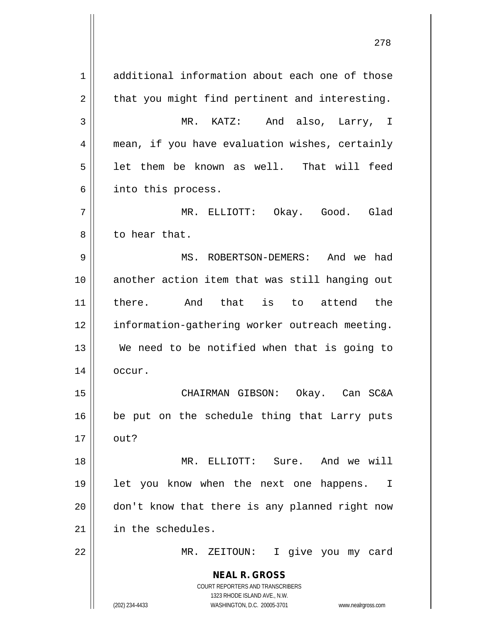**NEAL R. GROSS** COURT REPORTERS AND TRANSCRIBERS 1323 RHODE ISLAND AVE., N.W. (202) 234-4433 WASHINGTON, D.C. 20005-3701 www.nealrgross.com 1 additional information about each one of those  $2 \parallel$  that you might find pertinent and interesting. 3 MR. KATZ: And also, Larry, I 4 || mean, if you have evaluation wishes, certainly  $5 \parallel$  let them be known as well. That will feed  $6 \parallel$  into this process. 7 MR. ELLIOTT: Okay. Good. Glad 8 l to hear that. 9 MS. ROBERTSON-DEMERS: And we had 10 another action item that was still hanging out 11 there. And that is to attend the 12 information-gathering worker outreach meeting. 13 We need to be notified when that is going to 14 | occur. 15 CHAIRMAN GIBSON: Okay. Can SC&A  $16$  be put on the schedule thing that Larry puts  $17 \parallel \quad \text{out?}$ 18 MR. ELLIOTT: Sure. And we will 19 || let you know when the next one happens. I 20 || don't know that there is any planned right now 21 | in the schedules. 22 || MR. ZEITOUN: I give you my card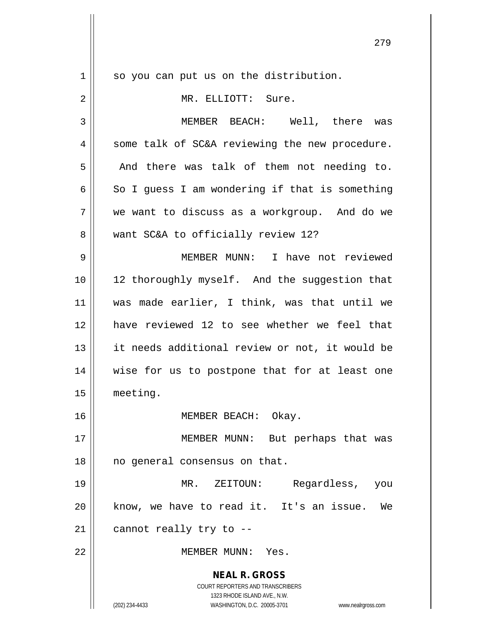**NEAL R. GROSS** COURT REPORTERS AND TRANSCRIBERS 1323 RHODE ISLAND AVE., N.W. (202) 234-4433 WASHINGTON, D.C. 20005-3701 www.nealrgross.com 1 | so you can put us on the distribution. 2 MR. ELLIOTT: Sure. 3 MEMBER BEACH: Well, there was  $4 \parallel$  some talk of SC&A reviewing the new procedure.  $5$  || And there was talk of them not needing to. 6  $\parallel$  So I guess I am wondering if that is something 7 we want to discuss as a workgroup. And do we 8 Want SC&A to officially review 12? 9 MEMBER MUNN: I have not reviewed 10 12 thoroughly myself. And the suggestion that 11 was made earlier, I think, was that until we 12 have reviewed 12 to see whether we feel that 13 || it needs additional review or not, it would be 14 || wise for us to postpone that for at least one 15 meeting. 16 MEMBER BEACH: Okay. 17 || MEMBER MUNN: But perhaps that was 18 || no general consensus on that. 19 MR. ZEITOUN: Regardless, you 20 || know, we have to read it. It's an issue. We  $21$  | cannot really try to --22 MEMBER MUNN: Yes.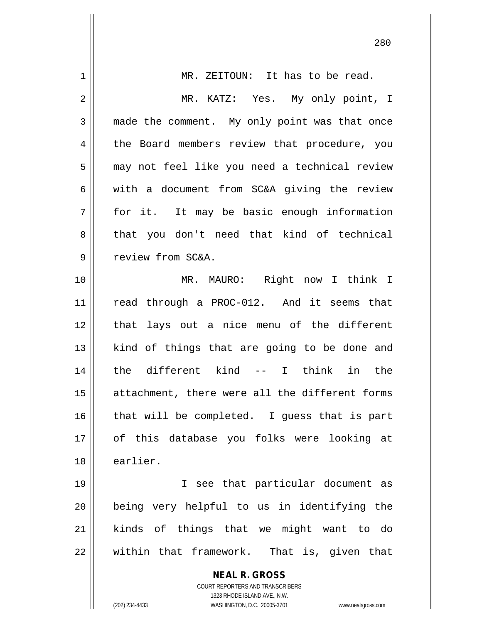| 1  | MR. ZEITOUN: It has to be read.                                                                     |
|----|-----------------------------------------------------------------------------------------------------|
| 2  | MR. KATZ: Yes. My only point, I                                                                     |
| 3  | made the comment. My only point was that once                                                       |
| 4  | the Board members review that procedure, you                                                        |
| 5  | may not feel like you need a technical review                                                       |
| 6  | with a document from SC&A giving the review                                                         |
| 7  | for it. It may be basic enough information                                                          |
| 8  | that you don't need that kind of technical                                                          |
| 9  | review from SC&A.                                                                                   |
| 10 | MR. MAURO: Right now I think I                                                                      |
| 11 | read through a PROC-012. And it seems that                                                          |
| 12 | that lays out a nice menu of the different                                                          |
| 13 | kind of things that are going to be done and                                                        |
| 14 | the different kind -- I think in the                                                                |
| 15 | attachment, there were all the different forms                                                      |
| 16 | that will be completed. I guess that is part                                                        |
| 17 | of this database you folks were looking at                                                          |
| 18 | earlier.                                                                                            |
| 19 | I see that particular document as                                                                   |
| 20 | being very helpful to us in identifying the                                                         |
| 21 | kinds of things that we might want to do                                                            |
| 22 | within that framework. That is, given that                                                          |
|    | <b>NEAL R. GROSS</b>                                                                                |
|    | COURT REPORTERS AND TRANSCRIBERS                                                                    |
|    | 1323 RHODE ISLAND AVE., N.W.<br>(202) 234-4433<br>WASHINGTON, D.C. 20005-3701<br>www.nealrgross.com |
|    |                                                                                                     |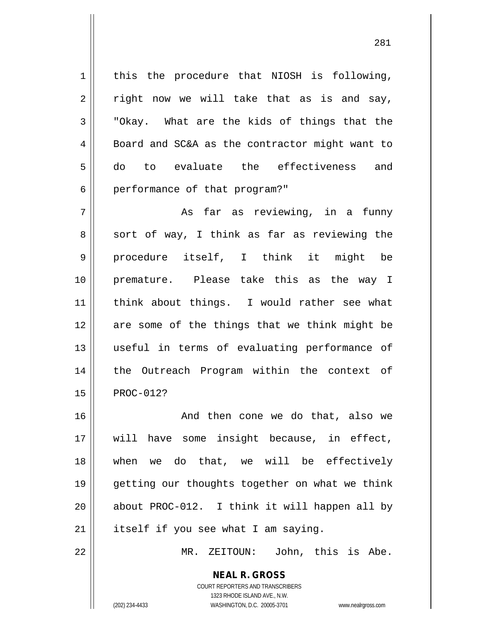$1 \parallel$  this the procedure that NIOSH is following,  $2 \parallel$  right now we will take that as is and say,  $3 \parallel$  "Okay. What are the kids of things that the 4 || Board and SC&A as the contractor might want to 5 do to evaluate the effectiveness and 6 | performance of that program?"

7 As far as reviewing, in a funny  $8 \parallel$  sort of way, I think as far as reviewing the 9 procedure itself, I think it might be 10 premature. Please take this as the way I 11 || think about things. I would rather see what 12 are some of the things that we think might be 13 useful in terms of evaluating performance of 14 || the Outreach Program within the context of 15 | PROC-012?

 And then cone we do that, also we will have some insight because, in effect, when we do that, we will be effectively getting our thoughts together on what we think about PROC-012. I think it will happen all by | itself if you see what I am saying.

22 || MR. ZEITOUN: John, this is Abe.

**NEAL R. GROSS** COURT REPORTERS AND TRANSCRIBERS 1323 RHODE ISLAND AVE., N.W.

(202) 234-4433 WASHINGTON, D.C. 20005-3701 www.nealrgross.com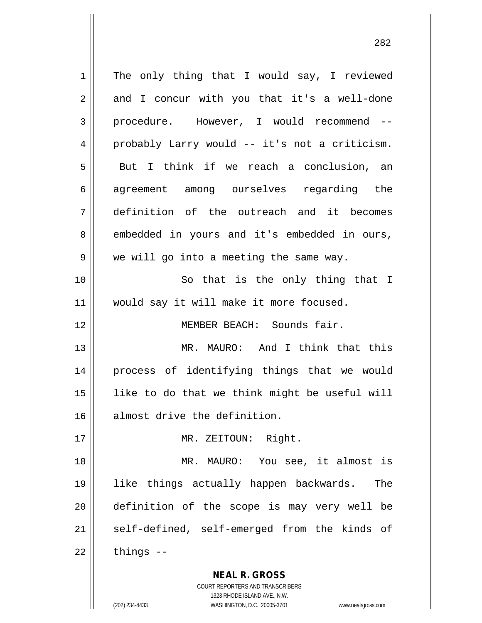**NEAL R. GROSS**  $1 \parallel$  The only thing that I would say, I reviewed  $2 \parallel$  and I concur with you that it's a well-done 3 procedure. However, I would recommend --4 probably Larry would -- it's not a criticism.  $5 \parallel$  But I think if we reach a conclusion, an 6 agreement among ourselves regarding the 7 definition of the outreach and it becomes 8 embedded in yours and it's embedded in ours,  $9 \parallel$  we will go into a meeting the same way. 10 || So that is the only thing that I 11 || would say it will make it more focused. 12 MEMBER BEACH: Sounds fair. 13 MR. MAURO: And I think that this 14 process of identifying things that we would  $15$  || like to do that we think might be useful will 16 almost drive the definition. 17 || MR. ZEITOUN: Right. 18 MR. MAURO: You see, it almost is 19 like things actually happen backwards. The 20 definition of the scope is may very well be 21 || self-defined, self-emerged from the kinds of  $22$  | things  $-$ 

> COURT REPORTERS AND TRANSCRIBERS 1323 RHODE ISLAND AVE., N.W.

(202) 234-4433 WASHINGTON, D.C. 20005-3701 www.nealrgross.com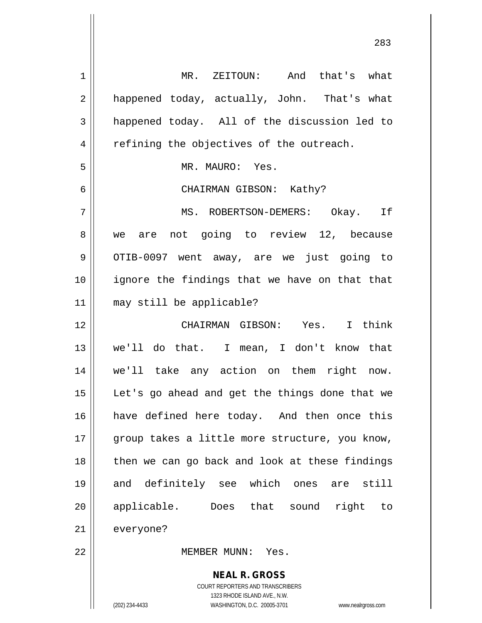**NEAL R. GROSS** COURT REPORTERS AND TRANSCRIBERS 1 MR. ZEITOUN: And that's what 2 || happened today, actually, John. That's what  $3 \parallel$  happened today. All of the discussion led to 4 || refining the objectives of the outreach. 5 || MR. MAURO: Yes. 6 CHAIRMAN GIBSON: Kathy? 7 MS. ROBERTSON-DEMERS: Okay. If 8 we are not going to review 12, because 9 || OTIB-0097 went away, are we just going to 10 || ignore the findings that we have on that that 11 may still be applicable? 12 CHAIRMAN GIBSON: Yes. I think 13 we'll do that. I mean, I don't know that 14 we'll take any action on them right now. 15 || Let's go ahead and get the things done that we 16 || have defined here today. And then once this 17 || group takes a little more structure, you know, 18 || then we can go back and look at these findings 19 and definitely see which ones are still 20 applicable. Does that sound right to 21 everyone? 22 MEMBER MUNN: Yes.

1323 RHODE ISLAND AVE., N.W.

(202) 234-4433 WASHINGTON, D.C. 20005-3701 www.nealrgross.com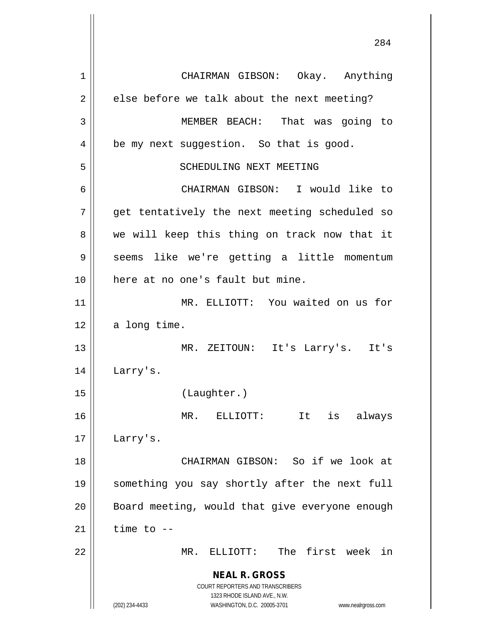**NEAL R. GROSS** COURT REPORTERS AND TRANSCRIBERS 1323 RHODE ISLAND AVE., N.W. (202) 234-4433 WASHINGTON, D.C. 20005-3701 www.nealrgross.com 1 CHAIRMAN GIBSON: Okay. Anything  $2 \parallel$  else before we talk about the next meeting? 3 MEMBER BEACH: That was going to 4 | be my next suggestion. So that is good. 5 || SCHEDULING NEXT MEETING 6 CHAIRMAN GIBSON: I would like to 7 || get tentatively the next meeting scheduled so  $8 \parallel$  we will keep this thing on track now that it 9 || seems like we're getting a little momentum 10 here at no one's fault but mine. 11 MR. ELLIOTT: You waited on us for  $12$  a long time. 13 MR. ZEITOUN: It's Larry's. It's 14 Larry's. 15 (Laughter.) 16 MR. ELLIOTT: It is always 17 Larry's. 18 CHAIRMAN GIBSON: So if we look at 19 something you say shortly after the next full 20 || Board meeting, would that give everyone enough  $21$   $\parallel$  time to  $-$ 22 MR. ELLIOTT: The first week in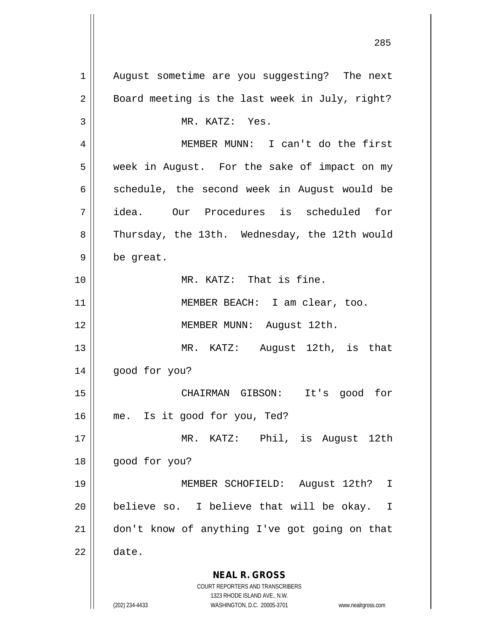**NEAL R. GROSS** COURT REPORTERS AND TRANSCRIBERS 1323 RHODE ISLAND AVE., N.W. (202) 234-4433 WASHINGTON, D.C. 20005-3701 www.nealrgross.com 1 || August sometime are you suggesting? The next  $2 \parallel$  Board meeting is the last week in July, right? 3 || MR. KATZ: Yes. 4 MEMBER MUNN: I can't do the first 5 week in August. For the sake of impact on my  $6 \parallel$  schedule, the second week in August would be 7 idea. Our Procedures is scheduled for 8 Thursday, the 13th. Wednesday, the 12th would  $9 \parallel$  be great. 10 MR. KATZ: That is fine. 11 || MEMBER BEACH: I am clear, too. 12 MEMBER MUNN: August 12th. 13 MR. KATZ: August 12th, is that 14 good for you? 15 CHAIRMAN GIBSON: It's good for 16 me. Is it good for you, Ted? 17 MR. KATZ: Phil, is August 12th 18 good for you? 19 MEMBER SCHOFIELD: August 12th? I  $20$  || believe so. I believe that will be okay. I 21 don't know of anything I've got going on that  $22 \parallel$  date.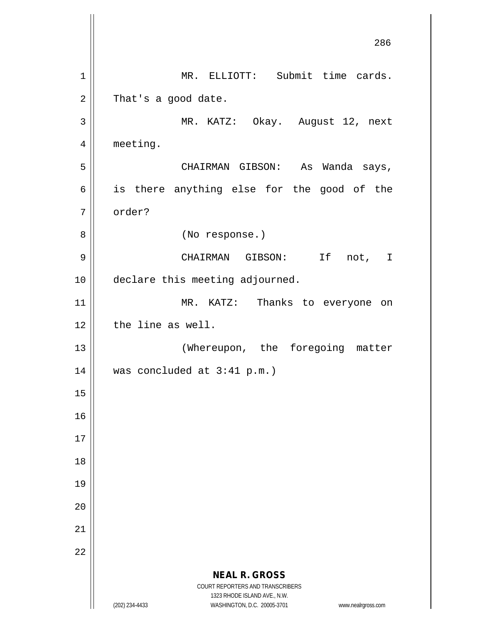**NEAL R. GROSS** COURT REPORTERS AND TRANSCRIBERS 1323 RHODE ISLAND AVE., N.W. (202) 234-4433 WASHINGTON, D.C. 20005-3701 www.nealrgross.com 286 1 || MR. ELLIOTT: Submit time cards.  $2 \parallel$  That's a good date. 3 MR. KATZ: Okay. August 12, next 4 | meeting. 5 CHAIRMAN GIBSON: As Wanda says,  $6 \parallel$  is there anything else for the good of the 7 | order? 8 || (No response.) 9 CHAIRMAN GIBSON: If not, I 10 | declare this meeting adjourned. 11 || MR. KATZ: Thanks to everyone on 12 || the line as well. 13 || (Whereupon, the foregoing matter 14  $\parallel$  was concluded at 3:41 p.m.) 15 16 17 18 19 20 21 22